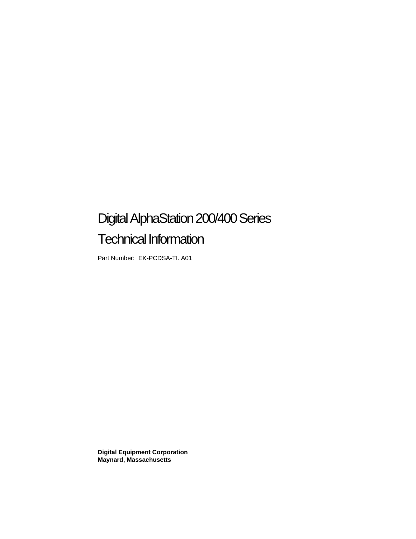# Digital AlphaStation 200/400 Series

# Technical Information

Part Number: EK-PCDSA-TI. A01

**Digital Equipment Corporation Maynard, Massachusetts**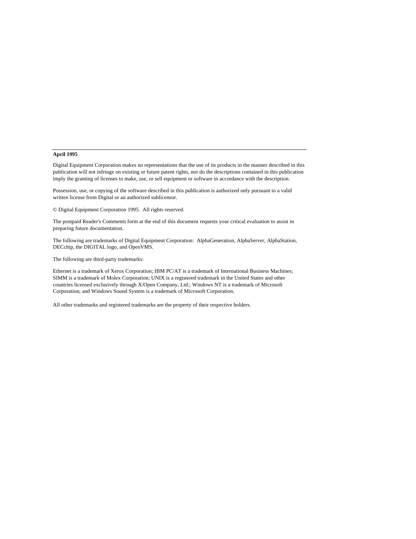#### **April 1995**

Digital Equipment Corporation makes no representations that the use of its products in the manner described in this publication will not infringe on existing or future patent rights, nor do the descriptions contained in this publication imply the granting of licenses to make, use, or sell equipment or software in accordance with the description.

Possession, use, or copying of the software described in this publication is authorized only pursuant to a valid written license from Digital or an authorized sublicensor.

© Digital Equipment Corporation 1995. All rights reserved.

The postpaid Reader's Comments form at the end of this document requests your critical evaluation to assist in preparing future documentation.

The following are trademarks of Digital Equipment Corporation: AlphaGeneration, AlphaServer, AlphaStation, DECchip, the DIGITAL logo, and OpenVMS.

The following are third-party trademarks:

Ethernet is a trademark of Xerox Corporation; IBM PC/AT is a trademark of International Business Machines; SIMM is a trademark of Molex Corporation; UNIX is a registered trademark in the United States and other countries licensed exclusively through X/Open Company, Ltd.; Windows NT is a trademark of Microsoft Corporation; and Windows Sound System is a trademark of Microsoft Corporation.

All other trademarks and registered trademarks are the property of their respective holders.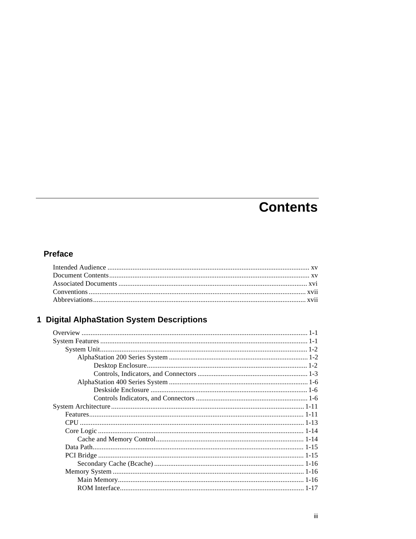# **Contents**

### **Preface**

### 1 Digital AlphaStation System Descriptions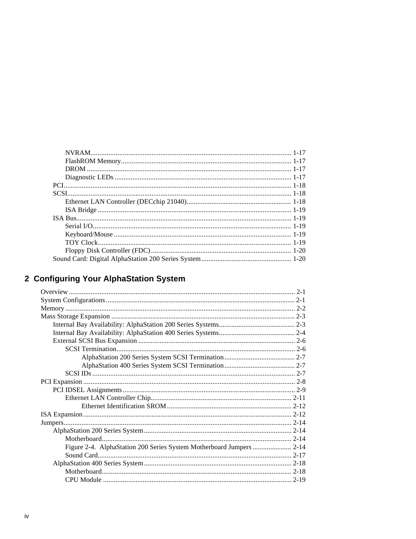### 2 Configuring Your AlphaStation System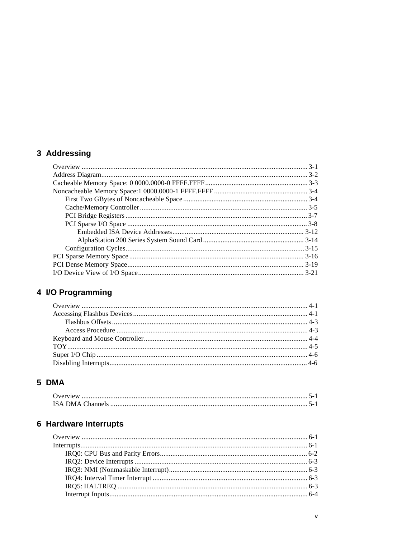### 3 Addressing

### 4 I/O Programming

### 5 DMA

### 6 Hardware Interrupts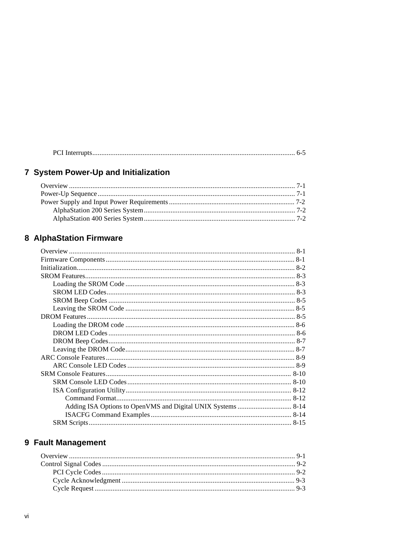|--|

### 7 System Power-Up and Initialization

### 8 AlphaStation Firmware

### 9 Fault Management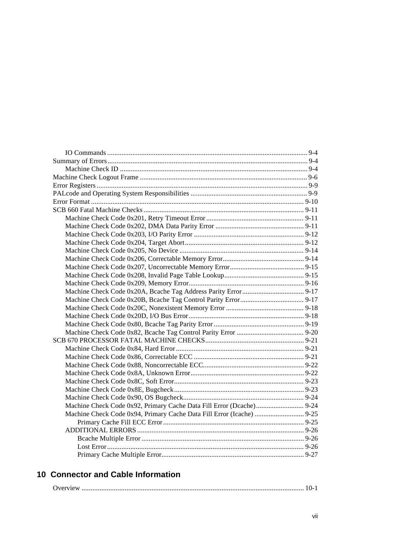| Machine Check Code 0x94, Primary Cache Data Fill Error (Icache)  9-25 |  |
|-----------------------------------------------------------------------|--|
|                                                                       |  |
|                                                                       |  |
|                                                                       |  |
|                                                                       |  |
|                                                                       |  |

### **10 Connector and Cable Information**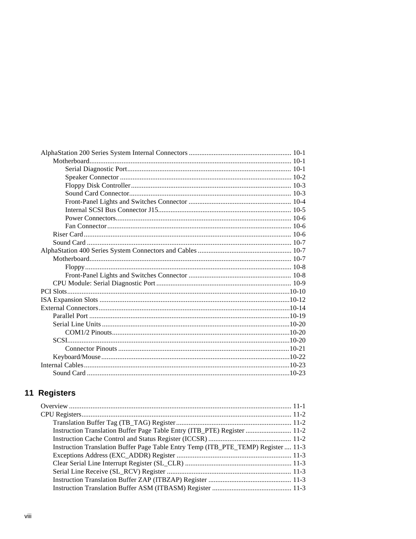### 11 Registers

| Instruction Translation Buffer Page Table Entry (ITB_PTE) Register  11-2           |
|------------------------------------------------------------------------------------|
|                                                                                    |
| Instruction Translation Buffer Page Table Entry Temp (ITB_PTE_TEMP) Register  11-3 |
|                                                                                    |
|                                                                                    |
|                                                                                    |
|                                                                                    |
|                                                                                    |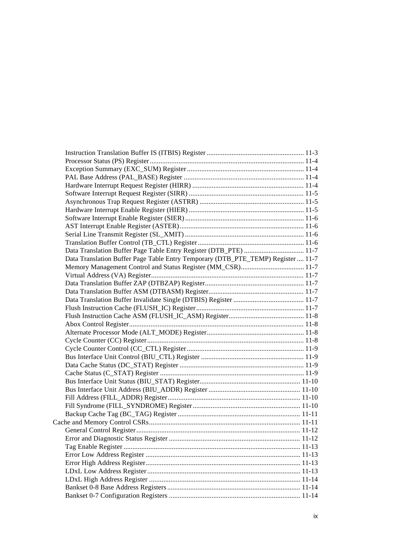| Data Translation Buffer Page Table Entry Register (DTB_PTE)  11-7                |  |
|----------------------------------------------------------------------------------|--|
| Data Translation Buffer Page Table Entry Temporary (DTB_PTE_TEMP) Register  11-7 |  |
| Memory Management Control and Status Register (MM_CSR) 11-7                      |  |
|                                                                                  |  |
|                                                                                  |  |
|                                                                                  |  |
|                                                                                  |  |
|                                                                                  |  |
|                                                                                  |  |
|                                                                                  |  |
|                                                                                  |  |
|                                                                                  |  |
|                                                                                  |  |
|                                                                                  |  |
|                                                                                  |  |
|                                                                                  |  |
|                                                                                  |  |
|                                                                                  |  |
|                                                                                  |  |
|                                                                                  |  |
|                                                                                  |  |
|                                                                                  |  |
|                                                                                  |  |
|                                                                                  |  |
|                                                                                  |  |
|                                                                                  |  |
|                                                                                  |  |
|                                                                                  |  |
|                                                                                  |  |
|                                                                                  |  |
|                                                                                  |  |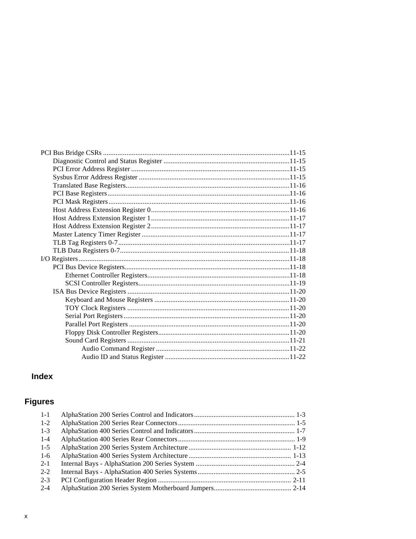### **Index**

### **Figures**

| $1 - 1$ |  |
|---------|--|
| $1-2$   |  |
| $1 - 3$ |  |
| $1 - 4$ |  |
| $1 - 5$ |  |
| $1-6$   |  |
| $2 - 1$ |  |
| $2 - 2$ |  |
| $2 - 3$ |  |
| $2 - 4$ |  |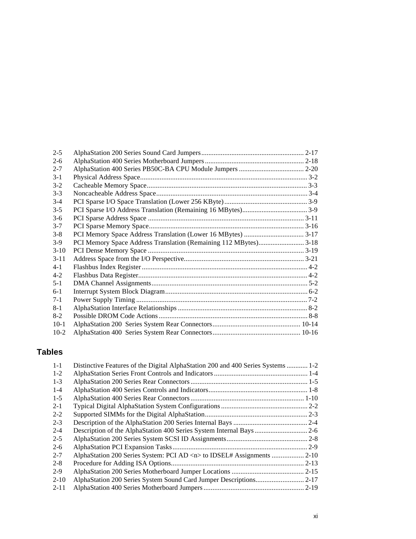| $2 - 5$  |  |
|----------|--|
| $2-6$    |  |
| $2 - 7$  |  |
| $3-1$    |  |
| $3-2$    |  |
| $3 - 3$  |  |
| $3-4$    |  |
| $3 - 5$  |  |
| $3-6$    |  |
| $3 - 7$  |  |
| $3 - 8$  |  |
| $3-9$    |  |
| $3-10$   |  |
| $3 - 11$ |  |
| $4 - 1$  |  |
| $4 - 2$  |  |
| $5 - 1$  |  |
| $6-1$    |  |
| $7-1$    |  |
| $8-1$    |  |
| $8-2$    |  |
| $10-1$   |  |
| $10-2$   |  |

### **Tables**

| $1 - 1$  | Distinctive Features of the Digital AlphaStation 200 and 400 Series Systems  1-2 |  |
|----------|----------------------------------------------------------------------------------|--|
| $1 - 2$  |                                                                                  |  |
| $1 - 3$  |                                                                                  |  |
| $1 - 4$  |                                                                                  |  |
| $1 - 5$  |                                                                                  |  |
| $2 - 1$  |                                                                                  |  |
| $2 - 2$  |                                                                                  |  |
| $2 - 3$  |                                                                                  |  |
| $2 - 4$  |                                                                                  |  |
| $2 - 5$  |                                                                                  |  |
| $2-6$    |                                                                                  |  |
| $2 - 7$  |                                                                                  |  |
| $2 - 8$  |                                                                                  |  |
| $2-9$    |                                                                                  |  |
| $2 - 10$ |                                                                                  |  |
| $2 - 11$ |                                                                                  |  |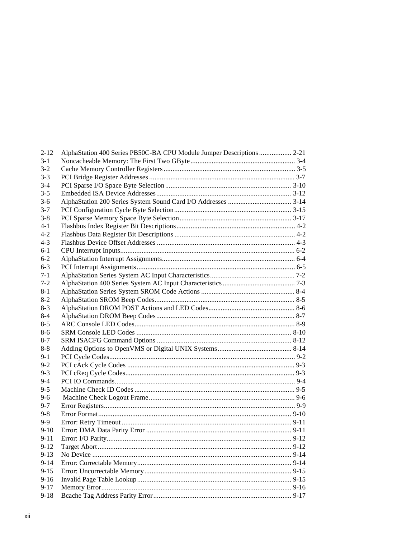| $2 - 12$ | AlphaStation 400 Series PB50C-BA CPU Module Jumper Descriptions  2-21 |  |
|----------|-----------------------------------------------------------------------|--|
| $3-1$    |                                                                       |  |
| $3-2$    |                                                                       |  |
| $3 - 3$  |                                                                       |  |
| $3-4$    |                                                                       |  |
| $3 - 5$  |                                                                       |  |
| $3-6$    |                                                                       |  |
| $3 - 7$  |                                                                       |  |
| $3 - 8$  |                                                                       |  |
| $4 - 1$  |                                                                       |  |
| $4 - 2$  |                                                                       |  |
| $4 - 3$  |                                                                       |  |
| $6 - 1$  |                                                                       |  |
| $6 - 2$  |                                                                       |  |
| $6-3$    |                                                                       |  |
| $7-1$    |                                                                       |  |
| $7-2$    |                                                                       |  |
| $8-1$    |                                                                       |  |
| $8-2$    |                                                                       |  |
| $8-3$    |                                                                       |  |
| $8 - 4$  |                                                                       |  |
| $8 - 5$  |                                                                       |  |
| $8 - 6$  |                                                                       |  |
| $8-7$    |                                                                       |  |
| 8-8      |                                                                       |  |
| $9-1$    |                                                                       |  |
| $9 - 2$  |                                                                       |  |
| $9 - 3$  |                                                                       |  |
| $9-4$    |                                                                       |  |
| $9 - 5$  |                                                                       |  |
| $9 - 6$  |                                                                       |  |
| $9 - 7$  |                                                                       |  |
| $9 - 8$  |                                                                       |  |
| $9-9$    |                                                                       |  |
| $9-10$   |                                                                       |  |
| $9 - 11$ |                                                                       |  |
| $9 - 12$ |                                                                       |  |
| $9-13$   |                                                                       |  |
| $9 - 14$ |                                                                       |  |
| $9 - 15$ |                                                                       |  |
| $9 - 16$ |                                                                       |  |
| $9 - 17$ |                                                                       |  |
| $9 - 18$ |                                                                       |  |
|          |                                                                       |  |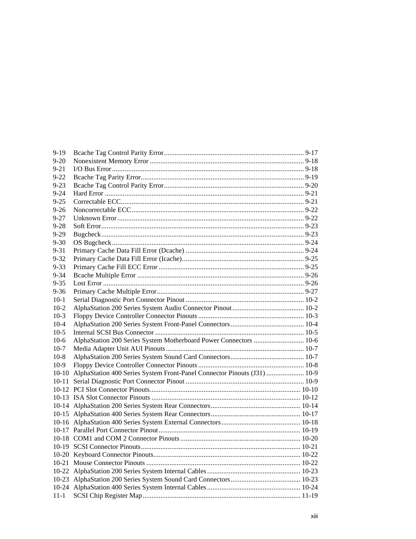| $9 - 19$  |                                                                          |  |
|-----------|--------------------------------------------------------------------------|--|
| $9 - 20$  |                                                                          |  |
| $9 - 21$  |                                                                          |  |
| $9 - 22$  |                                                                          |  |
| $9 - 23$  |                                                                          |  |
| $9 - 24$  |                                                                          |  |
| $9 - 25$  |                                                                          |  |
| $9 - 26$  |                                                                          |  |
| $9 - 27$  |                                                                          |  |
| $9 - 28$  |                                                                          |  |
| $9 - 29$  |                                                                          |  |
| $9 - 30$  |                                                                          |  |
| $9 - 31$  |                                                                          |  |
| $9 - 32$  |                                                                          |  |
| $9 - 33$  |                                                                          |  |
| $9 - 34$  |                                                                          |  |
| $9 - 35$  |                                                                          |  |
| $9 - 36$  |                                                                          |  |
| $10-1$    |                                                                          |  |
| $10-2$    |                                                                          |  |
| $10-3$    |                                                                          |  |
| $10 - 4$  |                                                                          |  |
| $10-5$    |                                                                          |  |
| $10-6$    | AlphaStation 200 Series System Motherboard Power Connectors  10-6        |  |
| $10-7$    |                                                                          |  |
| $10-8$    |                                                                          |  |
| $10-9$    |                                                                          |  |
| $10-10$   | AlphaStation 400 Series System Front-Panel Connector Pinouts (J31)  10-9 |  |
| $10 - 11$ |                                                                          |  |
|           |                                                                          |  |
|           |                                                                          |  |
|           |                                                                          |  |
|           |                                                                          |  |
|           |                                                                          |  |
|           |                                                                          |  |
|           |                                                                          |  |
|           |                                                                          |  |
|           |                                                                          |  |
|           |                                                                          |  |
|           |                                                                          |  |
|           |                                                                          |  |
|           |                                                                          |  |
| $11 - 1$  |                                                                          |  |
|           |                                                                          |  |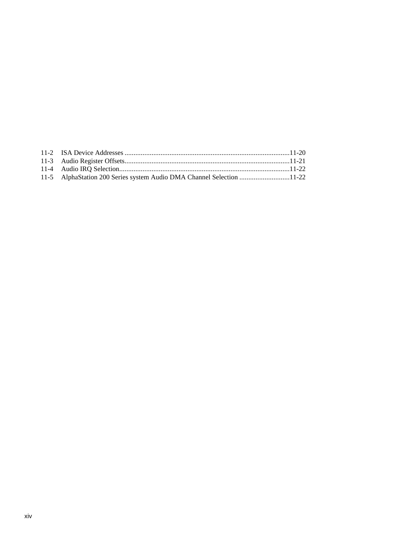| 11-5 AlphaStation 200 Series system Audio DMA Channel Selection 11-22 |  |
|-----------------------------------------------------------------------|--|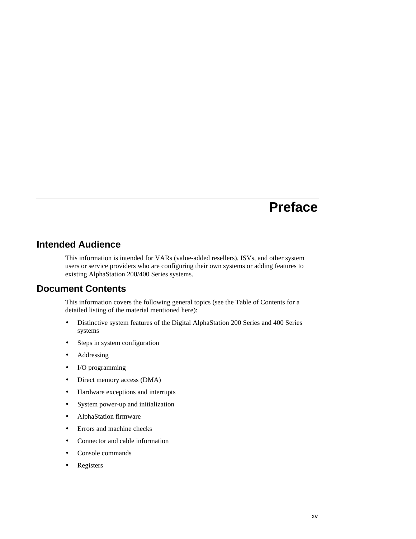### **Intended Audience**

This information is intended for VARs (value-added resellers), ISVs, and other system users or service providers who are configuring their own systems or adding features to existing AlphaStation 200/400 Series systems.

#### **Document Contents**

This information covers the following general topics (see the Table of Contents for a detailed listing of the material mentioned here):

- Distinctive system features of the Digital AlphaStation 200 Series and 400 Series systems
- Steps in system configuration
- Addressing
- I/O programming
- Direct memory access (DMA)
- Hardware exceptions and interrupts
- System power-up and initialization
- AlphaStation firmware
- Errors and machine checks
- Connector and cable information
- Console commands
- Registers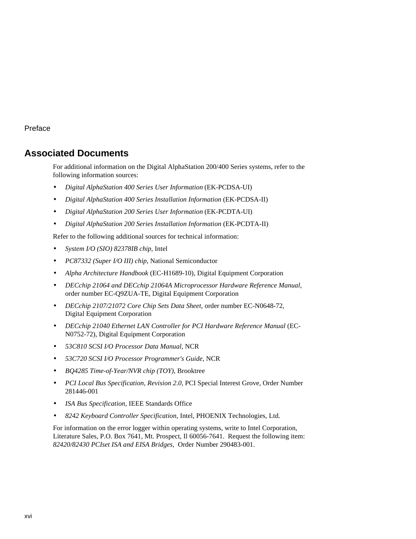### **Associated Documents**

For additional information on the Digital AlphaStation 200/400 Series systems, refer to the following information sources:

- *Digital AlphaStation 400 Series User Information* (EK-PCDSA-UI)
- *Digital AlphaStation 400 Series Installation Information* (EK-PCDSA-II)
- *Digital AlphaStation 200 Series User Information* (EK-PCDTA-UI)
- *Digital AlphaStation 200 Series Installation Information* (EK-PCDTA-II)

Refer to the following additional sources for technical information:

- *System I/O (SIO) 82378IB chip*, Intel
- *PC87332 (Super I/O III) chip*, National Semiconductor
- *Alpha Architecture Handbook* (EC-H1689-10), Digital Equipment Corporation
- *DECchip 21064 and DECchip 21064A Microprocessor Hardware Reference Manual,* order number EC-Q9ZUA-TE, Digital Equipment Corporation
- *DECchip 2107/21072 Core Chip Sets Data Sheet,* order number EC-N0648-72, Digital Equipment Corporation
- *DECchip 21040 Ethernet LAN Controller for PCI Hardware Reference Manual* (EC-N0752-72), Digital Equipment Corporation
- *53C810 SCSI I/O Processor Data Manual,* NCR
- *53C720 SCSI I/O Processor Programmer's Guide,* NCR
- *BQ4285 Time-of-Year/NVR chip (TOY)*, Brooktree
- *PCI Local Bus Specification, Revision 2.0,* PCI Special Interest Grove, Order Number 281446-001
- *ISA Bus Specification,* IEEE Standards Office
- *8242 Keyboard Controller Specification,* Intel, PHOENIX Technologies, Ltd.

For information on the error logger within operating systems, write to Intel Corporation, Literature Sales, P.O. Box 7641, Mt. Prospect, Il 60056-7641. Request the following item: *82420/82430 PCIset ISA and EISA Bridges,* Order Number 290483-001.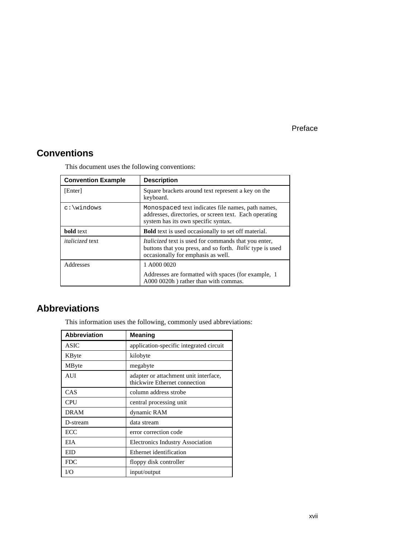### **Conventions**

| <b>Convention Example</b> | <b>Description</b>                                                                                                                                                    |  |
|---------------------------|-----------------------------------------------------------------------------------------------------------------------------------------------------------------------|--|
| [Enter]                   | Square brackets around text represent a key on the<br>keyboard.                                                                                                       |  |
|                           | Monospaced text indicates file names, path names,<br>addresses, directories, or screen text. Each operating<br>system has its own specific syntax.                    |  |
| <b>bold</b> text          | <b>Bold</b> text is used occasionally to set off material.                                                                                                            |  |
| <i>italicized</i> text    | <i>Italicized</i> text is used for commands that you enter,<br>buttons that you press, and so forth. <i>Italic</i> type is used<br>occasionally for emphasis as well. |  |
| Addresses                 | 1 A000 0020                                                                                                                                                           |  |
|                           | Addresses are formatted with spaces (for example, 1<br>A000 0020h) rather than with commas.                                                                           |  |

This document uses the following conventions:

### **Abbreviations**

This information uses the following, commonly used abbreviations:

| Abbreviation | <b>Meaning</b>                                                         |
|--------------|------------------------------------------------------------------------|
| <b>ASIC</b>  | application-specific integrated circuit                                |
| KByte        | kilobyte                                                               |
| MByte        | megabyte                                                               |
| AUI          | adapter or attachment unit interface,<br>thickwire Ethernet connection |
| CAS          | column address strobe                                                  |
| <b>CPU</b>   | central processing unit                                                |
| <b>DRAM</b>  | dynamic RAM                                                            |
| D-stream     | data stream                                                            |
| ECC          | error correction code                                                  |
| EIA          | Electronics Industry Association                                       |
| EID          | Ethernet identification                                                |
| <b>FDC</b>   | floppy disk controller                                                 |
| I/O          | input/output                                                           |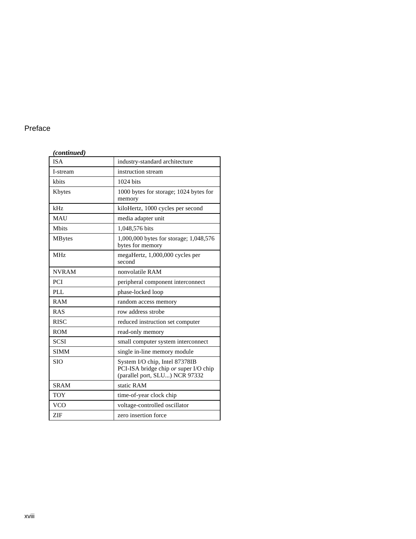#### *(continued)* ISA industry-standard architecture I-stream instruction stream kbits 1024 bits Kbytes 1000 bytes for storage; 1024 bytes for memory kHz kiloHertz, 1000 cycles per second MAU media adapter unit Mbits 1,048,576 bits MBytes 1,000,000 bytes for storage; 1,048,576 bytes for memory MHz megaHertz, 1,000,000 cycles per second NVRAM nonvolatile RAM PCI peripheral component interconnect PLL phase-locked loop RAM random access memory RAS row address strobe RISC reduced instruction set computer ROM read-only memory SCSI small computer system interconnect SIMM single in-line memory module SIO System I/O chip, Intel 87378IB PCI-ISA bridge chip *or* super I/O chip (parallel port, SLU...) NCR 97332 SRAM static RAM TOY time-of-year clock chip VCO voltage-controlled oscillator ZIF zero insertion force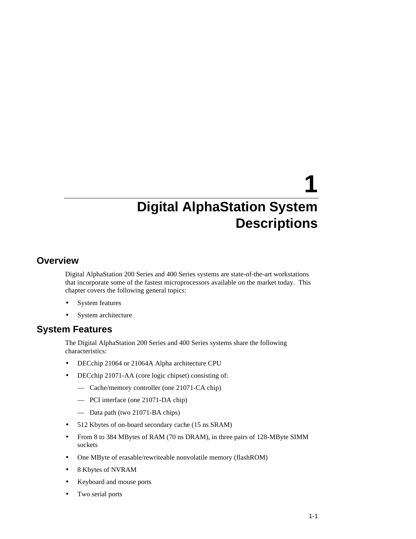# **1**

# **Digital AlphaStation System Descriptions**

### **Overview**

Digital AlphaStation 200 Series and 400 Series systems are state-of-the-art workstations that incorporate some of the fastest microprocessors available on the market today. This chapter covers the following general topics:

- System features
- System architecture

#### **System Features**

The Digital AlphaStation 200 Series and 400 Series systems share the following characteristics:

- DECchip 21064 or 21064A Alpha architecture CPU
- DECchip 21071-AA (core logic chipset) consisting of:
	- Cache/memory controller (one 21071-CA chip)
	- PCI interface (one 21071-DA chip)
	- Data path (two 21071-BA chips)
- 512 Kbytes of on-board secondary cache (15 ns SRAM)
- From 8 to 384 MBytes of RAM (70 ns DRAM), in three pairs of 128-MByte SIMM sockets
- One MByte of erasable/rewriteable nonvolatile memory (flashROM)
- 8 Kbytes of NVRAM
- Keyboard and mouse ports
- Two serial ports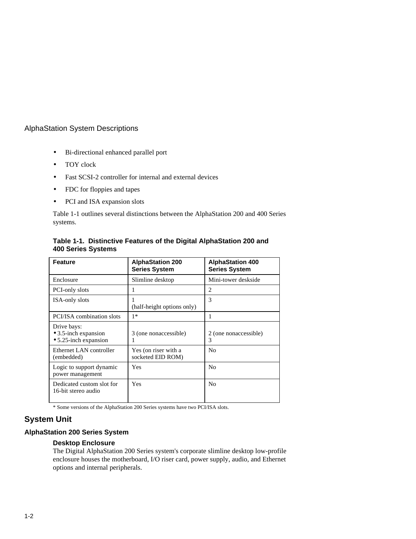- Bi-directional enhanced parallel port
- TOY clock
- Fast SCSI-2 controller for internal and external devices
- FDC for floppies and tapes
- PCI and ISA expansion slots

Table 1-1 outlines several distinctions between the AlphaStation 200 and 400 Series systems.

| <b>Feature</b>                                                       | <b>AlphaStation 200</b><br><b>Series System</b> | <b>AlphaStation 400</b><br><b>Series System</b> |
|----------------------------------------------------------------------|-------------------------------------------------|-------------------------------------------------|
| Enclosure                                                            | Slimline desktop                                | Mini-tower deskside                             |
| PCI-only slots                                                       |                                                 | $\mathcal{D}_{\mathcal{L}}$                     |
| <b>ISA-only slots</b>                                                | (half-height options only)                      | 3                                               |
| PCI/ISA combination slots                                            | $1*$                                            | 1                                               |
| Drive bays:<br>$\bullet$ 3.5-inch expansion<br>• 5.25-inch expansion | 3 (one nonaccessible)                           | 2 (one nonaccessible)<br>3                      |
| Ethernet LAN controller<br>(embedded)                                | Yes (on riser with a<br>socketed EID ROM)       | N <sub>0</sub>                                  |
| Logic to support dynamic<br>power management                         | Yes                                             | N <sub>0</sub>                                  |
| Dedicated custom slot for<br>16-bit stereo audio                     | Yes                                             | N <sub>0</sub>                                  |

**Table 1-1. Distinctive Features of the Digital AlphaStation 200 and 400 Series Systems**

\* Some versions of the AlphaStation 200 Series systems have two PCI/ISA slots.

#### **System Unit**

#### **AlphaStation 200 Series System**

#### **Desktop Enclosure**

The Digital AlphaStation 200 Series system's corporate slimline desktop low-profile enclosure houses the motherboard, I/O riser card, power supply, audio, and Ethernet options and internal peripherals.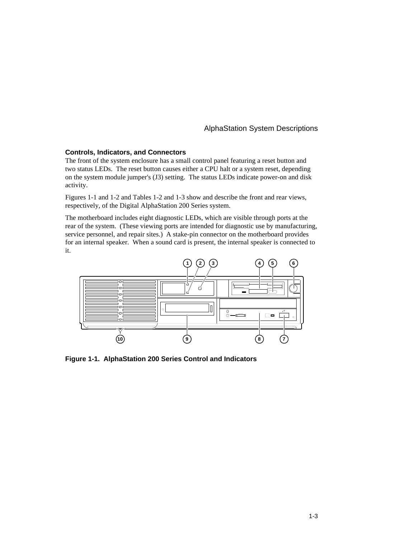#### **Controls, Indicators, and Connectors**

The front of the system enclosure has a small control panel featuring a reset button and two status LEDs. The reset button causes either a CPU halt or a system reset, depending on the system module jumper's (J3) setting. The status LEDs indicate power-on and disk activity.

Figures 1-1 and 1-2 and Tables 1-2 and 1-3 show and describe the front and rear views, respectively, of the Digital AlphaStation 200 Series system.

The motherboard includes eight diagnostic LEDs, which are visible through ports at the rear of the system. (These viewing ports are intended for diagnostic use by manufacturing, service personnel, and repair sites.) A stake-pin connector on the motherboard provides for an internal speaker. When a sound card is present, the internal speaker is connected to it.



**Figure 1-1. AlphaStation 200 Series Control and Indicators**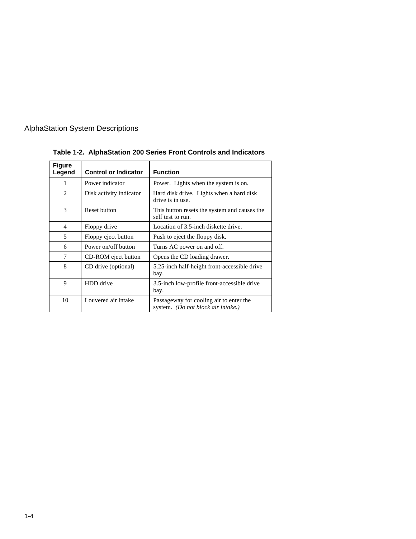

| <b>Figure</b><br>Legend     | <b>Control or Indicator</b> | <b>Function</b>                                                               |
|-----------------------------|-----------------------------|-------------------------------------------------------------------------------|
| 1                           | Power indicator             | Power. Lights when the system is on.                                          |
| $\mathcal{D}_{\mathcal{L}}$ | Disk activity indicator     | Hard disk drive. Lights when a hard disk<br>drive is in use.                  |
| 3                           | Reset button                | This button resets the system and causes the<br>self test to run.             |
| $\overline{4}$              | Floppy drive                | Location of 3.5-inch diskette drive.                                          |
| 5                           | Floppy eject button         | Push to eject the floppy disk.                                                |
| 6                           | Power on/off button         | Turns AC power on and off.                                                    |
| 7                           | CD-ROM eject button         | Opens the CD loading drawer.                                                  |
| 8                           | CD drive (optional)         | 5.25-inch half-height front-accessible drive<br>bay.                          |
| $\mathbf Q$                 | HDD drive                   | 3.5-inch low-profile front-accessible drive<br>bay.                           |
| 10                          | Louvered air intake         | Passageway for cooling air to enter the<br>system. (Do not block air intake.) |

**Table 1-2. AlphaStation 200 Series Front Controls and Indicators**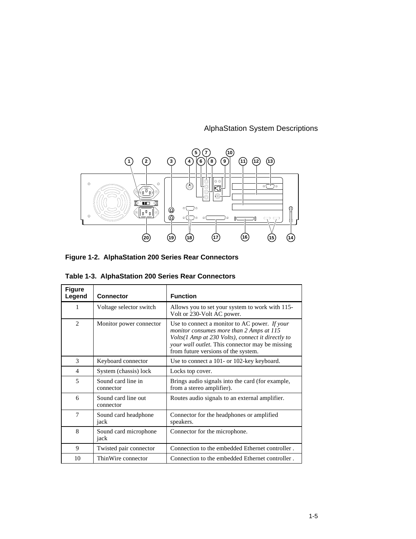

**Figure 1-2. AlphaStation 200 Series Rear Connectors**

| Table 1-3. AlphaStation 200 Series Rear Connectors |
|----------------------------------------------------|
|----------------------------------------------------|

| <b>Figure</b><br>Legend  | <b>Connector</b>                 | <b>Function</b>                                                                                                                                                                                                                          |
|--------------------------|----------------------------------|------------------------------------------------------------------------------------------------------------------------------------------------------------------------------------------------------------------------------------------|
| 1                        | Voltage selector switch          | Allows you to set your system to work with 115-<br>Volt or 230-Volt AC power.                                                                                                                                                            |
| $\mathcal{L}$            | Monitor power connector          | Use to connect a monitor to AC power. If your<br>monitor consumes more than 2 Amps at 115<br>Volts(1 Amp at 230 Volts), connect it directly to<br>your wall outlet. This connector may be missing<br>from future versions of the system. |
| 3                        | Keyboard connector               | Use to connect a 101- or 102-key keyboard.                                                                                                                                                                                               |
| $\overline{\mathcal{A}}$ | System (chassis) lock            | Locks top cover.                                                                                                                                                                                                                         |
| 5                        | Sound card line in<br>connector  | Brings audio signals into the card (for example,<br>from a stereo amplifier).                                                                                                                                                            |
| 6                        | Sound card line out<br>connector | Routes audio signals to an external amplifier.                                                                                                                                                                                           |
| $\tau$                   | Sound card headphone<br>jack     | Connector for the headphones or amplified<br>speakers.                                                                                                                                                                                   |
| 8                        | Sound card microphone<br>jack    | Connector for the microphone.                                                                                                                                                                                                            |
| 9                        | Twisted pair connector           | Connection to the embedded Ethernet controller.                                                                                                                                                                                          |
| 10                       | ThinWire connector               | Connection to the embedded Ethernet controller.                                                                                                                                                                                          |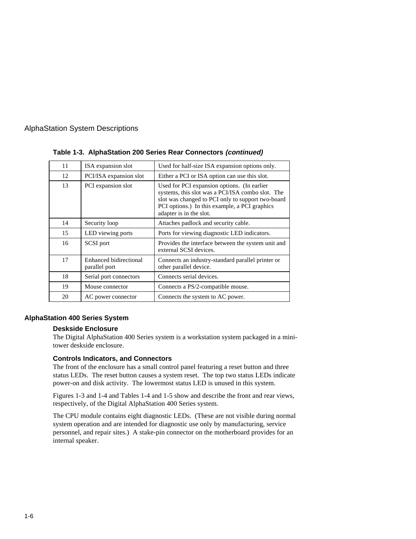| 11 | ISA expansion slot                      | Used for half-size ISA expansion options only.                                                                                                                                                                                   |
|----|-----------------------------------------|----------------------------------------------------------------------------------------------------------------------------------------------------------------------------------------------------------------------------------|
| 12 | PCI/ISA expansion slot                  | Either a PCI or ISA option can use this slot.                                                                                                                                                                                    |
| 13 | PCI expansion slot                      | Used for PCI expansion options. (In earlier<br>systems, this slot was a PCI/ISA combo slot. The<br>slot was changed to PCI only to support two-board<br>PCI options.) In this example, a PCI graphics<br>adapter is in the slot. |
| 14 | Security loop                           | Attaches padlock and security cable.                                                                                                                                                                                             |
| 15 | LED viewing ports                       | Ports for viewing diagnostic LED indicators.                                                                                                                                                                                     |
| 16 | SCSI port                               | Provides the interface between the system unit and<br>external SCSI devices.                                                                                                                                                     |
| 17 | Enhanced bidirectional<br>parallel port | Connects an industry-standard parallel printer or<br>other parallel device.                                                                                                                                                      |
| 18 | Serial port connectors                  | Connects serial devices.                                                                                                                                                                                                         |
| 19 | Mouse connector                         | Connects a PS/2-compatible mouse.                                                                                                                                                                                                |
| 20 | AC power connector                      | Connects the system to AC power.                                                                                                                                                                                                 |

#### **Table 1-3. AlphaStation 200 Series Rear Connectors (continued)**

#### **AlphaStation 400 Series System**

#### **Deskside Enclosure**

The Digital AlphaStation 400 Series system is a workstation system packaged in a minitower deskside enclosure.

#### **Controls Indicators, and Connectors**

The front of the enclosure has a small control panel featuring a reset button and three status LEDs. The reset button causes a system reset. The top two status LEDs indicate power-on and disk activity. The lowermost status LED is unused in this system.

Figures 1-3 and 1-4 and Tables 1-4 and 1-5 show and describe the front and rear views, respectively, of the Digital AlphaStation 400 Series system.

The CPU module contains eight diagnostic LEDs. (These are not visible during normal system operation and are intended for diagnostic use only by manufacturing, service personnel, and repair sites.) A stake-pin connector on the motherboard provides for an internal speaker.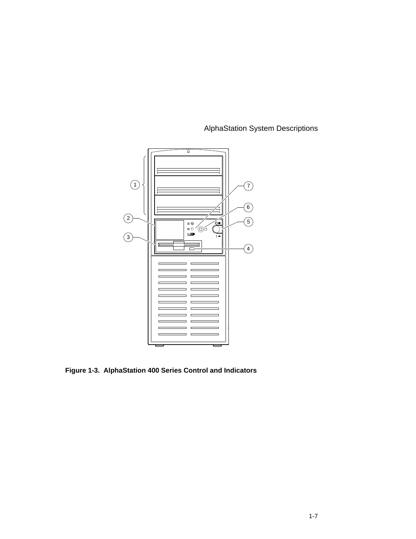

**Figure 1-3. AlphaStation 400 Series Control and Indicators**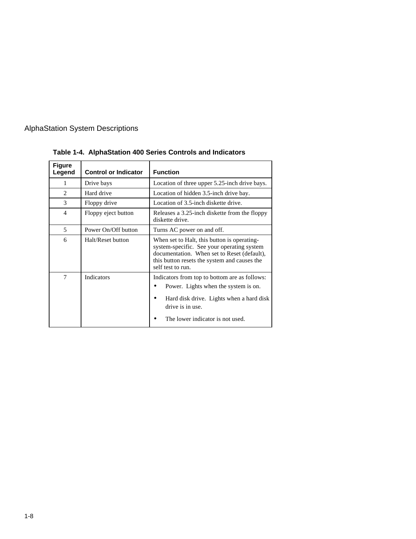| <b>Figure</b><br>Legend | <b>Control or Indicator</b> | <b>Function</b>                                                                                                                                                                                               |
|-------------------------|-----------------------------|---------------------------------------------------------------------------------------------------------------------------------------------------------------------------------------------------------------|
| 1                       | Drive bays                  | Location of three upper 5.25-inch drive bays.                                                                                                                                                                 |
| 2                       | Hard drive                  | Location of hidden 3.5-inch drive bay.                                                                                                                                                                        |
| 3                       | Floppy drive                | Location of 3.5-inch diskette drive.                                                                                                                                                                          |
| $\overline{4}$          | Floppy eject button         | Releases a 3.25-inch diskette from the floppy<br>diskette drive.                                                                                                                                              |
| 5                       | Power On/Off button         | Turns AC power on and off.                                                                                                                                                                                    |
| 6                       | Halt/Reset button           | When set to Halt, this button is operating-<br>system-specific. See your operating system<br>documentation. When set to Reset (default),<br>this button resets the system and causes the<br>self test to run. |
| 7                       | Indicators                  | Indicators from top to bottom are as follows:<br>Power. Lights when the system is on.<br>٠<br>Hard disk drive. Lights when a hard disk<br>drive is in use.<br>The lower indicator is not used.                |

**Table 1-4. AlphaStation 400 Series Controls and Indicators**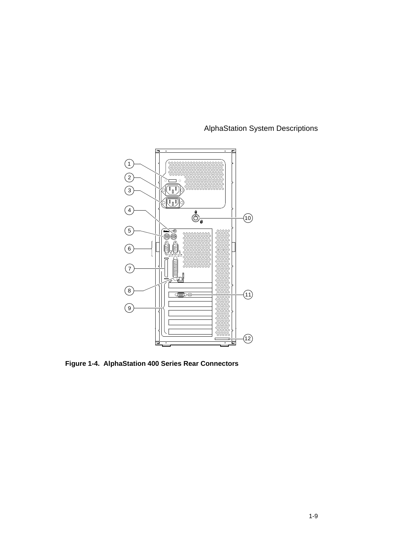



**Figure 1-4. AlphaStation 400 Series Rear Connectors**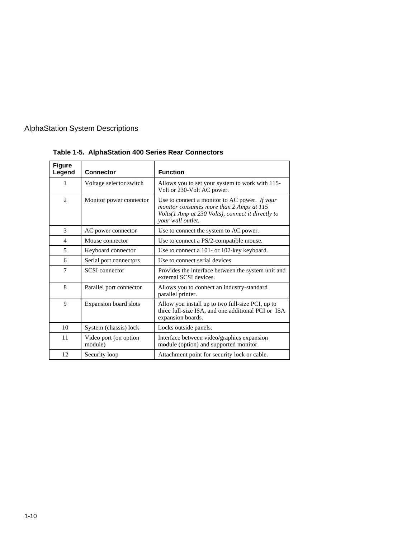| <b>Figure</b><br>Legend | <b>Connector</b>                 | <b>Function</b>                                                                                                                                                     |
|-------------------------|----------------------------------|---------------------------------------------------------------------------------------------------------------------------------------------------------------------|
| 1                       | Voltage selector switch          | Allows you to set your system to work with 115-<br>Volt or 230-Volt AC power.                                                                                       |
| $\mathfrak{D}$          | Monitor power connector          | Use to connect a monitor to AC power. If your<br>monitor consumes more than 2 Amps at 115<br>Volts(1 Amp at 230 Volts), connect it directly to<br>your wall outlet. |
| 3                       | AC power connector               | Use to connect the system to AC power.                                                                                                                              |
| $\overline{4}$          | Mouse connector                  | Use to connect a PS/2-compatible mouse.                                                                                                                             |
| 5                       | Keyboard connector               | Use to connect a 101- or 102-key keyboard.                                                                                                                          |
| 6                       | Serial port connectors           | Use to connect serial devices.                                                                                                                                      |
| 7                       | <b>SCSI</b> connector            | Provides the interface between the system unit and<br>external SCSI devices.                                                                                        |
| 8                       | Parallel port connector          | Allows you to connect an industry-standard<br>parallel printer.                                                                                                     |
| 9                       | Expansion board slots            | Allow you install up to two full-size PCI, up to<br>three full-size ISA, and one additional PCI or ISA<br>expansion boards.                                         |
| 10                      | System (chassis) lock            | Locks outside panels.                                                                                                                                               |
| 11                      | Video port (on option<br>module) | Interface between video/graphics expansion<br>module (option) and supported monitor.                                                                                |
| 12                      | Security loop                    | Attachment point for security lock or cable.                                                                                                                        |

**Table 1-5. AlphaStation 400 Series Rear Connectors**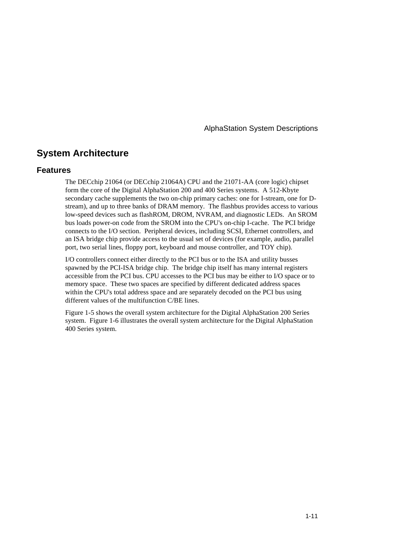### **System Architecture**

#### **Features**

The DECchip 21064 (or DECchip 21064A) CPU and the 21071-AA (core logic) chipset form the core of the Digital AlphaStation 200 and 400 Series systems. A 512-Kbyte secondary cache supplements the two on-chip primary caches: one for I-stream, one for Dstream), and up to three banks of DRAM memory. The flashbus provides access to various low-speed devices such as flashROM, DROM, NVRAM, and diagnostic LEDs. An SROM bus loads power-on code from the SROM into the CPU's on-chip I-cache. The PCI bridge connects to the I/O section. Peripheral devices, including SCSI, Ethernet controllers, and an ISA bridge chip provide access to the usual set of devices (for example, audio, parallel port, two serial lines, floppy port, keyboard and mouse controller, and TOY chip).

I/O controllers connect either directly to the PCI bus or to the ISA and utility busses spawned by the PCI-ISA bridge chip. The bridge chip itself has many internal registers accessible from the PCI bus. CPU accesses to the PCI bus may be either to I/O space or to memory space. These two spaces are specified by different dedicated address spaces within the CPU's total address space and are separately decoded on the PCI bus using different values of the multifunction C/BE lines.

Figure 1-5 shows the overall system architecture for the Digital AlphaStation 200 Series system. Figure 1-6 illustrates the overall system architecture for the Digital AlphaStation 400 Series system.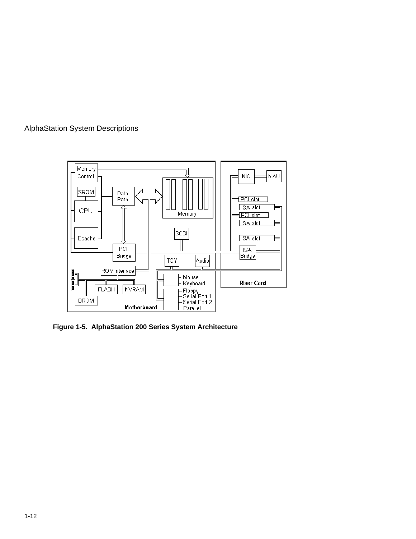



**Figure 1-5. AlphaStation 200 Series System Architecture**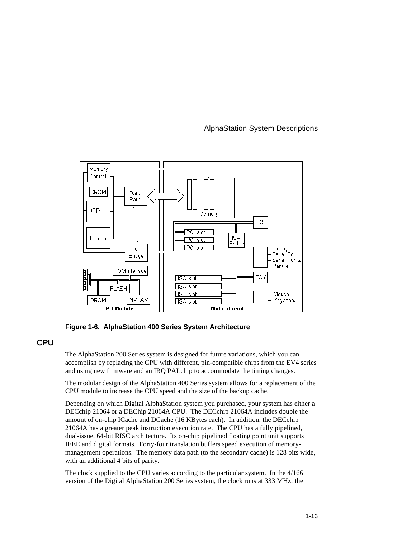

**Figure 1-6. AlphaStation 400 Series System Architecture**

**CPU**

The AlphaStation 200 Series system is designed for future variations, which you can accomplish by replacing the CPU with different, pin-compatible chips from the EV4 series and using new firmware and an IRQ PALchip to accommodate the timing changes.

The modular design of the AlphaStation 400 Series system allows for a replacement of the CPU module to increase the CPU speed and the size of the backup cache.

Depending on which Digital AlphaStation system you purchased, your system has either a DECchip 21064 or a DEChip 21064A CPU. The DECchip 21064A includes double the amount of on-chip ICache and DCache (16 KBytes each). In addition, the DECchip 21064A has a greater peak instruction execution rate. The CPU has a fully pipelined, dual-issue, 64-bit RISC architecture. Its on-chip pipelined floating point unit supports IEEE and digital formats. Forty-four translation buffers speed execution of memorymanagement operations. The memory data path (to the secondary cache) is 128 bits wide, with an additional 4 bits of parity.

The clock supplied to the CPU varies according to the particular system. In the 4/166 version of the Digital AlphaStation 200 Series system, the clock runs at 333 MHz; the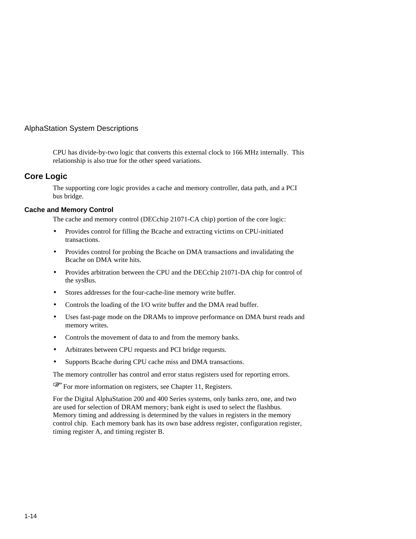CPU has divide-by-two logic that converts this external clock to 166 MHz internally. This relationship is also true for the other speed variations.

#### **Core Logic**

The supporting core logic provides a cache and memory controller, data path, and a PCI bus bridge.

#### **Cache and Memory Control**

The cache and memory control (DECchip 21071-CA chip) portion of the core logic:

- Provides control for filling the Bcache and extracting victims on CPU-initiated transactions.
- Provides control for probing the Bcache on DMA transactions and invalidating the Bcache on DMA write hits.
- Provides arbitration between the CPU and the DECchip 21071-DA chip for control of the sysBus.
- Stores addresses for the four-cache-line memory write buffer.
- Controls the loading of the I/O write buffer and the DMA read buffer.
- Uses fast-page mode on the DRAMs to improve performance on DMA burst reads and memory writes.
- Controls the movement of data to and from the memory banks.
- Arbitrates between CPU requests and PCI bridge requests.
- Supports Bcache during CPU cache miss and DMA transactions.

The memory controller has control and error status registers used for reporting errors. F

For more information on registers, see Chapter 11, Registers.

For the Digital AlphaStation 200 and 400 Series systems, only banks zero, one, and two are used for selection of DRAM memory; bank eight is used to select the flashbus. Memory timing and addressing is determined by the values in registers in the memory control chip. Each memory bank has its own base address register, configuration register, timing register A, and timing register B.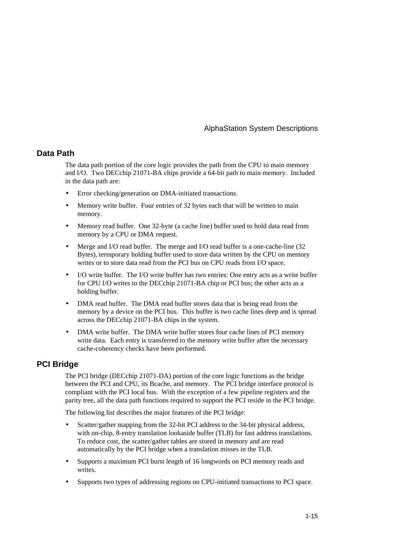#### **Data Path**

The data path portion of the core logic provides the path from the CPU to main memory and I/O. Two DECchip 21071-BA chips provide a 64-bit path to main memory. Included in the data path are:

- Error checking/generation on DMA-initiated transactions.
- Memory write buffer. Four entries of 32 bytes each that will be written to main memory.
- Memory read buffer. One 32-byte (a cache line) buffer used to hold data read from memory by a CPU or DMA request.
- Merge and I/O read buffer. The merge and I/O read buffer is a one-cache-line (32) Bytes), termporary holding buffer used to store data written by the CPU on memory writes or to store data read from the PCI bus on CPU reads from I/O space.
- I/O write buffer. The I/O write buffer has two entries: One entry acts as a write buffer for CPU I/O writes to the DECchip 21071-BA chip or PCI bus; the other acts as a holding buffer.
- DMA read buffer. The DMA read buffer stores data that is being read from the memory by a device on the PCI bus. This buffer is two cache lines deep and is spread across the DECchip 21071-BA chips in the system.
- DMA write buffer. The DMA write buffer stores four cache lines of PCI memory write data. Each entry is transferred to the memory write buffer after the necessary cache-coherency checks have been performed.

#### **PCI Bridge**

The PCI bridge (DECchip 21071-DA) portion of the core logic functions as the bridge between the PCI and CPU, its Bcache, and memory. The PCI bridge interface protocol is compliant with the PCI local bus. With the exception of a few pipeline registers and the parity tree, all the data path functions required to support the PCI reside in the PCI bridge.

The following list describes the major features of the PCI bridge:

- Scatter/gather mapping from the 32-bit PCI address to the 34-bit physical address, with on-chip, 8-entry translation lookaside buffer (TLB) for fast address translations. To reduce cost, the scatter/gather tables are stored in memory and are read automatically by the PCI bridge when a translation misses in the TLB.
- Supports a maximum PCI burst length of 16 longwords on PCI memory reads and writes.
- Supports two types of addressing regions on CPU-initiated transactions to PCI space.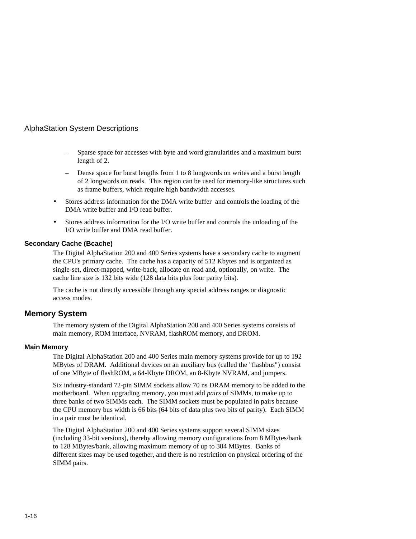- Sparse space for accesses with byte and word granularities and a maximum burst length of 2.
- Dense space for burst lengths from 1 to 8 longwords on writes and a burst length of 2 longwords on reads. This region can be used for memory-like structures such as frame buffers, which require high bandwidth accesses.
- Stores address information for the DMA write buffer and controls the loading of the DMA write buffer and I/O read buffer.
- Stores address information for the I/O write buffer and controls the unloading of the I/O write buffer and DMA read buffer.

#### **Secondary Cache (Bcache)**

The Digital AlphaStation 200 and 400 Series systems have a secondary cache to augment the CPU's primary cache. The cache has a capacity of 512 Kbytes and is organized as single-set, direct-mapped, write-back, allocate on read and, optionally, on write. The cache line size is 132 bits wide (128 data bits plus four parity bits).

The cache is not directly accessible through any special address ranges or diagnostic access modes.

#### **Memory System**

The memory system of the Digital AlphaStation 200 and 400 Series systems consists of main memory, ROM interface, NVRAM, flashROM memory, and DROM.

#### **Main Memory**

The Digital AlphaStation 200 and 400 Series main memory systems provide for up to 192 MBytes of DRAM. Additional devices on an auxiliary bus (called the "flashbus") consist of one MByte of flashROM, a 64-Kbyte DROM, an 8-Kbyte NVRAM, and jumpers.

Six industry-standard 72-pin SIMM sockets allow 70 ns DRAM memory to be added to the motherboard. When upgrading memory, you must add *pairs* of SIMMs, to make up to three banks of two SIMMs each. The SIMM sockets must be populated in pairs because the CPU memory bus width is 66 bits (64 bits of data plus two bits of parity). Each SIMM in a pair must be identical.

The Digital AlphaStation 200 and 400 Series systems support several SIMM sizes (including 33-bit versions), thereby allowing memory configurations from 8 MBytes/bank to 128 MBytes/bank, allowing maximum memory of up to 384 MBytes. Banks of different sizes may be used together, and there is no restriction on physical ordering of the SIMM pairs.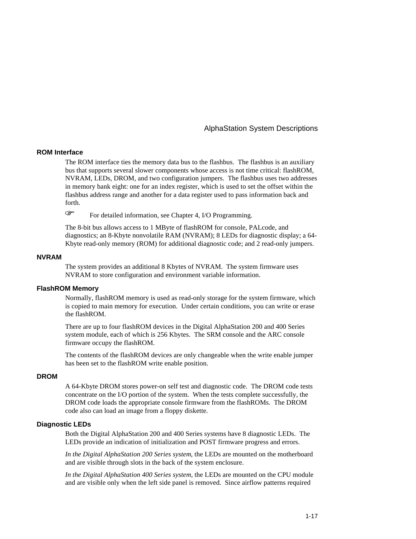#### **ROM Interface**

The ROM interface ties the memory data bus to the flashbus. The flashbus is an auxiliary bus that supports several slower components whose access is not time critical: flashROM, NVRAM, LEDs, DROM, and two configuration jumpers. The flashbus uses two addresses in memory bank eight: one for an index register, which is used to set the offset within the flashbus address range and another for a data register used to pass information back and forth. F

For detailed information, see Chapter 4, I/O Programming.

The 8-bit bus allows access to 1 MByte of flashROM for console, PALcode, and diagnostics; an 8-Kbyte nonvolatile RAM (NVRAM); 8 LEDs for diagnostic display; a 64- Kbyte read-only memory (ROM) for additional diagnostic code; and 2 read-only jumpers.

#### **NVRAM**

The system provides an additional 8 Kbytes of NVRAM. The system firmware uses NVRAM to store configuration and environment variable information.

#### **FlashROM Memory**

Normally, flashROM memory is used as read-only storage for the system firmware, which is copied to main memory for execution. Under certain conditions, you can write or erase the flashROM.

There are up to four flashROM devices in the Digital AlphaStation 200 and 400 Series system module, each of which is 256 Kbytes. The SRM console and the ARC console firmware occupy the flashROM.

The contents of the flashROM devices are only changeable when the write enable jumper has been set to the flashROM write enable position.

#### **DROM**

A 64-Kbyte DROM stores power-on self test and diagnostic code. The DROM code tests concentrate on the I/O portion of the system. When the tests complete successfully, the DROM code loads the appropriate console firmware from the flashROMs. The DROM code also can load an image from a floppy diskette.

#### **Diagnostic LEDs**

Both the Digital AlphaStation 200 and 400 Series systems have 8 diagnostic LEDs. The LEDs provide an indication of initialization and POST firmware progress and errors.

*In the Digital AlphaStation 200 Series system*, the LEDs are mounted on the motherboard and are visible through slots in the back of the system enclosure.

*In the Digital AlphaStation 400 Series system,* the LEDs are mounted on the CPU module and are visible only when the left side panel is removed. Since airflow patterns required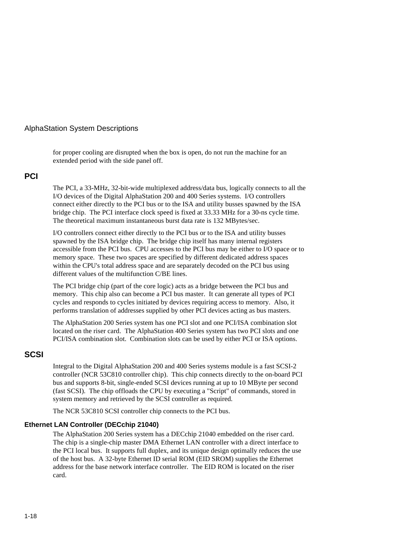for proper cooling are disrupted when the box is open, do not run the machine for an extended period with the side panel off.

#### **PCI**

The PCI, a 33-MHz, 32-bit-wide multiplexed address/data bus, logically connects to all the I/O devices of the Digital AlphaStation 200 and 400 Series systems. I/O controllers connect either directly to the PCI bus or to the ISA and utility busses spawned by the ISA bridge chip. The PCI interface clock speed is fixed at 33.33 MHz for a 30-ns cycle time. The theoretical maximum instantaneous burst data rate is 132 MBytes/sec.

I/O controllers connect either directly to the PCI bus or to the ISA and utility busses spawned by the ISA bridge chip. The bridge chip itself has many internal registers accessible from the PCI bus. CPU accesses to the PCI bus may be either to I/O space or to memory space. These two spaces are specified by different dedicated address spaces within the CPU's total address space and are separately decoded on the PCI bus using different values of the multifunction C/BE lines.

The PCI bridge chip (part of the core logic) acts as a bridge between the PCI bus and memory. This chip also can become a PCI bus master. It can generate all types of PCI cycles and responds to cycles initiated by devices requiring access to memory. Also, it performs translation of addresses supplied by other PCI devices acting as bus masters.

The AlphaStation 200 Series system has one PCI slot and one PCI/ISA combination slot located on the riser card. The AlphaStation 400 Series system has two PCI slots and one PCI/ISA combination slot. Combination slots can be used by either PCI or ISA options.

#### **SCSI**

Integral to the Digital AlphaStation 200 and 400 Series systems module is a fast SCSI-2 controller (NCR 53C810 controller chip). This chip connects directly to the on-board PCI bus and supports 8-bit, single-ended SCSI devices running at up to 10 MByte per second (fast SCSI). The chip offloads the CPU by executing a "Script" of commands, stored in system memory and retrieved by the SCSI controller as required.

The NCR 53C810 SCSI controller chip connects to the PCI bus.

#### **Ethernet LAN Controller (DECchip 21040)**

The AlphaStation 200 Series system has a DECchip 21040 embedded on the riser card. The chip is a single-chip master DMA Ethernet LAN controller with a direct interface to the PCI local bus. It supports full duplex, and its unique design optimally reduces the use of the host bus. A 32-byte Ethernet ID serial ROM (EID SROM) supplies the Ethernet address for the base network interface controller. The EID ROM is located on the riser card.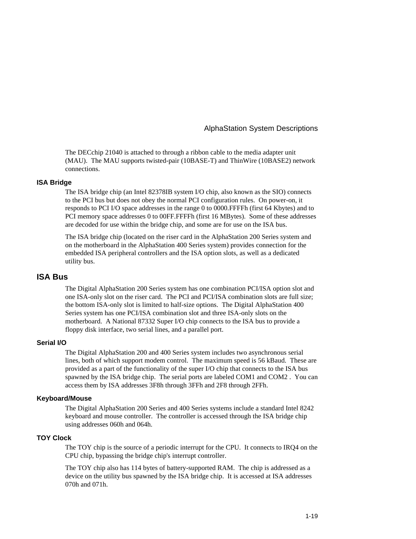#### AlphaStation System Descriptions

The DECchip 21040 is attached to through a ribbon cable to the media adapter unit (MAU). The MAU supports twisted-pair (10BASE-T) and ThinWire (10BASE2) network connections.

#### **ISA Bridge**

The ISA bridge chip (an Intel 82378IB system I/O chip, also known as the SIO) connects to the PCI bus but does not obey the normal PCI configuration rules. On power-on, it responds to PCI I/O space addresses in the range 0 to 0000.FFFFh (first 64 Kbytes) and to PCI memory space addresses 0 to 00FF.FFFFh (first 16 MBytes). Some of these addresses are decoded for use within the bridge chip, and some are for use on the ISA bus.

The ISA bridge chip (located on the riser card in the AlphaStation 200 Series system and on the motherboard in the AlphaStation 400 Series system) provides connection for the embedded ISA peripheral controllers and the ISA option slots, as well as a dedicated utility bus.

#### **ISA Bus**

The Digital AlphaStation 200 Series system has one combination PCI/ISA option slot and one ISA-only slot on the riser card. The PCI and PCI/ISA combination slots are full size; the bottom ISA-only slot is limited to half-size options. The Digital AlphaStation 400 Series system has one PCI/ISA combination slot and three ISA-only slots on the motherboard. A National 87332 Super I/O chip connects to the ISA bus to provide a floppy disk interface, two serial lines, and a parallel port.

#### **Serial I/O**

The Digital AlphaStation 200 and 400 Series system includes two asynchronous serial lines, both of which support modem control. The maximum speed is 56 kBaud. These are provided as a part of the functionality of the super I/O chip that connects to the ISA bus spawned by the ISA bridge chip. The serial ports are labeled COM1 and COM2 . You can access them by ISA addresses 3F8h through 3FFh and 2F8 through 2FFh.

#### **Keyboard/Mouse**

The Digital AlphaStation 200 Series and 400 Series systems include a standard Intel 8242 keyboard and mouse controller. The controller is accessed through the ISA bridge chip using addresses 060h and 064h.

#### **TOY Clock**

The TOY chip is the source of a periodic interrupt for the CPU. It connects to IRQ4 on the CPU chip, bypassing the bridge chip's interrupt controller.

The TOY chip also has 114 bytes of battery-supported RAM. The chip is addressed as a device on the utility bus spawned by the ISA bridge chip. It is accessed at ISA addresses 070h and 071h.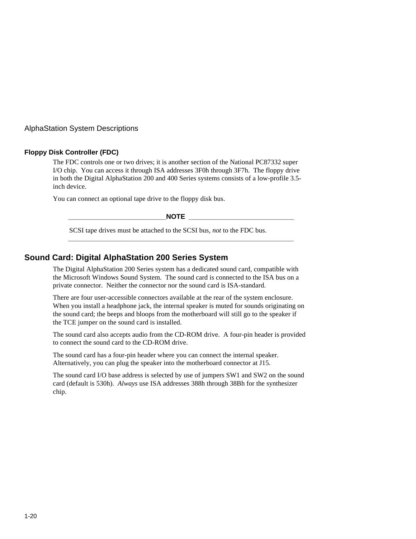AlphaStation System Descriptions

#### **Floppy Disk Controller (FDC)**

The FDC controls one or two drives; it is another section of the National PC87332 super I/O chip. You can access it through ISA addresses 3F0h through 3F7h. The floppy drive in both the Digital AlphaStation 200 and 400 Series systems consists of a low-profile 3.5 inch device.

You can connect an optional tape drive to the floppy disk bus.

**\_\_\_\_\_\_\_\_\_\_\_\_\_\_\_\_\_\_\_\_\_\_\_\_\_\_NOTE \_\_\_\_\_\_\_\_\_\_\_\_\_\_\_\_\_\_\_\_\_\_\_\_\_\_\_\_**

**\_\_\_\_\_\_\_\_\_\_\_\_\_\_\_\_\_\_\_\_\_\_\_\_\_\_\_\_\_\_\_\_\_\_\_\_\_\_\_\_\_\_\_\_\_\_\_\_\_\_\_\_\_\_\_\_\_\_\_\_**

SCSI tape drives must be attached to the SCSI bus, *not* to the FDC bus.

#### **Sound Card: Digital AlphaStation 200 Series System**

The Digital AlphaStation 200 Series system has a dedicated sound card, compatible with the Microsoft Windows Sound System. The sound card is connected to the ISA bus on a private connector. Neither the connector nor the sound card is ISA-standard.

There are four user-accessible connectors available at the rear of the system enclosure. When you install a headphone jack, the internal speaker is muted for sounds originating on the sound card; the beeps and bloops from the motherboard will still go to the speaker if the TCE jumper on the sound card is installed.

The sound card also accepts audio from the CD-ROM drive. A four-pin header is provided to connect the sound card to the CD-ROM drive.

The sound card has a four-pin header where you can connect the internal speaker. Alternatively, you can plug the speaker into the motherboard connector at J15.

The sound card I/O base address is selected by use of jumpers SW1 and SW2 on the sound card (default is 530h). *Always* use ISA addresses 388h through 38Bh for the synthesizer chip.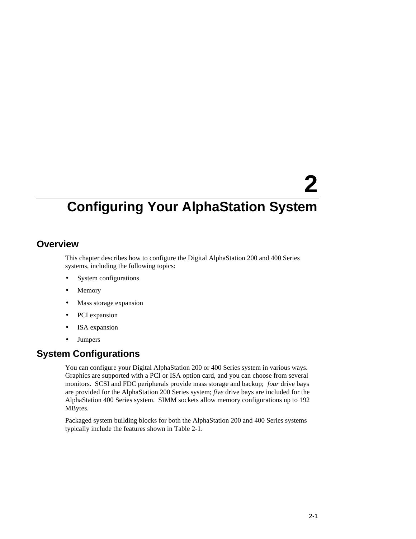# **2**

### **Configuring Your AlphaStation System**

#### **Overview**

This chapter describes how to configure the Digital AlphaStation 200 and 400 Series systems, including the following topics:

- System configurations
- **Memory**
- Mass storage expansion
- PCI expansion
- ISA expansion
- **Jumpers**

#### **System Configurations**

You can configure your Digital AlphaStation 200 or 400 Series system in various ways. Graphics are supported with a PCI or ISA option card, and you can choose from several monitors. SCSI and FDC peripherals provide mass storage and backup; *four* drive bays are provided for the AlphaStation 200 Series system; *five* drive bays are included for the AlphaStation 400 Series system. SIMM sockets allow memory configurations up to 192 MBytes.

Packaged system building blocks for both the AlphaStation 200 and 400 Series systems typically include the features shown in Table 2-1.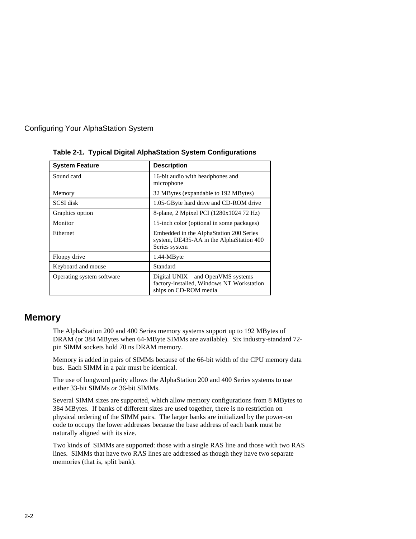

| <b>System Feature</b>     | <b>Description</b>                                                                                                  |  |
|---------------------------|---------------------------------------------------------------------------------------------------------------------|--|
| Sound card                | 16-bit audio with headphones and<br>microphone                                                                      |  |
| Memory                    | 32 MBytes (expandable to 192 MBytes)                                                                                |  |
| SCSI disk                 | 1.05-GByte hard drive and CD-ROM drive                                                                              |  |
| Graphics option           | 8-plane, 2 Mpixel PCI (1280x1024 72 Hz)                                                                             |  |
| Monitor                   | 15-inch color (optional in some packages)                                                                           |  |
| Ethernet                  | Embedded in the AlphaStation 200 Series<br>system, DE435-AA in the AlphaStation 400<br>Series system                |  |
| Floppy drive              | 1.44-MByte                                                                                                          |  |
| Keyboard and mouse        | Standard                                                                                                            |  |
| Operating system software | Digital UNIX <sup>®</sup> and OpenVMS systems<br>factory-installed, Windows NT Workstation<br>ships on CD-ROM media |  |

**Table 2-1. Typical Digital AlphaStation System Configurations**

#### **Memory**

The AlphaStation 200 and 400 Series memory systems support up to 192 MBytes of DRAM (or 384 MBytes when 64-MByte SIMMs are available). Six industry-standard 72 pin SIMM sockets hold 70 ns DRAM memory.

Memory is added in pairs of SIMMs because of the 66-bit width of the CPU memory data bus. Each SIMM in a pair must be identical.

The use of longword parity allows the AlphaStation 200 and 400 Series systems to use either 33-bit SIMMs *or* 36-bit SIMMs.

Several SIMM sizes are supported, which allow memory configurations from 8 MBytes to 384 MBytes. If banks of different sizes are used together, there is no restriction on physical ordering of the SIMM pairs. The larger banks are initialized by the power-on code to occupy the lower addresses because the base address of each bank must be naturally aligned with its size.

Two kinds of SIMMs are supported: those with a single RAS line and those with two RAS lines. SIMMs that have two RAS lines are addressed as though they have two separate memories (that is, split bank).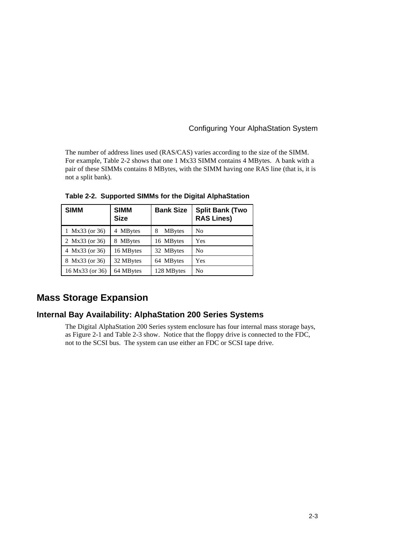The number of address lines used (RAS/CAS) varies according to the size of the SIMM. For example, Table 2-2 shows that one 1 Mx33 SIMM contains 4 MBytes. A bank with a pair of these SIMMs contains 8 MBytes, with the SIMM having one RAS line (that is, it is not a split bank).

| <b>SIMM</b>     | <b>SIMM</b><br><b>Size</b> | <b>Bank Size</b>    | <b>Split Bank (Two</b><br><b>RAS Lines)</b> |
|-----------------|----------------------------|---------------------|---------------------------------------------|
| 1 Mx33 (or 36)  | 4 MBytes                   | <b>MB</b> ytes<br>8 | No                                          |
| 2 Mx33 (or 36)  | 8 MBytes                   | 16 MBytes           | Yes                                         |
| 4 Mx33 (or 36)  | 16 MBytes                  | 32 MBytes           | No                                          |
| 8 Mx33 (or 36)  | 32 MBytes                  | 64 MBytes           | Yes                                         |
| 16 Mx33 (or 36) | 64 MBytes                  | 128 MBytes          | No                                          |

**Table 2-2. Supported SIMMs for the Digital AlphaStation**

#### **Mass Storage Expansion**

#### **Internal Bay Availability: AlphaStation 200 Series Systems**

The Digital AlphaStation 200 Series system enclosure has four internal mass storage bays, as Figure 2-1 and Table 2-3 show. Notice that the floppy drive is connected to the FDC, not to the SCSI bus. The system can use either an FDC or SCSI tape drive.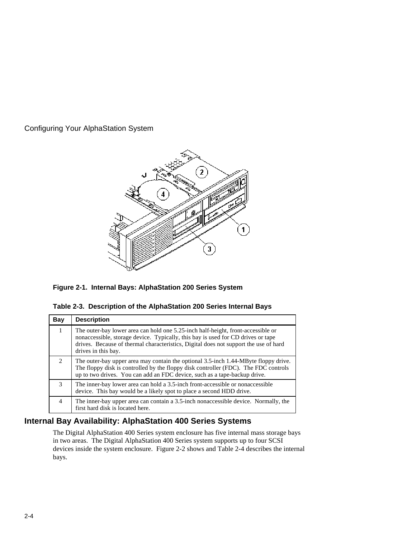

**Figure 2-1. Internal Bays: AlphaStation 200 Series System**

|  |  | Table 2-3. Description of the AlphaStation 200 Series Internal Bays |  |  |
|--|--|---------------------------------------------------------------------|--|--|
|  |  |                                                                     |  |  |

| Bay                         | <b>Description</b>                                                                                                                                                                                                                                                                  |
|-----------------------------|-------------------------------------------------------------------------------------------------------------------------------------------------------------------------------------------------------------------------------------------------------------------------------------|
| 1                           | The outer-bay lower area can hold one 5.25-inch half-height, front-accessible or<br>nonaccessible, storage device. Typically, this bay is used for CD drives or tape<br>drives. Because of thermal characteristics, Digital does not support the use of hard<br>drives in this bay. |
| $\mathcal{D}_{\mathcal{A}}$ | The outer-bay upper area may contain the optional 3.5-inch 1.44-MByte floppy drive.<br>The floppy disk is controlled by the floppy disk controller (FDC). The FDC controls<br>up to two drives. You can add an FDC device, such as a tape-backup drive.                             |
| 3                           | The inner-bay lower area can hold a 3.5-inch front-accessible or nonaccessible<br>device. This bay would be a likely spot to place a second HDD drive.                                                                                                                              |
| 4                           | The inner-bay upper area can contain a 3.5-inch nonaccessible device. Normally, the<br>first hard disk is located here.                                                                                                                                                             |

#### **Internal Bay Availability: AlphaStation 400 Series Systems**

The Digital AlphaStation 400 Series system enclosure has five internal mass storage bays in two areas. The Digital AlphaStation 400 Series system supports up to four SCSI devices inside the system enclosure. Figure 2-2 shows and Table 2-4 describes the internal bays.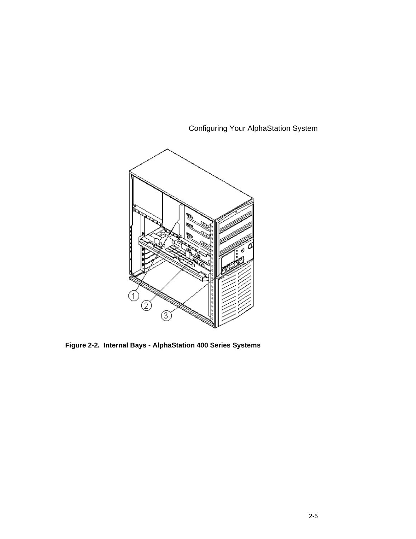

**Figure 2-2. Internal Bays - AlphaStation 400 Series Systems**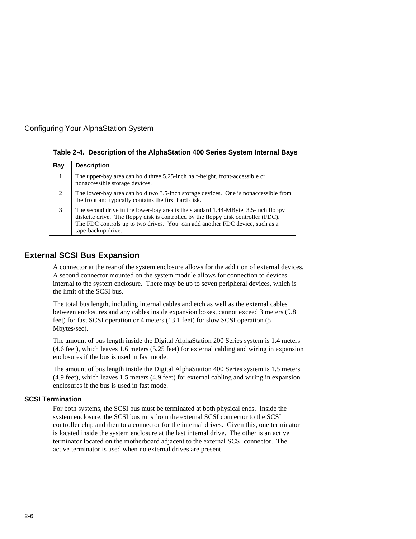

| Table 2-4. Description of the AlphaStation 400 Series System Internal Bays |  |
|----------------------------------------------------------------------------|--|
|----------------------------------------------------------------------------|--|

| Bay | <b>Description</b>                                                                                                                                                                                                                                                             |
|-----|--------------------------------------------------------------------------------------------------------------------------------------------------------------------------------------------------------------------------------------------------------------------------------|
|     | The upper-bay area can hold three 5.25-inch half-height, front-accessible or<br>nonaccessible storage devices.                                                                                                                                                                 |
| 2   | The lower-bay area can hold two 3.5-inch storage devices. One is nonaccessible from<br>the front and typically contains the first hard disk.                                                                                                                                   |
| 3   | The second drive in the lower-bay area is the standard 1.44-MByte, 3.5-inch floppy<br>diskette drive. The floppy disk is controlled by the floppy disk controller (FDC).<br>The FDC controls up to two drives. You can add another FDC device, such as a<br>tape-backup drive. |

#### **External SCSI Bus Expansion**

A connector at the rear of the system enclosure allows for the addition of external devices. A second connector mounted on the system module allows for connection to devices internal to the system enclosure. There may be up to seven peripheral devices, which is the limit of the SCSI bus.

The total bus length, including internal cables and etch as well as the external cables between enclosures and any cables inside expansion boxes, cannot exceed 3 meters (9.8 feet) for fast SCSI operation or 4 meters (13.1 feet) for slow SCSI operation (5 Mbytes/sec).

The amount of bus length inside the Digital AlphaStation 200 Series system is 1.4 meters (4.6 feet), which leaves 1.6 meters (5.25 feet) for external cabling and wiring in expansion enclosures if the bus is used in fast mode.

The amount of bus length inside the Digital AlphaStation 400 Series system is 1.5 meters (4.9 feet), which leaves 1.5 meters (4.9 feet) for external cabling and wiring in expansion enclosures if the bus is used in fast mode.

#### **SCSI Termination**

For both systems, the SCSI bus must be terminated at both physical ends. Inside the system enclosure, the SCSI bus runs from the external SCSI connector to the SCSI controller chip and then to a connector for the internal drives. Given this, one terminator is located inside the system enclosure at the last internal drive. The other is an active terminator located on the motherboard adjacent to the external SCSI connector. The active terminator is used when no external drives are present.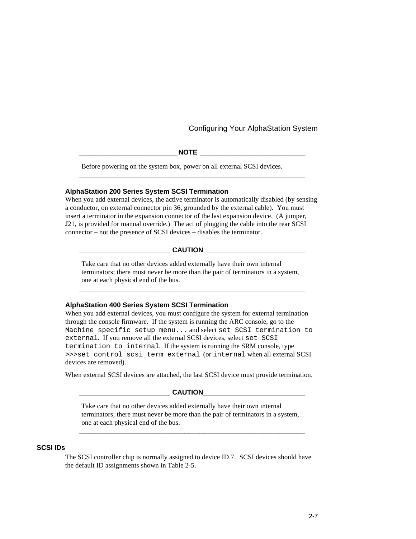$NOTE$  **with**  $NOTE$  **and**  $NOC$  **and**  $NOC$  **and**  $NOC$  **and**  $NOC$  **and**  $NOC$  **and**  $NOC$  **and**  $NOC$  **and**  $NOC$  **and**  $NOC$  **and**  $NOC$  **and**  $NOC$  **and**  $NOC$  **and**  $NOC$  **and**  $NOC$  **and**  $NOC$  **and**  $NOC$  **and**  $NOC$  **and**  $NOC$  **and**  $NOC$  **and**  $NOC$  **and**  $NOC$  **and**  $NOC$  **and**  $NOC$ 

**\_\_\_\_\_\_\_\_\_\_\_\_\_\_\_\_\_\_\_\_\_\_\_\_\_\_\_\_\_\_\_\_\_\_\_\_\_\_\_\_\_\_\_\_\_\_\_\_\_\_\_\_\_\_\_\_\_\_\_\_**

Before powering on the system box, power on all external SCSI devices.

#### **AlphaStation 200 Series System SCSI Termination**

When you add external devices, the active terminator is automatically disabled (by sensing a conductor, on external connector pin 36, grounded by the external cable). You must insert a terminator in the expansion connector of the last expansion device. (A jumper, J21, is provided for manual override.) The act of plugging the cable into the rear SCSI connector – not the presence of SCSI devices – disables the terminator.

#### $CAUTION$

Take care that no other devices added externally have their own internal terminators; there must never be more than the pair of terminators in a system, one at each physical end of the bus.

**\_\_\_\_\_\_\_\_\_\_\_\_\_\_\_\_\_\_\_\_\_\_\_\_\_\_\_\_\_\_\_\_\_\_\_\_\_\_\_\_\_\_\_\_\_\_\_\_\_\_\_\_\_\_\_\_\_\_\_\_**

#### **AlphaStation 400 Series System SCSI Termination**

When you add external devices, you must configure the system for external termination through the console firmware. If the system is running the ARC console, go to the Machine specific setup menu... and select set SCSI termination to external. If you remove all the external SCSI devices, select set SCSI termination to internal. If the system is running the SRM console, type >>>set control\_scsi\_term external (or internal when all external SCSI devices are removed).

When external SCSI devices are attached, the last SCSI device must provide termination.

#### $CAUTION$

Take care that no other devices added externally have their own internal terminators; there must never be more than the pair of terminators in a system, one at each physical end of the bus.

**\_\_\_\_\_\_\_\_\_\_\_\_\_\_\_\_\_\_\_\_\_\_\_\_\_\_\_\_\_\_\_\_\_\_\_\_\_\_\_\_\_\_\_\_\_\_\_\_\_\_\_\_\_\_\_\_\_\_\_\_**

#### **SCSI IDs**

The SCSI controller chip is normally assigned to device ID 7. SCSI devices should have the default ID assignments shown in Table 2-5.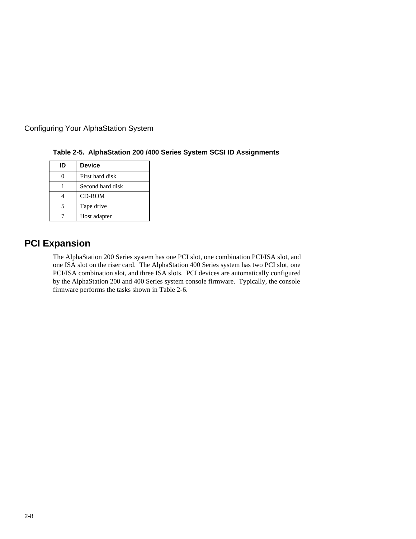| ID | <b>Device</b>    |  |
|----|------------------|--|
|    | First hard disk  |  |
|    | Second hard disk |  |
|    | <b>CD-ROM</b>    |  |
|    | Tape drive       |  |
|    | Host adapter     |  |

**Table 2-5. AlphaStation 200 /400 Series System SCSI ID Assignments**

#### **PCI Expansion**

The AlphaStation 200 Series system has one PCI slot, one combination PCI/ISA slot, and one ISA slot on the riser card. The AlphaStation 400 Series system has two PCI slot, one PCI/ISA combination slot, and three ISA slots. PCI devices are automatically configured by the AlphaStation 200 and 400 Series system console firmware. Typically, the console firmware performs the tasks shown in Table 2-6.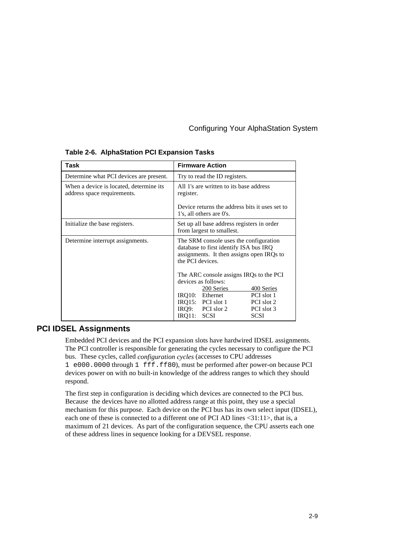| Task                                                                    | <b>Firmware Action</b>                                                                                                                            |  |
|-------------------------------------------------------------------------|---------------------------------------------------------------------------------------------------------------------------------------------------|--|
| Determine what PCI devices are present.                                 | Try to read the ID registers.                                                                                                                     |  |
| When a device is located, determine its.<br>address space requirements. | All 1's are written to its base address<br>register.                                                                                              |  |
|                                                                         | Device returns the address bits it uses set to<br>1's, all others are 0's.                                                                        |  |
| Initialize the base registers.                                          | Set up all base address registers in order<br>from largest to smallest.                                                                           |  |
| Determine interrupt assignments.                                        | The SRM console uses the configuration<br>database to first identify ISA bus IRQ<br>assignments. It then assigns open IRQs to<br>the PCI devices. |  |
|                                                                         | The ARC console assigns IRQs to the PCI<br>devices as follows:                                                                                    |  |
|                                                                         | 200 Series<br>400 Series                                                                                                                          |  |
|                                                                         | IRO10: Ethernet<br>PCI slot 1                                                                                                                     |  |
|                                                                         | IRO15: PCI slot $1$<br>PCI slot 2                                                                                                                 |  |
|                                                                         | PCI slor 2<br>IRO9:<br>PCI slot 3                                                                                                                 |  |
|                                                                         | <b>SCSI</b><br><b>SCSI</b><br>IRO11:                                                                                                              |  |

**Table 2-6. AlphaStation PCI Expansion Tasks**

#### **PCI IDSEL Assignments**

Embedded PCI devices and the PCI expansion slots have hardwired IDSEL assignments. The PCI controller is responsible for generating the cycles necessary to configure the PCI bus. These cycles, called *configuration cycles* (accesses to CPU addresses 1 e000.0000 through 1 fff.ff80), must be performed after power-on because PCI devices power on with no built-in knowledge of the address ranges to which they should respond.

The first step in configuration is deciding which devices are connected to the PCI bus. Because the devices have no allotted address range at this point, they use a special mechanism for this purpose. Each device on the PCI bus has its own select input (IDSEL), each one of these is connected to a different one of PCI AD lines <31:11>, that is, a maximum of 21 devices. As part of the configuration sequence, the CPU asserts each one of these address lines in sequence looking for a DEVSEL response.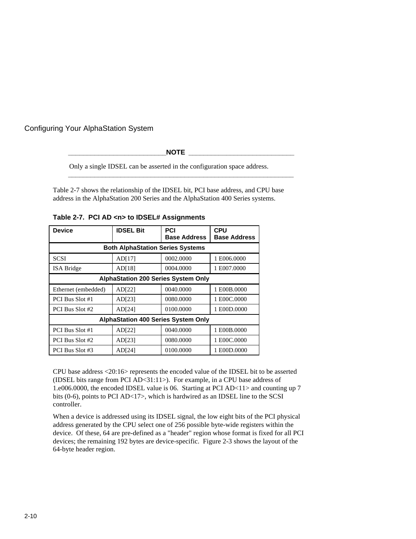$NOTE$ 

**\_\_\_\_\_\_\_\_\_\_\_\_\_\_\_\_\_\_\_\_\_\_\_\_\_\_\_\_\_\_\_\_\_\_\_\_\_\_\_\_\_\_\_\_\_\_\_\_\_\_\_\_\_\_\_\_\_\_\_\_**

Only a single IDSEL can be asserted in the configuration space address.

Table 2-7 shows the relationship of the IDSEL bit, PCI base address, and CPU base address in the AlphaStation 200 Series and the AlphaStation 400 Series systems.

**Table 2-7. PCI AD <n> to IDSEL# Assignments**

| <b>Device</b>       | <b>IDSEL Bit</b>                           | PCI<br><b>Base Address</b> | <b>CPU</b><br><b>Base Address</b> |  |  |  |
|---------------------|--------------------------------------------|----------------------------|-----------------------------------|--|--|--|
|                     | <b>Both AlphaStation Series Systems</b>    |                            |                                   |  |  |  |
| <b>SCSI</b>         | AD[17]                                     | 0002.0000                  | 1E006.0000                        |  |  |  |
| <b>ISA Bridge</b>   | AD[18]                                     | 0004.0000                  | 1 E007.0000                       |  |  |  |
|                     | <b>AlphaStation 200 Series System Only</b> |                            |                                   |  |  |  |
| Ethernet (embedded) | AD[22]                                     | 0040.0000                  | 1 E00B.0000                       |  |  |  |
| PCI Bus Slot #1     | AD[23]                                     | 0080.0000                  | 1 E00C.0000                       |  |  |  |
| PCI Bus Slot #2     | AD[24]                                     | 0100.0000                  | 1 E00D.0000                       |  |  |  |
|                     | <b>AlphaStation 400 Series System Only</b> |                            |                                   |  |  |  |
| PCI Bus Slot #1     | AD[22]                                     | 0040.0000                  | 1 E00B.0000                       |  |  |  |
| PCI Bus Slot #2     | AD[23]                                     | 0080.0000                  | 1 E00C.0000                       |  |  |  |
| PCI Bus Slot #3     | AD[24]                                     | 0100.0000                  | 1 E00D.0000                       |  |  |  |

CPU base address <20:16> represents the encoded value of the IDSEL bit to be asserted (IDSEL bits range from PCI AD<31:11>). For example, in a CPU base address of 1.e006.0000, the encoded IDSEL value is 06. Starting at PCI AD<11> and counting up 7 bits (0-6), points to PCI AD<17>, which is hardwired as an IDSEL line to the SCSI controller.

When a device is addressed using its IDSEL signal, the low eight bits of the PCI physical address generated by the CPU select one of 256 possible byte-wide registers within the device. Of these, 64 are pre-defined as a "header" region whose format is fixed for all PCI devices; the remaining 192 bytes are device-specific. Figure 2-3 shows the layout of the 64-byte header region.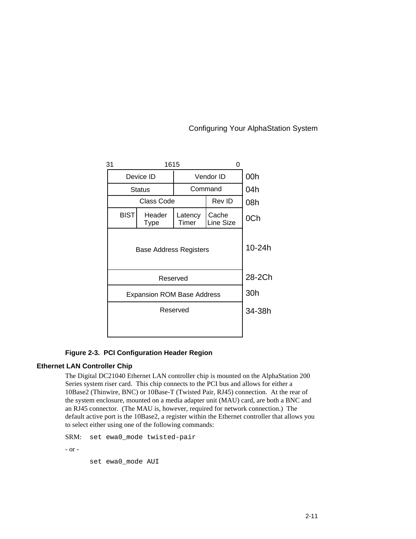| 31                                | 1615                   |                  |                    |     |
|-----------------------------------|------------------------|------------------|--------------------|-----|
|                                   | Device ID<br>Vendor ID |                  | 00h                |     |
|                                   | <b>Status</b>          |                  | Command            |     |
|                                   | Class Code             | Rev ID           |                    | 08h |
| <b>BIST</b>                       | Header<br>Type         | Latency<br>Timer | Cache<br>Line Size | 0Ch |
| <b>Base Address Registers</b>     | 10-24h                 |                  |                    |     |
|                                   | 28-2Ch                 |                  |                    |     |
| <b>Expansion ROM Base Address</b> |                        |                  |                    | 30h |
| Reserved                          |                        |                  | 34-38h             |     |
|                                   |                        |                  |                    |     |

#### **Figure 2-3. PCI Configuration Header Region**

#### **Ethernet LAN Controller Chip**

The Digital DC21040 Ethernet LAN controller chip is mounted on the AlphaStation 200 Series system riser card. This chip connects to the PCI bus and allows for either a 10Base2 (Thinwire, BNC) or 10Base-T (Twisted Pair, RJ45) connection. At the rear of the system enclosure, mounted on a media adapter unit (MAU) card, are both a BNC and an RJ45 connector. (The MAU is, however, required for network connection.) The default active port is the 10Base2, a register within the Ethernet controller that allows you to select either using one of the following commands:

SRM: set ewa0\_mode twisted-pair

- or -

set ewa0\_mode AUI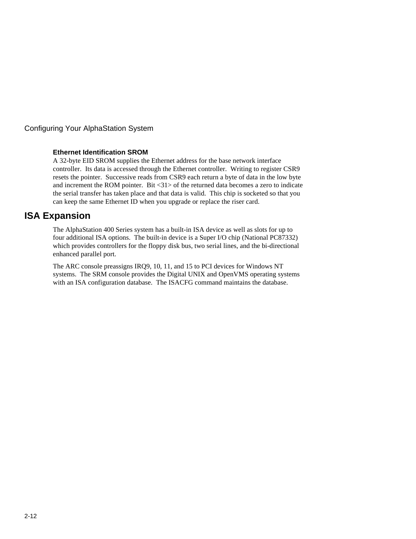#### **Ethernet Identification SROM**

A 32-byte EID SROM supplies the Ethernet address for the base network interface controller. Its data is accessed through the Ethernet controller. Writing to register CSR9 resets the pointer. Successive reads from CSR9 each return a byte of data in the low byte and increment the ROM pointer. Bit <31> of the returned data becomes a zero to indicate the serial transfer has taken place and that data is valid. This chip is socketed so that you can keep the same Ethernet ID when you upgrade or replace the riser card.

#### **ISA Expansion**

The AlphaStation 400 Series system has a built-in ISA device as well as slots for up to four additional ISA options. The built-in device is a Super I/O chip (National PC87332) which provides controllers for the floppy disk bus, two serial lines, and the bi-directional enhanced parallel port.

The ARC console preassigns IRQ9, 10, 11, and 15 to PCI devices for Windows NT systems. The SRM console provides the Digital UNIX and OpenVMS operating systems with an ISA configuration database. The ISACFG command maintains the database.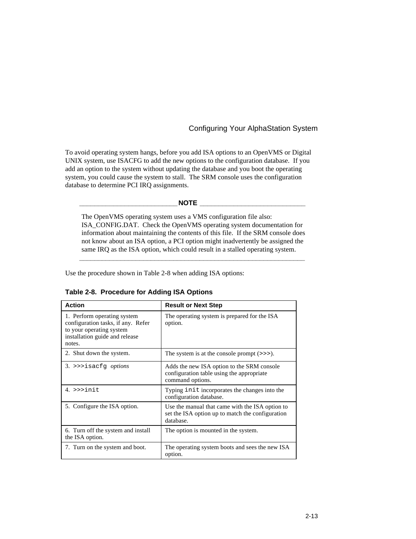To avoid operating system hangs, before you add ISA options to an OpenVMS or Digital UNIX system, use ISACFG to add the new options to the configuration database. If you add an option to the system without updating the database and you boot the operating system, you could cause the system to stall. The SRM console uses the configuration database to determine PCI IRQ assignments.

**\_\_\_\_\_\_\_\_\_\_\_\_\_\_\_\_\_\_\_\_\_\_\_\_\_\_NOTE \_\_\_\_\_\_\_\_\_\_\_\_\_\_\_\_\_\_\_\_\_\_\_\_\_\_\_\_**

The OpenVMS operating system uses a VMS configuration file also: ISA\_CONFIG.DAT. Check the OpenVMS operating system documentation for information about maintaining the contents of this file. If the SRM console does not know about an ISA option, a PCI option might inadvertently be assigned the same IRQ as the ISA option, which could result in a stalled operating system.

**\_\_\_\_\_\_\_\_\_\_\_\_\_\_\_\_\_\_\_\_\_\_\_\_\_\_\_\_\_\_\_\_\_\_\_\_\_\_\_\_\_\_\_\_\_\_\_\_\_\_\_\_\_\_\_\_\_\_\_\_**

Use the procedure shown in Table 2-8 when adding ISA options:

| <b>Action</b>                                                                                                                             | <b>Result or Next Step</b>                                                                                       |
|-------------------------------------------------------------------------------------------------------------------------------------------|------------------------------------------------------------------------------------------------------------------|
| 1. Perform operating system<br>configuration tasks, if any. Refer<br>to your operating system<br>installation guide and release<br>notes. | The operating system is prepared for the ISA<br>option.                                                          |
| 2. Shut down the system.                                                                                                                  | The system is at the console prompt $(\gg)$ .                                                                    |
| $3.$ >>>isacfq options                                                                                                                    | Adds the new ISA option to the SRM console<br>configuration table using the appropriate<br>command options.      |
| $4.$ >>>init.                                                                                                                             | Typing initincorporates the changes into the<br>configuration database.                                          |
| 5. Configure the ISA option.                                                                                                              | Use the manual that came with the ISA option to<br>set the ISA option up to match the configuration<br>database. |
| 6. Turn off the system and install<br>the ISA option.                                                                                     | The option is mounted in the system.                                                                             |
| 7. Turn on the system and boot.                                                                                                           | The operating system boots and sees the new ISA<br>option.                                                       |

**Table 2-8. Procedure for Adding ISA Options**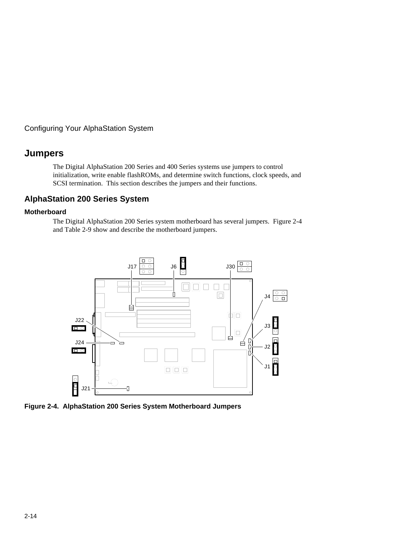#### **Jumpers**

The Digital AlphaStation 200 Series and 400 Series systems use jumpers to control initialization, write enable flashROMs, and determine switch functions, clock speeds, and SCSI termination. This section describes the jumpers and their functions.

#### **AlphaStation 200 Series System**

#### **Motherboard**

The Digital AlphaStation 200 Series system motherboard has several jumpers. Figure 2-4 and Table 2-9 show and describe the motherboard jumpers.



**Figure 2-4. AlphaStation 200 Series System Motherboard Jumpers**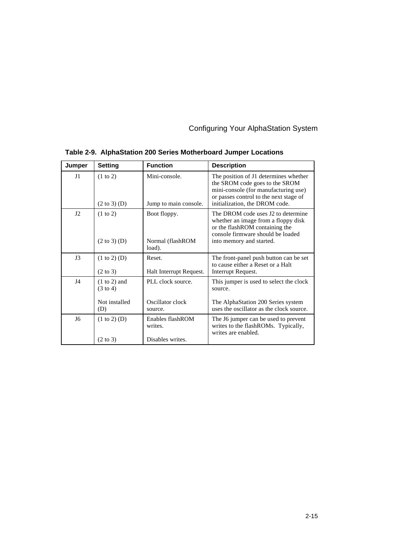| Jumper       | <b>Setting</b>                        | <b>Function</b>                        | <b>Description</b>                                                                                                                                                                          |
|--------------|---------------------------------------|----------------------------------------|---------------------------------------------------------------------------------------------------------------------------------------------------------------------------------------------|
| $_{\rm J1}$  | (1 to 2)<br>$(2 \text{ to } 3)$ (D)   | Mini-console.<br>Jump to main console. | The position of J1 determines whether<br>the SROM code goes to the SROM<br>mini-console (for manufacturing use)<br>or passes control to the next stage of<br>initialization, the DROM code. |
| J2           | $(1 \text{ to } 2)$                   | Boot floppy.                           | The DROM code uses J2 to determine<br>whether an image from a floppy disk<br>or the flashROM containing the<br>console firmware should be loaded                                            |
|              | $(2 \text{ to } 3)$ (D)               | Normal (flashROM<br>load).             | into memory and started.                                                                                                                                                                    |
| J3           | (1 to 2) (D)                          | Reset.                                 | The front-panel push button can be set<br>to cause either a Reset or a Halt                                                                                                                 |
|              | $(2 \text{ to } 3)$                   | Halt Interrupt Request.                | Interrupt Request.                                                                                                                                                                          |
| $_{\rm{J4}}$ | $(1 to 2)$ and<br>$(3 \text{ to } 4)$ | PLL clock source.                      | This jumper is used to select the clock<br>source.                                                                                                                                          |
|              | Not installed<br>(D)                  | Oscillator clock<br>source.            | The AlphaStation 200 Series system<br>uses the oscillator as the clock source.                                                                                                              |
| J6           | (1 to 2) (D)                          | Enables flashROM<br>writes.            | The J6 jumper can be used to prevent<br>writes to the flashROMs. Typically,<br>writes are enabled.                                                                                          |
|              | $(2 \text{ to } 3)$                   | Disables writes.                       |                                                                                                                                                                                             |

#### **Table 2-9. AlphaStation 200 Series Motherboard Jumper Locations**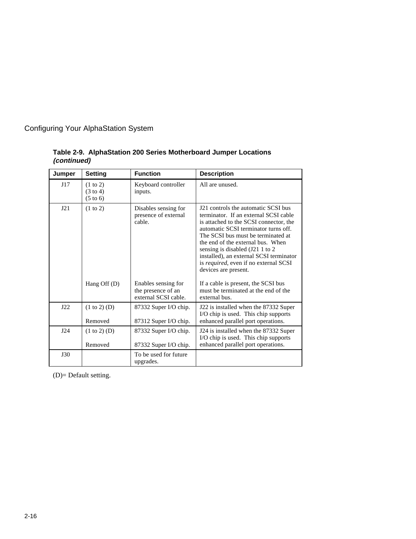| Jumper | <b>Setting</b>                                         | <b>Function</b>                                                               | <b>Description</b>                                                                                                                                                                                                                                                                                                                                                                                                               |
|--------|--------------------------------------------------------|-------------------------------------------------------------------------------|----------------------------------------------------------------------------------------------------------------------------------------------------------------------------------------------------------------------------------------------------------------------------------------------------------------------------------------------------------------------------------------------------------------------------------|
| J17    | (1 to 2)<br>$(3 \text{ to } 4)$<br>$(5 \text{ to } 6)$ | Keyboard controller<br>inputs.                                                | All are unused.                                                                                                                                                                                                                                                                                                                                                                                                                  |
| J21    | (1 to 2)<br>Hang Off $(D)$                             | Disables sensing for<br>presence of external<br>cable.<br>Enables sensing for | J21 controls the automatic SCSI bus<br>terminator. If an external SCSI cable<br>is attached to the SCSI connector, the<br>automatic SCSI terminator turns off.<br>The SCSI bus must be terminated at<br>the end of the external bus. When<br>sensing is disabled (J21 1 to 2)<br>installed), an external SCSI terminator<br>is required, even if no external SCSI<br>devices are present.<br>If a cable is present, the SCSI bus |
|        |                                                        | the presence of an<br>external SCSI cable.                                    | must be terminated at the end of the<br>external bus.                                                                                                                                                                                                                                                                                                                                                                            |
| J22    | (1 to 2) (D)<br>Removed                                | 87332 Super I/O chip.<br>87312 Super I/O chip.                                | J22 is installed when the 87332 Super<br>I/O chip is used. This chip supports<br>enhanced parallel port operations.                                                                                                                                                                                                                                                                                                              |
| J24    | $(1 to 2)$ (D)<br>Removed                              | 87332 Super I/O chip.<br>87332 Super I/O chip.                                | J24 is installed when the 87332 Super<br>I/O chip is used. This chip supports<br>enhanced parallel port operations.                                                                                                                                                                                                                                                                                                              |
| J30    |                                                        | To be used for future<br>upgrades.                                            |                                                                                                                                                                                                                                                                                                                                                                                                                                  |

**Table 2-9. AlphaStation 200 Series Motherboard Jumper Locations (continued)**

(D)= Default setting.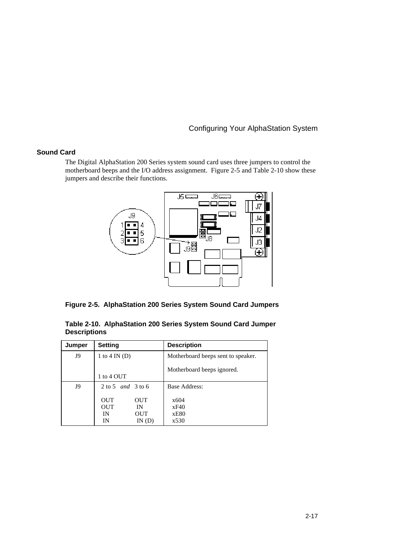#### **Sound Card**

The Digital AlphaStation 200 Series system sound card uses three jumpers to control the motherboard beeps and the I/O address assignment. Figure 2-5 and Table 2-10 show these jumpers and describe their functions.



**Figure 2-5. AlphaStation 200 Series System Sound Card Jumpers**

| Jumper | <b>Setting</b>                                                              | <b>Description</b>                 |
|--------|-----------------------------------------------------------------------------|------------------------------------|
| J9     | 1 to 4 IN $(D)$                                                             | Motherboard beeps sent to speaker. |
|        | 1 to 4 OUT                                                                  | Motherboard beeps ignored.         |
| J9     | $2 \text{ to } 5 \text{ and } 3 \text{ to } 6$                              | Base Address:                      |
|        | <b>OUT</b><br>OUT<br><b>OUT</b><br>IN<br><b>OUT</b><br>IN<br>ΙN<br>IN $(D)$ | x604<br>xF40<br>xE80<br>x530       |

**Table 2-10. AlphaStation 200 Series System Sound Card Jumper Descriptions**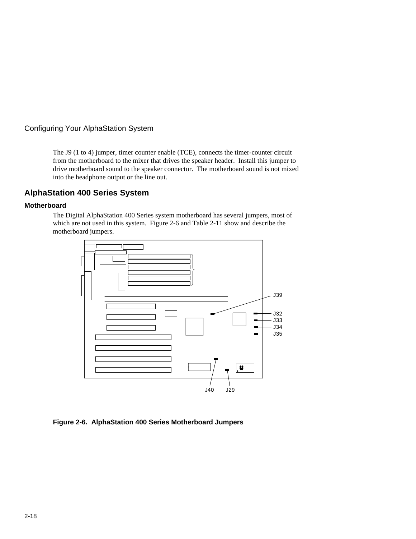

The J9 (1 to 4) jumper, timer counter enable (TCE), connects the timer-counter circuit from the motherboard to the mixer that drives the speaker header. Install this jumper to drive motherboard sound to the speaker connector. The motherboard sound is not mixed into the headphone output or the line out.

#### **AlphaStation 400 Series System**

#### **Motherboard**

The Digital AlphaStation 400 Series system motherboard has several jumpers, most of which are not used in this system. Figure 2-6 and Table 2-11 show and describe the motherboard jumpers.



**Figure 2-6. AlphaStation 400 Series Motherboard Jumpers**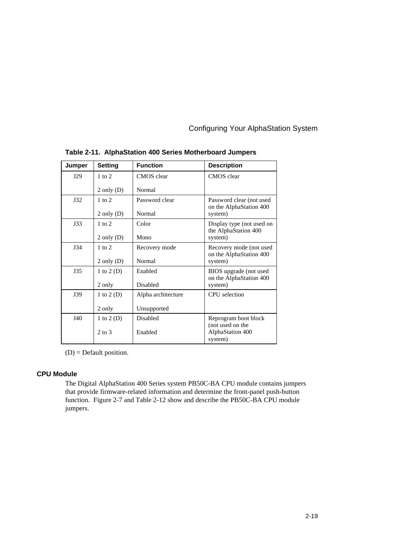| Jumper     | <b>Setting</b> | <b>Function</b>    | <b>Description</b>                              |
|------------|----------------|--------------------|-------------------------------------------------|
| J29        | $1$ to $2$     | CMOS clear         | CMOS clear                                      |
|            | $2$ only $(D)$ | Normal             |                                                 |
| J32        | $1$ to $2$     | Password clear     | Password clear (not used                        |
|            | $2$ only $(D)$ | Normal             | on the AlphaStation 400<br>system)              |
| J33        | $1$ to $2$     | Color              | Display type (not used on                       |
|            | $2$ only $(D)$ | Mono               | the AlphaStation 400<br>system)                 |
| <b>J34</b> | $1$ to $2$     | Recovery mode      | Recovery mode (not used                         |
|            | $2$ only $(D)$ | Normal             | on the AlphaStation 400<br>system)              |
| J35        | 1 to $2(D)$    | Enabled            | BIOS upgrade (not used                          |
|            | 2 only         | Disabled           | on the AlphaStation 400<br>system)              |
| J39        | 1 to $2(D)$    | Alpha architecture | <b>CPU</b> selection                            |
|            | 2 only         | Unsupported        |                                                 |
| J40        | 1 to $2(D)$    | Disabled           | Reprogram boot block                            |
|            | $2$ to $3$     | Enabled            | (not used on the<br>AlphaStation 400<br>system) |

**Table 2-11. AlphaStation 400 Series Motherboard Jumpers**

(D) = Default position.

#### **CPU Module**

The Digital AlphaStation 400 Series system PB50C-BA CPU module contains jumpers that provide firmware-related information and determine the front-panel push-button function. Figure 2-7 and Table 2-12 show and describe the PB50C-BA CPU module jumpers.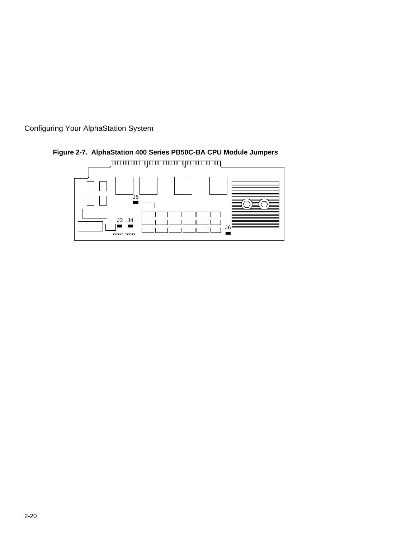



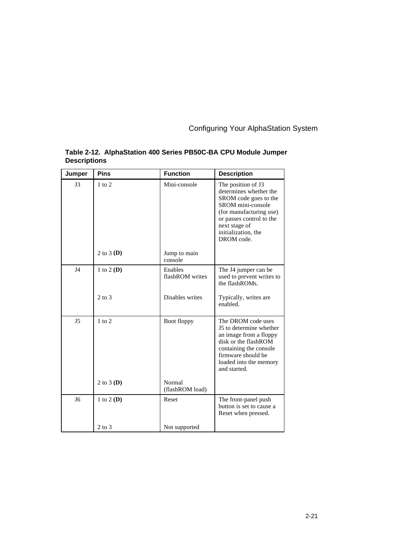| Jumper         | <b>Pins</b>  | <b>Function</b>            | <b>Description</b>                                                                                                                                                                                      |
|----------------|--------------|----------------------------|---------------------------------------------------------------------------------------------------------------------------------------------------------------------------------------------------------|
| J3             | $1$ to $2$   | Mini-console               | The position of J3<br>determines whether the<br>SROM code goes to the<br>SROM mini-console<br>(for manufacturing use)<br>or passes control to the<br>next stage of<br>initialization, the<br>DROM code. |
|                | 2 to 3 $(D)$ | Jump to main<br>console    |                                                                                                                                                                                                         |
| $_{\rm{J4}}$   | 1 to 2 (D)   | Enables<br>flashROM writes | The J4 jumper can be<br>used to prevent writes to<br>the flashROMs.                                                                                                                                     |
|                | $2$ to $3$   | Disables writes            | Typically, writes are<br>enabled.                                                                                                                                                                       |
| J <sub>5</sub> | $1$ to $2$   | Boot floppy                | The DROM code uses<br>J5 to determine whether<br>an image from a floppy<br>disk or the flashROM<br>containing the console<br>firmware should be<br>loaded into the memory<br>and started.               |
|                | 2 to 3 $(D)$ | Normal<br>(flashROM load)  |                                                                                                                                                                                                         |
| J6             | 1 to 2 (D)   | Reset                      | The front-panel push<br>button is set to cause a<br>Reset when pressed.                                                                                                                                 |
|                | $2$ to $3$   | Not supported              |                                                                                                                                                                                                         |

#### **Table 2-12. AlphaStation 400 Series PB50C-BA CPU Module Jumper Descriptions**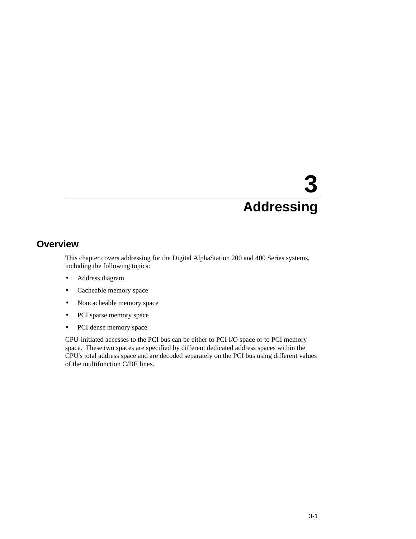#### **Overview**

This chapter covers addressing for the Digital AlphaStation 200 and 400 Series systems, including the following topics:

- Address diagram
- Cacheable memory space
- Noncacheable memory space
- PCI sparse memory space
- PCI dense memory space

CPU-initiated accesses to the PCI bus can be either to PCI I/O space or to PCI memory space. These two spaces are specified by different dedicated address spaces within the CPU's total address space and are decoded separately on the PCI bus using different values of the multifunction C/BE lines.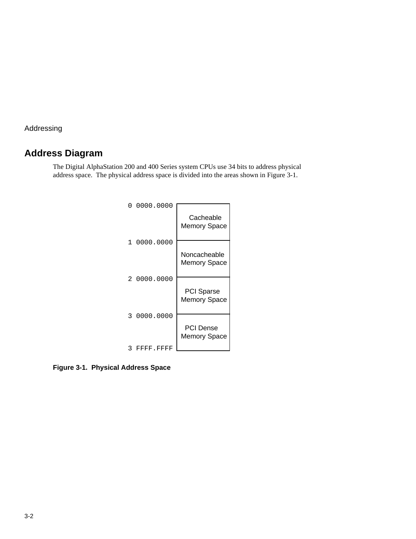#### **Address Diagram**

The Digital AlphaStation 200 and 400 Series system CPUs use 34 bits to address physical address space. The physical address space is divided into the areas shown in Figure 3-1.



**Figure 3-1. Physical Address Space**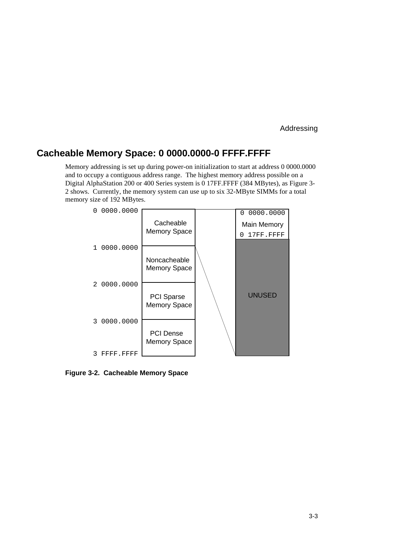#### **Cacheable Memory Space: 0 0000.0000-0 FFFF.FFFF**

Memory addressing is set up during power-on initialization to start at address 0 0000.0000 and to occupy a contiguous address range. The highest memory address possible on a Digital AlphaStation 200 or 400 Series system is 0 17FF.FFFF (384 MBytes), as Figure 3- 2 shows. Currently, the memory system can use up to six 32-MByte SIMMs for a total memory size of 192 MBytes.



**Figure 3-2. Cacheable Memory Space**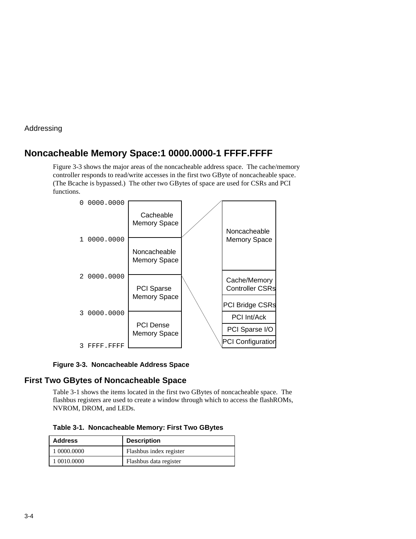#### **Noncacheable Memory Space:1 0000.0000-1 FFFF.FFFF**

Figure 3-3 shows the major areas of the noncacheable address space. The cache/memory controller responds to read/write accesses in the first two GByte of noncacheable space. (The Bcache is bypassed.) The other two GBytes of space are used for CSRs and PCI functions.



**Figure 3-3. Noncacheable Address Space**

#### **First Two GBytes of Noncacheable Space**

Table 3-1 shows the items located in the first two GBytes of noncacheable space. The flashbus registers are used to create a window through which to access the flashROMs, NVROM, DROM, and LEDs.

**Table 3-1. Noncacheable Memory: First Two GBytes**

| <b>Address</b> | <b>Description</b>      |
|----------------|-------------------------|
| 1 0000.0000    | Flashbus index register |
| 1 0010.0000    | Flashbus data register  |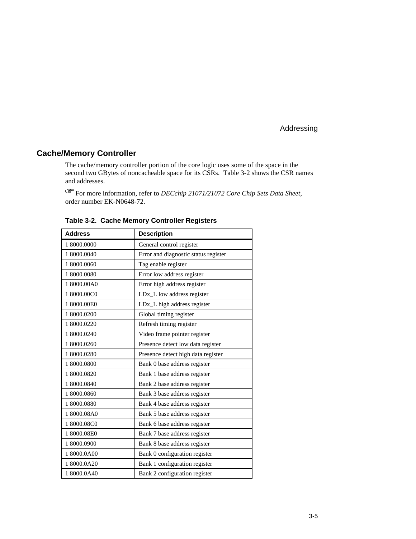#### **Cache/Memory Controller**

The cache/memory controller portion of the core logic uses some of the space in the second two GBytes of noncacheable space for its CSRs. Table 3-2 shows the CSR names and addresses. F

For more information, refer to *DECchip 21071/21072 Core Chip Sets Data Sheet,* order number EK-N0648-72.

| <b>Address</b> | <b>Description</b>                   |
|----------------|--------------------------------------|
| 1 8000.0000    | General control register             |
| 1 8000.0040    | Error and diagnostic status register |
| 1 8000.0060    | Tag enable register                  |
| 1 8000.0080    | Error low address register           |
| 18000.00A0     | Error high address register          |
| 18000.00C0     | LDx_L low address register           |
| 1 8000.00E0    | LDx_L high address register          |
| 1 8000.0200    | Global timing register               |
| 1 8000.0220    | Refresh timing register              |
| 1 8000.0240    | Video frame pointer register         |
| 1 8000.0260    | Presence detect low data register    |
| 1 8000.0280    | Presence detect high data register   |
| 1 8000.0800    | Bank 0 base address register         |
| 1 8000.0820    | Bank 1 base address register         |
| 1 8000.0840    | Bank 2 base address register         |
| 1 8000.0860    | Bank 3 base address register         |
| 1 8000.0880    | Bank 4 base address register         |
| 18000.08A0     | Bank 5 base address register         |
| 18000.08C0     | Bank 6 base address register         |
| 18000.08E0     | Bank 7 base address register         |
| 1 8000.0900    | Bank 8 base address register         |
| 18000.0A00     | Bank 0 configuration register        |
| 18000.0A20     | Bank 1 configuration register        |
| 18000.0A40     | Bank 2 configuration register        |

**Table 3-2. Cache Memory Controller Registers**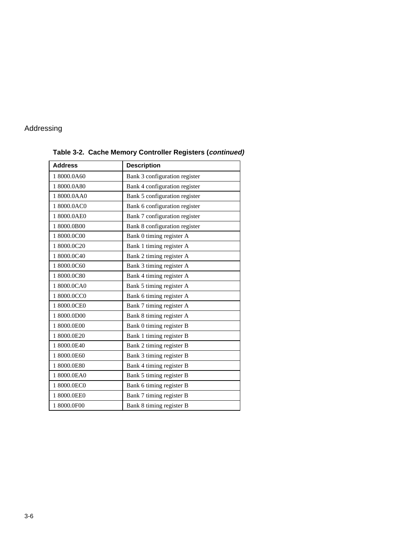| <b>Address</b> | <b>Description</b>            |  |  |
|----------------|-------------------------------|--|--|
| 18000.0A60     | Bank 3 configuration register |  |  |
| 18000.0A80     | Bank 4 configuration register |  |  |
| 18000.0AA0     | Bank 5 configuration register |  |  |
| 18000.0AC0     | Bank 6 configuration register |  |  |
| 18000.0AE0     | Bank 7 configuration register |  |  |
| 18000.0B00     | Bank 8 configuration register |  |  |
| 18000.0C00     | Bank 0 timing register A      |  |  |
| 18000.0C20     | Bank 1 timing register A      |  |  |
| 18000.0C40     | Bank 2 timing register A      |  |  |
| 18000.0C60     | Bank 3 timing register A      |  |  |
| 18000.0C80     | Bank 4 timing register A      |  |  |
| 18000.0CA0     | Bank 5 timing register A      |  |  |
| 18000.0CC0     | Bank 6 timing register A      |  |  |
| 18000.0CE0     | Bank 7 timing register A      |  |  |
| 1 8000.0D00    | Bank 8 timing register A      |  |  |
| 1 8000.0E00    | Bank 0 timing register B      |  |  |
| 18000.0E20     | Bank 1 timing register B      |  |  |
| 18000.0E40     | Bank 2 timing register B      |  |  |
| 1 8000.0E60    | Bank 3 timing register B      |  |  |
| 18000.0E80     | Bank 4 timing register B      |  |  |
| 18000.0EA0     | Bank 5 timing register B      |  |  |
| 1 8000.0EC0    | Bank 6 timing register B      |  |  |
| 1 8000.0EE0    | Bank 7 timing register B      |  |  |
| 18000.0F00     | Bank 8 timing register B      |  |  |

**Table 3-2. Cache Memory Controller Registers (continued)**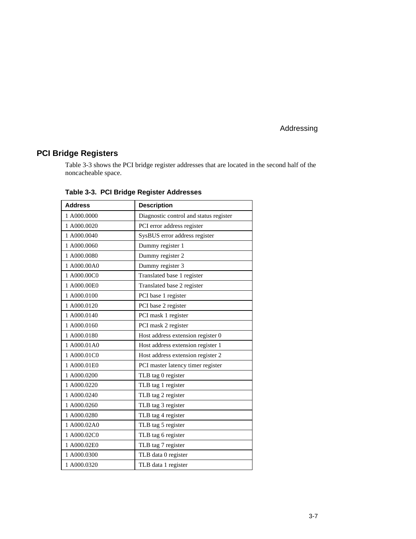#### **PCI Bridge Registers**

Table 3-3 shows the PCI bridge register addresses that are located in the second half of the noncacheable space.

| <b>Address</b> | <b>Description</b>                     |
|----------------|----------------------------------------|
| 1 A000.0000    | Diagnostic control and status register |
| 1 A000.0020    | PCI error address register             |
| 1 A000.0040    | SysBUS error address register          |
| 1 A000.0060    | Dummy register 1                       |
| 1 A000.0080    | Dummy register 2                       |
| 1 A000.00A0    | Dummy register 3                       |
| 1 A000.00C0    | Translated base 1 register             |
| 1 A000.00E0    | Translated base 2 register             |
| 1 A000.0100    | PCI base 1 register                    |
| 1 A000.0120    | PCI base 2 register                    |
| 1 A000.0140    | PCI mask 1 register                    |
| 1 A000.0160    | PCI mask 2 register                    |
| 1 A000.0180    | Host address extension register 0      |
| 1 A000.01A0    | Host address extension register 1      |
| 1 A000.01C0    | Host address extension register 2      |
| 1 A000.01E0    | PCI master latency timer register      |
| 1 A000.0200    | TLB tag 0 register                     |
| 1 A000.0220    | TLB tag 1 register                     |
| 1 A000.0240    | TLB tag 2 register                     |
| 1 A000.0260    | TLB tag 3 register                     |
| 1 A000.0280    | TLB tag 4 register                     |
| 1 A000.02A0    | TLB tag 5 register                     |
| 1 A000.02C0    | TLB tag 6 register                     |
| 1 A000.02E0    | TLB tag 7 register                     |
| 1 A000.0300    | TLB data 0 register                    |
| 1A000.0320     | TLB data 1 register                    |

**Table 3-3. PCI Bridge Register Addresses**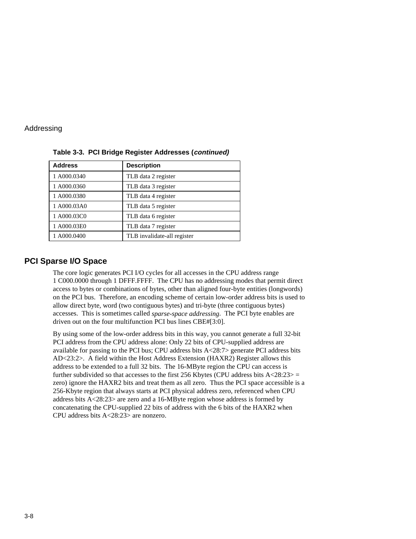| <b>Address</b> | <b>Description</b>          |
|----------------|-----------------------------|
| 1 A000.0340    | TLB data 2 register         |
| 1 A000.0360    | TLB data 3 register         |
| 1 A000.0380    | TLB data 4 register         |
| 1 A000.03A0    | TLB data 5 register         |
| 1 A000.03C0    | TLB data 6 register         |
| 1 A000.03E0    | TLB data 7 register         |
| 1 A000.0400    | TLB invalidate-all register |

**Table 3-3. PCI Bridge Register Addresses (continued)**

#### **PCI Sparse I/O Space**

The core logic generates PCI I/O cycles for all accesses in the CPU address range 1 C000.0000 through 1 DFFF.FFFF. The CPU has no addressing modes that permit direct access to bytes or combinations of bytes, other than aligned four-byte entities (longwords) on the PCI bus. Therefore, an encoding scheme of certain low-order address bits is used to allow direct byte, word (two contiguous bytes) and tri-byte (three contiguous bytes) accesses. This is sometimes called *sparse-space addressing*. The PCI byte enables are driven out on the four multifunction PCI bus lines CBE#[3:0].

By using some of the low-order address bits in this way, you cannot generate a full 32-bit PCI address from the CPU address alone: Only 22 bits of CPU-supplied address are available for passing to the PCI bus; CPU address bits  $A < 28:7$  generate PCI address bits AD<23:2>. A field within the Host Address Extension (HAXR2) Register allows this address to be extended to a full 32 bits. The 16-MByte region the CPU can access is further subdivided so that accesses to the first 256 Kbytes (CPU address bits  $A < 28:23>$  = zero) ignore the HAXR2 bits and treat them as all zero. Thus the PCI space accessible is a 256-Kbyte region that always starts at PCI physical address zero, referenced when CPU address bits A<28:23> are zero and a 16-MByte region whose address is formed by concatenating the CPU-supplied 22 bits of address with the 6 bits of the HAXR2 when CPU address bits A<28:23> are nonzero.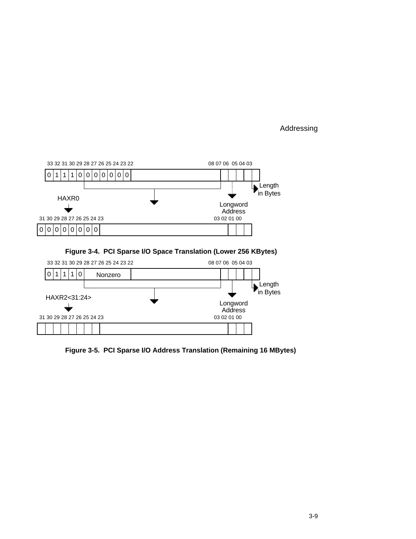

**Figure 3-5. PCI Sparse I/O Address Translation (Remaining 16 MBytes)**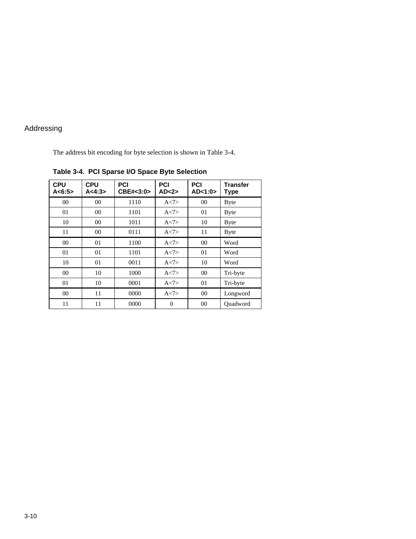The address bit encoding for byte selection is shown in Table 3-4.

| <b>CPU</b><br>A < 6:5> | <b>CPU</b><br>A < 4:3> | PCI<br>CBE#<3:0> | <b>PCI</b><br>AD < 2 | <b>PCI</b><br>AD < 1:0> | <b>Transfer</b><br>Type |
|------------------------|------------------------|------------------|----------------------|-------------------------|-------------------------|
| 0 <sup>0</sup>         | 00                     | 1110             | A < 7>               | 00 <sup>2</sup>         | <b>Byte</b>             |
| 01                     | 00                     | 1101             | A < 7                | 01                      | <b>Byte</b>             |
| 10                     | 00                     | 1011             | A < 7                | 10                      | <b>Byte</b>             |
| 11                     | 00                     | 0111             | A < 7                | 11                      | <b>Byte</b>             |
| 00                     | 01                     | 1100             | A < 7                | 00 <sup>2</sup>         | Word                    |
| 01                     | 01                     | 1101             | A < 7                | 01                      | Word                    |
| 10                     | 01                     | 0011             | A < 7                | 10                      | Word                    |
| 0 <sup>0</sup>         | 10                     | 1000             | A < 7                | 00 <sup>2</sup>         | Tri-byte                |
| 01                     | 10                     | 0001             | A < 7                | 01                      | Tri-byte                |
| 00                     | 11                     | 0000             | A < 7                | $00\,$                  | Longword                |
| 11                     | 11                     | 0000             | $\theta$             | 00                      | Ouadword                |

**Table 3-4. PCI Sparse I/O Space Byte Selection**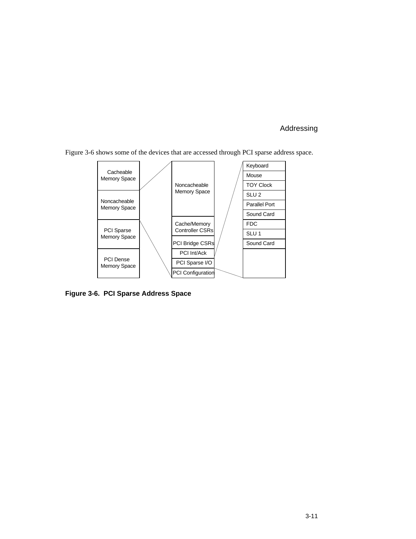

Figure 3-6 shows some of the devices that are accessed through PCI sparse address space.

**Figure 3-6. PCI Sparse Address Space**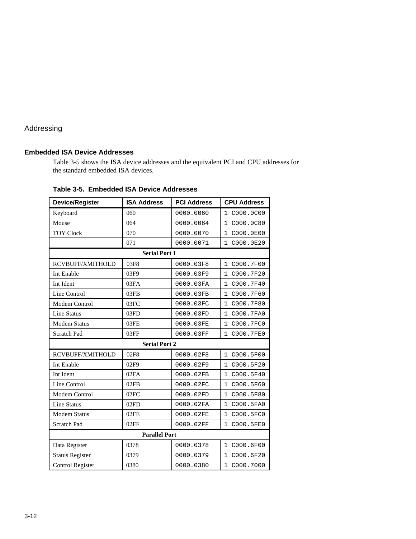#### **Embedded ISA Device Addresses**

Table 3-5 shows the ISA device addresses and the equivalent PCI and CPU addresses for the standard embedded ISA devices.

| <b>Device/Register</b>                               | <b>ISA Address</b>   | <b>PCI Address</b> | <b>CPU Address</b>        |  |  |
|------------------------------------------------------|----------------------|--------------------|---------------------------|--|--|
| Keyboard                                             | 060                  | 0000.0060          | C000.0C00<br>$\mathbf{1}$ |  |  |
| Mouse                                                | 064                  | 0000.0064          | C000.0C80<br>$\mathbf{1}$ |  |  |
| <b>TOY Clock</b>                                     | 070                  | 0000.0070          | 1<br>C000.0E00            |  |  |
|                                                      | 071                  | 0000.0071          | 1 C000.0E20               |  |  |
|                                                      | <b>Serial Port 1</b> |                    |                           |  |  |
| RCVBUFF/XMITHOLD                                     | 03F8                 | 0000.03F8          | C000.7F00<br>$\mathbf{1}$ |  |  |
| Int Enable                                           | 03F9                 | 0000.03F9          | 1<br>C000.7F20            |  |  |
| Int Ident                                            | 03FA                 | 0000.03FA          | C000.7F40<br>$\mathbf{1}$ |  |  |
| Line Control                                         | 03FB                 | 0000.03FB          | 1 C000.7F60               |  |  |
| Modem Control                                        | 03FC                 | 0000.03FC          | C000.7F80<br>1            |  |  |
| Line Status                                          | 03FD                 | 0000.03FD          | 1<br>C000.7FA0            |  |  |
| <b>Modem Status</b>                                  | 03FE                 | 0000.03FE          | C000.7FC0<br>1            |  |  |
| Scratch Pad                                          | 03FF                 | 0000.03FF          | 1 C000.7FE0               |  |  |
|                                                      | <b>Serial Port 2</b> |                    |                           |  |  |
| 02F8<br>RCVBUFF/XMITHOLD<br>0000.02F8<br>1 C000.5F00 |                      |                    |                           |  |  |
| Int Enable                                           | 02F9                 | 0000.02F9          | 1<br>C000.5F20            |  |  |
| Int Ident                                            | 02FA                 | 0000.02FB          | C000.5F40<br>$\mathbf{1}$ |  |  |
| Line Control                                         | 02FB                 | 0000.02FC          | 1<br>C000.5F60            |  |  |
| <b>Modem Control</b>                                 | 02FC                 | 0000.02FD          | 1<br>C000.5F80            |  |  |
| Line Status                                          | 02FD                 | 0000.02FA          | $\mathbf{1}$<br>C000.5FA0 |  |  |
| <b>Modem Status</b>                                  | 02FE                 | 0000.02FE          | 1 C000.5FC0               |  |  |
| Scratch Pad                                          | 02FF                 | 0000.02FF          | C000.5FE0<br>$\mathbf{1}$ |  |  |
| <b>Parallel Port</b>                                 |                      |                    |                           |  |  |
| Data Register                                        | 0378                 | 0000.0378          | 1 C000.6F00               |  |  |
| <b>Status Register</b>                               | 0379                 | 0000.0379          | 1<br>C000.6F20            |  |  |
| Control Register                                     | 0380                 | 0000.0380          | 1 C000.7000               |  |  |

**Table 3-5. Embedded ISA Device Addresses**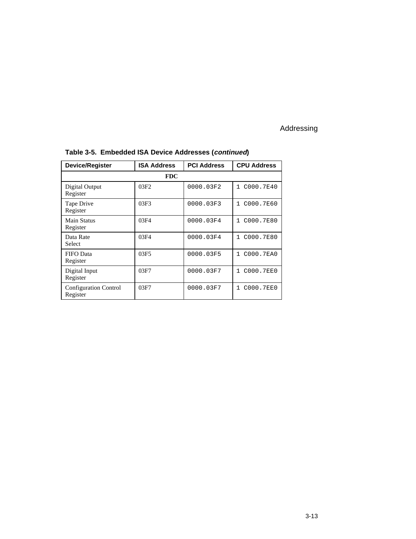| <b>Device/Register</b>                   | <b>ISA Address</b> | <b>PCI Address</b> | <b>CPU Address</b>        |  |  |  |
|------------------------------------------|--------------------|--------------------|---------------------------|--|--|--|
|                                          | <b>FDC</b>         |                    |                           |  |  |  |
| Digital Output<br>Register               | 03F2               | 0000.03F2          | C000.7E40<br>$\mathbf{1}$ |  |  |  |
| Tape Drive<br>Register                   | 03F3               | 0000.03F3          | C000.7E60<br>$\mathbf{1}$ |  |  |  |
| Main Status<br>Register                  | 03F4               | 0000.03F4          | C000.7E80<br>$\mathbf{1}$ |  |  |  |
| Data Rate<br>Select                      | 03F4               | 0000.03F4          | 1 C000.7E80               |  |  |  |
| <b>FIFO</b> Data<br>Register             | 03F5               | 0000.03F5          | C000.7EA0<br>$\mathbf{1}$ |  |  |  |
| Digital Input<br>Register                | 03F7               | 0000.03F7          | C000.7EE0<br>$\mathbf{1}$ |  |  |  |
| <b>Configuration Control</b><br>Register | 03F7               | 0000.03F7          | C000.7EE0<br>$\mathbf{1}$ |  |  |  |

# **Table 3-5. Embedded ISA Device Addresses (continued)**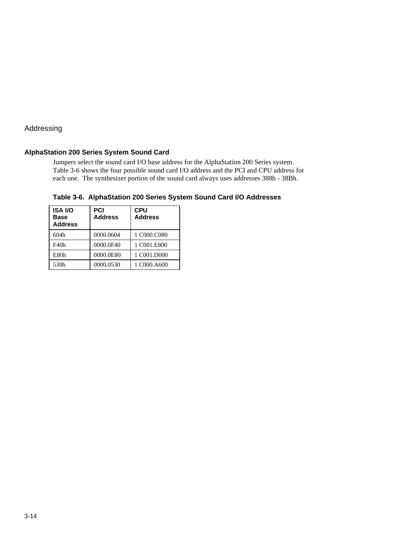#### **AlphaStation 200 Series System Sound Card**

Jumpers select the sound card I/O base address for the AlphaStation 200 Series system. Table 3-6 shows the four possible sound card I/O address and the PCI and CPU address for each one. The synthesizer portion of the sound card always uses addresses 388h - 38Bh.

| <b>ISA I/O</b><br><b>Base</b><br><b>Address</b> | <b>PCI</b><br><b>Address</b> | <b>CPU</b><br><b>Address</b> |
|-------------------------------------------------|------------------------------|------------------------------|
| 604h                                            | 0000.0604                    | 1 C000.C080                  |
| F40h                                            | 0000.0F40                    | 1 C001.E800                  |
| E80h                                            | 0000.0E80                    | 1 C001.D000                  |
| 530h                                            | 0000.0530                    | 1 C000.A600                  |

**Table 3-6. AlphaStation 200 Series System Sound Card I/O Addresses**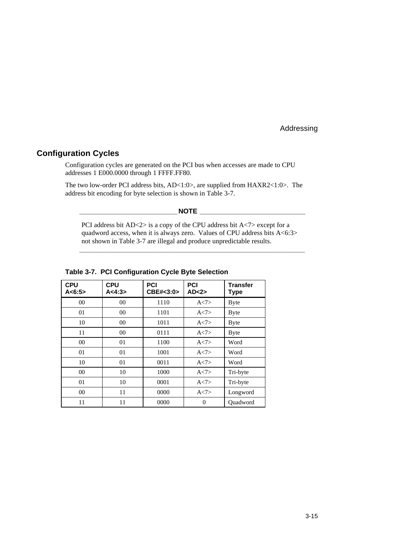#### **Configuration Cycles**

Configuration cycles are generated on the PCI bus when accesses are made to CPU addresses 1 E000.0000 through 1 FFFF.FF80.

The two low-order PCI address bits, AD<1:0>, are supplied from HAXR2<1:0>. The address bit encoding for byte selection is shown in Table 3-7.

#### **\_\_\_\_\_\_\_\_\_\_\_\_\_\_\_\_\_\_\_\_\_\_\_\_\_\_NOTE \_\_\_\_\_\_\_\_\_\_\_\_\_\_\_\_\_\_\_\_\_\_\_\_\_\_\_\_**

PCI address bit  $AD < 2$  is a copy of the CPU address bit  $A < 7$  except for a quadword access, when it is always zero. Values of CPU address bits  $A \le 6:3>$ not shown in Table 3-7 are illegal and produce unpredictable results.

**\_\_\_\_\_\_\_\_\_\_\_\_\_\_\_\_\_\_\_\_\_\_\_\_\_\_\_\_\_\_\_\_\_\_\_\_\_\_\_\_\_\_\_\_\_\_\_\_\_\_\_\_\_\_\_\_\_\_\_\_**

| <b>CPU</b><br>A < 6:5 | <b>CPU</b><br>A < 4:3> | <b>PCI</b><br>CBE#<3:0> | <b>PCI</b><br>AD < 2 | <b>Transfer</b><br>Type |
|-----------------------|------------------------|-------------------------|----------------------|-------------------------|
| $00\,$                | 00                     | 1110                    | A < 7                | <b>Byte</b>             |
| 01                    | 00                     | 1101                    | A < 7                | <b>Byte</b>             |
| 10                    | $00\,$                 | 1011                    | A < 7                | <b>Byte</b>             |
| 11                    | $00\,$                 | 0111                    | A < 7                | <b>Byte</b>             |
| 0 <sup>0</sup>        | 01                     | 1100                    | A < 7                | Word                    |
| 01                    | 01                     | 1001                    | A < 7>               | Word                    |
| 10                    | 01                     | 0011                    | A < 7                | Word                    |
| $00\,$                | 10                     | 1000                    | A < 7                | Tri-byte                |
| 01                    | 10                     | 0001                    | A < 7>               | Tri-byte                |
| $00\,$                | 11                     | 0000                    | A < 7                | Longword                |
| 11                    | 11                     | 0000                    | $\theta$             | Ouadword                |

#### **Table 3-7. PCI Configuration Cycle Byte Selection**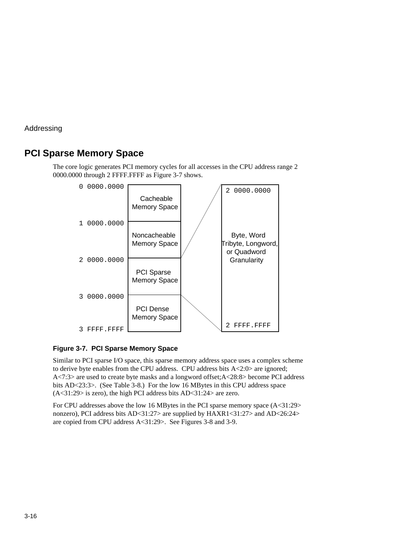# **PCI Sparse Memory Space**

The core logic generates PCI memory cycles for all accesses in the CPU address range 2 0000.0000 through 2 FFFF.FFFF as Figure 3-7 shows.



#### **Figure 3-7. PCI Sparse Memory Space**

Similar to PCI sparse I/O space, this sparse memory address space uses a complex scheme to derive byte enables from the CPU address. CPU address bits A<2:0> are ignored; A<7:3> are used to create byte masks and a longword offset;A<28:8> become PCI address bits AD<23:3>. (See Table 3-8.) For the low 16 MBytes in this CPU address space  $(A<31:29>$  is zero), the high PCI address bits  $AD<31:24>$  are zero.

For CPU addresses above the low 16 MBytes in the PCI sparse memory space (A<31:29> nonzero), PCI address bits AD<31:27> are supplied by HAXR1<31:27> and AD<26:24> are copied from CPU address A<31:29>. See Figures 3-8 and 3-9.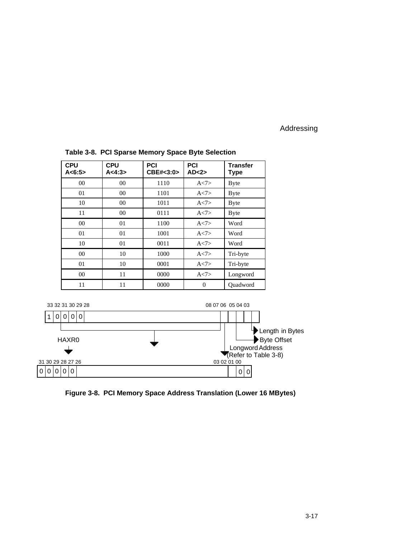| <b>CPU</b><br>A < 6:5 | <b>CPU</b><br>A < 4:3> | <b>PCI</b><br>CBE#<3:0> | <b>PCI</b><br>AD < 2 | <b>Transfer</b><br>Type |
|-----------------------|------------------------|-------------------------|----------------------|-------------------------|
| 0 <sup>0</sup>        | $00\,$                 | 1110                    | A < 7                | <b>Byte</b>             |
| 01                    | $00\,$                 | 1101                    | A < 7                | <b>Byte</b>             |
| 10                    | $00\,$                 | 1011                    | A < 7                | <b>Byte</b>             |
| 11                    | $00\,$                 | 0111                    | A < 7                | <b>Byte</b>             |
| 0 <sup>0</sup>        | 01                     | 1100                    | A < 7                | Word                    |
| 01                    | 01                     | 1001                    | A < 7                | Word                    |
| 10                    | 01                     | 0011                    | A < 7                | Word                    |
| 00                    | 10                     | 1000                    | A < 7                | Tri-byte                |
| 01                    | 10                     | 0001                    | A < 7                | Tri-byte                |
| 0 <sup>0</sup>        | 11                     | 0000                    | A < 7                | Longword                |
| 11                    | 11                     | 0000                    | $\theta$             | Ouadword                |

#### **Table 3-8. PCI Sparse Memory Space Byte Selection**



**Figure 3-8. PCI Memory Space Address Translation (Lower 16 MBytes)**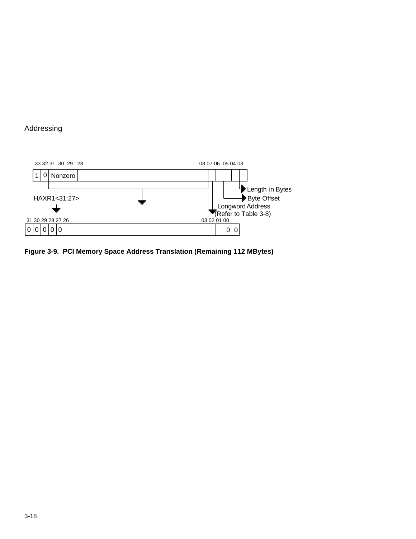

**Figure 3-9. PCI Memory Space Address Translation (Remaining 112 MBytes)**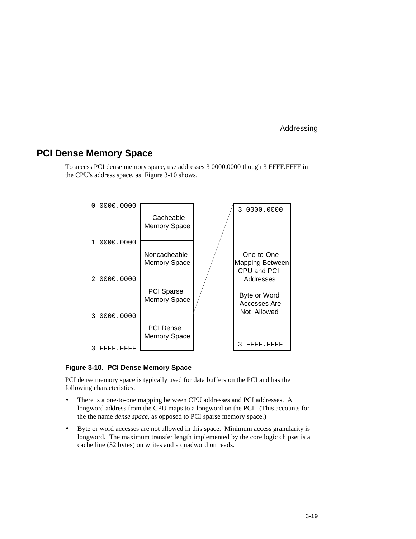# **PCI Dense Memory Space**

To access PCI dense memory space, use addresses 3 0000.0000 though 3 FFFF.FFFF in the CPU's address space, as Figure 3-10 shows.



#### **Figure 3-10. PCI Dense Memory Space**

PCI dense memory space is typically used for data buffers on the PCI and has the following characteristics:

- There is a one-to-one mapping between CPU addresses and PCI addresses. A longword address from the CPU maps to a longword on the PCI. (This accounts for the the name *dense space*, as opposed to PCI sparse memory space.)
- Byte or word accesses are not allowed in this space. Minimum access granularity is longword. The maximum transfer length implemented by the core logic chipset is a cache line (32 bytes) on writes and a quadword on reads.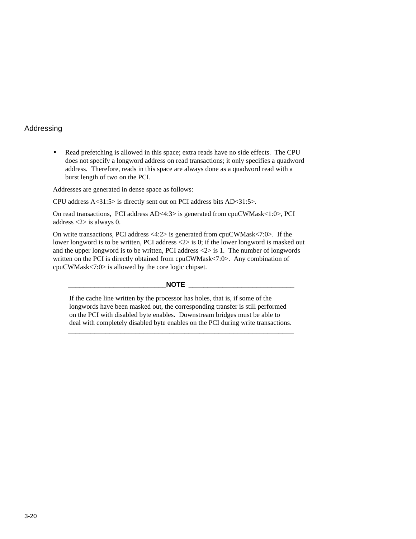• Read prefetching is allowed in this space; extra reads have no side effects. The CPU does not specify a longword address on read transactions; it only specifies a quadword address. Therefore, reads in this space are always done as a quadword read with a burst length of two on the PCI.

Addresses are generated in dense space as follows:

CPU address A<31:5> is directly sent out on PCI address bits AD<31:5>.

On read transactions, PCI address AD<4:3> is generated from cpuCWMask<1:0>, PCI address <2> is always 0.

On write transactions, PCI address <4:2> is generated from cpuCWMask<7:0>. If the lower longword is to be written, PCI address  $\langle 2 \rangle$  is 0; if the lower longword is masked out and the upper longword is to be written, PCI address  $\langle 2 \rangle$  is 1. The number of longwords written on the PCI is directly obtained from cpuCWMask<7:0>. Any combination of cpuCWMask<7:0> is allowed by the core logic chipset.

#### $\blacksquare$  <br>  $\blacksquare$  <br>  $\blacksquare$

If the cache line written by the processor has holes, that is, if some of the longwords have been masked out, the corresponding transfer is still performed on the PCI with disabled byte enables. Downstream bridges must be able to deal with completely disabled byte enables on the PCI during write transactions.

**\_\_\_\_\_\_\_\_\_\_\_\_\_\_\_\_\_\_\_\_\_\_\_\_\_\_\_\_\_\_\_\_\_\_\_\_\_\_\_\_\_\_\_\_\_\_\_\_\_\_\_\_\_\_\_\_\_\_\_\_**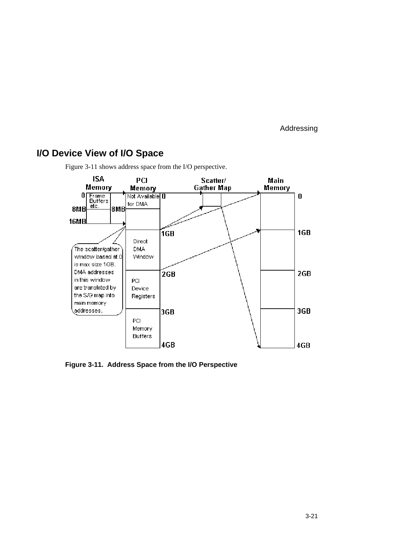# **I/O Device View of I/O Space**



Figure 3-11 shows address space from the I/O perspective.

**Figure 3-11. Address Space from the I/O Perspective**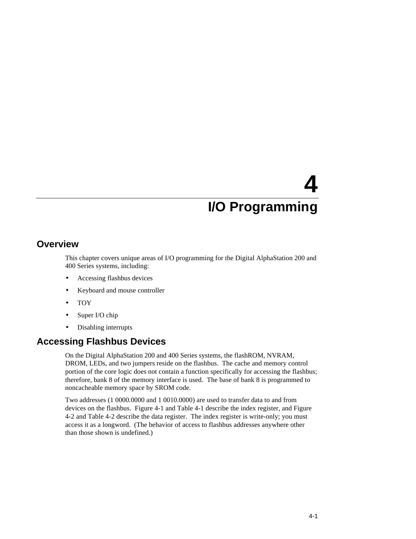# **Overview**

This chapter covers unique areas of I/O programming for the Digital AlphaStation 200 and 400 Series systems, including:

- Accessing flashbus devices
- Keyboard and mouse controller
- TOY
- Super I/O chip
- Disabling interrupts

# **Accessing Flashbus Devices**

On the Digital AlphaStation 200 and 400 Series systems, the flashROM, NVRAM, DROM, LEDs, and two jumpers reside on the flashbus. The cache and memory control portion of the core logic does not contain a function specifically for accessing the flashbus; therefore, bank 8 of the memory interface is used. The base of bank 8 is programmed to noncacheable memory space by SROM code.

Two addresses (1 0000.0000 and 1 0010.0000) are used to transfer data to and from devices on the flashbus. Figure 4-1 and Table 4-1 describe the index register, and Figure 4-2 and Table 4-2 describe the data register. The index register is write-only; you must access it as a longword. (The behavior of access to flashbus addresses anywhere other than those shown is undefined.)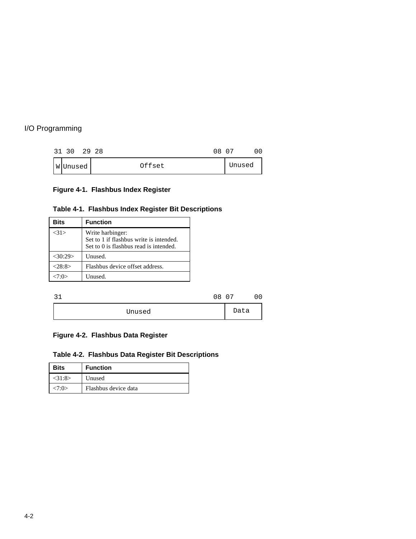|  | 31 30   | 2928<br>08 07 |        |  |
|--|---------|---------------|--------|--|
|  | WUnused | Offset        | Unused |  |

# **Figure 4-1. Flashbus Index Register**

#### **Table 4-1. Flashbus Index Register Bit Descriptions**

| Bits       | <b>Function</b>                                                                                       |
|------------|-------------------------------------------------------------------------------------------------------|
| $<$ 31 $>$ | Write harbinger:<br>Set to 1 if flashbus write is intended.<br>Set to 0 is flashbus read is intended. |
| $<$ 30:29> | Unused.                                                                                               |
| <28:8>     | Flashbus device offset address.                                                                       |
| $-7.0$     | Unused.                                                                                               |

| າ 1 |        | 08 07 |      |  |
|-----|--------|-------|------|--|
|     | Unused |       | Data |  |

# **Figure 4-2. Flashbus Data Register**

# **Table 4-2. Flashbus Data Register Bit Descriptions**

| <b>Bits</b> | <b>Function</b>      |
|-------------|----------------------|
| $<$ 31:8>   | Unused               |
| <7:0>       | Flashbus device data |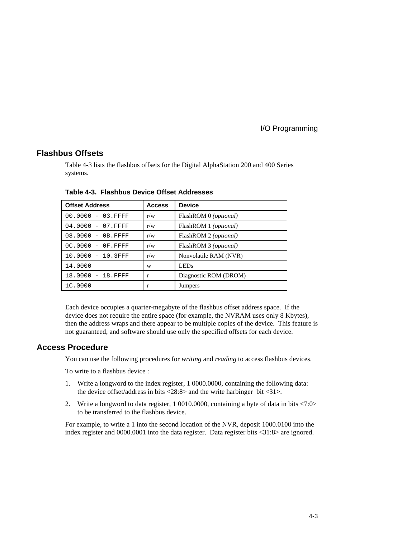#### **Flashbus Offsets**

Table 4-3 lists the flashbus offsets for the Digital AlphaStation 200 and 400 Series systems.

| <b>Offset Address</b> | <b>Access</b> | <b>Device</b>                  |
|-----------------------|---------------|--------------------------------|
| $00.0000 - 03.$ FFFF  | r/w           | FlashROM 0 (optional)          |
| $04.0000 - 07.$ FFFF  | r/w           | FlashROM 1 ( <i>optional</i> ) |
| $08.0000 - 0B.FFFF$   | r/w           | FlashROM 2 (optional)          |
| $0C.0000 - 0F.FFFF$   | r/w           | FlashROM 3 ( <i>optional</i> ) |
| $10.0000 - 10.3$ FFF  | r/w           | Nonvolatile RAM (NVR)          |
| 14.0000               | W             | <b>LEDs</b>                    |
| 18.0000 - 18.FFFF     | r             | Diagnostic ROM (DROM)          |
| 1C.0000               | r             | <b>Jumpers</b>                 |

**Table 4-3. Flashbus Device Offset Addresses**

Each device occupies a quarter-megabyte of the flashbus offset address space. If the device does not require the entire space (for example, the NVRAM uses only 8 Kbytes), then the address wraps and there appear to be multiple copies of the device. This feature is not guaranteed, and software should use only the specified offsets for each device.

#### **Access Procedure**

You can use the following procedures for *writing* and *reading* to access flashbus devices.

To write to a flashbus device :

- 1. Write a longword to the index register, 1 0000.0000, containing the following data: the device offset/address in bits <28:8> and the write harbinger bit <31>.
- 2. Write a longword to data register, 1 0010.0000, containing a byte of data in bits <7:0> to be transferred to the flashbus device.

For example, to write a 1 into the second location of the NVR, deposit 1000.0100 into the index register and 0000.0001 into the data register. Data register bits <31:8> are ignored.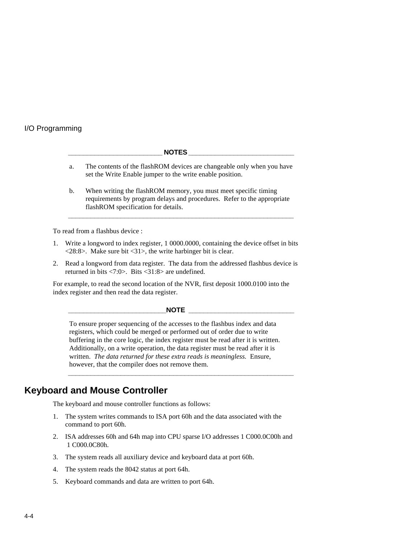#### $NOTES$

- a. The contents of the flashROM devices are changeable only when you have set the Write Enable jumper to the write enable position.
- b. When writing the flashROM memory, you must meet specific timing requirements by program delays and procedures. Refer to the appropriate flashROM specification for details.

**\_\_\_\_\_\_\_\_\_\_\_\_\_\_\_\_\_\_\_\_\_\_\_\_\_\_\_\_\_\_\_\_\_\_\_\_\_\_\_\_\_\_\_\_\_\_\_\_\_\_\_\_\_\_\_\_\_\_\_\_**

To read from a flashbus device :

- 1. Write a longword to index register, 1 0000.0000, containing the device offset in bits  $\langle 28:8 \rangle$ . Make sure bit  $\langle 31 \rangle$ , the write harbinger bit is clear.
- 2. Read a longword from data register. The data from the addressed flashbus device is returned in bits <7:0>. Bits <31:8> are undefined.

For example, to read the second location of the NVR, first deposit 1000.0100 into the index register and then read the data register.

#### $\overline{\text{NOTE}}$

To ensure proper sequencing of the accesses to the flashbus index and data registers, which could be merged or performed out of order due to write buffering in the core logic, the index register must be read after it is written. Additionally, on a write operation, the data register must be read after it is written. *The data returned for these extra reads is meaningless.* Ensure, however, that the compiler does not remove them.

**\_\_\_\_\_\_\_\_\_\_\_\_\_\_\_\_\_\_\_\_\_\_\_\_\_\_\_\_\_\_\_\_\_\_\_\_\_\_\_\_\_\_\_\_\_\_\_\_\_\_\_\_\_\_\_\_\_\_\_\_**

# **Keyboard and Mouse Controller**

The keyboard and mouse controller functions as follows:

- 1. The system writes commands to ISA port 60h and the data associated with the command to port 60h.
- 2. ISA addresses 60h and 64h map into CPU sparse I/O addresses 1 C000.0C00h and 1 C000.0C80h.
- 3. The system reads all auxiliary device and keyboard data at port 60h.
- 4. The system reads the 8042 status at port 64h.
- 5. Keyboard commands and data are written to port 64h.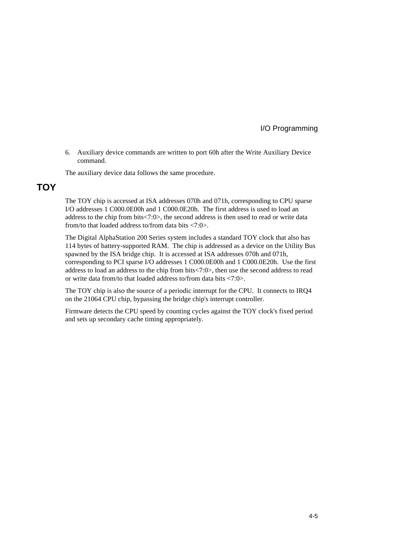6. Auxiliary device commands are written to port 60h after the Write Auxiliary Device command.

The auxiliary device data follows the same procedure.

# **TOY**

The TOY chip is accessed at ISA addresses 070h and 071h, corresponding to CPU sparse I/O addresses 1 C000.0E00h and 1 C000.0E20h. The first address is used to load an address to the chip from bits<7:0>, the second address is then used to read or write data from/to that loaded address to/from data bits <7:0>.

The Digital AlphaStation 200 Series system includes a standard TOY clock that also has 114 bytes of battery-supported RAM. The chip is addressed as a device on the Utility Bus spawned by the ISA bridge chip. It is accessed at ISA addresses 070h and 071h, corresponding to PCI sparse I/O addresses 1 C000.0E00h and 1 C000.0E20h. Use the first address to load an address to the chip from bits<7:0>, then use the second address to read or write data from/to that loaded address to/from data bits <7:0>.

The TOY chip is also the source of a periodic interrupt for the CPU. It connects to IRQ4 on the 21064 CPU chip, bypassing the bridge chip's interrupt controller.

Firmware detects the CPU speed by counting cycles against the TOY clock's fixed period and sets up secondary cache timing appropriately.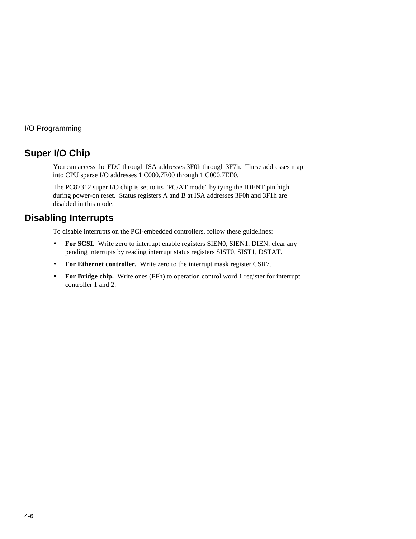# **Super I/O Chip**

You can access the FDC through ISA addresses 3F0h through 3F7h. These addresses map into CPU sparse I/O addresses 1 C000.7E00 through 1 C000.7EE0.

The PC87312 super I/O chip is set to its "PC/AT mode" by tying the IDENT pin high during power-on reset. Status registers A and B at ISA addresses 3F0h and 3F1h are disabled in this mode.

# **Disabling Interrupts**

To disable interrupts on the PCI-embedded controllers, follow these guidelines:

- **For SCSI.** Write zero to interrupt enable registers SIEN0, SIEN1, DIEN; clear any pending interrupts by reading interrupt status registers SIST0, SIST1, DSTAT.
- **For Ethernet controller.** Write zero to the interrupt mask register CSR7.
- **For Bridge chip.** Write ones (FFh) to operation control word 1 register for interrupt controller 1 and 2.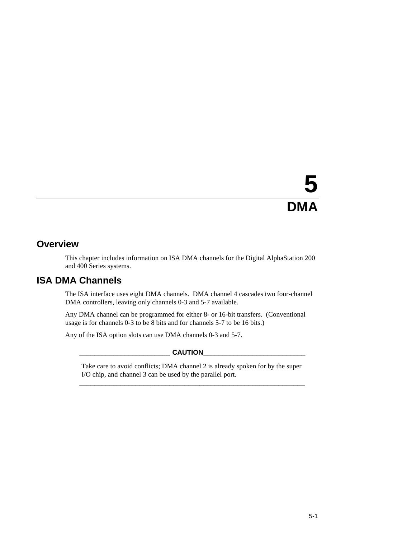# **5 DMA**

# **Overview**

This chapter includes information on ISA DMA channels for the Digital AlphaStation 200 and 400 Series systems.

# **ISA DMA Channels**

The ISA interface uses eight DMA channels. DMA channel 4 cascades two four-channel DMA controllers, leaving only channels 0-3 and 5-7 available.

Any DMA channel can be programmed for either 8- or 16-bit transfers. (Conventional usage is for channels 0-3 to be 8 bits and for channels 5-7 to be 16 bits.)

Any of the ISA option slots can use DMA channels 0-3 and 5-7.

 $CAUTION$ 

Take care to avoid conflicts; DMA channel 2 is already spoken for by the super I/O chip, and channel 3 can be used by the parallel port. **\_\_\_\_\_\_\_\_\_\_\_\_\_\_\_\_\_\_\_\_\_\_\_\_\_\_\_\_\_\_\_\_\_\_\_\_\_\_\_\_\_\_\_\_\_\_\_\_\_\_\_\_\_\_\_\_\_\_\_\_**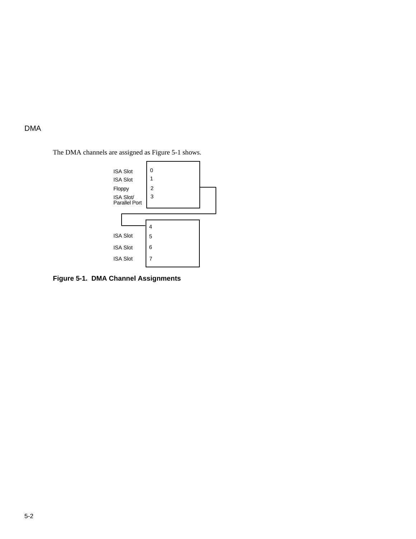DMA

The DMA channels are assigned as Figure 5-1 shows.



**Figure 5-1. DMA Channel Assignments**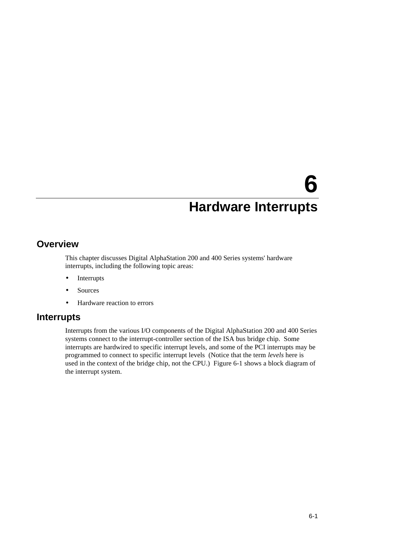# **6**

# **Hardware Interrupts**

# **Overview**

This chapter discusses Digital AlphaStation 200 and 400 Series systems' hardware interrupts, including the following topic areas:

- Interrupts
- **Sources**
- Hardware reaction to errors

# **Interrupts**

Interrupts from the various I/O components of the Digital AlphaStation 200 and 400 Series systems connect to the interrupt-controller section of the ISA bus bridge chip. Some interrupts are hardwired to specific interrupt levels, and some of the PCI interrupts may be programmed to connect to specific interrupt levels (Notice that the term *levels* here is used in the context of the bridge chip, not the CPU.) Figure 6-1 shows a block diagram of the interrupt system.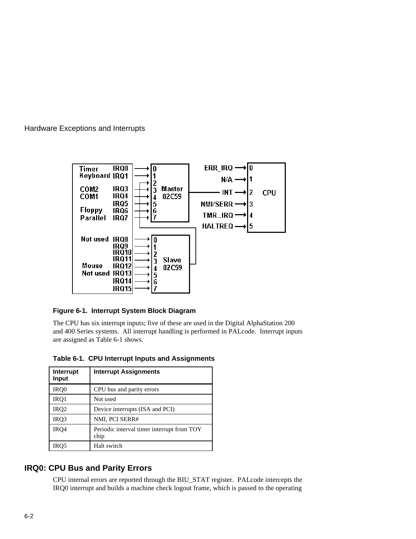

**Figure 6-1. Interrupt System Block Diagram**

The CPU has six interrupt inputs; five of these are used in the Digital AlphaStation 200 and 400 Series systems. All interrupt handling is performed in PALcode. Interrupt inputs are assigned as Table 6-1 shows.

|  | Table 6-1. CPU Interrupt Inputs and Assignments |
|--|-------------------------------------------------|
|  |                                                 |

| Interrupt<br>Input | <b>Interrupt Assignments</b>                       |
|--------------------|----------------------------------------------------|
| IRQ0               | CPU bus and parity errors                          |
| IRQ1               | Not used                                           |
| IRQ <sub>2</sub>   | Device interrupts (ISA and PCI)                    |
| IRQ3               | NMI, PCI SERR#                                     |
| IR <sub>O4</sub>   | Periodic interval timer interrupt from TOY<br>chip |
|                    | Halt switch                                        |

#### **IRQ0: CPU Bus and Parity Errors**

CPU internal errors are reported through the BIU\_STAT register. PALcode intercepts the IRQ0 interrupt and builds a machine check logout frame, which is passed to the operating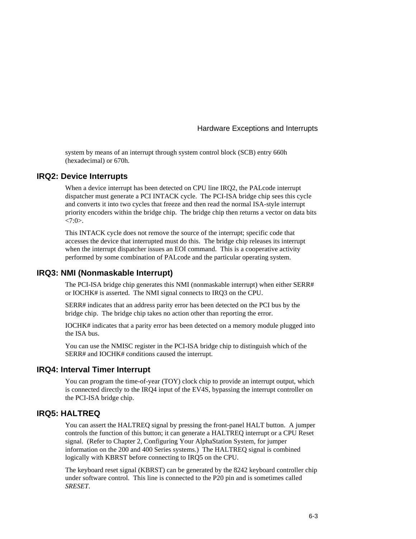system by means of an interrupt through system control block (SCB) entry 660h (hexadecimal) or 670h.

#### **IRQ2: Device Interrupts**

When a device interrupt has been detected on CPU line IRQ2, the PALcode interrupt dispatcher must generate a PCI INTACK cycle. The PCI-ISA bridge chip sees this cycle and converts it into two cycles that freeze and then read the normal ISA-style interrupt priority encoders within the bridge chip. The bridge chip then returns a vector on data bits  $<7:0$ .

This INTACK cycle does not remove the source of the interrupt; specific code that accesses the device that interrupted must do this. The bridge chip releases its interrupt when the interrupt dispatcher issues an EOI command. This is a cooperative activity performed by some combination of PALcode and the particular operating system.

#### **IRQ3: NMI (Nonmaskable Interrupt)**

The PCI-ISA bridge chip generates this NMI (nonmaskable interrupt) when either SERR# or IOCHK# is asserted. The NMI signal connects to IRQ3 on the CPU.

SERR# indicates that an address parity error has been detected on the PCI bus by the bridge chip. The bridge chip takes no action other than reporting the error.

IOCHK# indicates that a parity error has been detected on a memory module plugged into the ISA bus.

You can use the NMISC register in the PCI-ISA bridge chip to distinguish which of the SERR# and IOCHK# conditions caused the interrupt.

#### **IRQ4: Interval Timer Interrupt**

You can program the time-of-year (TOY) clock chip to provide an interrupt output, which is connected directly to the IRQ4 input of the EV4S, bypassing the interrupt controller on the PCI-ISA bridge chip.

#### **IRQ5: HALTREQ**

You can assert the HALTREQ signal by pressing the front-panel HALT button. A jumper controls the function of this button; it can generate a HALTREQ interrupt or a CPU Reset signal. (Refer to Chapter 2, Configuring Your AlphaStation System, for jumper information on the 200 and 400 Series systems.) The HALTREQ signal is combined logically with KBRST before connecting to IRQ5 on the CPU.

The keyboard reset signal (KBRST) can be generated by the 8242 keyboard controller chip under software control. This line is connected to the P20 pin and is sometimes called *SRESET*.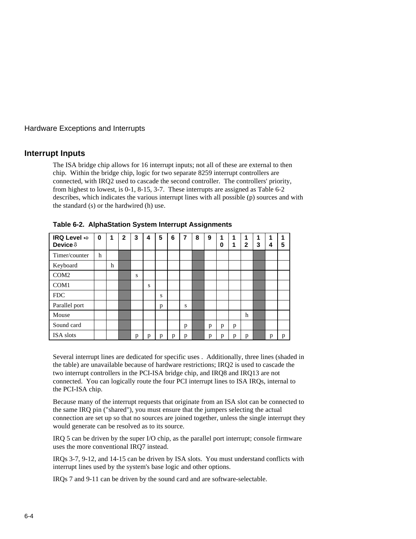#### **Interrupt Inputs**

The ISA bridge chip allows for 16 interrupt inputs; not all of these are external to then chip. Within the bridge chip, logic for two separate 8259 interrupt controllers are connected, with IRQ2 used to cascade the second controller. The controllers' priority, from highest to lowest, is 0-1, 8-15, 3-7. These interrupts are assigned as Table 6-2 describes, which indicates the various interrupt lines with all possible (p) sources and with the standard (s) or the hardwired (h) use.

| IRQ Level $\Rightarrow$<br>Device <b>U</b> | $\bf{0}$ | 1 | $\overline{2}$ | 3 | 4 | 5 | 6 | 7 | 8 | 9 | 1<br>$\bf{0}$ | 1<br>1 | 1<br>$\overline{2}$ | 1<br>3 | 1<br>4 | 1<br>5 |
|--------------------------------------------|----------|---|----------------|---|---|---|---|---|---|---|---------------|--------|---------------------|--------|--------|--------|
| Timer/counter                              | h        |   |                |   |   |   |   |   |   |   |               |        |                     |        |        |        |
| Keyboard                                   |          | h |                |   |   |   |   |   |   |   |               |        |                     |        |        |        |
| COM <sub>2</sub>                           |          |   |                | S |   |   |   |   |   |   |               |        |                     |        |        |        |
| COM1                                       |          |   |                |   | S |   |   |   |   |   |               |        |                     |        |        |        |
| <b>FDC</b>                                 |          |   |                |   |   | S |   |   |   |   |               |        |                     |        |        |        |
| Parallel port                              |          |   |                |   |   | p |   | S |   |   |               |        |                     |        |        |        |
| Mouse                                      |          |   |                |   |   |   |   |   |   |   |               |        | h                   |        |        |        |
| Sound card                                 |          |   |                |   |   |   |   | p |   | p | p             | p      |                     |        |        |        |
| ISA slots                                  |          |   |                | р | р | p | p | p |   | p | p             | р      | р                   |        | p      | p      |

**Table 6-2. AlphaStation System Interrupt Assignments**

Several interrupt lines are dedicated for specific uses . Additionally, three lines (shaded in the table) are unavailable because of hardware restrictions; IRQ2 is used to cascade the two interrupt controllers in the PCI-ISA bridge chip, and IRQ8 and IRQ13 are not connected. You can logically route the four PCI interrupt lines to ISA IRQs, internal to the PCI-ISA chip.

Because many of the interrupt requests that originate from an ISA slot can be connected to the same IRQ pin ("shared"), you must ensure that the jumpers selecting the actual connection are set up so that no sources are joined together, unless the single interrupt they would generate can be resolved as to its source.

IRQ 5 can be driven by the super I/O chip, as the parallel port interrupt; console firmware uses the more conventional IRQ7 instead.

IRQs 3-7, 9-12, and 14-15 can be driven by ISA slots. You must understand conflicts with interrupt lines used by the system's base logic and other options.

IRQs 7 and 9-11 can be driven by the sound card and are software-selectable.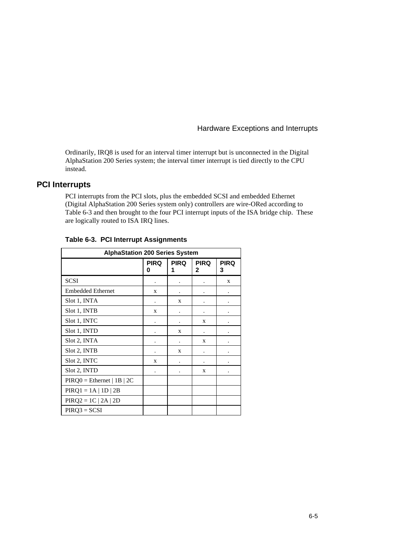Ordinarily, IRQ8 is used for an interval timer interrupt but is unconnected in the Digital AlphaStation 200 Series system; the interval timer interrupt is tied directly to the CPU instead.

#### **PCI Interrupts**

PCI interrupts from the PCI slots, plus the embedded SCSI and embedded Ethernet (Digital AlphaStation 200 Series system only) controllers are wire-ORed according to Table 6-3 and then brought to the four PCI interrupt inputs of the ISA bridge chip. These are logically routed to ISA IRQ lines.

| <b>AlphaStation 200 Series System</b> |                  |             |                  |                  |  |
|---------------------------------------|------------------|-------------|------------------|------------------|--|
|                                       | <b>PIRQ</b><br>0 | <b>PIRQ</b> | <b>PIRQ</b><br>2 | <b>PIRQ</b><br>3 |  |
| <b>SCSI</b>                           |                  |             |                  | X                |  |
| <b>Embedded Ethernet</b>              | X                |             |                  |                  |  |
| Slot 1, INTA                          |                  | X           |                  |                  |  |
| Slot 1, INTB                          | X                |             |                  |                  |  |
| Slot 1, INTC                          |                  |             | X                |                  |  |
| Slot 1, INTD                          |                  | X           |                  |                  |  |
| Slot 2, INTA                          |                  |             | X                |                  |  |
| Slot 2, INTB                          |                  | X           |                  |                  |  |
| Slot 2, INTC                          | X                |             |                  |                  |  |
| Slot 2, INTD                          |                  |             | X                |                  |  |
| $PIRQ0 = Ethernet   1B   2C$          |                  |             |                  |                  |  |
| $PIRQ1 = 1A   1D   2B$                |                  |             |                  |                  |  |
| $PIRQ2 = 1C   2A   2D$                |                  |             |                  |                  |  |
| $PIRQ3 = SCSI$                        |                  |             |                  |                  |  |

#### **Table 6-3. PCI Interrupt Assignments**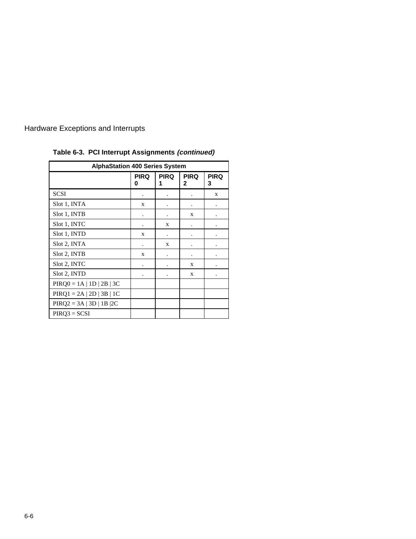| <b>AlphaStation 400 Series System</b> |                  |             |                      |                  |  |
|---------------------------------------|------------------|-------------|----------------------|------------------|--|
|                                       | <b>PIRQ</b><br>O | <b>PIRQ</b> | <b>PIRQ</b><br>2     | <b>PIRQ</b><br>3 |  |
| <b>SCSI</b>                           |                  |             |                      | X                |  |
| Slot 1, INTA                          | X                |             |                      |                  |  |
| Slot 1, INTB                          |                  |             | X                    |                  |  |
| Slot 1, INTC                          |                  | X           |                      |                  |  |
| Slot 1, INTD                          | X                |             |                      |                  |  |
| Slot 2, INTA                          | ۰                | X           | $\ddot{\phantom{0}}$ |                  |  |
| Slot 2, INTB                          | X                |             |                      |                  |  |
| Slot 2, INTC                          |                  |             | X                    |                  |  |
| Slot 2, INTD                          |                  |             | X                    | ٠                |  |
| $PIRQ0 = 1A   1D   2B   3C$           |                  |             |                      |                  |  |
| $PIRQ1 = 2A   2D   3B   1C$           |                  |             |                      |                  |  |
| $PIRQ2 = 3A   3D   1B   2C$           |                  |             |                      |                  |  |
| $PIRQ3 = SCSI$                        |                  |             |                      |                  |  |

**Table 6-3. PCI Interrupt Assignments (continued)**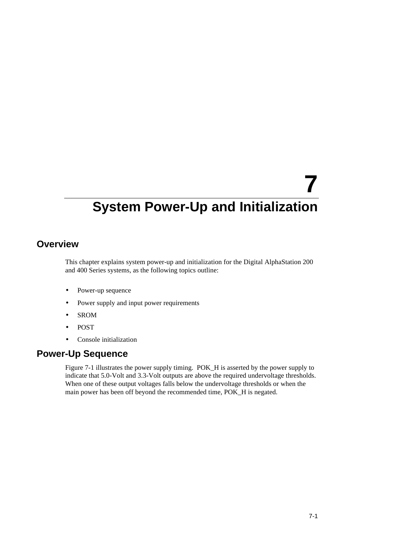# **7 System Power-Up and Initialization**

# **Overview**

This chapter explains system power-up and initialization for the Digital AlphaStation 200 and 400 Series systems, as the following topics outline:

- Power-up sequence
- Power supply and input power requirements
- SROM
- POST
- Console initialization

# **Power-Up Sequence**

Figure 7-1 illustrates the power supply timing. POK\_H is asserted by the power supply to indicate that 5.0-Volt and 3.3-Volt outputs are above the required undervoltage thresholds. When one of these output voltages falls below the undervoltage thresholds or when the main power has been off beyond the recommended time, POK\_H is negated.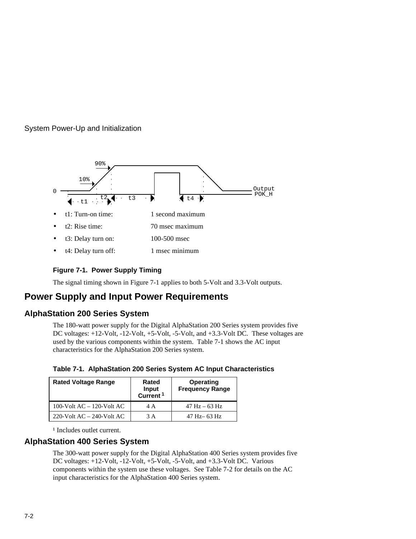#### System Power-Up and Initialization



#### **Figure 7-1. Power Supply Timing**

The signal timing shown in Figure 7-1 applies to both 5-Volt and 3.3-Volt outputs.

# **Power Supply and Input Power Requirements**

### **AlphaStation 200 Series System**

The 180-watt power supply for the Digital AlphaStation 200 Series system provides five DC voltages: +12-Volt, -12-Volt, +5-Volt, -5-Volt, and +3.3-Volt DC. These voltages are used by the various components within the system. Table 7-1 shows the AC input characteristics for the AlphaStation 200 Series system.

| Table 7-1. AlphaStation 200 Series System AC Input Characteristics |  |  |  |
|--------------------------------------------------------------------|--|--|--|
|                                                                    |  |  |  |

| <b>Rated Voltage Range</b>     | Rated<br>Input<br>Current <sup>1</sup> | Operating<br><b>Frequency Range</b> |
|--------------------------------|----------------------------------------|-------------------------------------|
| 100-Volt $AC - 120$ -Volt $AC$ | 4 A                                    | $47 \text{ Hz} - 63 \text{ Hz}$     |
| 220-Volt $AC - 240$ -Volt $AC$ | 3 A                                    | $47$ Hz $-$ 63 Hz                   |

<sup>1</sup> Includes outlet current.

#### **AlphaStation 400 Series System**

The 300-watt power supply for the Digital AlphaStation 400 Series system provides five DC voltages: +12-Volt, -12-Volt, +5-Volt, -5-Volt, and +3.3-Volt DC. Various components within the system use these voltages. See Table 7-2 for details on the AC input characteristics for the AlphaStation 400 Series system.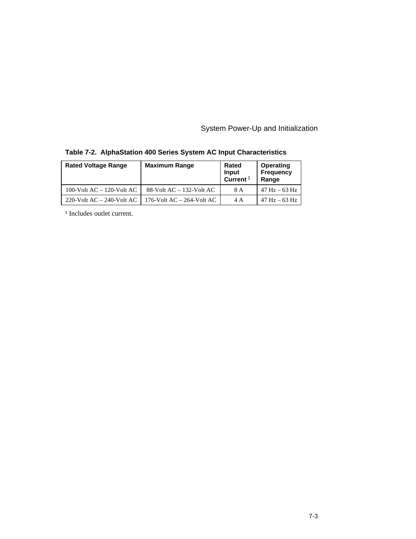System Power-Up and Initialization

| <b>Rated Voltage Range</b>     | <b>Maximum Range</b>           | Rated<br>Input<br>Current <sup>1</sup> | Operating<br><b>Frequency</b><br>Range |
|--------------------------------|--------------------------------|----------------------------------------|----------------------------------------|
| 100-Volt $AC - 120$ -Volt $AC$ | 88-Volt $AC - 132$ -Volt $AC$  | 8 A                                    | $47 \text{ Hz} - 63 \text{ Hz}$        |
| 220-Volt $AC - 240$ -Volt $AC$ | 176-Volt $AC - 264$ -Volt $AC$ | 4 A                                    | $47 \text{ Hz} - 63 \text{ Hz}$        |

|  |  |  |  |  | Table 7-2. AlphaStation 400 Series System AC Input Characteristics |
|--|--|--|--|--|--------------------------------------------------------------------|
|--|--|--|--|--|--------------------------------------------------------------------|

<sup>1</sup> Includes outlet current.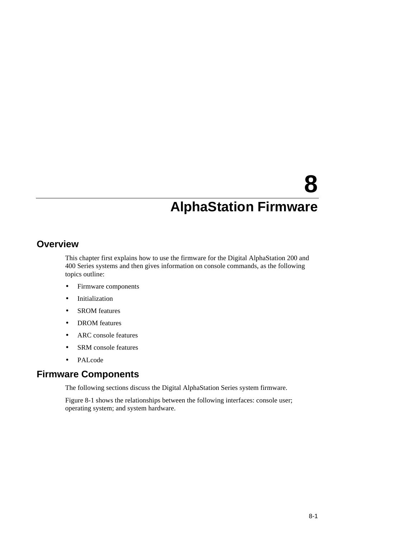# **8**

# **AlphaStation Firmware**

# **Overview**

This chapter first explains how to use the firmware for the Digital AlphaStation 200 and 400 Series systems and then gives information on console commands, as the following topics outline:

- Firmware components
- Initialization
- SROM features
- DROM features
- ARC console features
- SRM console features
- PALcode

# **Firmware Components**

The following sections discuss the Digital AlphaStation Series system firmware.

Figure 8-1 shows the relationships between the following interfaces: console user; operating system; and system hardware.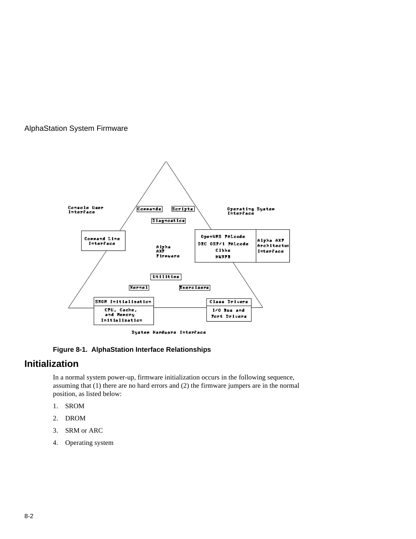

System Hardware Interface

#### **Figure 8-1. AlphaStation Interface Relationships**

# **Initialization**

In a normal system power-up, firmware initialization occurs in the following sequence, assuming that (1) there are no hard errors and (2) the firmware jumpers are in the normal position, as listed below:

- 1. SROM
- 2. DROM
- 3. SRM or ARC
- 4. Operating system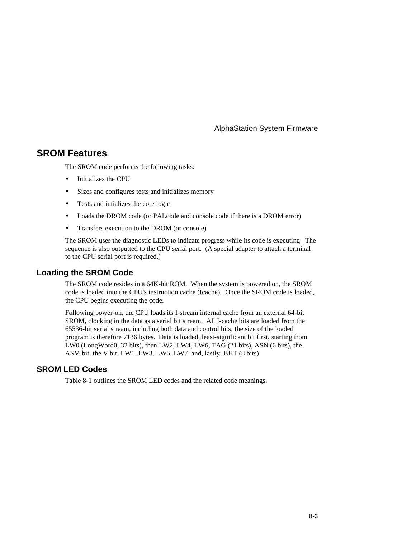### **SROM Features**

The SROM code performs the following tasks:

- Initializes the CPU
- Sizes and configures tests and initializes memory
- Tests and intializes the core logic
- Loads the DROM code (or PALcode and console code if there is a DROM error)
- Transfers execution to the DROM (or console)

The SROM uses the diagnostic LEDs to indicate progress while its code is executing. The sequence is also outputted to the CPU serial port. (A special adapter to attach a terminal to the CPU serial port is required.)

#### **Loading the SROM Code**

The SROM code resides in a 64K-bit ROM. When the system is powered on, the SROM code is loaded into the CPU's instruction cache (Icache). Once the SROM code is loaded, the CPU begins executing the code.

Following power-on, the CPU loads its I-stream internal cache from an external 64-bit SROM, clocking in the data as a serial bit stream. All I-cache bits are loaded from the 65536-bit serial stream, including both data and control bits; the size of the loaded program is therefore 7136 bytes. Data is loaded, least-significant bit first, starting from LW0 (LongWord0, 32 bits), then LW2, LW4, LW6, TAG (21 bits), ASN (6 bits), the ASM bit, the V bit, LW1, LW3, LW5, LW7, and, lastly, BHT (8 bits).

#### **SROM LED Codes**

Table 8-1 outlines the SROM LED codes and the related code meanings.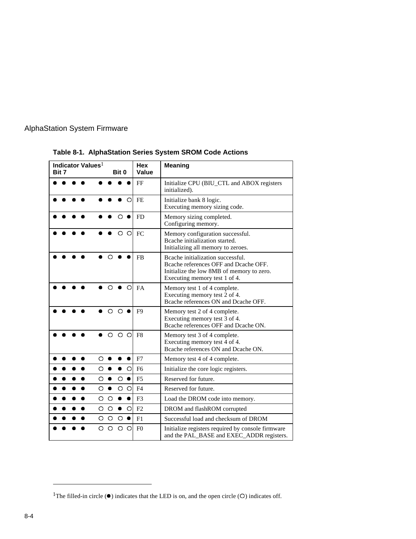| Bit 7 | Indicator Values <sup>1</sup> |   |          | Bit 0     |                 | <b>Hex</b><br>Value | <b>Meaning</b>                                                                                                                                           |
|-------|-------------------------------|---|----------|-----------|-----------------|---------------------|----------------------------------------------------------------------------------------------------------------------------------------------------------|
|       |                               |   |          |           |                 | FF                  | Initialize CPU (BIU_CTL and ABOX registers<br>initialized).                                                                                              |
|       |                               |   |          |           | Ω               | <b>FE</b>           | Initialize bank 8 logic.<br>Executing memory sizing code.                                                                                                |
|       |                               |   |          | ∩         |                 | FD                  | Memory sizing completed.<br>Configuring memory.                                                                                                          |
|       |                               |   |          | Ω         | Ω               | FC                  | Memory configuration successful.<br>Beache initialization started.<br>Initializing all memory to zeroes.                                                 |
|       |                               |   | ∩        |           |                 | <b>FB</b>           | Beache initialization successful.<br>Bcache references OFF and Dcache OFF.<br>Initialize the low 8MB of memory to zero.<br>Executing memory test 1 of 4. |
|       |                               |   | Ω        |           | $\circ$         | FA                  | Memory test 1 of 4 complete.<br>Executing memory test 2 of 4.<br>Beache references ON and Deache OFF.                                                    |
|       |                               |   | $\Omega$ | $\Omega$  |                 | F <sub>9</sub>      | Memory test 2 of 4 complete.<br>Executing memory test 3 of 4.<br>Bcache references OFF and Dcache ON.                                                    |
|       |                               |   | Ω        | $\circ$   | $\circ$         | F8                  | Memory test 3 of 4 complete.<br>Executing memory test 4 of 4.<br>Beache references ON and Deache ON.                                                     |
|       |                               | Ω |          |           | ۰               | F7                  | Memory test 4 of 4 complete.                                                                                                                             |
|       |                               | O |          |           | O               | F <sub>6</sub>      | Initialize the core logic registers.                                                                                                                     |
|       |                               | O |          | O         | $\bullet$       | F <sub>5</sub>      | Reserved for future.                                                                                                                                     |
|       |                               | О | ٠        |           | $\circ$ $\circ$ | F <sub>4</sub>      | Reserved for future.                                                                                                                                     |
|       |                               | О | $\circ$  | $\bullet$ | $\bullet$       | F <sub>3</sub>      | Load the DROM code into memory.                                                                                                                          |
|       |                               | O | $\circ$  | ۰         | $\circ$         | F2                  | DROM and flashROM corrupted                                                                                                                              |
|       |                               | O | $\circ$  | $\circ$   |                 | F1                  | Successful load and checksum of DROM                                                                                                                     |
|       |                               | О | O        | $\circ$   | O               | F <sub>0</sub>      | Initialize registers required by console firmware<br>and the PAL_BASE and EXEC_ADDR registers.                                                           |

**Table 8-1. AlphaStation Series System SROM Code Actions**

 $\overline{a}$ 

<sup>&</sup>lt;sup>1</sup>The filled-in circle  $(•)$  indicates that the LED is on, and the open circle  $(O)$  indicates off.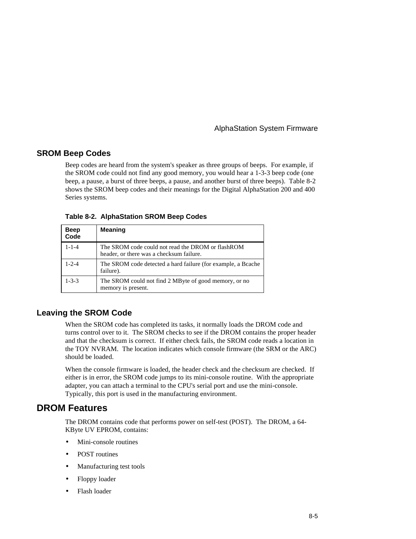#### **SROM Beep Codes**

Beep codes are heard from the system's speaker as three groups of beeps. For example, if the SROM code could not find any good memory, you would hear a 1-3-3 beep code (one beep, a pause, a burst of three beeps, a pause, and another burst of three beeps). Table 8-2 shows the SROM beep codes and their meanings for the Digital AlphaStation 200 and 400 Series systems.

| Table 8-2. AlphaStation SROM Beep Codes |  |  |
|-----------------------------------------|--|--|
|                                         |  |  |

| <b>Beep</b><br>Code | <b>Meaning</b>                                                                                 |
|---------------------|------------------------------------------------------------------------------------------------|
| $1 - 1 - 4$         | The SROM code could not read the DROM or flash ROM<br>header, or there was a checksum failure. |
| $1 - 2 - 4$         | The SROM code detected a hard failure (for example, a Bcache<br>failure).                      |
| $1 - 3 - 3$         | The SROM could not find 2 MByte of good memory, or no<br>memory is present.                    |

#### **Leaving the SROM Code**

When the SROM code has completed its tasks, it normally loads the DROM code and turns control over to it. The SROM checks to see if the DROM contains the proper header and that the checksum is correct. If either check fails, the SROM code reads a location in the TOY NVRAM. The location indicates which console firmware (the SRM or the ARC) should be loaded.

When the console firmware is loaded, the header check and the checksum are checked. If either is in error, the SROM code jumps to its mini-console routine. With the appropriate adapter, you can attach a terminal to the CPU's serial port and use the mini-console. Typically, this port is used in the manufacturing environment.

#### **DROM Features**

The DROM contains code that performs power on self-test (POST). The DROM, a 64- KByte UV EPROM, contains:

- Mini-console routines
- POST routines
- Manufacturing test tools
- Floppy loader
- Flash loader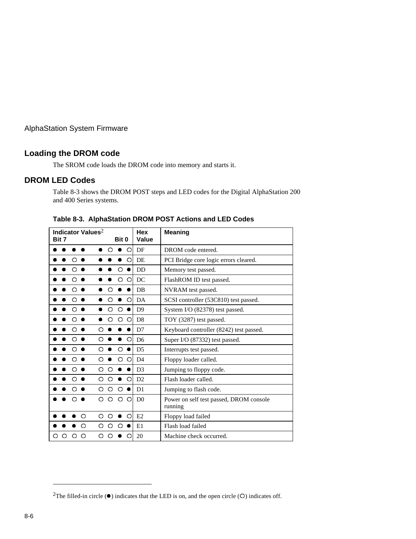#### **Loading the DROM code**

The SROM code loads the DROM code into memory and starts it.

#### **DROM LED Codes**

Table 8-3 shows the DROM POST steps and LED codes for the Digital AlphaStation 200 and 400 Series systems.

|   | Bit 7 |   | Indicator Values <sup>2</sup> |   |          | Bit 0     |           | Hex<br>Value   | <b>Meaning</b>                                     |
|---|-------|---|-------------------------------|---|----------|-----------|-----------|----------------|----------------------------------------------------|
|   |       |   |                               |   | $\circ$  | $\bullet$ | $\circ$   | DF             | DROM code entered.                                 |
|   |       |   |                               |   |          |           | $\circ$   | DE             | PCI Bridge core logic errors cleared.              |
|   |       | Ω |                               |   |          | Ω         |           | <b>DD</b>      | Memory test passed.                                |
|   |       | ∩ |                               |   |          | O         | O         | DC             | FlashROM ID test passed.                           |
|   |       |   |                               |   | ◠        |           |           | DB             | NVRAM test passed.                                 |
|   |       |   |                               |   | Ω        |           | $\Omega$  | DA             | SCSI controller (53C810) test passed.              |
|   |       |   |                               |   | Ω        | $\circ$   |           | D <sup>9</sup> | System I/O (82378) test passed.                    |
|   |       |   |                               |   | ∩        | $\circ$   | $\Omega$  | D <sub>8</sub> | TOY (3287) test passed.                            |
|   |       |   |                               | Ω |          |           |           | D7             | Keyboard controller (8242) test passed.            |
|   |       | ∩ |                               | Ω |          |           | O         | D <sub>6</sub> | Super I/O (87332) test passed.                     |
|   |       |   |                               | Ω |          | O         |           | D <sub>5</sub> | Interrupts test passed.                            |
|   |       |   |                               | Ω |          | O         | $\circ$   | D <sub>4</sub> | Floppy loader called.                              |
|   |       |   |                               | O | Ω        |           |           | D <sub>3</sub> | Jumping to floppy code.                            |
|   |       |   |                               | O | $\Omega$ |           | O         | D2             | Flash loader called.                               |
|   |       |   |                               | O | $\circ$  | $\circ$   | $\bullet$ | D <sub>1</sub> | Jumping to flash code.                             |
|   |       |   |                               | Ω | Ω        | $\circ$   | $\circ$   | D <sub>0</sub> | Power on self test passed, DROM console<br>running |
|   |       |   | Ω                             | O | O        |           | O         | E2             | Floppy load failed                                 |
|   |       |   | ∩                             | O | ◯        | ∩         |           | E1             | Flash load failed                                  |
| Ω | Ω     |   | Ω                             | Ω | ∩        |           | O         | 20             | Machine check occurred.                            |

**Table 8-3. AlphaStation DROM POST Actions and LED Codes**

 $\overline{a}$ 

<sup>&</sup>lt;sup>2</sup>The filled-in circle  $(①)$  indicates that the LED is on, and the open circle  $(①)$  indicates off.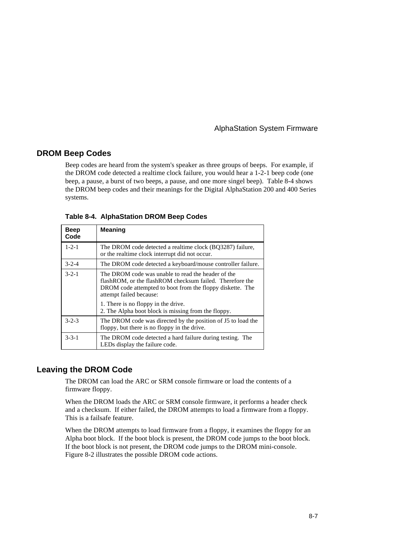#### **DROM Beep Codes**

Beep codes are heard from the system's speaker as three groups of beeps. For example, if the DROM code detected a realtime clock failure, you would hear a 1-2-1 beep code (one beep, a pause, a burst of two beeps, a pause, and one more singel beep). Table 8-4 shows the DROM beep codes and their meanings for the Digital AlphaStation 200 and 400 Series systems.

| <b>Beep</b><br>Code | <b>Meaning</b>                                                                                                                                                                                           |
|---------------------|----------------------------------------------------------------------------------------------------------------------------------------------------------------------------------------------------------|
| $1 - 2 - 1$         | The DROM code detected a realtime clock (BO3287) failure,<br>or the realtime clock interrupt did not occur.                                                                                              |
| $3 - 2 - 4$         | The DROM code detected a keyboard/mouse controller failure.                                                                                                                                              |
| $3 - 2 - 1$         | The DROM code was unable to read the header of the<br>flash ROM, or the flash ROM checksum failed. Therefore the<br>DROM code attempted to boot from the floppy diskette. The<br>attempt failed because: |
|                     | 1. There is no floppy in the drive.<br>2. The Alpha boot block is missing from the floppy.                                                                                                               |
| $3 - 2 - 3$         | The DROM code was directed by the position of J5 to load the<br>floppy, but there is no floppy in the drive.                                                                                             |
| $3 - 3 - 1$         | The DROM code detected a hard failure during testing. The<br>LEDs display the failure code.                                                                                                              |

**Table 8-4. AlphaStation DROM Beep Codes**

#### **Leaving the DROM Code**

The DROM can load the ARC or SRM console firmware or load the contents of a firmware floppy.

When the DROM loads the ARC or SRM console firmware, it performs a header check and a checksum. If either failed, the DROM attempts to load a firmware from a floppy. This is a failsafe feature.

When the DROM attempts to load firmware from a floppy, it examines the floppy for an Alpha boot block. If the boot block is present, the DROM code jumps to the boot block. If the boot block is not present, the DROM code jumps to the DROM mini-console. Figure 8-2 illustrates the possible DROM code actions.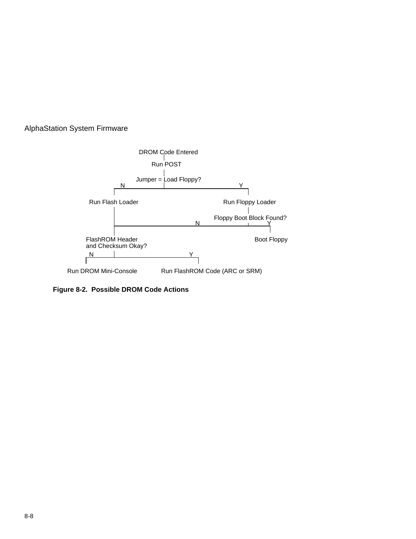

**Figure 8-2. Possible DROM Code Actions**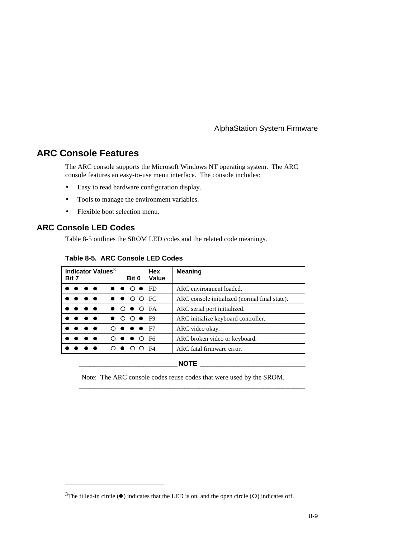# **ARC Console Features**

The ARC console supports the Microsoft Windows NT operating system. The ARC console features an easy-to-use menu interface. The console includes:

- Easy to read hardware configuration display.
- Tools to manage the environment variables.
- Flexible boot selection menu.

#### **ARC Console LED Codes**

 $\overline{a}$ 

Table 8-5 outlines the SROM LED codes and the related code meanings.

#### **Table 8-5. ARC Console LED Codes**

| Indicator Values <sup>3</sup><br>Bit 7 |                                                                                                        |                      | Bit 0 |                                                |                | Hex<br>Value                        | <b>Meaning</b> |                                               |                               |
|----------------------------------------|--------------------------------------------------------------------------------------------------------|----------------------|-------|------------------------------------------------|----------------|-------------------------------------|----------------|-----------------------------------------------|-------------------------------|
|                                        | $\bullet$ $\bullet$ $\circ$ $\bullet$ $\circ$<br>$\bullet\hspace{0.1cm} \bullet\hspace{0.1cm} \bullet$ |                      | FD    | ARC environment loaded.                        |                |                                     |                |                                               |                               |
|                                        |                                                                                                        | $\bullet\quadbullet$ |       | $\bullet \bullet \circ \circ \circ \text{IFC}$ |                |                                     |                | ARC console initialized (normal final state). |                               |
|                                        |                                                                                                        | .                    |       | $\bullet$ $\circ$ $\bullet$ $\circ$ IFA        |                |                                     |                | ARC serial port initialized.                  |                               |
| $\bullet$ 000<br>.                     |                                                                                                        |                      |       |                                                | F <sub>9</sub> | ARC initialize keyboard controller. |                |                                               |                               |
|                                        |                                                                                                        | .                    |       |                                                |                |                                     |                | $O \bullet \bullet \bullet 1$ F7              | ARC video okay.               |
|                                        |                                                                                                        |                      | .     |                                                |                | $O \bullet \bullet O$               |                | F6                                            | ARC broken video or keyboard. |
| $\circ$                                |                                                                                                        | $\bullet$ $\circ$    |       |                                                | F4             | ARC fatal firmware error.           |                |                                               |                               |

#### **\_\_\_\_\_\_\_\_\_\_\_\_\_\_\_\_\_\_\_\_\_\_\_\_\_\_NOTE \_\_\_\_\_\_\_\_\_\_\_\_\_\_\_\_\_\_\_\_\_\_\_\_\_\_\_\_**

**\_\_\_\_\_\_\_\_\_\_\_\_\_\_\_\_\_\_\_\_\_\_\_\_\_\_\_\_\_\_\_\_\_\_\_\_\_\_\_\_\_\_\_\_\_\_\_\_\_\_\_\_\_\_\_\_\_\_\_\_**

Note: The ARC console codes reuse codes that were used by the SROM.

 $3$ The filled-in circle ( $\bullet$ ) indicates that the LED is on, and the open circle (O) indicates off.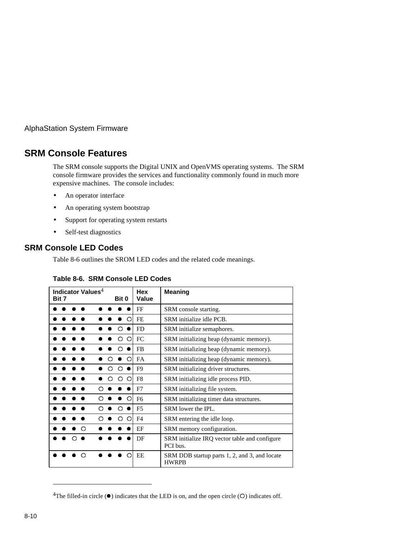# **SRM Console Features**

The SRM console supports the Digital UNIX and OpenVMS operating systems. The SRM console firmware provides the services and functionality commonly found in much more expensive machines. The console includes:

- An operator interface
- An operating system bootstrap
- Support for operating system restarts
- Self-test diagnostics

#### **SRM Console LED Codes**

Table 8-6 outlines the SROM LED codes and the related code meanings.

| Indicator Values <sup>4</sup><br>Bit 7 | Bit 0                   | <b>Hex</b><br>Value | <b>Meaning</b>                                                |  |  |
|----------------------------------------|-------------------------|---------------------|---------------------------------------------------------------|--|--|
|                                        |                         | FF                  | SRM console starting.                                         |  |  |
|                                        | Ω                       | <b>FE</b>           | SRM initialize idle PCB.                                      |  |  |
|                                        | ∩                       | <b>FD</b>           | SRM initialize semaphores.                                    |  |  |
|                                        | O<br>∩                  | <b>FC</b>           | SRM initializing heap (dynamic memory).                       |  |  |
|                                        | ∩                       | <b>FB</b>           | SRM initializing heap (dynamic memory).                       |  |  |
|                                        | Ω                       | FA                  | SRM initializing heap (dynamic memory).                       |  |  |
|                                        | Ω<br>∩                  | F <sub>9</sub>      | SRM initializing driver structures.                           |  |  |
|                                        | $\circ$<br>$\circ$<br>∩ | F8                  | SRM initializing idle process PID.                            |  |  |
| ∩                                      |                         | F7                  | SRM initializing file system.                                 |  |  |
|                                        | ◯                       | F <sub>6</sub>      | SRM initializing timer data structures.                       |  |  |
|                                        | ∩                       | F <sub>5</sub>      | SRM lower the IPL.                                            |  |  |
|                                        | ∩<br>Ω                  | F <sub>4</sub>      | SRM entering the idle loop.                                   |  |  |
| ◠                                      |                         | EF                  | SRM memory configuration.                                     |  |  |
|                                        |                         | DF                  | SRM initialize IRQ vector table and configure<br>PCI bus.     |  |  |
| ∩                                      | Ω                       | EE                  | SRM DDB startup parts 1, 2, and 3, and locate<br><b>HWRPB</b> |  |  |

#### **Table 8-6. SRM Console LED Codes**

 $\overline{a}$ 

<sup>&</sup>lt;sup>4</sup>The filled-in circle  $(①)$  indicates that the LED is on, and the open circle  $(①)$  indicates off.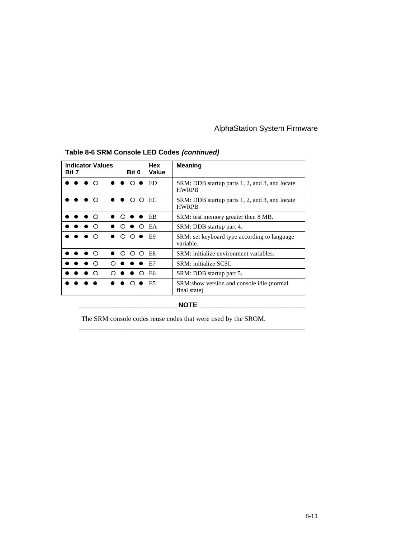| <b>Indicator Values</b><br>Bit 7 | Bit 0                                                                  | Hex<br>Value   | <b>Meaning</b>                                                 |  |  |
|----------------------------------|------------------------------------------------------------------------|----------------|----------------------------------------------------------------|--|--|
| $\bullet$ $\circ$                | $\bullet\hspace{0.4mm}\bullet\hspace{0.4mm}\circ\hspace{0.4mm}\bullet$ | ED             | SRM: DDB startup parts 1, 2, and 3, and locate<br><b>HWRPB</b> |  |  |
| ∩                                | $\circ$<br>∩                                                           | EC             | SRM: DDB startup parts 1, 2, and 3, and locate<br><b>HWRPB</b> |  |  |
| $\bullet$ $\circ$                |                                                                        | EB             | SRM: test memory greater then 8 MB.                            |  |  |
| ∩                                | $\bullet$ $\circ$                                                      | EA             | SRM: DDB startup part 4.                                       |  |  |
| ∩                                | ∩<br>∩                                                                 | E9             | SRM: set keyboard type according to language<br>variable.      |  |  |
| $\bullet$ $\circ$                | - 0<br>∩<br>◠                                                          | E <sub>8</sub> | SRM: initialize environment variables.                         |  |  |
|                                  |                                                                        | E7             | SRM: initialize SCSL                                           |  |  |
| ∩                                | $\bullet$ $\circ$                                                      | E <sub>6</sub> | SRM: DDB startup part 5.                                       |  |  |
|                                  | ◠                                                                      | E <sub>5</sub> | SRM:show version and console idle (normal)<br>final state)     |  |  |
| <b>NOTE</b>                      |                                                                        |                |                                                                |  |  |

# **Table 8-6 SRM Console LED Codes (continued)**

The SRM console codes reuse codes that were used by the SROM.

**\_\_\_\_\_\_\_\_\_\_\_\_\_\_\_\_\_\_\_\_\_\_\_\_\_\_\_\_\_\_\_\_\_\_\_\_\_\_\_\_\_\_\_\_\_\_\_\_\_\_\_\_\_\_\_\_\_\_\_\_**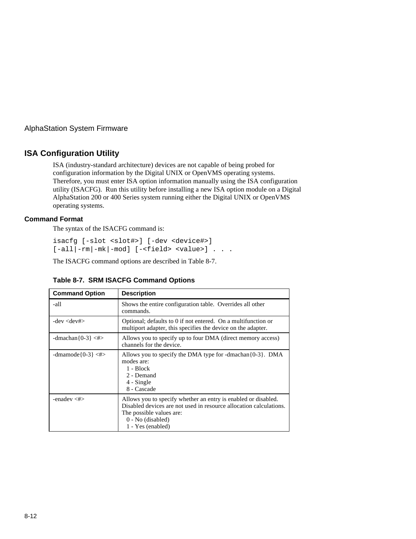#### **ISA Configuration Utility**

ISA (industry-standard architecture) devices are not capable of being probed for configuration information by the Digital UNIX or OpenVMS operating systems. Therefore, you must enter ISA option information manually using the ISA configuration utility (ISACFG). Run this utility before installing a new ISA option module on a Digital AlphaStation 200 or 400 Series system running either the Digital UNIX or OpenVMS operating systems.

#### **Command Format**

The syntax of the ISACFG command is:

isacfg [-slot <slot#>] [-dev <device#>]  $[-all]-rm|-mk|-mod]$  [-<field> <value>] . . .

The ISACFG command options are described in Table 8-7.

| <b>Command Option</b>    | <b>Description</b>                                                                                                                                                                                           |
|--------------------------|--------------------------------------------------------------------------------------------------------------------------------------------------------------------------------------------------------------|
| -all                     | Shows the entire configuration table. Overrides all other<br>commands.                                                                                                                                       |
| $-dev <$ dev# $>$        | Optional; defaults to 0 if not entered. On a multifunction or<br>multiport adapter, this specifies the device on the adapter.                                                                                |
| $-dmachan{0-3} \leq \#>$ | Allows you to specify up to four DMA (direct memory access)<br>channels for the device.                                                                                                                      |
| -dmamode ${0-3}$ <#>     | Allows you to specify the DMA type for -dmachan $\{0-3\}$ . DMA<br>modes are:<br>$1 - Block$<br>2 - Demand<br>4 - Single<br>8 - Cascade                                                                      |
| -enadev $\lt^{\#>}$      | Allows you to specify whether an entry is enabled or disabled.<br>Disabled devices are not used in resource allocation calculations.<br>The possible values are:<br>$0 - No$ (disabled)<br>1 - Yes (enabled) |

#### **Table 8-7. SRM ISACFG Command Options**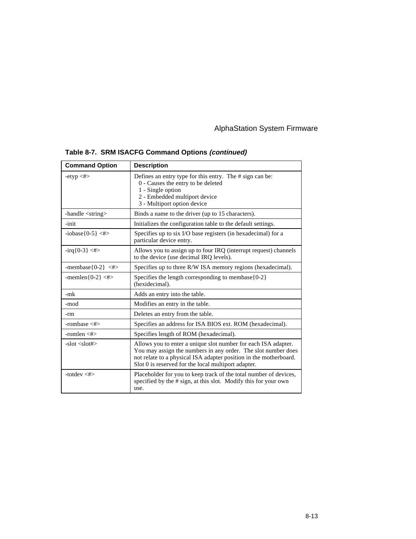| <b>Command Option</b>              | <b>Description</b>                                                                                                                                                                                                                                          |  |  |
|------------------------------------|-------------------------------------------------------------------------------------------------------------------------------------------------------------------------------------------------------------------------------------------------------------|--|--|
| $-$ etyp $\lt \#$                  | Defines an entry type for this entry. The # sign can be:<br>0 - Causes the entry to be deleted<br>1 - Single option<br>2 - Embedded multiport device<br>3 - Multiport option device                                                                         |  |  |
| -handle $\langle$ string $\rangle$ | Binds a name to the driver (up to 15 characters).                                                                                                                                                                                                           |  |  |
| -init                              | Initializes the configuration table to the default settings.                                                                                                                                                                                                |  |  |
| $-iobase(0-5) < \#>$               | Specifies up to six I/O base registers (in hexadecimal) for a<br>particular device entry.                                                                                                                                                                   |  |  |
| $-irq{0-3} < \#>$                  | Allows you to assign up to four IRQ (interrupt request) channels<br>to the device (use decimal IRQ levels).                                                                                                                                                 |  |  |
| -membase ${0-2}$ $\leq$ #>         | Specifies up to three R/W ISA memory regions (hexadecimal).                                                                                                                                                                                                 |  |  |
| -memlen ${0-2}$ <#>                | Specifies the length corresponding to membase ${0-2}$<br>(hexidecimal).                                                                                                                                                                                     |  |  |
| -mk                                | Adds an entry into the table.                                                                                                                                                                                                                               |  |  |
| -mod                               | Modifies an entry in the table.                                                                                                                                                                                                                             |  |  |
| -rm                                | Deletes an entry from the table.                                                                                                                                                                                                                            |  |  |
| -rombase $\lt\neq$                 | Specifies an address for ISA BIOS ext. ROM (hexadecimal).                                                                                                                                                                                                   |  |  |
| -romlen $\lt\neq$                  | Specifies length of ROM (hexadecimal).                                                                                                                                                                                                                      |  |  |
| $-$ slot $\langle$ slot# $\rangle$ | Allows you to enter a unique slot number for each ISA adapter.<br>You may assign the numbers in any order. The slot number does<br>not relate to a physical ISA adapter position in the motherboard.<br>Slot 0 is reserved for the local multiport adapter. |  |  |
| -totdey $\lt\neq$                  | Placeholder for you to keep track of the total number of devices,<br>specified by the # sign, at this slot. Modify this for your own<br>use.                                                                                                                |  |  |

# **Table 8-7. SRM ISACFG Command Options (continued)**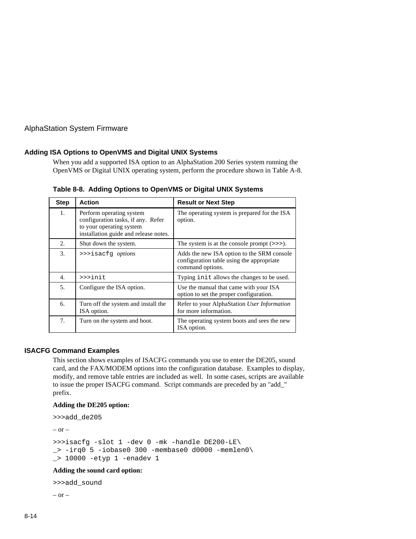#### **Adding ISA Options to OpenVMS and Digital UNIX Systems**

When you add a supported ISA option to an AlphaStation 200 Series system running the OpenVMS or Digital UNIX operating system, perform the procedure shown in Table A-8.

| <b>Step</b> | <b>Action</b>                                                                                                                       | <b>Result or Next Step</b>                                                                                  |
|-------------|-------------------------------------------------------------------------------------------------------------------------------------|-------------------------------------------------------------------------------------------------------------|
| 1.          | Perform operating system<br>configuration tasks, if any. Refer<br>to your operating system<br>installation guide and release notes. | The operating system is prepared for the ISA<br>option.                                                     |
| 2.          | Shut down the system.                                                                                                               | The system is at the console prompt $(\gg$ .                                                                |
| 3.          | >>>isacfq options                                                                                                                   | Adds the new ISA option to the SRM console<br>configuration table using the appropriate<br>command options. |
| 4.          | >>>init                                                                                                                             | Typing init allows the changes to be used.                                                                  |
| 5.          | Configure the ISA option.                                                                                                           | Use the manual that came with your ISA<br>option to set the proper configuration.                           |
| 6.          | Turn off the system and install the<br>ISA option.                                                                                  | Refer to your AlphaStation User Information<br>for more information.                                        |
| 7.          | Turn on the system and boot.                                                                                                        | The operating system boots and sees the new<br>ISA option.                                                  |

**Table 8-8. Adding Options to OpenVMS or Digital UNIX Systems**

#### **ISACFG Command Examples**

This section shows examples of ISACFG commands you use to enter the DE205, sound card, and the FAX/MODEM options into the configuration database. Examples to display, modify, and remove table entries are included as well. In some cases, scripts are available to issue the proper ISACFG command. Script commands are preceded by an "add\_" prefix.

#### **Adding the DE205 option:**

```
>>>add_de205
- or ->>>isacfg -slot 1 -dev 0 -mk -handle DE200-LE\
\supset -irq0 5 -iobase0 300 -membase0 d0000 -memlen0\
_> 10000 -etyp 1 -enadev 1
```
#### **Adding the sound card option:**

```
>>>add_sound
– or –
```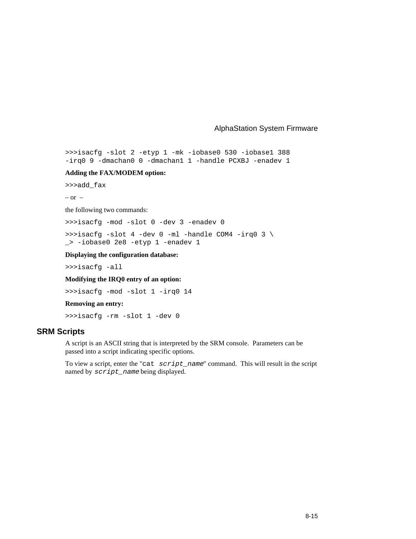>>>isacfg -slot 2 -etyp 1 -mk -iobase0 530 -iobase1 388 -irq0 9 -dmachan0 0 -dmachan1 1 -handle PCXBJ -enadev 1

#### **Adding the FAX/MODEM option:**

>>>add\_fax

 $-$  or  $-$ 

the following two commands:

>>>isacfg -mod -slot 0 -dev 3 -enadev 0

>>>isacfg -slot 4 -dev 0 -ml -handle COM4 -irq0 3  $\backslash$ \_> -iobase0 2e8 -etyp 1 -enadev 1

**Displaying the configuration database:**

>>>isacfg -all

**Modifying the IRQ0 entry of an option:**

>>>isacfg -mod -slot 1 -irq0 14

#### **Removing an entry:**

>>>isacfg -rm -slot 1 -dev 0

#### **SRM Scripts**

A script is an ASCII string that is interpreted by the SRM console. Parameters can be passed into a script indicating specific options.

To view a script, enter the "cat script\_name" command. This will result in the script named by script\_name being displayed.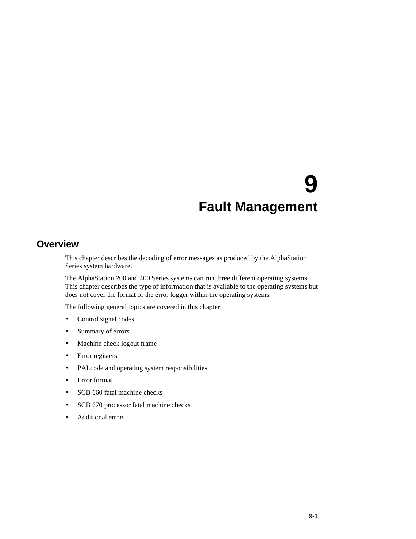# **9**

# **Fault Management**

# **Overview**

This chapter describes the decoding of error messages as produced by the AlphaStation Series system hardware.

The AlphaStation 200 and 400 Series systems can run three different operating systems. This chapter describes the type of information that is available to the operating systems but does not cover the format of the error logger within the operating systems.

The following general topics are covered in this chapter:

- Control signal codes
- Summary of errors
- Machine check logout frame
- Error registers
- PALcode and operating system responsibilities
- Error format
- SCB 660 fatal machine checks
- SCB 670 processor fatal machine checks
- Additional errors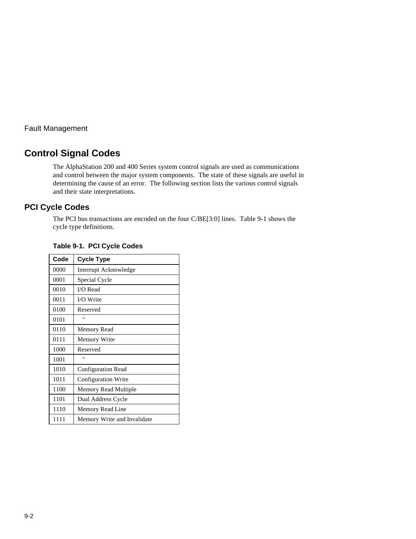# **Control Signal Codes**

The AlphaStation 200 and 400 Series system control signals are used as communications and control between the major system components. The state of these signals are useful in determining the cause of an error. The following section lists the various control signals and their state interpretations.

# **PCI Cycle Codes**

The PCI bus transactions are encoded on the four C/BE[3:0] lines. Table 9-1 shows the cycle type definitions.

| Code | <b>Cycle Type</b>           |
|------|-----------------------------|
| 0000 | Interrupt Acknowledge       |
| 0001 | Special Cycle               |
| 0010 | I/O Read                    |
| 0011 | I/O Write                   |
| 0100 | Reserved                    |
| 0101 | 'n                          |
| 0110 | Memory Read                 |
| 0111 | Memory Write                |
| 1000 | Reserved                    |
| 1001 | п                           |
| 1010 | <b>Configuration Read</b>   |
| 1011 | <b>Configuration Write</b>  |
| 1100 | Memory Read Multiple        |
| 1101 | Dual Address Cycle          |
| 1110 | Memory Read Line            |
| 1111 | Memory Write and Invalidate |

**Table 9-1. PCI Cycle Codes**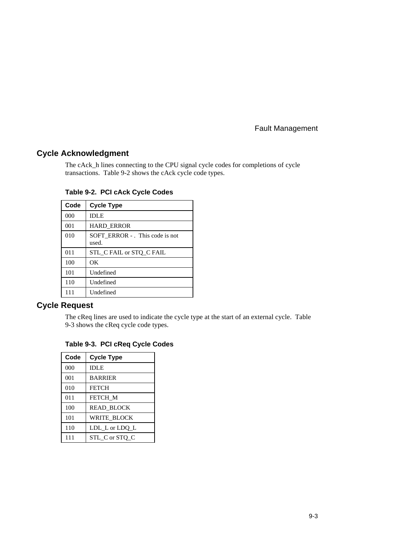#### **Cycle Acknowledgment**

The cAck\_h lines connecting to the CPU signal cycle codes for completions of cycle transactions. Table 9-2 shows the cAck cycle code types.

| Code | <b>Cycle Type</b>                        |
|------|------------------------------------------|
| 000  | <b>IDLE</b>                              |
| 001  | <b>HARD ERROR</b>                        |
| 010  | SOFT ERROR - . This code is not<br>used. |
| 011  | STL_C FAIL or STQ_C FAIL                 |
| 100  | OК                                       |
| 101  | Undefined                                |
| 110  | Undefined                                |
| 111  | Undefined                                |

**Table 9-2. PCI cAck Cycle Codes**

# **Cycle Request**

The cReq lines are used to indicate the cycle type at the start of an external cycle. Table 9-3 shows the cReq cycle code types.

| Code | <b>Cycle Type</b>  |
|------|--------------------|
| 000  | <b>IDLE</b>        |
| 001  | <b>BARRIER</b>     |
| 010  | <b>FETCH</b>       |
| 011  | FETCH M            |
| 100  | <b>READ BLOCK</b>  |
| 101  | <b>WRITE BLOCK</b> |
| 110  | LDL L or LDQ L     |
| 111  | STL C or STO C     |

**Table 9-3. PCI cReq Cycle Codes**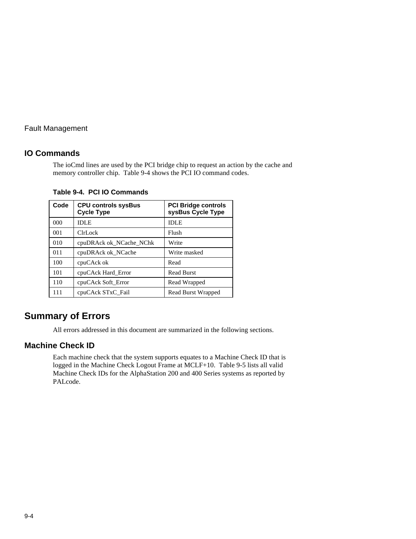#### **IO Commands**

The ioCmd lines are used by the PCI bridge chip to request an action by the cache and memory controller chip. Table 9-4 shows the PCI IO command codes.

| Code     | <b>CPU controls sysBus</b><br><b>Cycle Type</b> | <b>PCI Bridge controls</b><br>sysBus Cycle Type |
|----------|-------------------------------------------------|-------------------------------------------------|
| $000 \,$ | <b>IDLE</b>                                     | <b>IDLE</b>                                     |
| 001      | ClrLock                                         | Flush                                           |
| 010      | cpuDRAck ok NCache NChk                         | Write                                           |
| 011      | cpuDRAck ok_NCache                              | Write masked                                    |
| 100      | cpuCAck ok                                      | Read                                            |
| 101      | cpuCAck Hard Error                              | <b>Read Burst</b>                               |
| 110      | cpuCAck Soft Error                              | Read Wrapped                                    |
| 111      | cpuCAck STxC_Fail                               | Read Burst Wrapped                              |

**Table 9-4. PCI IO Commands**

# **Summary of Errors**

All errors addressed in this document are summarized in the following sections.

#### **Machine Check ID**

Each machine check that the system supports equates to a Machine Check ID that is logged in the Machine Check Logout Frame at MCLF+10. Table 9-5 lists all valid Machine Check IDs for the AlphaStation 200 and 400 Series systems as reported by PALcode.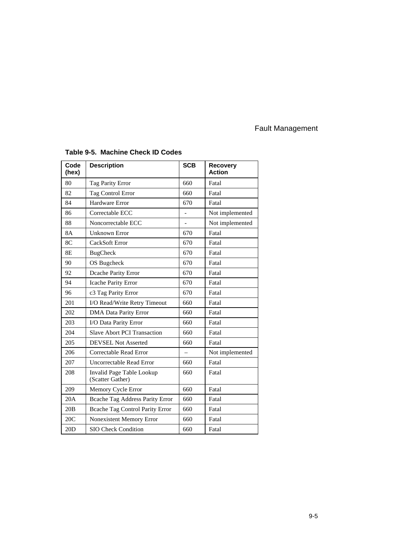| Code<br>(hex) | <b>Description</b>                            | <b>SCB</b> | <b>Recovery</b><br><b>Action</b> |  |
|---------------|-----------------------------------------------|------------|----------------------------------|--|
| 80            | Tag Parity Error                              | 660        | Fatal                            |  |
| 82            | <b>Tag Control Error</b>                      | 660        | Fatal                            |  |
| 84            | Hardware Error                                | 670        | Fatal                            |  |
| 86            | Correctable ECC                               |            | Not implemented                  |  |
| 88            | Noncorrectable ECC                            |            | Not implemented                  |  |
| <b>8A</b>     | <b>Unknown Error</b>                          | 670        | Fatal                            |  |
| 8C            | CackSoft Error                                | 670        | Fatal                            |  |
| 8E            | <b>BugCheck</b>                               | 670        | Fatal                            |  |
| 90            | OS Bugcheck                                   | 670        | Fatal                            |  |
| 92            | Dcache Parity Error                           | 670        | Fatal                            |  |
| 94            | Icache Parity Error                           | 670        | Fatal                            |  |
| 96            | c3 Tag Parity Error                           | 670        | Fatal                            |  |
| 201           | I/O Read/Write Retry Timeout                  | 660        | Fatal                            |  |
| 202           | DMA Data Parity Error                         | 660        | Fatal                            |  |
| 203           | I/O Data Parity Error                         | 660        | Fatal                            |  |
| 204           | <b>Slave Abort PCI Transaction</b>            | 660        | Fatal                            |  |
| 205           | <b>DEVSEL Not Asserted</b>                    | 660        | Fatal                            |  |
| 206           | Correctable Read Error                        |            | Not implemented                  |  |
| 207           | Uncorrectable Read Error                      | 660        | Fatal                            |  |
| 208           | Invalid Page Table Lookup<br>(Scatter Gather) | 660        | Fatal                            |  |
| 209           | Memory Cycle Error                            | 660        | Fatal                            |  |
| 20A           | Beache Tag Address Parity Error               | 660        | Fatal                            |  |
| 20B           | <b>Bcache Tag Control Parity Error</b>        | 660        | Fatal                            |  |
| 20C           | <b>Nonexistent Memory Error</b>               | 660        | Fatal                            |  |
| 20D           | <b>SIO Check Condition</b>                    | 660        | Fatal                            |  |

# **Table 9-5. Machine Check ID Codes**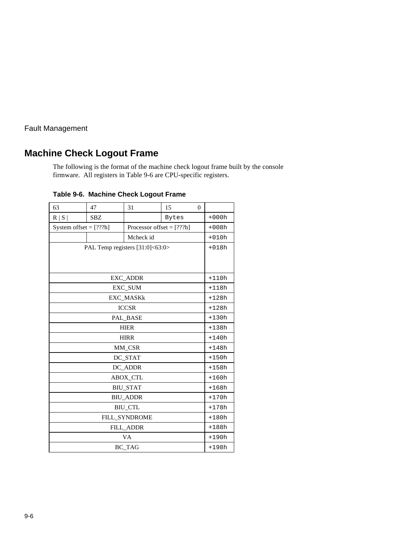# **Machine Check Logout Frame**

The following is the format of the machine check logout frame built by the console firmware. All registers in Table 9-6 are CPU-specific registers.

| 63                      | 47                              | 31               | 15    | $\theta$ |         |  |  |  |  |
|-------------------------|---------------------------------|------------------|-------|----------|---------|--|--|--|--|
| R   S                   | <b>SBZ</b>                      |                  | Bytes |          | $+000h$ |  |  |  |  |
| System offset $=[???h]$ | $+008h$                         |                  |       |          |         |  |  |  |  |
|                         |                                 | Mcheck id        |       |          | $+010h$ |  |  |  |  |
|                         | PAL Temp registers [31:0]<63:0> |                  |       |          |         |  |  |  |  |
|                         |                                 |                  |       |          |         |  |  |  |  |
|                         |                                 |                  |       |          |         |  |  |  |  |
|                         |                                 | EXC_ADDR         |       |          | $+110h$ |  |  |  |  |
|                         |                                 | EXC_SUM          |       |          | $+118h$ |  |  |  |  |
|                         |                                 | <b>EXC_MASKk</b> |       |          | $+128h$ |  |  |  |  |
|                         |                                 | <b>ICCSR</b>     |       |          | $+128h$ |  |  |  |  |
|                         |                                 | PAL_BASE         |       |          | $+130h$ |  |  |  |  |
|                         | $+138h$                         |                  |       |          |         |  |  |  |  |
|                         | <b>HIRR</b>                     |                  |       |          |         |  |  |  |  |
|                         |                                 | MM CSR           |       |          | $+148h$ |  |  |  |  |
|                         |                                 | DC_STAT          |       |          | $+150h$ |  |  |  |  |
|                         |                                 | DC_ADDR          |       |          | $+158h$ |  |  |  |  |
|                         |                                 | <b>ABOX_CTL</b>  |       |          | $+160h$ |  |  |  |  |
|                         |                                 | <b>BIU_STAT</b>  |       |          | $+168h$ |  |  |  |  |
|                         |                                 | <b>BIU_ADDR</b>  |       |          | $+170h$ |  |  |  |  |
|                         | <b>BIU CTL</b>                  |                  |       |          |         |  |  |  |  |
|                         | $+180h$                         |                  |       |          |         |  |  |  |  |
|                         | $+188h$                         |                  |       |          |         |  |  |  |  |
|                         |                                 | VA               |       |          | $+190h$ |  |  |  |  |
|                         |                                 | BC_TAG           |       |          | $+198h$ |  |  |  |  |

**Table 9-6. Machine Check Logout Frame**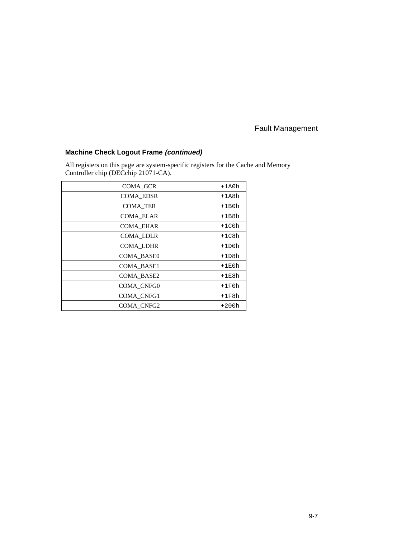# **Machine Check Logout Frame (continued)**

All registers on this page are system-specific registers for the Cache and Memory Controller chip (DECchip 21071-CA).

| <b>COMA GCR</b>   | $+1A0h$ |
|-------------------|---------|
| <b>COMA EDSR</b>  | $+1A8h$ |
| <b>COMA TER</b>   | $+1B0h$ |
| <b>COMA ELAR</b>  | $+1B8h$ |
| <b>COMA EHAR</b>  | $+1C0h$ |
| <b>COMA LDLR</b>  | $+1C8h$ |
| <b>COMA LDHR</b>  | $+1D0h$ |
| <b>COMA BASE0</b> | $+1D8h$ |
| <b>COMA BASE1</b> | $+1E0h$ |
| COMA BASE2        | $+1E8h$ |
| COMA_CNFG0        | $+1F0h$ |
| COMA CNFG1        | $+1F8h$ |
| COMA CNFG2        | $+200h$ |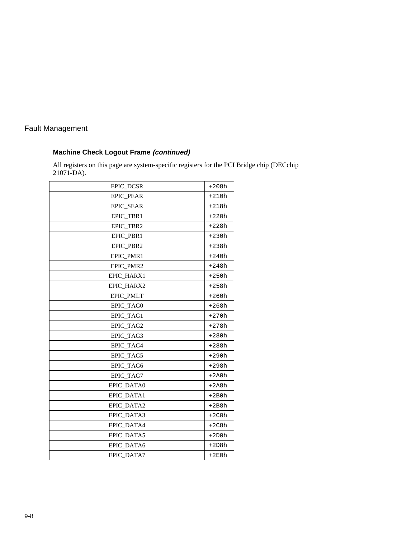# **Machine Check Logout Frame (continued)**

All registers on this page are system-specific registers for the PCI Bridge chip (DECchip 21071-DA).

| EPIC DCSR         | $+208h$ |
|-------------------|---------|
| <b>EPIC PEAR</b>  | $+210h$ |
| EPIC_SEAR         | $+218h$ |
| EPIC_TBR1         | $+220h$ |
| EPIC_TBR2         | $+228h$ |
| EPIC PBR1         | $+230h$ |
| EPIC_PBR2         | $+238h$ |
| EPIC PMR1         | $+240h$ |
| <b>EPIC PMR2</b>  | $+248h$ |
| EPIC_HARX1        | $+250h$ |
| EPIC HARX2        | $+258h$ |
| EPIC_PMLT         | $+260h$ |
| EPIC_TAG0         | $+268h$ |
| EPIC_TAG1         | $+270h$ |
| EPIC_TAG2         | $+278h$ |
| EPIC_TAG3         | $+280h$ |
| EPIC_TAG4         | $+288h$ |
| EPIC_TAG5         | $+290h$ |
| EPIC_TAG6         | $+298h$ |
| EPIC_TAG7         | $+2A0h$ |
| EPIC_DATA0        | $+2A8h$ |
| <b>EPIC DATA1</b> | $+2B0h$ |
| EPIC DATA2        | $+2B8h$ |
| EPIC DATA3        | $+2C0h$ |
| EPIC DATA4        | $+2C8h$ |
| EPIC_DATA5        | $+2D0h$ |
| EPIC_DATA6        | $+2D8h$ |
| <b>EPIC DATA7</b> | $+2E0h$ |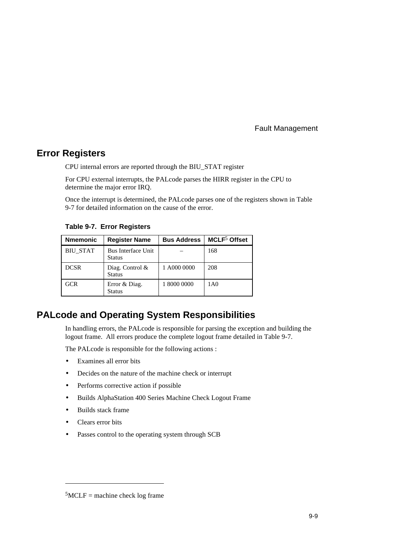# **Error Registers**

CPU internal errors are reported through the BIU\_STAT register

For CPU external interrupts, the PALcode parses the HIRR register in the CPU to determine the major error IRQ.

Once the interrupt is determined, the PALcode parses one of the registers shown in Table 9-7 for detailed information on the cause of the error.

**Table 9-7. Error Registers**

| <b>Nmemonic</b> | <b>Register Name</b>                       | <b>Bus Address</b> | MCLF <sup>5</sup> Offset |
|-----------------|--------------------------------------------|--------------------|--------------------------|
| <b>BIU STAT</b> | <b>Bus Interface Unit</b><br><b>Status</b> |                    | 168                      |
| <b>DCSR</b>     | Diag. Control $\&$<br><b>Status</b>        | 1 A000 0000        | 208                      |
| <b>GCR</b>      | Error & Diag.<br><b>Status</b>             | 1 8000 0000        | 1A <sub>0</sub>          |

# **PALcode and Operating System Responsibilities**

In handling errors, the PALcode is responsible for parsing the exception and building the logout frame. All errors produce the complete logout frame detailed in Table 9-7.

The PALcode is responsible for the following actions :

- Examines all error bits
- Decides on the nature of the machine check or interrupt
- Performs corrective action if possible
- Builds AlphaStation 400 Series Machine Check Logout Frame
- Builds stack frame
- Clears error bits

 $\overline{a}$ 

Passes control to the operating system through SCB

 $5MCLF =$  machine check log frame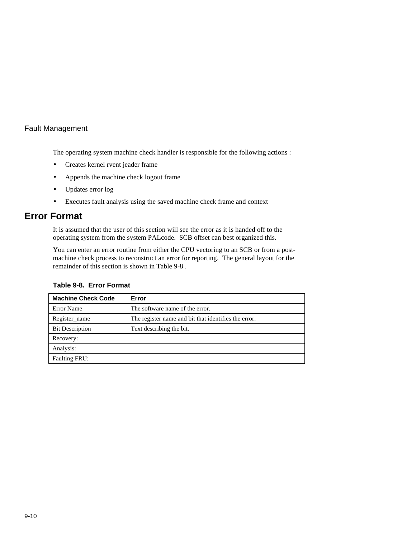The operating system machine check handler is responsible for the following actions :

- Creates kernel rvent jeader frame
- Appends the machine check logout frame
- Updates error log
- Executes fault analysis using the saved machine check frame and context

# **Error Format**

It is assumed that the user of this section will see the error as it is handed off to the operating system from the system PALcode. SCB offset can best organized this.

You can enter an error routine from either the CPU vectoring to an SCB or from a postmachine check process to reconstruct an error for reporting. The general layout for the remainder of this section is shown in Table 9-8 .

| <b>Machine Check Code</b> | Error                                                |
|---------------------------|------------------------------------------------------|
| Error Name                | The software name of the error.                      |
| Register name             | The register name and bit that identifies the error. |
| <b>Bit Description</b>    | Text describing the bit.                             |
| Recovery:                 |                                                      |
| Analysis:                 |                                                      |
| <b>Faulting FRU:</b>      |                                                      |

#### **Table 9-8. Error Format**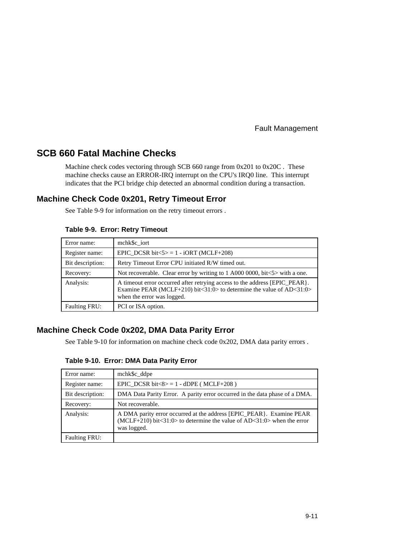# **SCB 660 Fatal Machine Checks**

Machine check codes vectoring through SCB 660 range from 0x201 to 0x20C . These machine checks cause an ERROR-IRQ interrupt on the CPU's IRQ0 line. This interrupt indicates that the PCI bridge chip detected an abnormal condition during a transaction.

# **Machine Check Code 0x201, Retry Timeout Error**

See Table 9-9 for information on the retry timeout errors .

| Error name:          | mchk\$c iort                                                                                                                                                                          |
|----------------------|---------------------------------------------------------------------------------------------------------------------------------------------------------------------------------------|
| Register name:       | EPIC DCSR bit $5> = 1 - i$ ORT (MCLF+208)                                                                                                                                             |
| Bit description:     | Retry Timeout Error CPU initiated R/W timed out.                                                                                                                                      |
| Recovery:            | Not recoverable. Clear error by writing to 1 A000 0000, bit<5> with a one.                                                                                                            |
| Analysis:            | A timeout error occurred after retrying access to the address [EPIC_PEAR ].<br>Examine PEAR (MCLF+210) bit<31:0> to determine the value of $AD < 31:0>$<br>when the error was logged. |
| <b>Faulting FRU:</b> | PCI or ISA option.                                                                                                                                                                    |

#### **Table 9-9. Error: Retry Timeout**

# **Machine Check Code 0x202, DMA Data Parity Error**

See Table 9-10 for information on machine check code 0x202, DMA data parity errors .

**Table 9-10. Error: DMA Data Parity Error**

| Error name:          | mchk\$c_ddpe                                                                                                                                                               |
|----------------------|----------------------------------------------------------------------------------------------------------------------------------------------------------------------------|
| Register name:       | EPIC_DCSR bit<8> $= 1 -$ dDPE (MCLF+208)                                                                                                                                   |
| Bit description:     | DMA Data Parity Error. A parity error occurred in the data phase of a DMA.                                                                                                 |
| Recovery:            | Not recoverable.                                                                                                                                                           |
| Analysis:            | A DMA parity error occurred at the address [EPIC_PEAR }. Examine PEAR<br>$(MCLF+210)$ bit $\lt 31:0$ to determine the value of AD $\lt 31:0$ when the error<br>was logged. |
| <b>Faulting FRU:</b> |                                                                                                                                                                            |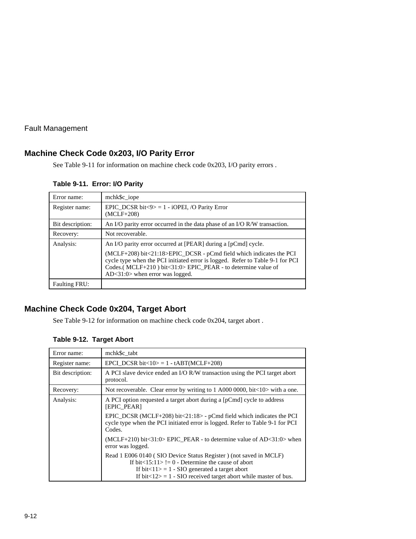# **Machine Check Code 0x203, I/O Parity Error**

See Table 9-11 for information on machine check code 0x203, I/O parity errors .

#### **Table 9-11. Error: I/O Parity**

| Error name:      | mchk\$c_iope                                                                                                                                                                                                                                               |
|------------------|------------------------------------------------------------------------------------------------------------------------------------------------------------------------------------------------------------------------------------------------------------|
| Register name:   | EPIC DCSR bit $\langle 9 \rangle = 1$ - iOPEI, /O Parity Error<br>$(MCLF+208)$                                                                                                                                                                             |
| Bit description: | An I/O parity error occurred in the data phase of an I/O R/W transaction.                                                                                                                                                                                  |
| Recovery:        | Not recoverable.                                                                                                                                                                                                                                           |
| Analysis:        | An I/O parity error occurred at [PEAR] during a [pCmd] cycle.                                                                                                                                                                                              |
|                  | (MCLF+208) bit<21:18>EPIC_DCSR - pCmd field which indicates the PCI<br>cycle type when the PCI initiated error is logged. Refer to Table 9-1 for PCI<br>Codes.(MCLF+210) bit<31:0> EPIC_PEAR - to determine value of<br>$AD < 31:0$ when error was logged. |
| Faulting FRU:    |                                                                                                                                                                                                                                                            |

# **Machine Check Code 0x204, Target Abort**

See Table 9-12 for information on machine check code 0x204, target abort .

| Error name:      | mchk\$c tabt                                                                                                                                                                                                                                                           |  |  |  |
|------------------|------------------------------------------------------------------------------------------------------------------------------------------------------------------------------------------------------------------------------------------------------------------------|--|--|--|
| Register name:   | EPCI DCSR bit<10> = $1 - tABT(MCLF+208)$                                                                                                                                                                                                                               |  |  |  |
| Bit description: | A PCI slave device ended an I/O R/W transaction using the PCI target abort<br>protocol.                                                                                                                                                                                |  |  |  |
| Recovery:        | Not recoverable. Clear error by writing to 1 A000 0000, bit $\lt 10$ with a one.                                                                                                                                                                                       |  |  |  |
| Analysis:        | A PCI option requested a target abort during a [pCmd] cycle to address<br><b>[EPIC PEAR]</b>                                                                                                                                                                           |  |  |  |
|                  | EPIC DCSR (MCLF+208) bit $<$ 21:18> - pCmd field which indicates the PCI<br>cycle type when the PCI initiated error is logged. Refer to Table 9-1 for PCI<br>Codes.                                                                                                    |  |  |  |
|                  | $(MCLF+210)$ bit $\lt 31:0$ EPIC PEAR - to determine value of AD $\lt 31:0$ when<br>error was logged.                                                                                                                                                                  |  |  |  |
|                  | Read 1 E006 0140 (SIO Device Status Register) (not saved in MCLF)<br>If bit $\lt 15:11$ = 0 - Determine the cause of abort<br>If bit $<$ 11 $>$ = 1 - SIO generated a target abort<br>If bit $\langle 12 \rangle = 1$ - SIO received target abort while master of bus. |  |  |  |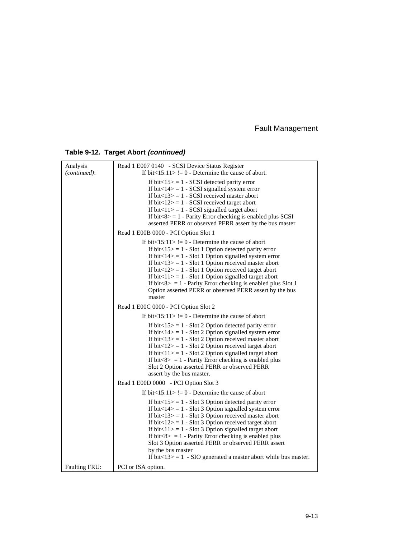# **Table 9-12. Target Abort (continued)**

| Analysis<br>(continued): | Read 1 E007 0140 - SCSI Device Status Register<br>If bit $\langle 15:11 \rangle = 0$ - Determine the cause of abort.                                                                                                                                                                                                                                                                                                                                                                                                                             |  |  |  |
|--------------------------|--------------------------------------------------------------------------------------------------------------------------------------------------------------------------------------------------------------------------------------------------------------------------------------------------------------------------------------------------------------------------------------------------------------------------------------------------------------------------------------------------------------------------------------------------|--|--|--|
|                          | If bit $<$ 15 $>$ = 1 - SCSI detected parity error<br>If bit $<$ 14 $>$ = 1 - SCSI signalled system error<br>If bit $<$ 13> = 1 - SCSI received master abort<br>If bit $<$ 12> = 1 - SCSI received target abort<br>If bit $\langle 11 \rangle = 1$ - SCSI signalled target abort<br>If bit $\langle 8 \rangle = 1$ - Parity Error checking is enabled plus SCSI<br>asserted PERR or observed PERR assert by the bus master                                                                                                                       |  |  |  |
|                          | Read 1 E00B 0000 - PCI Option Slot 1                                                                                                                                                                                                                                                                                                                                                                                                                                                                                                             |  |  |  |
|                          | If bit $\langle 15:11 \rangle = 0$ - Determine the cause of abort<br>If bit $\langle 15 \rangle = 1$ - Slot 1 Option detected parity error<br>If bit $<$ 14> = 1 - Slot 1 Option signalled system error<br>If bit $<$ 13> = 1 - Slot 1 Option received master abort<br>If bit $<$ 12> = 1 - Slot 1 Option received target abort<br>If $bit < 11 > 1 -$ Slot 1 Option signalled target abort<br>If bit $8 > 1$ - Parity Error checking is enabled plus Slot 1<br>Option asserted PERR or observed PERR assert by the bus<br>master                |  |  |  |
|                          | Read 1 E00C 0000 - PCI Option Slot 2                                                                                                                                                                                                                                                                                                                                                                                                                                                                                                             |  |  |  |
|                          | If bit $\langle 15:11 \rangle = 0$ - Determine the cause of abort                                                                                                                                                                                                                                                                                                                                                                                                                                                                                |  |  |  |
|                          | If $bit < 15 > 1$ - Slot 2 Option detected parity error<br>If bit $<$ 14> = 1 - Slot 2 Option signalled system error<br>If bit $<$ 13> = 1 - Slot 2 Option received master abort<br>If bit $<$ 12> = 1 - Slot 2 Option received target abort<br>If $bit < 11 > 1 -$ Slot 2 Option signalled target abort<br>If bit $\langle 8 \rangle = 1$ - Parity Error checking is enabled plus<br>Slot 2 Option asserted PERR or observed PERR<br>assert by the bus master.                                                                                  |  |  |  |
|                          | Read 1 E00D 0000 - PCI Option Slot 3                                                                                                                                                                                                                                                                                                                                                                                                                                                                                                             |  |  |  |
|                          | If bit $\langle 15:11 \rangle = 0$ - Determine the cause of abort                                                                                                                                                                                                                                                                                                                                                                                                                                                                                |  |  |  |
|                          | If bit $\langle 15 \rangle = 1$ - Slot 3 Option detected parity error<br>If bit $<$ 14> = 1 - Slot 3 Option signalled system error<br>If bit $<$ 13> = 1 - Slot 3 Option received master abort<br>If bit $<$ 12> = 1 - Slot 3 Option received target abort<br>If $bit < 11 > 1 -$ Slot 3 Option signalled target abort<br>If bit $8 > 1$ - Parity Error checking is enabled plus<br>Slot 3 Option asserted PERR or observed PERR assert<br>by the bus master<br>If bit $\langle 13 \rangle = 1$ - SIO generated a master abort while bus master. |  |  |  |
| Faulting FRU:            | PCI or ISA option.                                                                                                                                                                                                                                                                                                                                                                                                                                                                                                                               |  |  |  |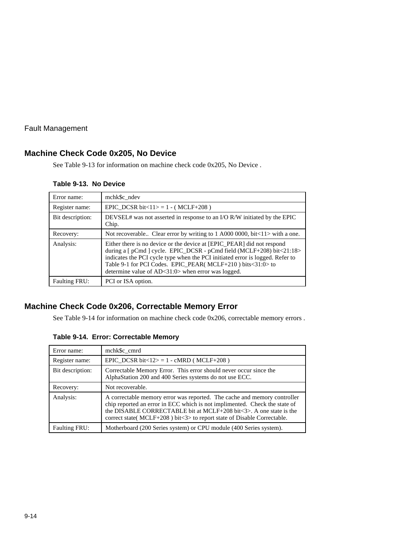# **Machine Check Code 0x205, No Device**

See Table 9-13 for information on machine check code 0x205, No Device .

#### **Table 9-13. No Device**

| Error name:          | mchk\$c ndev                                                                                                                                                                                                                                                                                                                                             |
|----------------------|----------------------------------------------------------------------------------------------------------------------------------------------------------------------------------------------------------------------------------------------------------------------------------------------------------------------------------------------------------|
| Register name:       | EPIC DCSR bit $<$ 11> = 1 - (MCLF+208)                                                                                                                                                                                                                                                                                                                   |
| Bit description:     | DEVSEL# was not asserted in response to an I/O R/W initiated by the EPIC<br>Chip.                                                                                                                                                                                                                                                                        |
| Recovery:            | Not recoverable Clear error by writing to 1 A000 0000, bit<11> with a one.                                                                                                                                                                                                                                                                               |
| Analysis:            | Either there is no device or the device at [EPIC_PEAR] did not respond<br>during a [ pCmd ] cycle. EPIC_DCSR - pCmd field (MCLF+208) bit<21:18><br>indicates the PCI cycle type when the PCI initiated error is logged. Refer to<br>Table 9-1 for PCI Codes. EPIC_PEAR( MCLF+210) bits<31:0> to<br>determine value of $AD < 31:0$ when error was logged. |
| <b>Faulting FRU:</b> | PCI or ISA option.                                                                                                                                                                                                                                                                                                                                       |

# **Machine Check Code 0x206, Correctable Memory Error**

See Table 9-14 for information on machine check code 0x206, correctable memory errors .

|  |  | Table 9-14. Error: Correctable Memory |  |
|--|--|---------------------------------------|--|
|--|--|---------------------------------------|--|

| Error name:          | mchk\$c cmrd                                                                                                                                                                                                                                                                                                   |
|----------------------|----------------------------------------------------------------------------------------------------------------------------------------------------------------------------------------------------------------------------------------------------------------------------------------------------------------|
| Register name:       | EPIC DCSR bit<12> = 1 - cMRD (MCLF+208)                                                                                                                                                                                                                                                                        |
| Bit description:     | Correctable Memory Error. This error should never occur since the<br>AlphaStation 200 and 400 Series systems do not use ECC.                                                                                                                                                                                   |
| Recovery:            | Not recoverable.                                                                                                                                                                                                                                                                                               |
| Analysis:            | A correctable memory error was reported. The cache and memory controller<br>chip reported an error in ECC which is not implimented. Check the state of<br>the DISABLE CORRECTABLE bit at MCLF+208 bit<3>. A one state is the<br>correct state( $MCLF+208$ ) bit $\lt3$ to report state of Disable Correctable. |
| <b>Faulting FRU:</b> | Motherboard (200 Series system) or CPU module (400 Series system).                                                                                                                                                                                                                                             |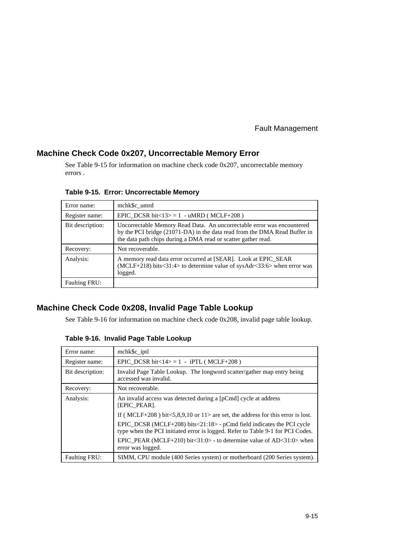#### **Machine Check Code 0x207, Uncorrectable Memory Error**

See Table 9-15 for information on machine check code 0x207, uncorrectable memory errors .

| Error name:          | mchk\$c umrd                                                                                                                                                                                                         |
|----------------------|----------------------------------------------------------------------------------------------------------------------------------------------------------------------------------------------------------------------|
| Register name:       | EPIC DCSR bit<13> = 1 - uMRD (MCLF+208)                                                                                                                                                                              |
| Bit description:     | Uncorrectable Memory Read Data. An uncorrectable error was encountered<br>by the PCI bridge (21071-DA) in the data read from the DMA Read Buffer in<br>the data path chips during a DMA read or scatter gather read. |
| Recovery:            | Not recoverable.                                                                                                                                                                                                     |
| Analysis:            | A memory read data error occurred at [SEAR]. Look at EPIC_SEAR<br>$(MCLF+218)$ bits $\langle 31:4 \rangle$ to determine value of sysAdr $\langle 33:6 \rangle$ when error was<br>logged.                             |
| <b>Faulting FRU:</b> |                                                                                                                                                                                                                      |

**Table 9-15. Error: Uncorrectable Memory**

# **Machine Check Code 0x208, Invalid Page Table Lookup**

See Table 9-16 for information on machine check code 0x208, invalid page table lookup.

| Error name:          | mchk\$c iptl                                                                                                                                            |  |
|----------------------|---------------------------------------------------------------------------------------------------------------------------------------------------------|--|
| Register name:       | EPIC DCSR bit $<14$ = 1 - iPTL (MCLF+208)                                                                                                               |  |
| Bit description:     | Invalid Page Table Lookup. The longword scatter/gather map entry being<br>accessed was invalid.                                                         |  |
| Recovery:            | Not recoverable.                                                                                                                                        |  |
| Analysis:            | An invalid access was detected during a [pCmd] cycle at address<br><b>[EPIC PEAR].</b>                                                                  |  |
|                      | If (MCLF+208) bit $\lt 5.8.9.10$ or 11> are set, the address for this error is lost.                                                                    |  |
|                      | EPIC_DCSR (MCLF+208) bits<21:18> - pCmd field indicates the PCI cycle<br>type when the PCI initiated error is logged. Refer to Table 9-1 for PCI Codes. |  |
|                      | EPIC_PEAR (MCLF+210) bit<31:0> - to determine value of AD<31:0> when<br>error was logged.                                                               |  |
| <b>Faulting FRU:</b> | SIMM, CPU module (400 Series system) or motherboard (200 Series system).                                                                                |  |

**Table 9-16. Invalid Page Table Lookup**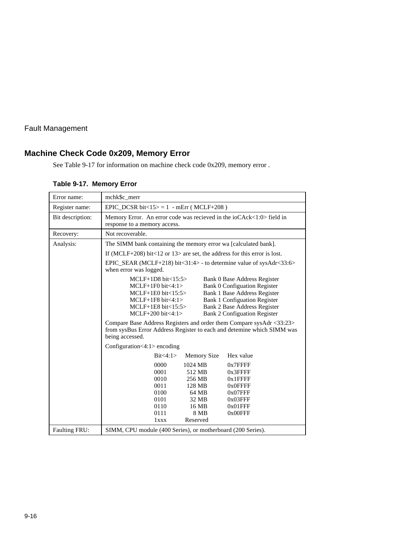# **Machine Check Code 0x209, Memory Error**

See Table 9-17 for information on machine check code 0x209, memory error .

#### **Table 9-17. Memory Error**

| Error name:      | mchk\$c merr                                                                                                                                                                                                                                                                                                                                                                                                                                                                                                                   |  |  |
|------------------|--------------------------------------------------------------------------------------------------------------------------------------------------------------------------------------------------------------------------------------------------------------------------------------------------------------------------------------------------------------------------------------------------------------------------------------------------------------------------------------------------------------------------------|--|--|
| Register name:   | EPIC DCSR bit<15> = 1 - mErr (MCLF+208)                                                                                                                                                                                                                                                                                                                                                                                                                                                                                        |  |  |
| Bit description: | Memory Error. An error code was recieved in the ioCAck<1:0> field in<br>response to a memory access.                                                                                                                                                                                                                                                                                                                                                                                                                           |  |  |
| Recovery:        | Not recoverable.                                                                                                                                                                                                                                                                                                                                                                                                                                                                                                               |  |  |
| Analysis:        | The SIMM bank containing the memory error wa [calculated bank].                                                                                                                                                                                                                                                                                                                                                                                                                                                                |  |  |
|                  | If (MCLF+208) bit<12 or $13$ are set, the address for this error is lost.                                                                                                                                                                                                                                                                                                                                                                                                                                                      |  |  |
|                  | EPIC_SEAR (MCLF+218) bit<31:4> - to determine value of sysAdr<33:6><br>when error was logged.                                                                                                                                                                                                                                                                                                                                                                                                                                  |  |  |
|                  | MCLF+1D8 bit<15:5><br>Bank 0 Base Address Register<br>$MCLF+1F0$ bit $\lt4:1$<br><b>Bank 0 Configuation Register</b><br>Bank 1 Base Address Register<br>$MCLF+1E0$ bit $<15:5>$<br>$MCLF+1F8 \text{ bit} < 4:1>$<br>Bank 1 Configuation Register<br>Bank 2 Base Address Register<br>$MCLF+1E8$ bit $<15:5>$<br><b>Bank 2 Configuation Register</b><br>$MCLF+200$ bit $<4:1>$<br>Compare Base Address Registers and order them Compare sysAdr <33:23><br>from sysBus Error Address Register to each and detemine which SIMM was |  |  |
|                  | being accessed.                                                                                                                                                                                                                                                                                                                                                                                                                                                                                                                |  |  |
|                  | Configuration $<$ 4:1 > encoding                                                                                                                                                                                                                                                                                                                                                                                                                                                                                               |  |  |
|                  | Bit < 4:1><br>Hex value<br><b>Memory Size</b>                                                                                                                                                                                                                                                                                                                                                                                                                                                                                  |  |  |
|                  | 0000<br>1024 MB<br>$0x7$ FFFF<br>0001<br>512 MB<br>$0x3$ FFFF<br>0010<br>256 MB<br>$0x1$ FFFF<br>0011<br>128 MB<br>0x0FFFF<br>0100<br>64 MB<br>$0x07$ FFF<br>0101<br>32 MB<br>0x03FFF<br>0110<br>16 MB<br>$0x01$ FFF<br>0111<br>8 MB<br>$0x00$ FFF<br>Reserved<br>1xxx                                                                                                                                                                                                                                                         |  |  |
| Faulting FRU:    | SIMM, CPU module (400 Series), or motherboard (200 Series).                                                                                                                                                                                                                                                                                                                                                                                                                                                                    |  |  |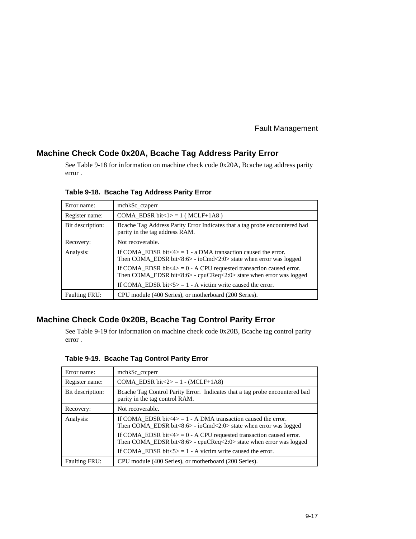#### **Machine Check Code 0x20A, Bcache Tag Address Parity Error**

See Table 9-18 for information on machine check code 0x20A, Bcache tag address parity error .

| Error name:          | mchk\$c_ctaperr                                                                                                                                                                      |  |
|----------------------|--------------------------------------------------------------------------------------------------------------------------------------------------------------------------------------|--|
| Register name:       | COMA_EDSR bit<1> $= 1$ (MCLF+1A8)                                                                                                                                                    |  |
| Bit description:     | Beache Tag Address Parity Error Indicates that a tag probe encountered bad<br>parity in the tag address RAM.                                                                         |  |
| Recovery:            | Not recoverable.                                                                                                                                                                     |  |
| Analysis:            | If COMA EDSR bit $\langle 4 \rangle = 1$ - a DMA transaction caused the error.<br>Then COMA EDSR bit $\langle 8:6 \rangle$ - ioCmd $\langle 2:0 \rangle$ state when error was logged |  |
|                      | If COMA_EDSR bit<4> = $0 - A$ CPU requested transaction caused error.<br>Then COMA_EDSR bit<8:6> - cpuCReq<2:0> state when error was logged                                          |  |
|                      | If COMA EDSR bit $5>$ = 1 - A victim write caused the error.                                                                                                                         |  |
| <b>Faulting FRU:</b> | CPU module (400 Series), or motherboard (200 Series).                                                                                                                                |  |

**Table 9-18. Bcache Tag Address Parity Error**

# **Machine Check Code 0x20B, Bcache Tag Control Parity Error**

See Table 9-19 for information on machine check code 0x20B, Bcache tag control parity error .

| Table 9-19. Bcache Tag Control Parity Error |  |
|---------------------------------------------|--|
|---------------------------------------------|--|

| Error name:          | mchk\$c_ctcperr                                                                                                                                              |
|----------------------|--------------------------------------------------------------------------------------------------------------------------------------------------------------|
| Register name:       | COMA EDSR bit $\langle 2 \rangle = 1$ - (MCLF+1A8)                                                                                                           |
| Bit description:     | Beache Tag Control Parity Error. Indicates that a tag probe encountered bad<br>parity in the tag control RAM.                                                |
| Recovery:            | Not recoverable.                                                                                                                                             |
| Analysis:            | If COMA_EDSR bit $\langle 4 \rangle = 1$ - A DMA transaction caused the error.<br>Then COMA EDSR bit $\lt 8:6$ - ioCmd $\lt 2:0$ state when error was logged |
|                      | If COMA_EDSR bit<4> = $0$ - A CPU requested transaction caused error.<br>Then COMA_EDSR bit<8:6> - cpuCReq<2:0> state when error was logged                  |
|                      | If COMA EDSR bit $5$ = 1 - A victim write caused the error.                                                                                                  |
| <b>Faulting FRU:</b> | CPU module (400 Series), or motherboard (200 Series).                                                                                                        |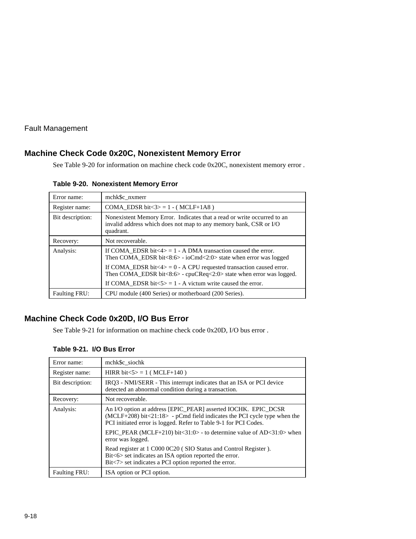# **Machine Check Code 0x20C, Nonexistent Memory Error**

See Table 9-20 for information on machine check code 0x20C, nonexistent memory error .

**Table 9-20. Nonexistent Memory Error**

| Error name:          | mchk\$c nxmerr                                                                                                                                                                       |  |
|----------------------|--------------------------------------------------------------------------------------------------------------------------------------------------------------------------------------|--|
| Register name:       | COMA EDSR bit $\langle 3 \rangle = 1$ - (MCLF+1A8)                                                                                                                                   |  |
| Bit description:     | Nonexistent Memory Error. Indicates that a read or write occurred to an<br>invalid address which does not map to any memory bank, CSR or I/O<br>quadrant.                            |  |
| Recovery:            | Not recoverable.                                                                                                                                                                     |  |
| Analysis:            | If COMA EDSR bit $\langle 4 \rangle = 1$ - A DMA transaction caused the error.<br>Then COMA EDSR bit $\langle 8:6 \rangle$ - ioCmd $\langle 2:0 \rangle$ state when error was logged |  |
|                      | If COMA_EDSR bit $\langle 4 \rangle = 0$ - A CPU requested transaction caused error.<br>Then COMA_EDSR bit<8:6> - cpuCReq<2:0> state when error was logged.                          |  |
|                      | If COMA EDSR bit $5$ = 1 - A victum write caused the error.                                                                                                                          |  |
| <b>Faulting FRU:</b> | CPU module (400 Series) or motherboard (200 Series).                                                                                                                                 |  |

# **Machine Check Code 0x20D, I/O Bus Error**

See Table 9-21 for information on machine check code 0x20D, I/O bus error .

| Error name:          | mchk\$c_siochk                                                                                                                                                                                                   |  |
|----------------------|------------------------------------------------------------------------------------------------------------------------------------------------------------------------------------------------------------------|--|
| Register name:       | HIRR bit $5 > 1$ (MCLF+140)                                                                                                                                                                                      |  |
| Bit description:     | IRQ3 - NMI/SERR - This interrupt indicates that an ISA or PCI device<br>detected an abnormal condition during a transaction.                                                                                     |  |
| Recovery:            | Not recoverable.                                                                                                                                                                                                 |  |
| Analysis:            | An I/O option at address [EPIC_PEAR] asserted IOCHK. EPIC_DCSR<br>$(MCLF+208)$ bit<21:18> - pCmd field indicates the PCI cycle type when the<br>PCI initiated error is logged. Refer to Table 9-1 for PCI Codes. |  |
|                      | EPIC PEAR (MCLF+210) bit $<$ 31:0> - to determine value of AD $<$ 31:0> when<br>error was logged.                                                                                                                |  |
|                      | Read register at 1 C000 0C20 (SIO Status and Control Register).<br>Bit<6> set indicates an ISA option reported the error.<br>Bit<7> set indicates a PCI option reported the error.                               |  |
| <b>Faulting FRU:</b> | ISA option or PCI option.                                                                                                                                                                                        |  |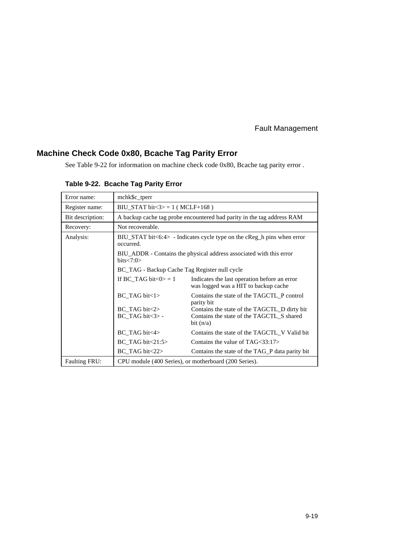# **Machine Check Code 0x80, Bcache Tag Parity Error**

See Table 9-22 for information on machine check code 0x80, Bcache tag parity error .

| Error name:          | mchk\$c_tperr                                                                             |                                                                                                          |  |
|----------------------|-------------------------------------------------------------------------------------------|----------------------------------------------------------------------------------------------------------|--|
| Register name:       | BIU STAT bit $3> = 1$ (MCLF+168)                                                          |                                                                                                          |  |
| Bit description:     | A backup cache tag probe encountered bad parity in the tag address RAM                    |                                                                                                          |  |
| Recovery:            | Not recoverable.                                                                          |                                                                                                          |  |
| Analysis:            | $BIU\_STAT$ bit $<6:4>$ - Indicates cycle type on the cReg h pins when error<br>occurred. |                                                                                                          |  |
|                      | BIU_ADDR - Contains the physical address associated with this error<br>bits < 7:0>        |                                                                                                          |  |
|                      | BC_TAG - Backup Cache Tag Register null cycle                                             |                                                                                                          |  |
|                      | If BC TAG bit $<0> = 1$                                                                   | Indicates the last operation before an error<br>was logged was a HIT to backup cache                     |  |
|                      | $BC$ TAG bit $\lt 1$                                                                      | Contains the state of the TAGCTL P control<br>parity bit                                                 |  |
|                      | $BC$ TAG bit $\langle 2 \rangle$<br>$BC$ TAG bit $\langle 3 \rangle$ -                    | Contains the state of the TAGCTL_D dirty bit<br>Contains the state of the TAGCTL_S shared<br>bit $(n/a)$ |  |
|                      | $BC$ TAG bit $\langle 4 \rangle$                                                          | Contains the state of the TAGCTL V Valid bit                                                             |  |
|                      | $BC$ TAG bit $\lt 21:5$                                                                   | Contains the value of $TAG<33:17>$                                                                       |  |
|                      | $BC$ TAG bit $\langle 22 \rangle$                                                         | Contains the state of the TAG P data parity bit                                                          |  |
| <b>Faulting FRU:</b> | CPU module (400 Series), or motherboard (200 Series).                                     |                                                                                                          |  |

**Table 9-22. Bcache Tag Parity Error**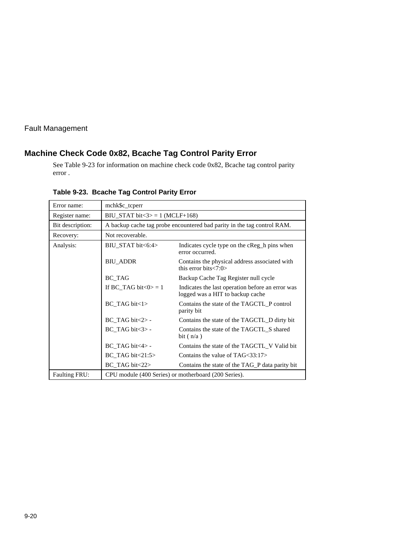# **Machine Check Code 0x82, Bcache Tag Control Parity Error**

See Table 9-23 for information on machine check code 0x82, Bcache tag control parity error .

| Error name:          | mchk\$c_tcperr                                                          |                                                                                      |
|----------------------|-------------------------------------------------------------------------|--------------------------------------------------------------------------------------|
| Register name:       | BIU_STAT bit $\langle 3 \rangle = 1$ (MCLF+168)                         |                                                                                      |
| Bit description:     | A backup cache tag probe encountered bad parity in the tag control RAM. |                                                                                      |
| Recovery:            | Not recoverable.                                                        |                                                                                      |
| Analysis:            | BIU_STAT bit<6:4>                                                       | Indicates cycle type on the cReg h pins when<br>error occurred.                      |
|                      | <b>BIU ADDR</b>                                                         | Contains the physical address associated with<br>this error bits $< 7:0>$            |
|                      | <b>BC_TAG</b>                                                           | Backup Cache Tag Register null cycle                                                 |
|                      | If BC_TAG bit $<0> = 1$                                                 | Indicates the last operation before an error was<br>logged was a HIT to backup cache |
|                      | $BC$ TAG bit $\langle 1 \rangle$                                        | Contains the state of the TAGCTL_P control<br>parity bit                             |
|                      | $BC$ TAG bit $\langle 2 \rangle$ -                                      | Contains the state of the TAGCTL D dirty bit                                         |
|                      | $BC$ TAG bit $\langle 3 \rangle$ -                                      | Contains the state of the TAGCTL S shared<br>bit $(n/a)$                             |
|                      | $BC$ TAG bit $\lt 4$ -                                                  | Contains the state of the TAGCTL V Valid bit                                         |
|                      | $BC\_TAG$ bit $\lt 21:5$                                                | Contains the value of $TAG<33:17>$                                                   |
|                      | $BC\_TAG$ bit $\langle 22 \rangle$                                      | Contains the state of the TAG P data parity bit                                      |
| <b>Faulting FRU:</b> | CPU module (400 Series) or motherboard (200 Series).                    |                                                                                      |

**Table 9-23. Bcache Tag Control Parity Error**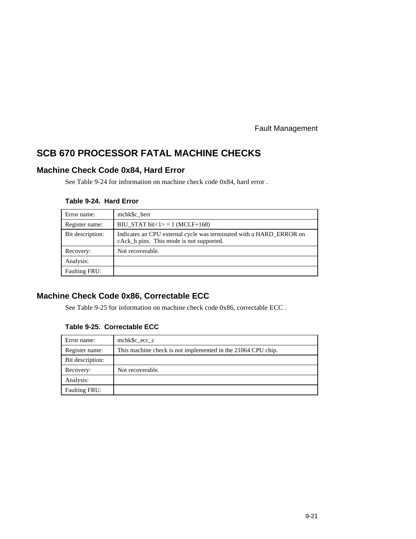# **SCB 670 PROCESSOR FATAL MACHINE CHECKS**

# **Machine Check Code 0x84, Hard Error**

See Table 9-24 for information on machine check code 0x84, hard error .

#### **Table 9-24. Hard Error**

| Error name:          | mchk\$c herr                                                                                                    |
|----------------------|-----------------------------------------------------------------------------------------------------------------|
| Register name:       | BIU_STAT bit $\lt 1$ = 1 (MCLF+168)                                                                             |
| Bit description:     | Indicates an CPU external cycle was terminated with a HARD_ERROR on<br>cAck_h pins. This mode is not supported. |
| Recovery:            | Not recoverable.                                                                                                |
| Analysis:            |                                                                                                                 |
| <b>Faulting FRU:</b> |                                                                                                                 |

# **Machine Check Code 0x86, Correctable ECC**

See Table 9-25 for information on machine check code 0x86, correctable ECC .

#### **Table 9-25. Correctable ECC**

| Error name:          | mchk\$c ecc c                                                |
|----------------------|--------------------------------------------------------------|
| Register name:       | This machine check is not implemented in the 21064 CPU chip. |
| Bit description:     |                                                              |
| Recovery:            | Not recoverable.                                             |
| Analysis:            |                                                              |
| <b>Faulting FRU:</b> |                                                              |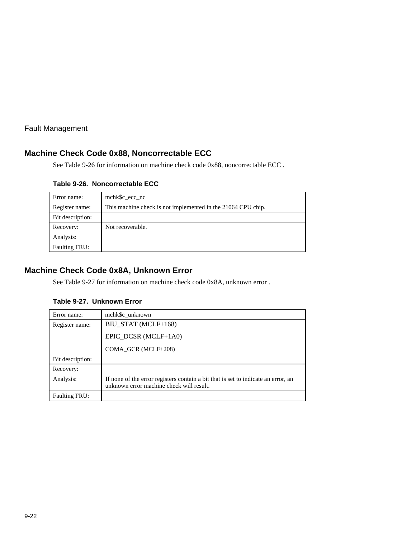#### **Machine Check Code 0x88, Noncorrectable ECC**

See Table 9-26 for information on machine check code 0x88, noncorrectable ECC .

| Error name:      | mchk\$c ecc nc                                               |
|------------------|--------------------------------------------------------------|
| Register name:   | This machine check is not implemented in the 21064 CPU chip. |
| Bit description: |                                                              |
| Recovery:        | Not recoverable.                                             |
| Analysis:        |                                                              |
| Faulting FRU:    |                                                              |

#### **Table 9-26. Noncorrectable ECC**

# **Machine Check Code 0x8A, Unknown Error**

See Table 9-27 for information on machine check code 0x8A, unknown error .

#### **Table 9-27. Unknown Error**

| Error name:      | mchk\$c unknown                                                                                                               |
|------------------|-------------------------------------------------------------------------------------------------------------------------------|
| Register name:   | BIU_STAT (MCLF+168)                                                                                                           |
|                  | EPIC DCSR (MCLF+1A0)                                                                                                          |
|                  | COMA GCR (MCLF+208)                                                                                                           |
| Bit description: |                                                                                                                               |
| Recovery:        |                                                                                                                               |
| Analysis:        | If none of the error registers contain a bit that is set to indicate an error, an<br>unknown error machine check will result. |
| Faulting FRU:    |                                                                                                                               |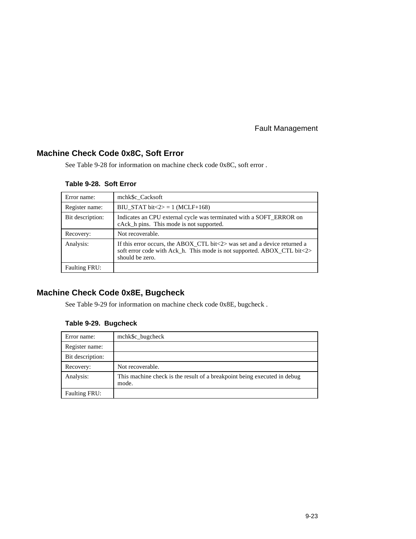# **Machine Check Code 0x8C, Soft Error**

See Table 9-28 for information on machine check code 0x8C, soft error .

#### **Table 9-28. Soft Error**

| Error name:          | mchk\$c Cacksoft                                                                                                                                                                         |
|----------------------|------------------------------------------------------------------------------------------------------------------------------------------------------------------------------------------|
| Register name:       | BIU_STAT bit $\langle 2 \rangle = 1$ (MCLF+168)                                                                                                                                          |
| Bit description:     | Indicates an CPU external cycle was terminated with a SOFT ERROR on<br>cAck_h pins. This mode is not supported.                                                                          |
| Recovery:            | Not recoverable.                                                                                                                                                                         |
| Analysis:            | If this error occurs, the ABOX CTL bit $\langle 2 \rangle$ was set and a device returned a<br>soft error code with Ack_h. This mode is not supported. ABOX_CTL bit<2><br>should be zero. |
| <b>Faulting FRU:</b> |                                                                                                                                                                                          |

# **Machine Check Code 0x8E, Bugcheck**

See Table 9-29 for information on machine check code 0x8E, bugcheck .

#### **Table 9-29. Bugcheck**

| Error name:          | mchk\$c_bugcheck                                                                  |
|----------------------|-----------------------------------------------------------------------------------|
| Register name:       |                                                                                   |
| Bit description:     |                                                                                   |
| Recovery:            | Not recoverable.                                                                  |
| Analysis:            | This machine check is the result of a breakpoint being executed in debug<br>mode. |
| <b>Faulting FRU:</b> |                                                                                   |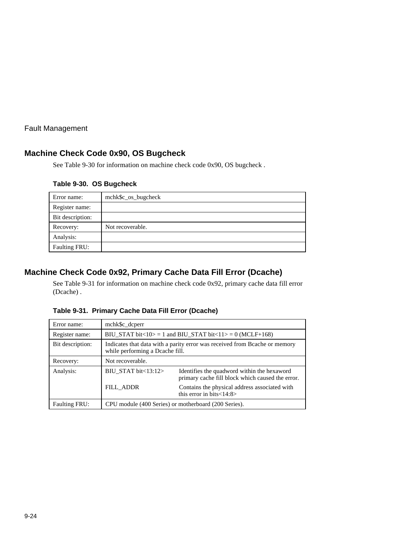# **Machine Check Code 0x90, OS Bugcheck**

See Table 9-30 for information on machine check code 0x90, OS bugcheck .

|  |  | Table 9-30. OS Bugcheck |  |
|--|--|-------------------------|--|
|--|--|-------------------------|--|

| Error name:      | mchk\$c_os_bugcheck |
|------------------|---------------------|
| Register name:   |                     |
| Bit description: |                     |
| Recovery:        | Not recoverable.    |
| Analysis:        |                     |
| Faulting FRU:    |                     |

# **Machine Check Code 0x92, Primary Cache Data Fill Error (Dcache)**

See Table 9-31 for information on machine check code 0x92, primary cache data fill error (Dcache) .

| Error name:          | mchk\$c_dcperr                                                                                                |                                                                                                 |  |  |  |
|----------------------|---------------------------------------------------------------------------------------------------------------|-------------------------------------------------------------------------------------------------|--|--|--|
| Register name:       | BIU_STAT bit<10> = 1 and BIU_STAT bit<11> = 0 (MCLF+168)                                                      |                                                                                                 |  |  |  |
| Bit description:     | Indicates that data with a parity error was received from Beache or memory<br>while performing a Dcache fill. |                                                                                                 |  |  |  |
| Recovery:            | Not recoverable.                                                                                              |                                                                                                 |  |  |  |
| Analysis:            | BIU STAT bit $<$ 13:12 $>$                                                                                    | Identifies the quadword within the hexaword<br>primary cache fill block which caused the error. |  |  |  |
|                      | <b>FILL ADDR</b>                                                                                              | Contains the physical address associated with<br>this error in bits $<$ 14:8>                   |  |  |  |
| <b>Faulting FRU:</b> | CPU module (400 Series) or motherboard (200 Series).                                                          |                                                                                                 |  |  |  |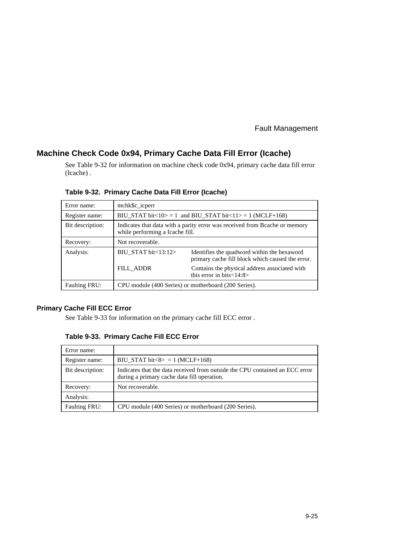#### **Machine Check Code 0x94, Primary Cache Data Fill Error (Icache)**

See Table 9-32 for information on machine check code 0x94, primary cache data fill error (Icache) .

| Error name:          | mchk\$c_icperr                                                                                                |                                                                                                 |  |  |  |
|----------------------|---------------------------------------------------------------------------------------------------------------|-------------------------------------------------------------------------------------------------|--|--|--|
| Register name:       | BIU_STAT bit<10> = 1 and BIU_STAT bit<11> = 1 (MCLF+168)                                                      |                                                                                                 |  |  |  |
| Bit description:     | Indicates that data with a parity error was received from Bcache or memory<br>while performing a Icache fill. |                                                                                                 |  |  |  |
| Recovery:            | Not recoverable.                                                                                              |                                                                                                 |  |  |  |
| Analysis:            | BIU_STAT bit<13:12>                                                                                           | Identifies the quadword within the hexaword<br>primary cache fill block which caused the error. |  |  |  |
|                      | <b>FILL ADDR</b>                                                                                              | Contains the physical address associated with<br>this error in bits $<$ 14:8>                   |  |  |  |
| <b>Faulting FRU:</b> | CPU module (400 Series) or motherboard (200 Series).                                                          |                                                                                                 |  |  |  |

**Table 9-32. Primary Cache Data Fill Error (Icache)**

#### **Primary Cache Fill ECC Error**

See Table 9-33 for information on the primary cache fill ECC error .

| Table 9-33. Primary Cache Fill ECC Error |  |  |  |  |  |
|------------------------------------------|--|--|--|--|--|
|------------------------------------------|--|--|--|--|--|

| Error name:          |                                                                                                                             |
|----------------------|-----------------------------------------------------------------------------------------------------------------------------|
| Register name:       | BIU_STAT bit $8 > 1$ (MCLF+168)                                                                                             |
| Bit description:     | Indicates that the data received from outside the CPU contained an ECC error<br>during a primary cache data fill operation. |
| Recovery:            | Not recoverable.                                                                                                            |
| Analysis:            |                                                                                                                             |
| <b>Faulting FRU:</b> | CPU module (400 Series) or motherboard (200 Series).                                                                        |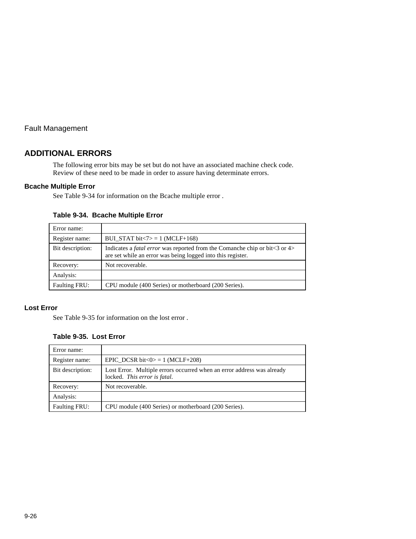#### **ADDITIONAL ERRORS**

The following error bits may be set but do not have an associated machine check code. Review of these need to be made in order to assure having determinate errors.

#### **Bcache Multiple Error**

See Table 9-34 for information on the Bcache multiple error .

**Table 9-34. Bcache Multiple Error**

| Error name:          |                                                                                                                                                        |
|----------------------|--------------------------------------------------------------------------------------------------------------------------------------------------------|
| Register name:       | BUI STAT bit $\langle 7 \rangle = 1$ (MCLF+168)                                                                                                        |
| Bit description:     | Indicates a <i>fatal error</i> was reported from the Comanche chip or bit $\lt$ 3 or 4><br>are set while an error was being logged into this register. |
| Recovery:            | Not recoverable.                                                                                                                                       |
| Analysis:            |                                                                                                                                                        |
| <b>Faulting FRU:</b> | CPU module (400 Series) or motherboard (200 Series).                                                                                                   |

#### **Lost Error**

See Table 9-35 for information on the lost error .

#### **Table 9-35. Lost Error**

| Error name:          |                                                                                                        |
|----------------------|--------------------------------------------------------------------------------------------------------|
| Register name:       | EPIC DCSR bit $\langle 0 \rangle = 1$ (MCLF+208)                                                       |
| Bit description:     | Lost Error. Multiple errors occurred when an error address was already<br>locked. This error is fatal. |
| Recovery:            | Not recoverable.                                                                                       |
| Analysis:            |                                                                                                        |
| <b>Faulting FRU:</b> | CPU module (400 Series) or motherboard (200 Series).                                                   |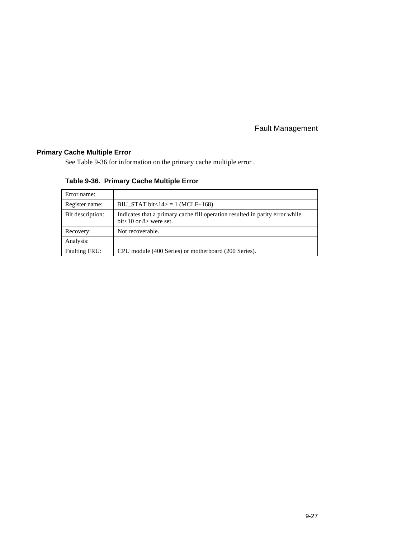# **Primary Cache Multiple Error**

See Table 9-36 for information on the primary cache multiple error .

| Table 9-36. Primary Cache Multiple Error |  |  |  |  |
|------------------------------------------|--|--|--|--|
|------------------------------------------|--|--|--|--|

| Error name:          |                                                                                                               |
|----------------------|---------------------------------------------------------------------------------------------------------------|
| Register name:       | BIU STAT bit $<$ 14 $>$ = 1 (MCLF+168)                                                                        |
| Bit description:     | Indicates that a primary cache fill operation resulted in parity error while<br>bit $<$ 10 or 8 $>$ were set. |
| Recovery:            | Not recoverable.                                                                                              |
| Analysis:            |                                                                                                               |
| <b>Faulting FRU:</b> | CPU module (400 Series) or motherboard (200 Series).                                                          |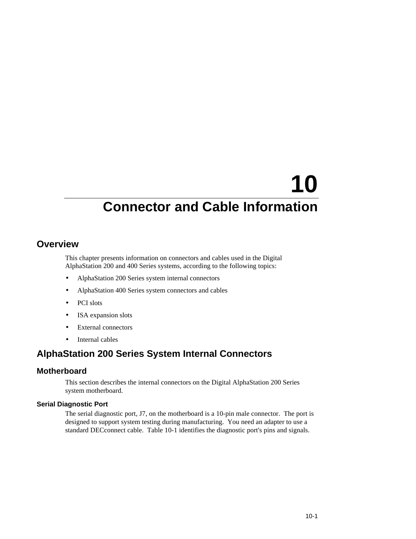# **Overview**

This chapter presents information on connectors and cables used in the Digital AlphaStation 200 and 400 Series systems, according to the following topics:

- AlphaStation 200 Series system internal connectors
- AlphaStation 400 Series system connectors and cables
- PCI slots
- ISA expansion slots
- External connectors
- Internal cables

# **AlphaStation 200 Series System Internal Connectors**

#### **Motherboard**

This section describes the internal connectors on the Digital AlphaStation 200 Series system motherboard.

#### **Serial Diagnostic Port**

The serial diagnostic port, J7, on the motherboard is a 10-pin male connector. The port is designed to support system testing during manufacturing. You need an adapter to use a standard DECconnect cable. Table 10-1 identifies the diagnostic port's pins and signals.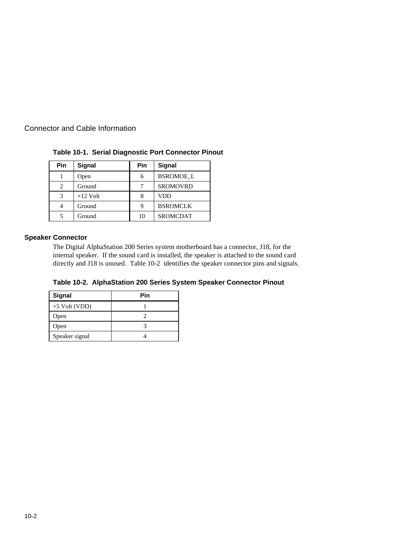| <b>Pin</b> | <b>Signal</b> | Pin | <b>Signal</b>    |
|------------|---------------|-----|------------------|
|            | Open          | 6   | <b>BSROMOE L</b> |
| 2          | Ground        |     | <b>SROMOVRD</b>  |
| 3          | $+12$ Volt    |     | VDD              |
|            | Ground        |     | <b>BSROMCLK</b>  |
|            | Ground        | 10  | <b>SROMCDAT</b>  |

**Table 10-1. Serial Diagnostic Port Connector Pinout**

#### **Speaker Connector**

The Digital AlphaStation 200 Series system motherboard has a connector, J18, for the internal speaker. If the sound card is installed, the speaker is attached to the sound card directly and J18 is unused. Table 10-2 identifies the speaker connector pins and signals.

**Table 10-2. AlphaStation 200 Series System Speaker Connector Pinout**

| <b>Signal</b>   | Pin |
|-----------------|-----|
| $+5$ Volt (VDD) |     |
| Open            |     |
| Open            |     |
| Speaker signal  |     |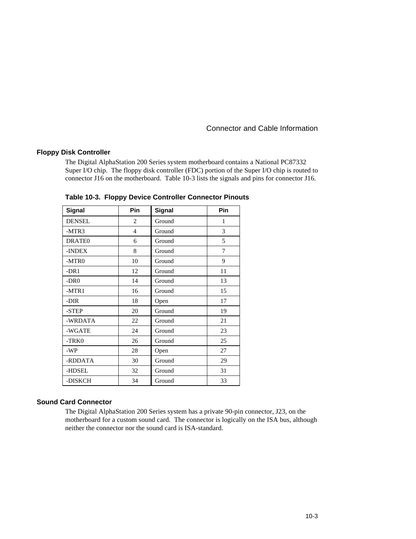#### **Floppy Disk Controller**

The Digital AlphaStation 200 Series system motherboard contains a National PC87332 Super I/O chip. The floppy disk controller (FDC) portion of the Super I/O chip is routed to connector J16 on the motherboard. Table 10-3 lists the signals and pins for connector J16.

| Signal             | Pin            | <b>Signal</b> | Pin |
|--------------------|----------------|---------------|-----|
| <b>DENSEL</b>      | 2              | Ground        | 1   |
| -MTR3              | $\overline{4}$ | Ground        | 3   |
| DRATE <sub>0</sub> | 6              | Ground        | 5   |
| -INDEX             | 8              | Ground        | 7   |
| -MTR <sub>0</sub>  | 10             | Ground        | 9   |
| $-DR1$             | 12             | Ground        | 11  |
| $-DR0$             | 14             | Ground        | 13  |
| $-MTR1$            | 16             | Ground        | 15  |
| -DIR               | 18             | Open          | 17  |
| -STEP              | 20             | Ground        | 19  |
| -WRDATA            | 22             | Ground        | 21  |
| -WGATE             | 24             | Ground        | 23  |
| -TRK0              | 26             | Ground        | 25  |
| -WP                | 28             | Open          | 27  |
| -RDDATA            | 30             | Ground        | 29  |
| -HDSEL             | 32             | Ground        | 31  |
| -DISKCH            | 34             | Ground        | 33  |

**Table 10-3. Floppy Device Controller Connector Pinouts**

#### **Sound Card Connector**

The Digital AlphaStation 200 Series system has a private 90-pin connector, J23, on the motherboard for a custom sound card. The connector is logically on the ISA bus, although neither the connector nor the sound card is ISA-standard.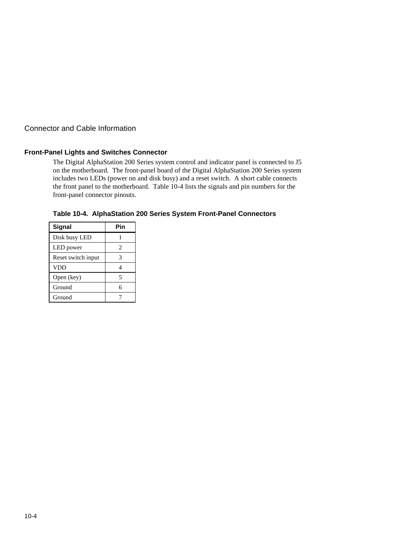#### **Front-Panel Lights and Switches Connector**

The Digital AlphaStation 200 Series system control and indicator panel is connected to J5 on the motherboard. The front-panel board of the Digital AlphaStation 200 Series system includes two LEDs (power on and disk busy) and a reset switch. A short cable connects the front panel to the motherboard. Table 10-4 lists the signals and pin numbers for the front-panel connector pinouts.

| Signal             | Pin |
|--------------------|-----|
| Disk busy LED      |     |
| LED power          | 2   |
| Reset switch input | 3   |
| <b>VDD</b>         |     |
| Open (key)         | 5   |
| Ground             | 6   |
| Ground             |     |

**Table 10-4. AlphaStation 200 Series System Front-Panel Connectors**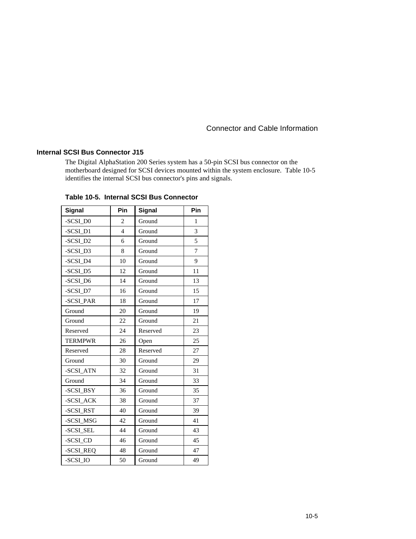#### **Internal SCSI Bus Connector J15**

The Digital AlphaStation 200 Series system has a 50-pin SCSI bus connector on the motherboard designed for SCSI devices mounted within the system enclosure. Table 10-5 identifies the internal SCSI bus connector's pins and signals.

| Signal         | Pin            | Signal       | Pin |
|----------------|----------------|--------------|-----|
| -SCSI D0       | $\overline{c}$ | Ground       | 1   |
| -SCSI D1       | $\overline{4}$ | Ground       | 3   |
| -SCSI D2       | 6              | Ground       | 5   |
| -SCSI_D3       | 8              | Ground       | 7   |
| -SCSI D4       | 10             | Ground       | 9   |
| -SCSI D5       | 12             | Ground       | 11  |
| -SCSI_D6       | 14             | Ground       | 13  |
| -SCSI D7       | 16             | Ground       | 15  |
| -SCSI PAR      | 18             | Ground       | 17  |
| Ground         | 20             | Ground       | 19  |
| Ground         | 22             | Ground       | 21  |
| Reserved       | 24             | Reserved     | 23  |
| <b>TERMPWR</b> | 26             | Open         | 25  |
| Reserved       | 28             | Reserved     | 27  |
| Ground         | 30             | Ground       | 29  |
| -SCSI_ATN      | 32             | Ground       | 31  |
| Ground         | 34             | Ground       | 33  |
| -SCSI_BSY      | 36             | Ground       | 35  |
| -SCSI_ACK      | 38             | Ground       | 37  |
| -SCSI_RST      | 40             | Ground       | 39  |
| -SCSI_MSG      | 42             | Ground       | 41  |
| -SCSI_SEL      | 44             | Ground       | 43  |
| -SCSI_CD       | 46             | Ground       | 45  |
| -SCSI REQ      | 48             | 47<br>Ground |     |
| -SCSI IO       | 50             | 49<br>Ground |     |

**Table 10-5. Internal SCSI Bus Connector**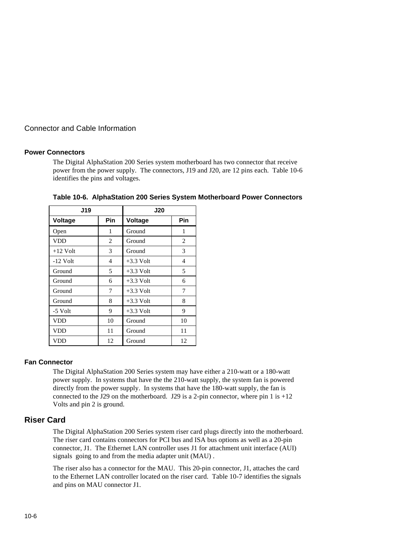#### **Power Connectors**

The Digital AlphaStation 200 Series system motherboard has two connector that receive power from the power supply. The connectors, J19 and J20, are 12 pins each. Table 10-6 identifies the pins and voltages.

| <b>J19</b> |     | J20            |    |  |
|------------|-----|----------------|----|--|
| Voltage    | Pin | Voltage<br>Pin |    |  |
| Open       | 1   | Ground         | 1  |  |
| VDD        | 2   | Ground         | 2  |  |
| $+12$ Volt | 3   | Ground         | 3  |  |
| $-12$ Volt | 4   | $+3.3$ Volt    | 4  |  |
| Ground     | 5   | $+3.3$ Volt    | 5  |  |
| Ground     | 6   | $+3.3$ Volt    | 6  |  |
| Ground     | 7   | $+3.3$ Volt    | 7  |  |
| Ground     | 8   | $+3.3$ Volt    | 8  |  |
| -5 Volt    | 9   | $+3.3$ Volt    | 9  |  |
| <b>VDD</b> | 10  | Ground         | 10 |  |
| VDD        | 11  | Ground         | 11 |  |
| <b>VDD</b> | 12  | Ground         | 12 |  |

**Table 10-6. AlphaStation 200 Series System Motherboard Power Connectors**

#### **Fan Connector**

The Digital AlphaStation 200 Series system may have either a 210-watt or a 180-watt power supply. In systems that have the the 210-watt supply, the system fan is powered directly from the power supply. In systems that have the 180-watt supply, the fan is connected to the J29 on the motherboard. J29 is a 2-pin connector, where pin 1 is  $+12$ Volts and pin 2 is ground.

#### **Riser Card**

The Digital AlphaStation 200 Series system riser card plugs directly into the motherboard. The riser card contains connectors for PCI bus and ISA bus options as well as a 20-pin connector, J1. The Ethernet LAN controller uses J1 for attachment unit interface (AUI) signals going to and from the media adapter unit (MAU) .

The riser also has a connector for the MAU. This 20-pin connector, J1, attaches the card to the Ethernet LAN controller located on the riser card. Table 10-7 identifies the signals and pins on MAU connector J1.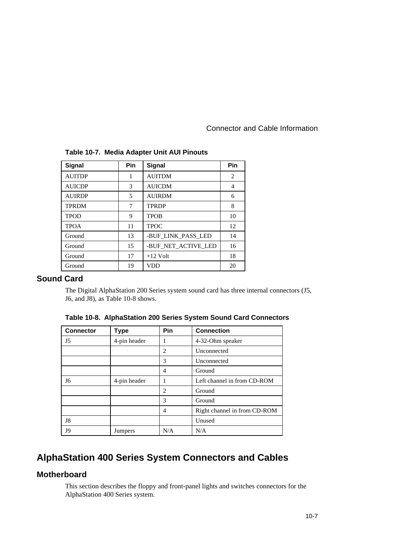| <b>Signal</b> | <b>Pin</b> | Signal              | Pin |
|---------------|------------|---------------------|-----|
| <b>AUITDP</b> | 1          | <b>AUITDM</b>       | 2   |
| <b>AUICDP</b> | 3          | <b>AUICDM</b>       | 4   |
| <b>AURDP</b>  | 5          | <b>AURDM</b>        | 6   |
| <b>TPRDM</b>  | 7          | <b>TPRDP</b>        | 8   |
| <b>TPOD</b>   | 9          | <b>TPOB</b>         | 10  |
| <b>TPOA</b>   | 11         | <b>TPOC</b>         | 12  |
| Ground        | 13         | -BUF LINK PASS LED  | 14  |
| Ground        | 15         | -BUF NET ACTIVE LED | 16  |
| Ground        | 17         | $+12$ Volt          | 18  |
| Ground        | 19         | VDD                 | 20  |

#### **Table 10-7. Media Adapter Unit AUI Pinouts**

# **Sound Card**

The Digital AlphaStation 200 Series system sound card has three internal connectors (J5, J6, and J8), as Table 10-8 shows.

| <b>Connector</b> | Type         | Pin            | <b>Connection</b>            |
|------------------|--------------|----------------|------------------------------|
| J5               | 4-pin header | 1              | 4-32-Ohm speaker             |
|                  |              | $\overline{c}$ | Unconnected                  |
|                  |              | 3              | Unconnected                  |
|                  |              | 4              | Ground                       |
| J6               | 4-pin header | 1              | Left channel in from CD-ROM  |
|                  |              | $\overline{c}$ | Ground                       |
|                  |              | 3              | Ground                       |
|                  |              | 4              | Right channel in from CD-ROM |
| J8               |              |                | Unused                       |
| J9               | Jumpers      | N/A            | N/A                          |

#### **Table 10-8. AlphaStation 200 Series System Sound Card Connectors**

# **AlphaStation 400 Series System Connectors and Cables**

#### **Motherboard**

This section describes the floppy and front-panel lights and switches connectors for the AlphaStation 400 Series system.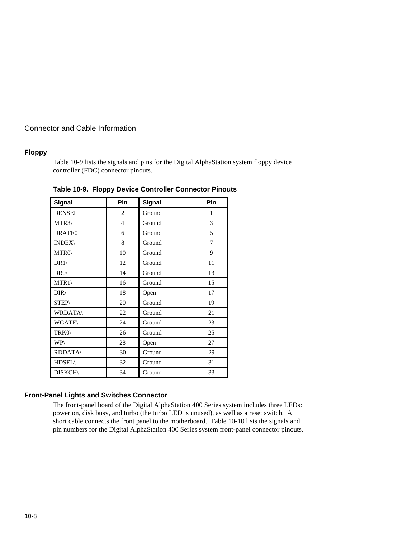#### **Floppy**

Table 10-9 lists the signals and pins for the Digital AlphaStation system floppy device controller (FDC) connector pinouts.

| <b>Signal</b>      | Pin            | <b>Signal</b> | Pin |
|--------------------|----------------|---------------|-----|
| <b>DENSEL</b>      | 2              | Ground        | 1   |
| MTR3               | $\overline{4}$ | Ground        | 3   |
| DRATE <sub>0</sub> | 6              | Ground        | 5   |
| <b>INDEX\</b>      | 8              | Ground        | 7   |
| MTR0\              | 10             | Ground        | 9   |
| DR1                | 12             | Ground        | 11  |
| $DR0\langle$       | 14             | Ground        | 13  |
| MTR1               | 16             | Ground        | 15  |
| $DIR\setminus$     | 18             | Open          | 17  |
| <b>STEP\</b>       | 20             | Ground        | 19  |
| <b>WRDATA\</b>     | 22             | Ground        | 21  |
| <b>WGATE\</b>      | 24             | Ground        | 23  |
| TRK0\              | 26             | Ground        | 25  |
| <b>WP\</b>         | 28             | Open          | 27  |
| <b>RDDATA\</b>     | 30             | Ground        | 29  |
| <b>HDSEL\</b>      | 32             | Ground        | 31  |
| <b>DISKCH\</b>     | 34             | Ground        | 33  |

**Table 10-9. Floppy Device Controller Connector Pinouts**

#### **Front-Panel Lights and Switches Connector**

The front-panel board of the Digital AlphaStation 400 Series system includes three LEDs: power on, disk busy, and turbo (the turbo LED is unused), as well as a reset switch. A short cable connects the front panel to the motherboard. Table 10-10 lists the signals and pin numbers for the Digital AlphaStation 400 Series system front-panel connector pinouts.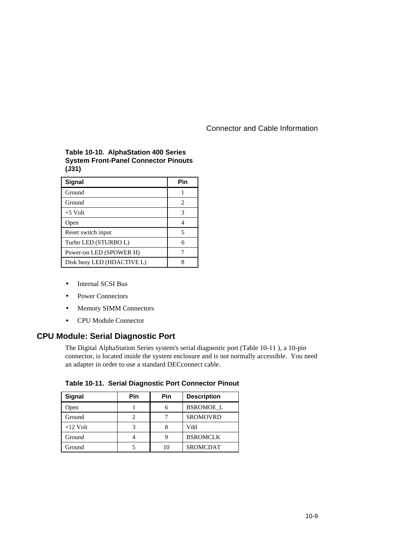#### **Table 10-10. AlphaStation 400 Series System Front-Panel Connector Pinouts (J31)**

| Signal                     | Pin                         |
|----------------------------|-----------------------------|
| Ground                     |                             |
| Ground                     | $\mathcal{D}_{\mathcal{L}}$ |
| $+5$ Volt                  |                             |
| Open                       |                             |
| Reset switch input         | 5                           |
| Turbo LED (STURBO L)       | 6                           |
| Power-on LED (SPOWER H)    |                             |
| Disk busy LED (HDACTIVE L) |                             |

- Internal SCSI Bus
- Power Connectors
- Memory SIMM Connectors
- CPU Module Connector

# **CPU Module: Serial Diagnostic Port**

The Digital AlphaStation Series system's serial diagnostic port (Table 10-11 ), a 10-pin connector, is located inside the system enclosure and is not normally accessible. You need an adapter in order to use a standard DECconnect cable.

| Table 10-11. Serial Diagnostic Port Connector Pinout |  |  |  |  |  |
|------------------------------------------------------|--|--|--|--|--|
|------------------------------------------------------|--|--|--|--|--|

| <b>Signal</b> | Pin | Pin | <b>Description</b> |
|---------------|-----|-----|--------------------|
| Open          |     | 6   | <b>BSROMOE L</b>   |
| Ground        |     |     | <b>SROMOVRD</b>    |
| $+12$ Volt    |     |     | Vdd                |
| Ground        |     |     | <b>BSROMCLK</b>    |
| Ground        |     | 10  | <b>SROMCDAT</b>    |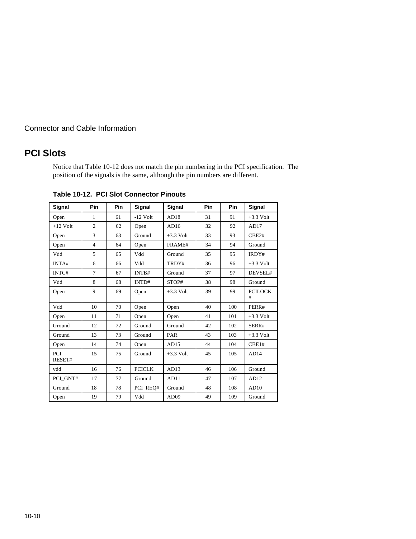# **PCI Slots**

Notice that Table 10-12 does not match the pin numbering in the PCI specification. The position of the signals is the same, although the pin numbers are different.

| Signal        | Pin            | Pin | Signal        | Signal           | Pin | Pin | Signal              |
|---------------|----------------|-----|---------------|------------------|-----|-----|---------------------|
| Open          | $\mathbf{1}$   | 61  | $-12$ Volt    | AD18             | 31  | 91  | $+3.3$ Volt         |
| $+12$ Volt    | $\overline{c}$ | 62  | Open          | AD16             | 32  | 92  | AD17                |
| Open          | 3              | 63  | Ground        | $+3.3$ Volt      | 33  | 93  | CBE2#               |
| Open          | $\overline{4}$ | 64  | Open          | FRAME#           | 34  | 94  | Ground              |
| Vdd           | 5              | 65  | Vdd           | Ground           | 35  | 95  | IRDY#               |
| INTA#         | 6              | 66  | Vdd           | TRDY#            | 36  | 96  | $+3.3$ Volt         |
| INTC#         | 7              | 67  | INTB#         | Ground           | 37  | 97  | DEVSEL#             |
| Vdd           | 8              | 68  | INTD#         | STOP#            | 38  | 98  | Ground              |
| Open          | 9              | 69  | Open          | $+3.3$ Volt      | 39  | 99  | <b>PCILOCK</b><br># |
| Vdd           | 10             | 70  | Open          | Open             | 40  | 100 | PERR#               |
| Open          | 11             | 71  | Open          | Open             | 41  | 101 | $+3.3$ Volt         |
| Ground        | 12             | 72  | Ground        | Ground           | 42  | 102 | SERR#               |
| Ground        | 13             | 73  | Ground        | PAR              | 43  | 103 | $+3.3$ Volt         |
| Open          | 14             | 74  | Open          | AD15             | 44  | 104 | CBE1#               |
| PCI<br>RESET# | 15             | 75  | Ground        | $+3.3$ Volt      | 45  | 105 | AD14                |
| vdd           | 16             | 76  | <b>PCICLK</b> | AD13             | 46  | 106 | Ground              |
| PCI GNT#      | 17             | 77  | Ground        | AD11             | 47  | 107 | AD12                |
| Ground        | 18             | 78  | PCI REO#      | Ground           | 48  | 108 | AD10                |
| Open          | 19             | 79  | Vdd           | AD <sub>09</sub> | 49  | 109 | Ground              |

**Table 10-12. PCI Slot Connector Pinouts**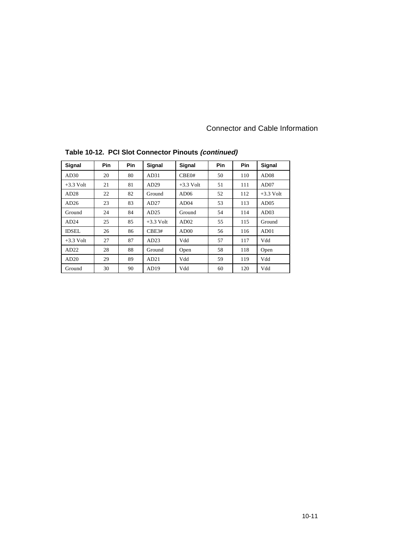| Signal       | Pin | Pin | <b>Signal</b> | Signal      | Pin | Pin | <b>Signal</b>    |
|--------------|-----|-----|---------------|-------------|-----|-----|------------------|
| AD30         | 20  | 80  | AD31          | CBE0#       | 50  | 110 | AD <sub>08</sub> |
| $+3.3$ Volt  | 21  | 81  | AD29          | $+3.3$ Volt | 51  | 111 | AD07             |
| AD28         | 22  | 82  | Ground        | AD06        | 52  | 112 | $+3.3$ Volt      |
| AD26         | 23  | 83  | AD27          | AD04        | 53  | 113 | AD05             |
| Ground       | 24  | 84  | AD25          | Ground      | 54  | 114 | AD03             |
| AD24         | 25  | 85  | $+3.3$ Volt   | AD02        | 55  | 115 | Ground           |
| <b>IDSEL</b> | 26  | 86  | CBE3#         | AD00        | 56  | 116 | AD01             |
| $+3.3$ Volt  | 27  | 87  | AD23          | Vdd         | 57  | 117 | Vdd              |
| AD22         | 28  | 88  | Ground        | Open        | 58  | 118 | Open             |
| AD20         | 29  | 89  | AD21          | Vdd         | 59  | 119 | Vdd              |
| Ground       | 30  | 90  | AD19          | Vdd         | 60  | 120 | Vdd              |

**Table 10-12. PCI Slot Connector Pinouts (continued)**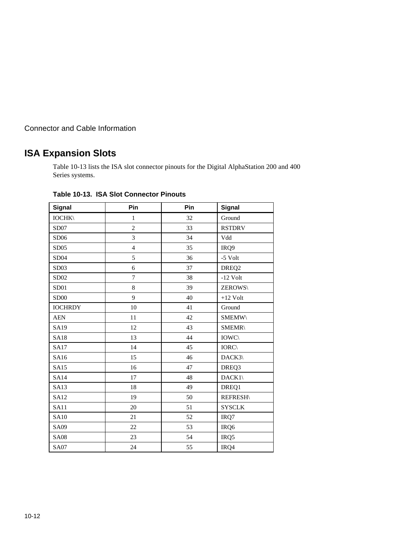# **ISA Expansion Slots**

Table 10-13 lists the ISA slot connector pinouts for the Digital AlphaStation 200 and 400 Series systems.

| <b>Signal</b>    | Pin            | Pin | <b>Signal</b>     |
|------------------|----------------|-----|-------------------|
| <b>IOCHK\</b>    | $\mathbf{1}$   | 32  | Ground            |
| SD07             | $\overline{c}$ | 33  | <b>RSTDRV</b>     |
| SD06             | 3              | 34  | Vdd               |
| SD05             | $\overline{4}$ | 35  | IRQ9              |
| SD04             | 5              | 36  | $-5$ Volt         |
| SD <sub>03</sub> | 6              | 37  | DREQ <sub>2</sub> |
| SD <sub>02</sub> | $\tau$         | 38  | $-12$ Volt        |
| SD01             | $\bf 8$        | 39  | ZEROWS\           |
| <b>SD00</b>      | 9              | 40  | $+12$ Volt        |
| <b>IOCHRDY</b>   | 10             | 41  | Ground            |
| <b>AEN</b>       | 11             | 42  | <b>SMEMW\</b>     |
| SA19             | 12             | 43  | <b>SMEMR\</b>     |
| <b>SA18</b>      | 13             | 44  | <b>IOWC</b>       |
| <b>SA17</b>      | 14             | 45  | $IORC\$           |
| SA16             | 15             | 46  | DACK3\            |
| SA15             | 16             | 47  | DREQ3             |
| <b>SA14</b>      | 17             | 48  | $DACK1\setminus$  |
| <b>SA13</b>      | 18             | 49  | DREQ1             |
| SA12             | 19             | 50  | <b>REFRESH\</b>   |
| <b>SA11</b>      | 20             | 51  | <b>SYSCLK</b>     |
| <b>SA10</b>      | 21             | 52  | IRQ7              |
| <b>SA09</b>      | 22             | 53  | IRQ6              |
| <b>SA08</b>      | 23             | 54  | IRQ5              |
| <b>SA07</b>      | 24             | 55  | IRQ4              |

**Table 10-13. ISA Slot Connector Pinouts**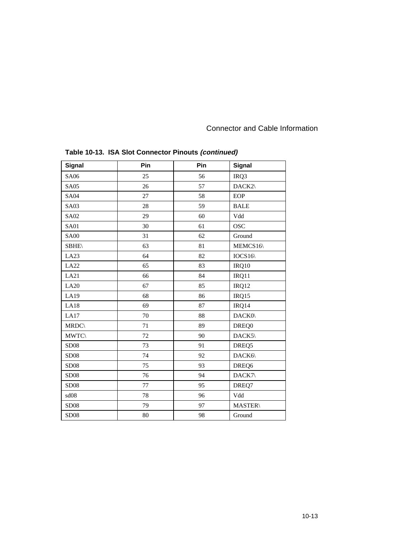| <b>Signal</b> | Pin | Pin | Signal         |
|---------------|-----|-----|----------------|
| SA06          | 25  | 56  | IRQ3           |
| <b>SA05</b>   | 26  | 57  | DACK2\         |
| <b>SA04</b>   | 27  | 58  | <b>EOP</b>     |
| <b>SA03</b>   | 28  | 59  | <b>BALE</b>    |
| <b>SA02</b>   | 29  | 60  | Vdd            |
| <b>SA01</b>   | 30  | 61  | <b>OSC</b>     |
| <b>SA00</b>   | 31  | 62  | Ground         |
| <b>SBHE\</b>  | 63  | 81  | MEMCS16\       |
| LA23          | 64  | 82  | IOCS16         |
| LA22          | 65  | 83  | IRQ10          |
| LA21          | 66  | 84  | IRQ11          |
| LA20          | 67  | 85  | IRQ12          |
| LA19          | 68  | 86  | IRQ15          |
| LA18          | 69  | 87  | IRQ14          |
| LA17          | 70  | 88  | DACK0\         |
| <b>MRDC</b> \ | 71  | 89  | DREQ0          |
| <b>MWTC</b> \ | 72  | 90  | DACK5\         |
| <b>SD08</b>   | 73  | 91  | DREQ5          |
| <b>SD08</b>   | 74  | 92  | DACK6\         |
| <b>SD08</b>   | 75  | 93  | DREQ6          |
| <b>SD08</b>   | 76  | 94  | DACK7\         |
| <b>SD08</b>   | 77  | 95  | DREQ7          |
| sd08          | 78  | 96  | Vdd            |
| <b>SD08</b>   | 79  | 97  | <b>MASTER\</b> |
| <b>SD08</b>   | 80  | 98  | Ground         |

# **Table 10-13. ISA Slot Connector Pinouts (continued)**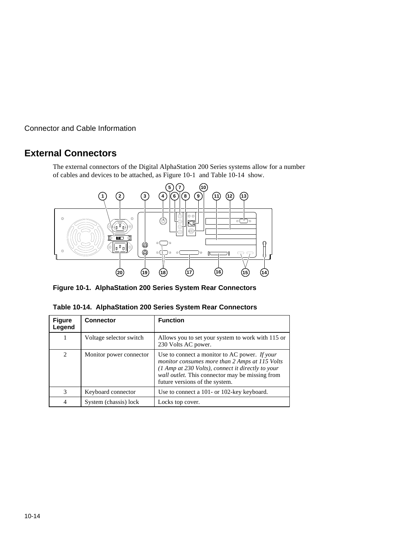# **External Connectors**

The external connectors of the Digital AlphaStation 200 Series systems allow for a number of cables and devices to be attached, as Figure 10-1 and Table 10-14 show.



**Figure 10-1. AlphaStation 200 Series System Rear Connectors**

| <b>Figure</b><br>Legend | <b>Connector</b>        | <b>Function</b>                                                                                                                                                                                                                           |
|-------------------------|-------------------------|-------------------------------------------------------------------------------------------------------------------------------------------------------------------------------------------------------------------------------------------|
|                         | Voltage selector switch | Allows you to set your system to work with 115 or<br>230 Volts AC power.                                                                                                                                                                  |
| $\overline{c}$          | Monitor power connector | Use to connect a monitor to AC power. If your<br>monitor consumes more than 2 Amps at 115 Volts<br>(1 Amp at 230 Volts), connect it directly to your<br>wall outlet. This connector may be missing from<br>future versions of the system. |
| 3                       | Keyboard connector      | Use to connect a 101- or 102-key keyboard.                                                                                                                                                                                                |
| $\overline{4}$          | System (chassis) lock   | Locks top cover.                                                                                                                                                                                                                          |

| Table 10-14. AlphaStation 200 Series System Rear Connectors |  |  |
|-------------------------------------------------------------|--|--|
|                                                             |  |  |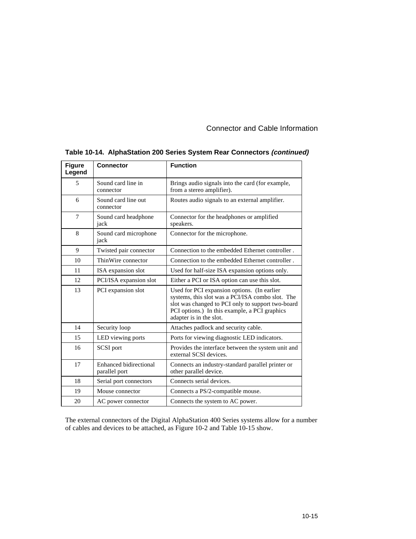| <b>Figure</b><br>Legend | <b>Connector</b>                               | <b>Function</b>                                                                                                                                                                                                                  |
|-------------------------|------------------------------------------------|----------------------------------------------------------------------------------------------------------------------------------------------------------------------------------------------------------------------------------|
| 5                       | Sound card line in<br>connector                | Brings audio signals into the card (for example,<br>from a stereo amplifier).                                                                                                                                                    |
| 6                       | Sound card line out<br>connector               | Routes audio signals to an external amplifier.                                                                                                                                                                                   |
| 7                       | Sound card headphone<br>jack                   | Connector for the headphones or amplified<br>speakers.                                                                                                                                                                           |
| 8                       | Sound card microphone<br>jack                  | Connector for the microphone.                                                                                                                                                                                                    |
| 9                       | Twisted pair connector                         | Connection to the embedded Ethernet controller.                                                                                                                                                                                  |
| 10                      | ThinWire connector                             | Connection to the embedded Ethernet controller.                                                                                                                                                                                  |
| 11                      | ISA expansion slot                             | Used for half-size ISA expansion options only.                                                                                                                                                                                   |
| 12                      | PCI/ISA expansion slot                         | Either a PCI or ISA option can use this slot.                                                                                                                                                                                    |
| 13                      | PCI expansion slot                             | Used for PCI expansion options. (In earlier<br>systems, this slot was a PCI/ISA combo slot. The<br>slot was changed to PCI only to support two-board<br>PCI options.) In this example, a PCI graphics<br>adapter is in the slot. |
| 14                      | Security loop                                  | Attaches padlock and security cable.                                                                                                                                                                                             |
| 15                      | LED viewing ports                              | Ports for viewing diagnostic LED indicators.                                                                                                                                                                                     |
| 16                      | SCSI port                                      | Provides the interface between the system unit and<br>external SCSI devices.                                                                                                                                                     |
| 17                      | <b>Enhanced bidirectional</b><br>parallel port | Connects an industry-standard parallel printer or<br>other parallel device.                                                                                                                                                      |
| 18                      | Serial port connectors                         | Connects serial devices.                                                                                                                                                                                                         |
| 19                      | Mouse connector                                | Connects a PS/2-compatible mouse.                                                                                                                                                                                                |
| 20                      | AC power connector                             | Connects the system to AC power.                                                                                                                                                                                                 |

# **Table 10-14. AlphaStation 200 Series System Rear Connectors (continued)**

The external connectors of the Digital AlphaStation 400 Series systems allow for a number of cables and devices to be attached, as Figure 10-2 and Table 10-15 show.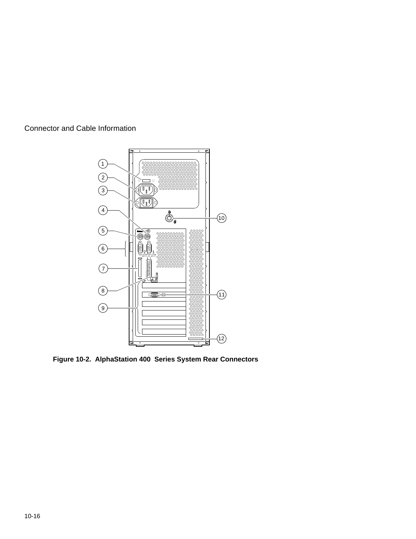

**Figure 10-2. AlphaStation 400 Series System Rear Connectors**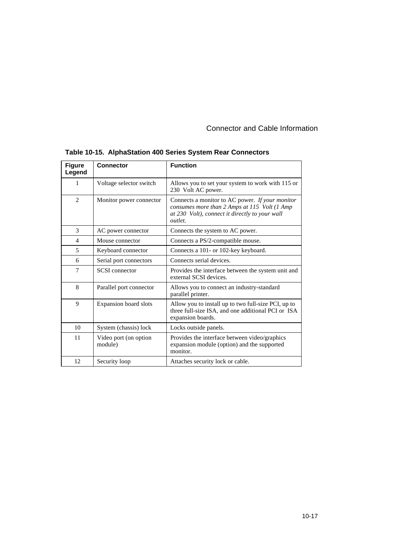| <b>Figure</b><br>Legend     | <b>Connector</b>                 | <b>Function</b>                                                                                                                                                     |
|-----------------------------|----------------------------------|---------------------------------------------------------------------------------------------------------------------------------------------------------------------|
| 1                           | Voltage selector switch          | Allows you to set your system to work with 115 or<br>230 Volt AC power.                                                                                             |
| $\mathcal{D}_{\mathcal{L}}$ | Monitor power connector          | Connects a monitor to AC power. If your monitor<br>consumes more than 2 Amps at 115 Volt (1 Amp<br>at 230 Volt), connect it directly to your wall<br><i>outlet.</i> |
| 3                           | AC power connector               | Connects the system to AC power.                                                                                                                                    |
| $\overline{4}$              | Mouse connector                  | Connects a PS/2-compatible mouse.                                                                                                                                   |
| 5                           | Keyboard connector               | Connects a 101- or 102-key keyboard.                                                                                                                                |
| 6                           | Serial port connectors           | Connects serial devices.                                                                                                                                            |
| 7                           | <b>SCSI</b> connector            | Provides the interface between the system unit and<br>external SCSI devices.                                                                                        |
| 8                           | Parallel port connector          | Allows you to connect an industry-standard<br>parallel printer.                                                                                                     |
| 9                           | <b>Expansion board slots</b>     | Allow you to install up to two full-size PCI, up to<br>three full-size ISA, and one additional PCI or ISA<br>expansion boards.                                      |
| 10                          | System (chassis) lock            | Locks outside panels.                                                                                                                                               |
| 11                          | Video port (on option<br>module) | Provides the interface between video/graphics<br>expansion module (option) and the supported<br>monitor.                                                            |
| 12                          | Security loop                    | Attaches security lock or cable.                                                                                                                                    |

# **Table 10-15. AlphaStation 400 Series System Rear Connectors**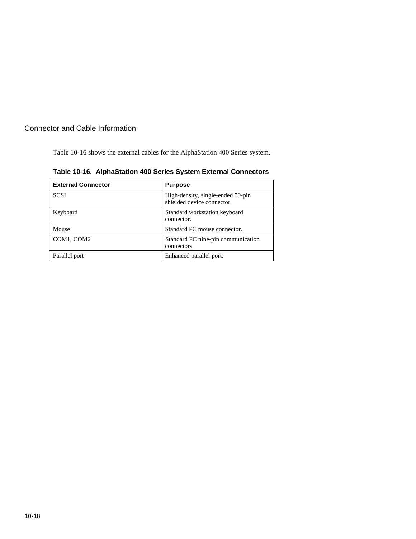Table 10-16 shows the external cables for the AlphaStation 400 Series system.

| <b>External Connector</b> | <b>Purpose</b>                                                  |
|---------------------------|-----------------------------------------------------------------|
| <b>SCSI</b>               | High-density, single-ended 50-pin<br>shielded device connector. |
| Keyboard                  | Standard workstation keyboard<br>connector.                     |
| Mouse                     | Standard PC mouse connector.                                    |
| COM1, COM2                | Standard PC nine-pin communication<br>connectors.               |
| Parallel port             | Enhanced parallel port.                                         |

**Table 10-16. AlphaStation 400 Series System External Connectors**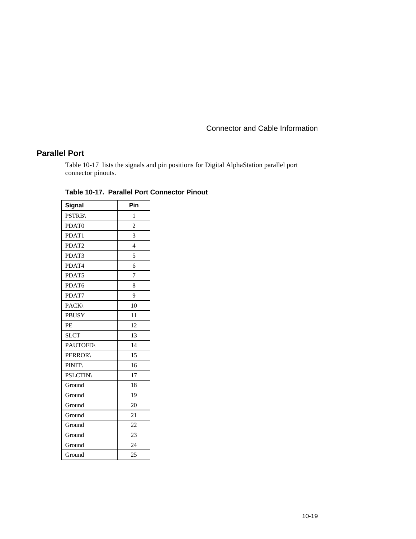# **Parallel Port**

Table 10-17 lists the signals and pin positions for Digital AlphaStation parallel port connector pinouts.

| Signal          | Pin            |
|-----------------|----------------|
| <b>PSTRB\</b>   | 1              |
| PDAT0           | $\overline{c}$ |
| PDAT1           | 3              |
| PDAT2           | $\overline{4}$ |
| PDAT3           | 5              |
| PDAT4           | 6              |
| PDAT5           | 7              |
| PDAT6           | 8              |
| PDAT7           | 9              |
| PACK\           | 10             |
| <b>PBUSY</b>    | 11             |
| PE              | 12             |
| <b>SLCT</b>     | 13             |
| <b>PAUTOFD\</b> | 14             |
| <b>PERROR\</b>  | 15             |
| <b>PINIT\</b>   | 16             |
| <b>PSLCTIN</b>  | 17             |
| Ground          | 18             |
| Ground          | 19             |
| Ground          | 20             |
| Ground          | 21             |
| Ground          | 22             |
| Ground          | 23             |
| Ground          | 24             |
| Ground          | 25             |

#### **Table 10-17. Parallel Port Connector Pinout**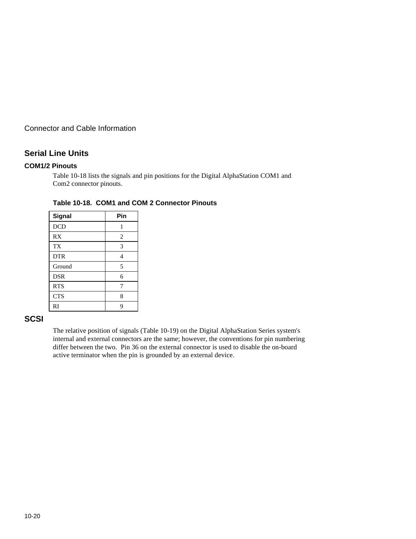## **Serial Line Units**

#### **COM1/2 Pinouts**

Table 10-18 lists the signals and pin positions for the Digital AlphaStation COM1 and Com2 connector pinouts.

| Signal     | Pin            |
|------------|----------------|
| <b>DCD</b> | 1              |
| RX         | $\overline{2}$ |
| <b>TX</b>  | 3              |
| <b>DTR</b> | 4              |
| Ground     | 5              |
| <b>DSR</b> | 6              |
| <b>RTS</b> | 7              |
| <b>CTS</b> | 8              |
| RI         | 9              |

#### **Table 10-18. COM1 and COM 2 Connector Pinouts**

#### **SCSI**

The relative position of signals (Table 10-19) on the Digital AlphaStation Series system's internal and external connectors are the same; however, the conventions for pin numbering differ between the two. Pin 36 on the external connector is used to disable the on-board active terminator when the pin is grounded by an external device.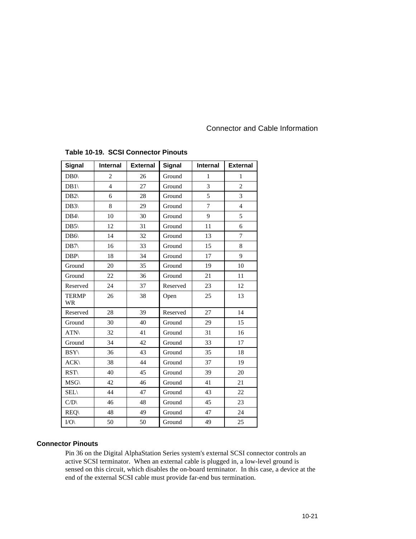| <b>Signal</b>             | Internal       | <b>External</b> | Signal   | Internal       | <b>External</b> |
|---------------------------|----------------|-----------------|----------|----------------|-----------------|
| $DB0\langle$              | $\overline{c}$ | 26              | Ground   | $\mathbf{1}$   | $\mathbf{1}$    |
| DB1                       | $\overline{4}$ | 27              | Ground   | 3              | $\overline{2}$  |
| DB2                       | 6              | 28              | Ground   | 5              | $\overline{3}$  |
| $DB3\langle$              | 8              | 29              | Ground   | $\overline{7}$ | $\overline{4}$  |
| DB4                       | 10             | 30              | Ground   | 9              | 5               |
| DB5                       | 12             | 31              | Ground   | 11             | 6               |
| DB6\                      | 14             | 32              | Ground   | 13             | $\tau$          |
| DB7                       | 16             | 33              | Ground   | 15             | 8               |
| DBP\                      | 18             | 34              | Ground   | 17             | 9               |
| Ground                    | 20             | 35              | Ground   | 19             | 10              |
| Ground                    | 22             | 36              | Ground   | 21             | 11              |
| Reserved                  | 24             | 37              | Reserved | 23             | 12              |
| <b>TERMP</b><br><b>WR</b> | 26             | 38              | Open     | 25             | 13              |
| Reserved                  | 28             | 39              | Reserved | 27             | 14              |
| Ground                    | 30             | 40              | Ground   | 29             | 15              |
| ATN\                      | 32             | 41              | Ground   | 31             | 16              |
| Ground                    | 34             | 42              | Ground   | 33             | 17              |
| $BSY\setminus$            | 36             | 43              | Ground   | 35             | 18              |
| ACK                       | 38             | 44              | Ground   | 37             | 19              |
| RST                       | 40             | 45              | Ground   | 39             | 20              |
| $MSG\setminus$            | 42             | 46              | Ground   | 41             | 21              |
| $SEL\backslash$           | 44             | 47              | Ground   | 43             | 22              |
| C/D                       | 46             | 48              | Ground   | 45             | 23              |
| <b>REQ\</b>               | 48             | 49              | Ground   | 47             | 24              |
| $I/O \setminus$           | 50             | 50              | Ground   | 49             | 25              |

#### **Table 10-19. SCSI Connector Pinouts**

#### **Connector Pinouts**

Pin 36 on the Digital AlphaStation Series system's external SCSI connector controls an active SCSI terminator. When an external cable is plugged in, a low-level ground is sensed on this circuit, which disables the on-board terminator. In this case, a device at the end of the external SCSI cable must provide far-end bus termination.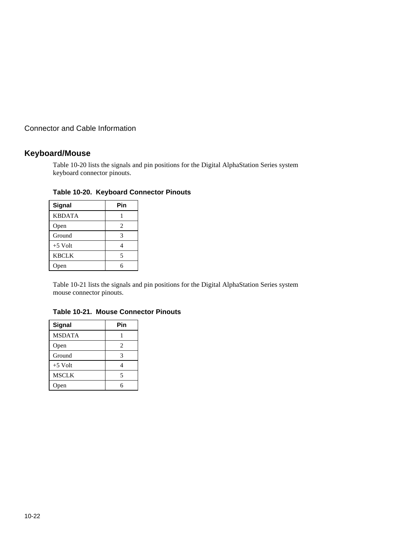# **Keyboard/Mouse**

Table 10-20 lists the signals and pin positions for the Digital AlphaStation Series system keyboard connector pinouts.

| Signal        | Pin |
|---------------|-----|
| <b>KBDATA</b> |     |
| Open          | 2   |
| Ground        | 3   |
| $+5$ Volt     |     |
| <b>KBCLK</b>  | 5   |
| Open          | 6   |

#### **Table 10-20. Keyboard Connector Pinouts**

Table 10-21 lists the signals and pin positions for the Digital AlphaStation Series system mouse connector pinouts.

| Signal        | Pin            |
|---------------|----------------|
| <b>MSDATA</b> |                |
| Open          | $\overline{c}$ |
| Ground        | 3              |
| $+5$ Volt     |                |
| <b>MSCLK</b>  | 5              |
| en            |                |

#### **Table 10-21. Mouse Connector Pinouts**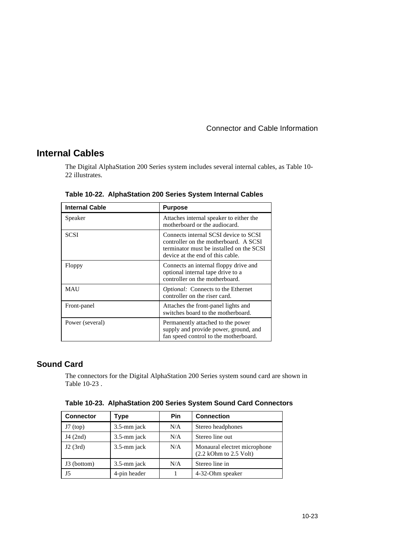# **Internal Cables**

The Digital AlphaStation 200 Series system includes several internal cables, as Table 10- 22 illustrates.

| <b>Internal Cable</b> | <b>Purpose</b>                                                                                                                                                 |  |  |  |  |  |  |  |
|-----------------------|----------------------------------------------------------------------------------------------------------------------------------------------------------------|--|--|--|--|--|--|--|
| Speaker               | Attaches internal speaker to either the<br>motherboard or the audiocard.                                                                                       |  |  |  |  |  |  |  |
| <b>SCSI</b>           | Connects internal SCSI device to SCSI<br>controller on the motherboard. A SCSI<br>terminator must be installed on the SCSI<br>device at the end of this cable. |  |  |  |  |  |  |  |
| Floppy                | Connects an internal floppy drive and<br>optional internal tape drive to a<br>controller on the motherboard.                                                   |  |  |  |  |  |  |  |
| <b>MAU</b>            | Optional: Connects to the Ethernet<br>controller on the riser card.                                                                                            |  |  |  |  |  |  |  |
| Front-panel           | Attaches the front-panel lights and<br>switches board to the motherboard.                                                                                      |  |  |  |  |  |  |  |
| Power (several)       | Permanently attached to the power<br>supply and provide power, ground, and<br>fan speed control to the motherboard.                                            |  |  |  |  |  |  |  |

**Table 10-22. AlphaStation 200 Series System Internal Cables**

# **Sound Card**

The connectors for the Digital AlphaStation 200 Series system sound card are shown in Table 10-23 .

| <b>Connector</b> | Type         | <b>Pin</b> | <b>Connection</b>                                                         |  |  |  |  |  |  |
|------------------|--------------|------------|---------------------------------------------------------------------------|--|--|--|--|--|--|
| $J7$ (top)       | 3.5-mm jack  | N/A        | Stereo headphones                                                         |  |  |  |  |  |  |
| J4(2nd)          | 3.5-mm jack  | N/A        | Stereo line out                                                           |  |  |  |  |  |  |
| J2(3rd)          | 3.5-mm jack  | N/A        | Monaural electret microphone<br>$(2.2 \text{ kOhm to } 2.5 \text{ Volt})$ |  |  |  |  |  |  |
| J3 (bottom)      | 3.5-mm jack  | N/A        | Stereo line in                                                            |  |  |  |  |  |  |
| J5               | 4-pin header |            | 4-32-Ohm speaker                                                          |  |  |  |  |  |  |

**Table 10-23. AlphaStation 200 Series System Sound Card Connectors**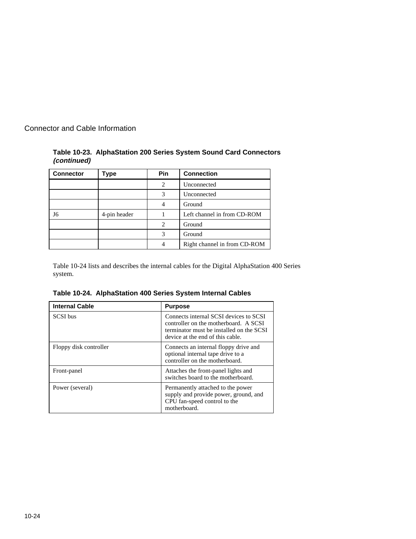|             | Table 10-23. AlphaStation 200 Series System Sound Card Connectors |  |
|-------------|-------------------------------------------------------------------|--|
| (continued) |                                                                   |  |

| <b>Connector</b> | Type         | <b>Pin</b>     | <b>Connection</b>            |
|------------------|--------------|----------------|------------------------------|
|                  |              | $\mathfrak{D}$ | Unconnected                  |
|                  |              | 3              | Unconnected                  |
|                  |              | 4              | Ground                       |
| J6               | 4-pin header |                | Left channel in from CD-ROM  |
|                  |              | 2              | Ground                       |
|                  |              | 3              | Ground                       |
|                  |              | 4              | Right channel in from CD-ROM |

Table 10-24 lists and describes the internal cables for the Digital AlphaStation 400 Series system.

**Table 10-24. AlphaStation 400 Series System Internal Cables**

| <b>Internal Cable</b>  | <b>Purpose</b>                                                                                                                                                  |  |  |  |  |  |
|------------------------|-----------------------------------------------------------------------------------------------------------------------------------------------------------------|--|--|--|--|--|
| <b>SCSI</b> bus        | Connects internal SCSI devices to SCSI<br>controller on the motherboard. A SCSI<br>terminator must be installed on the SCSI<br>device at the end of this cable. |  |  |  |  |  |
| Floppy disk controller | Connects an internal floppy drive and<br>optional internal tape drive to a<br>controller on the motherboard.                                                    |  |  |  |  |  |
| Front-panel            | Attaches the front-panel lights and<br>switches board to the motherboard.                                                                                       |  |  |  |  |  |
| Power (several)        | Permanently attached to the power<br>supply and provide power, ground, and<br>CPU fan-speed control to the<br>motherboard.                                      |  |  |  |  |  |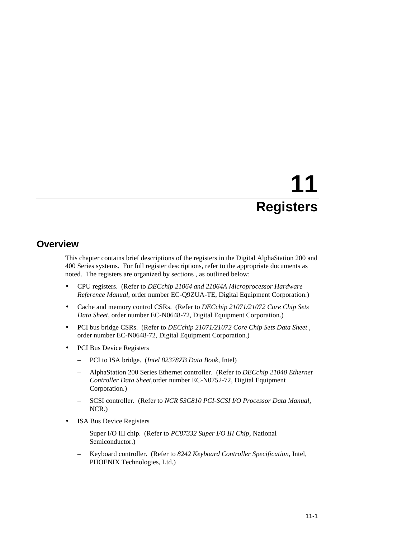# **11 Registers**

# **Overview**

This chapter contains brief descriptions of the registers in the Digital AlphaStation 200 and 400 Series systems. For full register descriptions, refer to the appropriate documents as noted. The registers are organized by sections , as outlined below:

- CPU registers. (Refer to *DECchip 21064 and 21064A Microprocessor Hardware Reference Manual*, order number EC-Q9ZUA-TE, Digital Equipment Corporation.)
- Cache and memory control CSRs. (Refer to *DECchip 21071/21072 Core Chip Sets Data Sheet,* order number EC-N0648-72, Digital Equipment Corporation.)
- PCI bus bridge CSRs. (Refer to *DECchip 21071/21072 Core Chip Sets Data Sheet ,* order number EC-N0648-72, Digital Equipment Corporation.)
- PCI Bus Device Registers
	- PCI to ISA bridge. (*Intel 82378ZB Data Book*, Intel)
	- AlphaStation 200 Series Ethernet controller. (Refer to *DECchip 21040 Ethernet Controller Data Sheet,*order number EC-N0752-72, Digital Equipment Corporation.)
	- SCSI controller. (Refer to *NCR 53C810 PCI-SCSI I/O Processor Data Manual,* NCR.)
- ISA Bus Device Registers
	- Super I/O III chip. (Refer to *PC87332 Super I/O III Chip*, National Semiconductor.)
	- Keyboard controller. (Refer to *8242 Keyboard Controller Specification,* Intel, PHOENIX Technologies, Ltd.)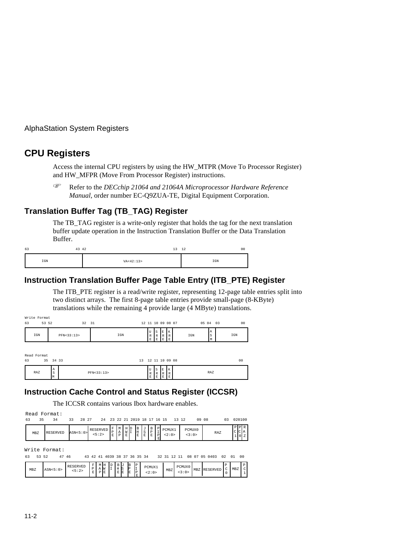# **CPU Registers**

Access the internal CPU registers by using the HW\_MTPR (Move To Processor Register) and HW\_MFPR (Move From Processor Register) instructions. F

 Refer to the *DECchip 21064 and 21064A Microprocessor Hardware Reference Manual,* order number EC-Q9ZUA-TE, Digital Equipment Corporation.

#### **Translation Buffer Tag (TB\_TAG) Register**

The TB\_TAG register is a write-only register that holds the tag for the next translation buffer update operation in the Instruction Translation Buffer or the Data Translation Buffer.

| 63 | 43 42        | 12<br><u>_</u> | 12<br>00 |
|----|--------------|----------------|----------|
|    | $_{\tt IGM}$ | VA < 42:13>    | IGN      |

# **Instruction Translation Buffer Page Table Entry (ITB\_PTE) Register**

The ITB\_PTE register is a read/write register, representing 12-page table entries split into two distinct arrays. The first 8-page table entries provide small-page (8-KByte) translations while the remaining 4 provide large (4 MByte) translations.

| Write Format<br>63 | 53 52<br>32 |              | 31  | 12 11 10 09 08 07      |               |               |                         |     | 05 04          | 03 | 0 <sup>0</sup> |  |  |
|--------------------|-------------|--------------|-----|------------------------|---------------|---------------|-------------------------|-----|----------------|----|----------------|--|--|
| IGN                |             | PFN < 33:13> | IGN | U<br>$\mathbb{R}$<br>Е | S<br>' R<br>E | E<br>. .<br>E | $\mathbf{v}$<br>ĸ<br>л. | IGN | l A<br>ls<br>M |    | IGN            |  |  |

| Read Format |                         |              |    |                |               |                 |              |                |
|-------------|-------------------------|--------------|----|----------------|---------------|-----------------|--------------|----------------|
| 63          | 35 34 33                |              | 13 | 12 11 10 09 08 |               |                 |              | 0 <sub>0</sub> |
| RAZ         | $\mathbb{A}$<br>ıs<br>M | PFN < 33:13> |    | ١Ū<br>R<br>E   | l s<br>R<br>E | IΕ<br>IR.<br>IΕ | $\mathbf{v}$ | RAZ            |

## **Instruction Cache Control and Status Register (ICCSR)**

The ICCSR contains various Ibox hardware enables.

|          | Read Format:    |             |                              |  |  |  |       |                 |       |    |        |  |
|----------|-----------------|-------------|------------------------------|--|--|--|-------|-----------------|-------|----|--------|--|
| 63<br>35 |                 | 28 27<br>33 | 24 23 22 21 2019 18 17 16 15 |  |  |  | 13 12 |                 | 09 08 | 03 | 020100 |  |
| MBZ      | <b>RESERVED</b> | ASN < 5:0>  | RESERVED<br>5:2>             |  |  |  |       | PCMUX0<br><3:0> | RAZ   |    |        |  |

Write Format:

| 63  | 47 46<br>53 52 |                    |         |    |  |                       |   |    |                                                      | 43 42 41 4039 38 37 36 35 34 |     | 32 31 12 11     |     | 08 07 05 0403 02 01 |  | 00 |
|-----|----------------|--------------------|---------|----|--|-----------------------|---|----|------------------------------------------------------|------------------------------|-----|-----------------|-----|---------------------|--|----|
| MBZ | ASN < 5:0>     | RESERVED<br>< 5:2> | ΡI<br>E | AW |  | MH D B J<br>$I$ H $S$ | E | IΕ | $\begin{bmatrix} B & P \\ P & I \end{bmatrix}$<br>IÞ | PCMUX1<br>2:0>               | MBZ | PCMUX0<br><3:0> | MBZ | RESERVED            |  |    |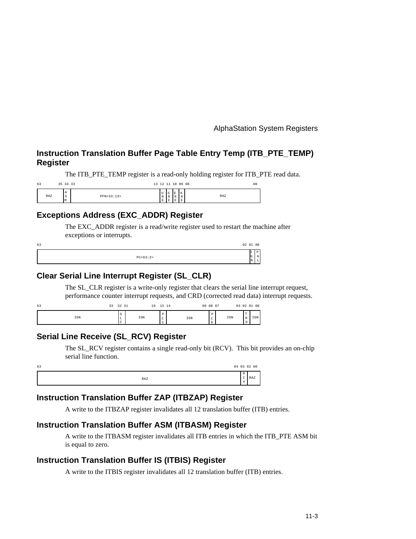# **Instruction Translation Buffer Page Table Entry Temp (ITB\_PTE\_TEMP) Register**

The ITB PTE\_TEMP register is a read-only holding register for ITB PTE read data.

| 63  | 35 34 33                 |              |                            |                 |                    |                                  | 13 12 11 10 09 08<br>0 <sub>0</sub> |
|-----|--------------------------|--------------|----------------------------|-----------------|--------------------|----------------------------------|-------------------------------------|
| RAZ | I A<br>$\sim$<br>۰<br>Iм | PFN < 33:13> | <b>**</b><br>ט ו<br>R<br>E | 1s<br>I R<br>ΙE | m<br>▫<br>. .<br>- | $\mathbf{v}$<br>A<br>$\sim$<br>≏ | RAZ                                 |

## **Exceptions Address (EXC\_ADDR) Register**

The EXC\_ADDR register is a read/write register used to restart the machine after exceptions or interrupts.

| 63 |            | 02 01 00 |  |
|----|------------|----------|--|
|    | PC < 63:2> |          |  |

#### **Clear Serial Line Interrupt Register (SL\_CLR)**

The SL\_CLR register is a write-only register that clears the serial line interrupt request, performance counter interrupt requests, and CRD (corrected read data) interrupt requests.

| 63  | っっ<br>-- | 24       | $\rightarrow$ | 16  | 15<br>∸ | 14 | 09 08 07 |             |              |        | 03 02 01 00        |
|-----|----------|----------|---------------|-----|---------|----|----------|-------------|--------------|--------|--------------------|
| IGN |          | - 2<br>◡ |               | IGN | r.<br>∼ |    | IGN      | $\sim$<br>∼ | $_{\tt IGN}$ | $\sim$ | <b>CONT</b><br>1GN |

## **Serial Line Receive (SL\_RCV) Register**

The SL\_RCV register contains a single read-only bit (RCV). This bit provides an on-chip serial line function.

| 63 |     |             | 04 03 02 00 |
|----|-----|-------------|-------------|
|    | RAZ | $\sim$<br>∼ | RAZ         |

## **Instruction Translation Buffer ZAP (ITBZAP) Register**

A write to the ITBZAP register invalidates all 12 translation buffer (ITB) entries.

#### **Instruction Translation Buffer ASM (ITBASM) Register**

A write to the ITBASM register invalidates all ITB entries in which the ITB\_PTE ASM bit is equal to zero.

#### **Instruction Translation Buffer IS (ITBIS) Register**

A write to the ITBIS register invalidates all 12 translation buffer (ITB) entries.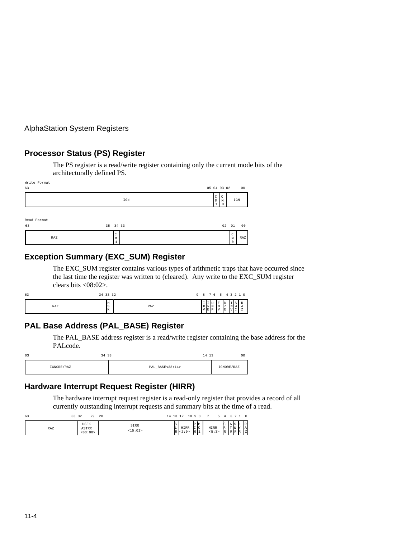## **Processor Status (PS) Register**

The PS register is a read/write register containing only the current mode bits of the architecturally defined PS.

| Write Format<br>63 |                                   | 05 04 03 02<br>00                           |
|--------------------|-----------------------------------|---------------------------------------------|
|                    | IGN                               | C<br>ı C<br>IGN<br>M<br>M<br>$\Omega$<br>ж. |
| Read Format<br>63  | 35 34 33                          | 02 01<br>00                                 |
| RAZ                | $\mathsf{C}$<br>M<br>$\mathbf{1}$ | C<br>RAZ<br>M                               |

# **Exception Summary (EXC\_SUM) Register**

The EXC\_SUM register contains various types of arithmetic traps that have occurred since the last time the register was written to (cleared). Any write to the EXC\_SUM register clears bits <08:02>.

| 63  | 34 33 32     |     | 9 8 7 6 5 4 3 2 1 0                                              |
|-----|--------------|-----|------------------------------------------------------------------|
| RAZ | M<br>lS<br>K | RAZ | <b>I</b> U<br>.,<br>۰<br>I N IN<br>-4<br>'E F<br>IΕ<br>I٧<br>. . |

## **PAL Base Address (PAL\_BASE) Register**

The PAL\_BASE address register is a read/write register containing the base address for the PALcode.

| 63 | 34 33      | 14 13           | 00         |
|----|------------|-----------------|------------|
|    | IGNORE/RAZ | PAL BASE<33:14> | IGNORE/RAZ |

# **Hardware Interrupt Request Register (HIRR)**

The hardware interrupt request register is a read-only register that provides a record of all currently outstanding interrupt requests and summary bits at the time of a read.

| 63<br>33 32 | 29                              | 28<br>14 13 12  |              | 10 9 R               |                    |   |                     |                                  |                      |   |                  |
|-------------|---------------------------------|-----------------|--------------|----------------------|--------------------|---|---------------------|----------------------------------|----------------------|---|------------------|
| RAZ         | <b>USEK</b><br>ASTRR<br>< 03:00 | SIRR<br><15:01> | Is<br>L<br>R | <b>HIRR</b><br>< 2:0 | IP<br> c c<br>1011 | ₽ | <b>HIRR</b><br>5:3> | C<br>$\mathbb{R}$<br>$_{\rm IR}$ | AS<br>Iт<br><b>R</b> | R | R.<br>A<br>l z l |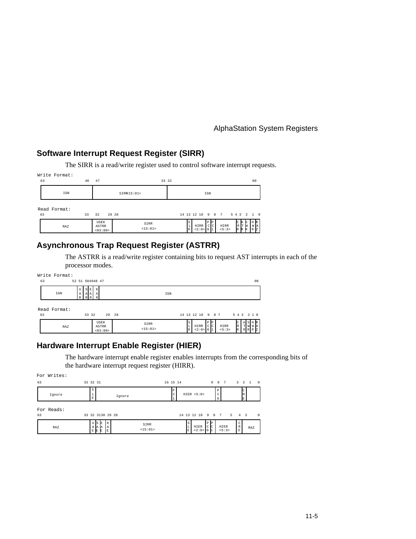# **Software Interrupt Request Register (SIRR)**

The SIRR is a read/write register used to control software interrupt requests.

| Write Format:<br>63 | 48 | 47                       | 33 32           |                                                                                              | 00                                                      |
|---------------------|----|--------------------------|-----------------|----------------------------------------------------------------------------------------------|---------------------------------------------------------|
| IGN                 |    |                          | SIRR15:01>      | IGN                                                                                          |                                                         |
| Read Format:<br>63  | 33 | 32                       | 29 28           | 14 13 12 10 9 8 7 5 4 3 2 1 0                                                                |                                                         |
| RAZ                 |    | USEK<br>ASTRR<br><03:00> | SIRR<br><15:01> | P<br>S<br>IP<br>HIRR<br>HIRR<br>$c$ <sub>c</sub><br>L<br>< 5:3><br>< 2:0 > 0<br>$\mathbb{R}$ | HR.<br>R<br><b>WA</b><br>Iт<br>Iм<br>R<br>R<br>17.<br>R |

# **Asynchronous Trap Request Register (ASTRR)**

The ASTRR is a read/write register containing bits to request AST interrupts in each of the processor modes.

|    | Write Format: |                 |                         |                           |       |                 |     |              |                   |    |     |                   |        |                   |                              |
|----|---------------|-----------------|-------------------------|---------------------------|-------|-----------------|-----|--------------|-------------------|----|-----|-------------------|--------|-------------------|------------------------------|
|    | 63            | 52 51 504948 47 |                         |                           |       |                 |     |              |                   |    |     |                   |        |                   | 0 <sup>0</sup>               |
|    | IGN           | U<br>A          | E<br>S.<br>AA<br>D<br>D | K<br>$\mathbb{A}$<br>R    |       |                 | IGN |              |                   |    |     |                   |        |                   |                              |
| 63 | Read Format:  |                 | 33 32                   |                           | 29 28 |                 |     |              |                   |    |     | 14 13 12 10 9 8 7 |        |                   | 5 4 3 2 1 0                  |
|    | RAZ           |                 |                         | USEK<br>ASTRR<br>< 03:00> |       | SIRR<br><15:01> |     | S<br>L.<br>R | HIRR<br>< 2:0 > 0 | PP | C C | HIRR<br>< 5:3>    | R<br>R | $\mathbf{A}$<br>T | SHR<br><b>WWA</b><br>R R R Z |

## **Hardware Interrupt Enable Register (HIER)**

The hardware interrupt enable register enables interrupts from the corresponding bits of the hardware interrupt request register (HIRR).

|    | For Writes: |          |               |                       |          |        |                 |          |               |                         |        |                              |                    |                |             |         |                |
|----|-------------|----------|---------------|-----------------------|----------|--------|-----------------|----------|---------------|-------------------------|--------|------------------------------|--------------------|----------------|-------------|---------|----------------|
| 63 |             | 33 32 31 |               |                       |          |        |                 | 16 15 14 |               |                         |        | 9 8 7                        |                    |                |             | 3 2 1 0 |                |
|    | Ignore      |          | s<br>Ŀ<br>E   |                       |          | Ignore |                 | Ρ        |               | HIER < 5:0>             |        |                              | P<br>C<br>$\Omega$ |                |             |         |                |
| 63 | For Reads:  |          |               | 33 32 3130 29 28      |          |        |                 |          |               | 14 13 12 10 9 8 7 5 4 3 |        |                              |                    |                |             |         | $\overline{0}$ |
|    | RAZ         |          | ŢŢ<br>ΑA<br>E | ' Is<br>E<br>IA.<br>E | ΙA<br>E. |        | SIRR<br><15:01> |          | l S<br>L<br>E | HIER<br>< 2:0 > 0       | P<br>C | $\mathbb{P}$<br>$\mathbf{C}$ |                    | HIER<br>< 5:3> | C<br>R<br>Ε | RAZ     |                |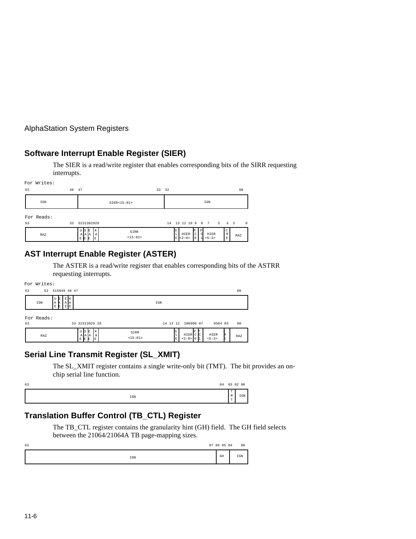# **Software Interrupt Enable Register (SIER)**

The SIER is a read/write register that enables corresponding bits of the SIRR requesting interrupts.

| For Writes:      |       |                                                           |       |                                                                                       |                |
|------------------|-------|-----------------------------------------------------------|-------|---------------------------------------------------------------------------------------|----------------|
| 63               | 48 47 |                                                           | 33 32 |                                                                                       | 0 <sup>0</sup> |
| IGN              |       | SIER < 15:01>                                             |       | IGN                                                                                   |                |
| For Reads:<br>63 | 33    | 3231302928                                                |       | 14   13   12   10   9   8   7   5   4   3                                             | $\overline{0}$ |
| RAZ              |       | USE<br>SIRR<br>AAA<br>A<br><15:01><br>E<br>-le<br>E.<br>R |       | C<br>lS<br>$\mathbb R$<br>HIER<br>HIER<br>d<br>C<br>∣L<br>E<br>< 5:3><br>< 2:0><br>IΕ | RAZ            |

# **AST Interrupt Enable Register (ASTER)**

The ASTER is a read/write register that enables corresponding bits of the ASTRR requesting interrupts.

|    | For Writes: |                                                     |                                                                 |     |
|----|-------------|-----------------------------------------------------|-----------------------------------------------------------------|-----|
| 63 |             | 52 515049 48 47                                     |                                                                 | 00  |
|    | IGN         | EK<br>U<br><b>S</b><br>Α<br>AA<br>А<br>E<br>EE<br>E | IGN                                                             |     |
| 63 | For Reads:  | 33 32313029 28                                      | 14 13 12 100908 07<br>0504 03                                   | 00  |
|    | RAZ         | USE<br>K<br>AAA<br>A<br>E<br>E<br>F.<br>R           | SIRR<br>HIER<br>HIER C C<br><15:01><br>< 2:0 > 0<br>< 5:3><br>E | RAZ |

# **Serial Line Transmit Register (SL\_XMIT)**

The SL\_XMIT register contains a single write-only bit (TMT). The bit provides an onchip serial line function.

| 63 |              |                          | 04 03 02 00 |
|----|--------------|--------------------------|-------------|
|    | $_{\tt IGM}$ | l m<br>- 14<br>l m<br>л. | IGN         |

# **Translation Buffer Control (TB\_CTL) Register**

The TB\_CTL register contains the granularity hint (GH) field. The GH field selects between the 21064/21064A TB page-mapping sizes.

| 63 |              | 07 06 05 04 | 00           |
|----|--------------|-------------|--------------|
|    | $_{\tt IGN}$ | GH          | $_{\tt IGM}$ |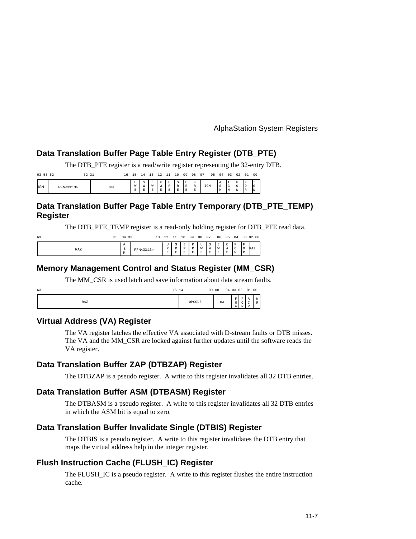#### **Data Translation Buffer Page Table Entry Register (DTB\_PTE)**

The DTB\_PTE register is a read/write register representing the 32-entry DTB.

| 63 53 52   |            | 32 31 |            | 16 |               |   |   |                       |             | 10                                           | 09                                      | 08                              | 07  | 05 | 04            | 03                   | 02                                           | 01            | 00              |
|------------|------------|-------|------------|----|---------------|---|---|-----------------------|-------------|----------------------------------------------|-----------------------------------------|---------------------------------|-----|----|---------------|----------------------|----------------------------------------------|---------------|-----------------|
| <b>IGN</b> | PFN<33:13> |       | <b>IGN</b> |    | TaT<br>-<br>≖ | W | M | $\sim$<br>W<br>Ð<br>≏ | D<br>$\sim$ | ⊸<br>$\mathbf{D}$<br>л.<br>$\mathbf{r}$<br>≏ | E<br>$\mathbb{R}$<br><b>D</b><br>- 25 - | TF.<br>n.<br>R<br><b>D</b><br>≏ | IGN |    | l A<br>S<br>M | . .<br>$\sim$<br>l N | IF<br>$\overline{\phantom{a}}$<br><b>I</b> W | IF<br>Iо<br>R | . .<br>IG<br>IN |

## **Data Translation Buffer Page Table Entry Temporary (DTB\_PTE\_TEMP) Register**

The DTB\_PTE\_TEMP register is a read-only holding register for DTB\_PTE read data.

| 63  | 35 | 34 33                           |            | 13 | 12                          |         | 10                         | 09                                                            | 08                 | 07          | 06                      | 05                     |                                    |          | 04 03 02 00 |
|-----|----|---------------------------------|------------|----|-----------------------------|---------|----------------------------|---------------------------------------------------------------|--------------------|-------------|-------------------------|------------------------|------------------------------------|----------|-------------|
| RAZ |    | Α<br>$\sim$<br>$\tilde{~}$<br>M | PFN<33:13> |    | U<br>R<br>$\mathbf{E}$<br>- | $\circ$ | <b>D</b><br>$\blacksquare$ | $\mathbf{r}$<br>$\overline{11}$<br>n<br><b>The State</b><br>ت | $\rightarrow$<br>W | S<br>W<br>E | E<br>W<br><b>D</b><br>≏ | K<br>W<br>$\mathbf{E}$ | F<br>$\overline{\phantom{a}}$<br>W | F<br>I R | RAZ         |

#### **Memory Management Control and Status Register (MM\_CSR)**

The MM\_CSR is used latch and save information about data stream faults.

| 63<br>15 14 |        | 09 08       |                           | 04 03 02 01 00 |        |                   |
|-------------|--------|-------------|---------------------------|----------------|--------|-------------------|
| RAZ         | OPCODE | $_{\rm RA}$ | F <sub>1</sub><br>ັ<br>W. | F<br>P         | А<br>◡ | W<br>$\mathbb{R}$ |

#### **Virtual Address (VA) Register**

The VA register latches the effective VA associated with D-stream faults or DTB misses. The VA and the MM\_CSR are locked against further updates until the software reads the VA register.

#### **Data Translation Buffer ZAP (DTBZAP) Register**

The DTBZAP is a pseudo register. A write to this register invalidates all 32 DTB entries.

#### **Data Translation Buffer ASM (DTBASM) Register**

The DTBASM is a pseudo register. A write to this register invalidates all 32 DTB entries in which the ASM bit is equal to zero.

#### **Data Translation Buffer Invalidate Single (DTBIS) Register**

The DTBIS is a pseudo register. A write to this register invalidates the DTB entry that maps the virtual address help in the integer register.

## **Flush Instruction Cache (FLUSH\_IC) Register**

The FLUSH\_IC is a pseudo register. A write to this register flushes the entire instruction cache.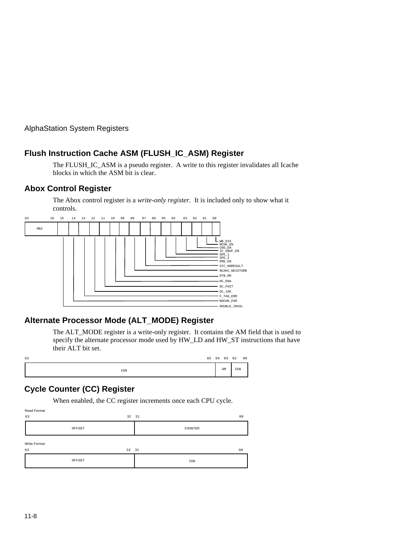# **Flush Instruction Cache ASM (FLUSH\_IC\_ASM) Register**

The FLUSH\_IC\_ASM is a pseudo register. A write to this register invalidates all Icache blocks in which the ASM bit is clear.

#### **Abox Control Register**

The Abox control register is a *write-only register.* It is included only to show what it controls.



# **Alternate Processor Mode (ALT\_MODE) Register**

The ALT\_MODE register is a write-only register. It contains the AM field that is used to specify the alternate processor mode used by HW\_LD and HW\_ST instructions that have their ALT bit set.

| 63 |              |  | 05  04  03  02 |     | 00 |
|----|--------------|--|----------------|-----|----|
|    | $_{\tt IGM}$ |  | AM             | IGN |    |

# **Cycle Counter (CC) Register**

When enabled, the CC register increments once each CPU cycle.

| Read Format<br>63  | 32 31  | 00      |
|--------------------|--------|---------|
|                    | OFFSET | COUNTER |
| Write Format<br>63 | 32 31  | 00      |
|                    | OFFSET | IGN     |
|                    |        |         |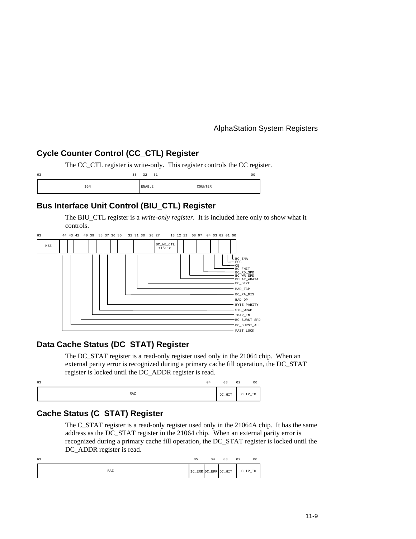# **Cycle Counter Control (CC\_CTL) Register**

The CC\_CTL register is write-only. This register controls the CC register.

| 63  | 31<br>33<br>32 | 00     |
|-----|----------------|--------|
| IGN | ENABLE         | OUNTER |

# **Bus Interface Unit Control (BIU\_CTL) Register**

The BIU\_CTL register is a *write-only register.* It is included here only to show what it controls.



## **Data Cache Status (DC\_STAT) Register**

The DC\_STAT register is a read-only register used only in the 21064 chip. When an external parity error is recognized during a primary cache fill operation, the DC\_STAT register is locked until the DC\_ADDR register is read.

| 63  | 04 | 03     | 02<br>0 <sup>0</sup> |
|-----|----|--------|----------------------|
| RAZ |    | DC_HIT | CHIP_ID              |

## **Cache Status (C\_STAT) Register**

The C\_STAT register is a read-only register used only in the 21064A chip. It has the same address as the DC\_STAT register in the 21064 chip. When an external parity error is recognized during a primary cache fill operation, the DC\_STAT register is locked until the DC\_ADDR register is read.

| 63  | 0 <sub>5</sub> | 04 | 03                   | 02<br>00 |
|-----|----------------|----|----------------------|----------|
| RAZ |                |    | IC_ERR DC_ERR DC_HIT | CHIP_ID  |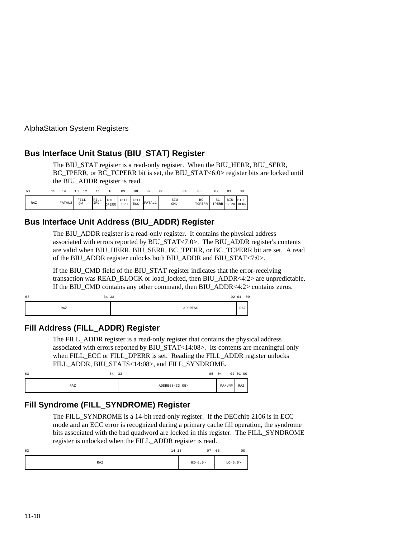## **Bus Interface Unit Status (BIU\_STAT) Register**

The BIU\_STAT register is a read-only register. When the BIU\_HERR, BIU\_SERR, BC\_TPERR, or BC\_TCPERR bit is set, the BIU\_STAT<6:0> register bits are locked until the BIU\_ADDR register is read.

| 63         |                    |            |             |               |             | 08          |        | 06         | 03           | 02          | 01  | 0 <sub>0</sub>          |
|------------|--------------------|------------|-------------|---------------|-------------|-------------|--------|------------|--------------|-------------|-----|-------------------------|
| <b>RAZ</b> | FATAL <sub>2</sub> | FILL<br>QW | FILL<br>IRD | FILL<br>DPERR | FILL<br>CRD | FILL<br>ECC | FATAL1 | BIU<br>CMD | BC<br>TCPERR | BC<br>TPERR | BIU | <b>BIU</b><br>SERR HERR |

## **Bus Interface Unit Address (BIU\_ADDR) Register**

The BIU ADDR register is a read-only register. It contains the physical address associated with errors reported by BIU\_STAT<7:0>. The BIU\_ADDR register's contents are valid when BIU\_HERR, BIU\_SERR, BC\_TPERR, or BC\_TCPERR bit are set. A read of the BIU\_ADDR register unlocks both BIU\_ADDR and BIU\_STAT<7:0>.

If the BIU CMD field of the BIU STAT register indicates that the error-receiving transaction was READ\_BLOCK or load\_locked, then BIU\_ADDR<4:2> are unpredictable. If the BIU\_CMD contains any other command, then BIU\_ADDR<4:2> contains zeros.

| 63<br>34 33 |                | 02 01 | 00 |
|-------------|----------------|-------|----|
| RAZ         | <b>ADDRESS</b> | RAZ   |    |

## **Fill Address (FILL\_ADDR) Register**

The FILL\_ADDR register is a read-only register that contains the physical address associated with errors reported by BIU\_STAT<14:08>. Its contents are meaningful only when FILL\_ECC or FILL\_DPERR is set. Reading the FILL\_ADDR register unlocks FILL\_ADDR, BIU\_STATS<14:08>, and FILL\_SYNDROME.

| 63<br>34 | 33<br>05       | 04     | 02 01 00 |
|----------|----------------|--------|----------|
| RAZ      | ADDRESS<33:05> | PA/UNP | RAZ      |

# **Fill Syndrome (FILL\_SYNDROME) Register**

The FILL\_SYNDROME is a 14-bit read-only register. If the DECchip 2106 is in ECC mode and an ECC error is recognized during a primary cache fill operation, the syndrome bits associated with the bad quadword are locked in this register. The FILL\_SYNDROME register is unlocked when the FILL\_ADDR register is read.

| 63 | 14 13 | 07        | 06 | 0 <sup>0</sup> |
|----|-------|-----------|----|----------------|
|    | RAZ   | HI < 6:0> |    | LO < 6:0>      |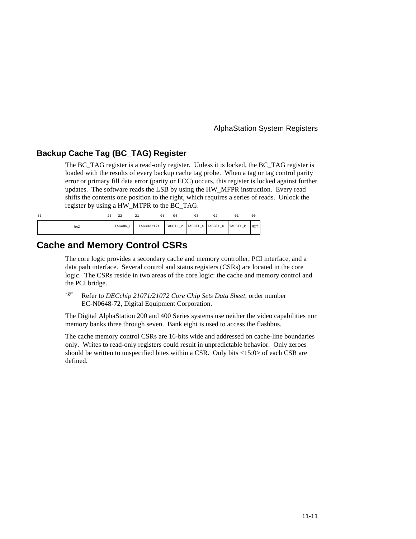#### **Backup Cache Tag (BC\_TAG) Register**

The BC\_TAG register is a read-only register. Unless it is locked, the BC\_TAG register is loaded with the results of every backup cache tag probe. When a tag or tag control parity error or primary fill data error (parity or ECC) occurs, this register is locked against further updates. The software reads the LSB by using the HW\_MFPR instruction. Every read shifts the contents one position to the right, which requires a series of reads. Unlock the register by using a HW\_MTPR to the BC\_TAG.

| 63         | 44 | 22       |            | 04                                  | 03 | 02 | 0 <sub>0</sub> |
|------------|----|----------|------------|-------------------------------------|----|----|----------------|
| <b>RAZ</b> |    | TAGADR P | TAG<33:17> | TAGCTL_V TAGCTL_S TAGCTL_D TAGCTL_P |    |    | HIT            |

# **Cache and Memory Control CSRs**

The core logic provides a secondary cache and memory controller, PCI interface, and a data path interface. Several control and status registers (CSRs) are located in the core logic. The CSRs reside in two areas of the core logic: the cache and memory control and the PCI bridge. F

 Refer to *DECchip 21071/21072 Core Chip Sets Data Sheet,* order number EC-N0648-72, Digital Equipment Corporation.

The Digital AlphaStation 200 and 400 Series systems use neither the video capabilities nor memory banks three through seven. Bank eight is used to access the flashbus.

The cache memory control CSRs are 16-bits wide and addressed on cache-line boundaries only. Writes to read-only registers could result in unpredictable behavior. Only zeroes should be written to unspecified bites within a CSR. Only bits <15:0> of each CSR are defined.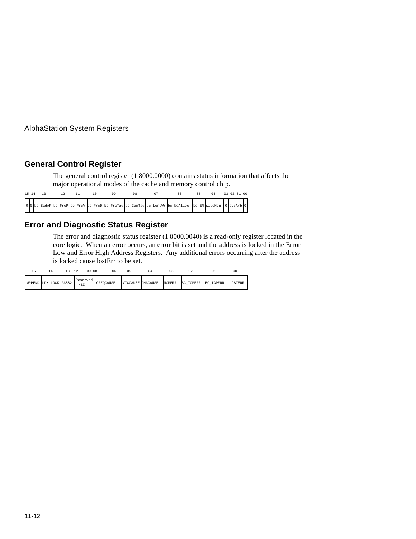## **General Control Register**

The general control register (1 8000.0000) contains status information that affects the major operational modes of the cache and memory control chip.

|  | 15 14 13 |  |  |  |                                                                                                        |  | 03 02 01 00 |  |
|--|----------|--|--|--|--------------------------------------------------------------------------------------------------------|--|-------------|--|
|  |          |  |  |  | 000 bc_BadAP bc_FrcP bc_FrcV bc_FrcD bc_FrcTag bc_IgnTag bc_LongWr bc_NoAlloc bc_EN wideMem 0 sysArb 0 |  |             |  |

## **Error and Diagnostic Status Register**

The error and diagnostic status register (1 8000.0040) is a read-only register located in the core logic. When an error occurs, an error bit is set and the address is locked in the Error Low and Error High Address Registers. Any additional errors occurring after the address is locked cause lostErr to be set.

|        |                | 09 08           | 06        | n 5               | 04 |               |           |                  | 00      |
|--------|----------------|-----------------|-----------|-------------------|----|---------------|-----------|------------------|---------|
| WRPEND | LDXLLOCK PASS2 | Reserved<br>MBZ | CREOCAUSE | VICCAUSE DMACAUSE |    | <b>NXMERR</b> | BC_TCPERR | <b>BC_TAPERR</b> | LOSTERR |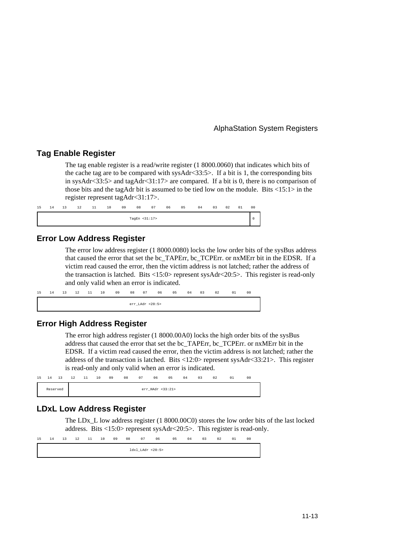### **Tag Enable Register**

The tag enable register is a read/write register (1 8000.0060) that indicates which bits of the cache tag are to be compared with sysAdr<33:5>. If a bit is 1, the corresponding bits in sysAdr<33:5> and tagAdr<31:17> are compared. If a bit is 0, there is no comparison of those bits and the tagAdr bit is assumed to be tied low on the module. Bits  $\langle 15:1 \rangle$  in the register represent tagAdr<31:17>.

| 15 | 14 | 13 | 12 | 11 | 10 | 09 | 08               | 07 | 06 | 05 | 04 | 03 | 02 | 01 | 00 |
|----|----|----|----|----|----|----|------------------|----|----|----|----|----|----|----|----|
|    |    |    |    |    |    |    | TagEn $<$ 31:17> |    |    |    |    |    |    |    |    |

#### **Error Low Address Register**

The error low address register (1 8000.0080) locks the low order bits of the sysBus address that caused the error that set the bc\_TAPErr, bc\_TCPErr. or nxMErr bit in the EDSR. If a victim read caused the error, then the victim address is not latched; rather the address of the transaction is latched. Bits <15:0> represent sysAdr<20:5>. This register is read-only and only valid when an error is indicated.

| 15 | 14 | 13 | 12 | 11 | 10 | 09 | 08 | 07              | 06 | 05 | 04 | 03 | 02 | 01 | 00 |
|----|----|----|----|----|----|----|----|-----------------|----|----|----|----|----|----|----|
|    |    |    |    |    |    |    |    | err_LAdr <20:5> |    |    |    |    |    |    |    |

#### **Error High Address Register**

The error high address register (1 8000.00A0) locks the high order bits of the sysBus address that caused the error that set the bc\_TAPErr, bc\_TCPErr. or nxMErr bit in the EDSR. If a victim read caused the error, then the victim address is not latched; rather the address of the transaction is latched. Bits  $\langle 12:0 \rangle$  represent sysAdr $\langle 33:21 \rangle$ . This register is read-only and only valid when an error is indicated.

| 15 | 14       | 13 | 12 | 11 | 10 | 09 | 08 | 07 | 06               | 05 | 04 | 03 | 02 | 01 | 0 <sup>0</sup> |
|----|----------|----|----|----|----|----|----|----|------------------|----|----|----|----|----|----------------|
|    | Reserved |    |    |    |    |    |    |    | err_HAdr <33:21> |    |    |    |    |    |                |

#### **LDxL Low Address Register**

The LDx<sub>L</sub> low address register (1 8000.00C0) stores the low order bits of the last locked address. Bits <15:0> represent sysAdr<20:5>. This register is read-only.

```
ldxl_LAdr <20:5>
15 14 13 12 11 10 09 08 07 06 05 04 03 02 01 00
```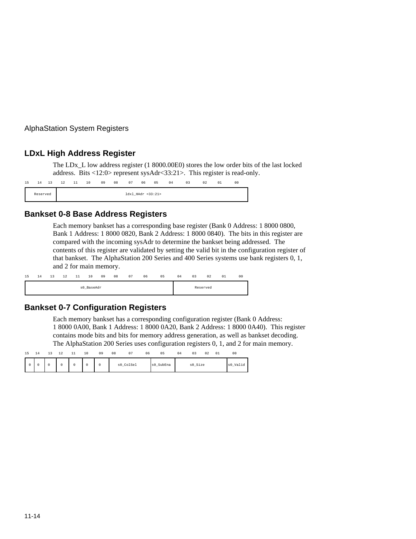### **LDxL High Address Register**

The LDx\_L low address register (1 8000.00E0) stores the low order bits of the last locked address. Bits <12:0> represent sysAdr<33:21>. This register is read-only.

| 15 | 14       | 13 | 12 | 11 | 10 | 09 | 08 | 07                | 06 | 05 | 04 | 03 | 02 | 01 | 0 <sup>0</sup> |
|----|----------|----|----|----|----|----|----|-------------------|----|----|----|----|----|----|----------------|
|    | Reserved |    |    |    |    |    |    | ldxl_HAdr <33:21> |    |    |    |    |    |    |                |

### **Bankset 0-8 Base Address Registers**

Each memory bankset has a corresponding base register (Bank 0 Address: 1 8000 0800, Bank 1 Address: 1 8000 0820, Bank 2 Address: 1 8000 0840). The bits in this register are compared with the incoming sysAdr to determine the bankset being addressed. The contents of this register are validated by setting the valid bit in the configuration register of that bankset. The AlphaStation 200 Series and 400 Series systems use bank registers 0, 1, and 2 for main memory.

| 15 | 14 | 13 | 12 | 11 | 10         | 09 | 08 | 07 | 06 | 05 | 04 | 03 | 02       | 01 | 0 <sub>0</sub> |
|----|----|----|----|----|------------|----|----|----|----|----|----|----|----------|----|----------------|
|    |    |    |    |    | s0_BaseAdr |    |    |    |    |    |    |    | Reserved |    |                |

### **Bankset 0-7 Configuration Registers**

Each memory bankset has a corresponding configuration register (Bank 0 Address: 1 8000 0A00, Bank 1 Address: 1 8000 0A20, Bank 2 Address: 1 8000 0A40). This register contains mode bits and bits for memory address generation, as well as bankset decoding. The AlphaStation 200 Series uses configuration registers 0, 1, and 2 for main memory.

| 15 | 14 | -- | $\sim$<br>∸ | . . | 10 | 09 | 08 | 07        | 06 | 0 <sub>5</sub>                                 | 04 |         | 02 | 01 | 00       |  |
|----|----|----|-------------|-----|----|----|----|-----------|----|------------------------------------------------|----|---------|----|----|----------|--|
|    |    |    | $\Omega$    |     |    |    |    | s0_ColSel |    | SubEna<br>$\mathsf{I} \mathsf{s} \mathsf{0}$ . |    | s0_Size |    |    | s0_Valid |  |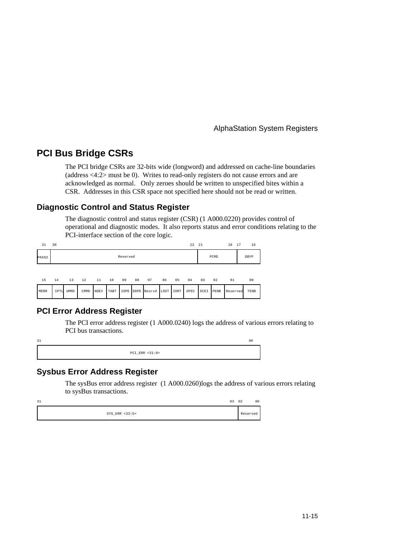# **PCI Bus Bridge CSRs**

The PCI bridge CSRs are 32-bits wide (longword) and addressed on cache-line boundaries (address <4:2> must be 0). Writes to read-only registers do not cause errors and are acknowledged as normal. Only zeroes should be written to unspecified bites within a CSR. Addresses in this CSR space not specified here should not be read or written.

### **Diagnostic Control and Status Register**

The diagnostic control and status register (CSR) (1 A000.0220) provides control of operational and diagnostic modes. It also reports status and error conditions relating to the PCI-interface section of the core logic.

| 31                | 30   |             |      |             |      |          |    |                  |      |      | 22 21 |      |      | 18<br>17 | 16   |
|-------------------|------|-------------|------|-------------|------|----------|----|------------------|------|------|-------|------|------|----------|------|
| PASS <sub>2</sub> |      |             |      |             |      | Reserved |    |                  |      |      |       |      | PCMD |          | DBYP |
| 15                | 14   | 13 12       |      | $\sim 11$   | 10   | 09       | 08 | 07               | 06   | 05   | 04    | 03   | 02   | 01       | 00   |
| MERR              | IPTL | <b>UMRD</b> | CMRD | <b>NDEV</b> | TABT |          |    | IOPE DDPE Resrvd | LOST | IORT | DPEC  | DCEI | PENB | Reserved | TENB |

### **PCI Error Address Register**

The PCI error address register (1 A000.0240) logs the address of various errors relating to PCI bus transactions.



### **Sysbus Error Address Register**

The sysBus error address register (1 A000.0260)logs the address of various errors relating to sysBus transactions.

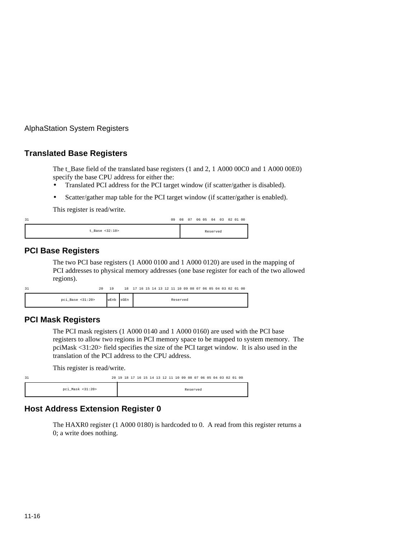### **Translated Base Registers**

The t\_Base field of the translated base registers (1 and 2, 1 A000 00C0 and 1 A000 00E0) specify the base CPU address for either the:

- Translated PCI address for the PCI target window (if scatter/gather is disabled).
- Scatter/gather map table for the PCI target window (if scatter/gather is enabled).

This register is read/write.

| 31             |  |  |          | 09 08 07 06 05 04 03 02 01 00 |  |
|----------------|--|--|----------|-------------------------------|--|
| t Base <32:10> |  |  | Reserved |                               |  |

### **PCI Base Registers**

The two PCI base registers (1 A000 0100 and 1 A000 0120) are used in the mapping of PCI addresses to physical memory addresses (one base register for each of the two allowed regions).

| 31                     | 20 | 1 Q  | 18    17    16    15    14    13    12    11    10    09    08    07    06    05    04    03    02    01    00 |  |  |  |  |          |  |  |  |  |  |
|------------------------|----|------|----------------------------------------------------------------------------------------------------------------|--|--|--|--|----------|--|--|--|--|--|
| $pci$ Base < $31:20$ > |    | wEnb | sGEn                                                                                                           |  |  |  |  | Reserved |  |  |  |  |  |

### **PCI Mask Registers**

The PCI mask registers (1 A000 0140 and 1 A000 0160) are used with the PCI base registers to allow two regions in PCI memory space to be mapped to system memory. The pciMask <31:20> field specifies the size of the PCI target window. It is also used in the translation of the PCI address to the CPU address.

This register is read/write.

| 31               | 20 19 18 17 16 15 14 13 12 11 10 09 08 07 06 05 04 03 02 01 00 |  |  |  |  |  |          |  |  |  |  |
|------------------|----------------------------------------------------------------|--|--|--|--|--|----------|--|--|--|--|
| pci Mask <31:20> |                                                                |  |  |  |  |  | Reserved |  |  |  |  |

# **Host Address Extension Register 0**

The HAXR0 register (1 A000 0180) is hardcoded to 0. A read from this register returns a 0; a write does nothing.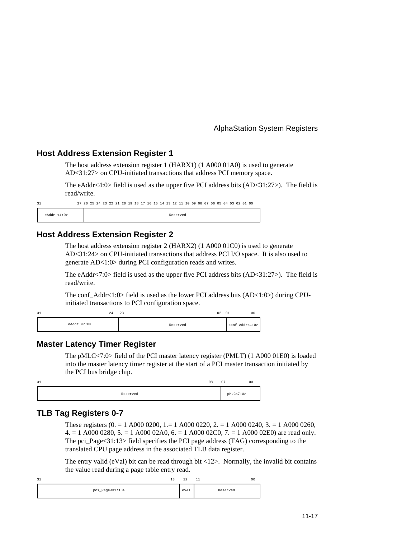### **Host Address Extension Register 1**

The host address extension register 1 (HARX1) (1 A000 01A0) is used to generate AD<31:27> on CPU-initiated transactions that address PCI memory space.

The eAddr<4:0> field is used as the upper five PCI address bits  $(AD<31:27)$ . The field is read/write.

|              |  | 27 26 25 24 23 22 21 20 19 18 17 16 15 14 13 12 11 10 09 08 07 06 05 04 03 02 01 00 |  |  |  |  |  |  |          |  |  |  |  |  |  |
|--------------|--|-------------------------------------------------------------------------------------|--|--|--|--|--|--|----------|--|--|--|--|--|--|
| eAddr < 4:0> |  |                                                                                     |  |  |  |  |  |  | Reserved |  |  |  |  |  |  |

#### **Host Address Extension Register 2**

The host address extension register 2 (HARX2) (1 A000 01C0) is used to generate AD<31:24> on CPU-initiated transactions that address PCI I/O space. It is also used to generate AD<1:0> during PCI configuration reads and writes.

The eAddr<7:0> field is used as the upper five PCI address bits  $(AD<31:27)$ . The field is read/write.

The conf\_Addr<1:0> field is used as the lower PCI address bits (AD<1:0>) during CPUinitiated transactions to PCI configuration space.

| 31                | -4 | 23       | 02 | 01             | 00 |
|-------------------|----|----------|----|----------------|----|
| $e$ Addr < $7:0>$ |    | Reserved |    | conf Addr<1:0> |    |

#### **Master Latency Timer Register**

The pMLC<7:0> field of the PCI master latency register (PMLT) (1 A000 01E0) is loaded into the master latency timer register at the start of a PCI master transaction initiated by the PCI bus bridge chip.

| 31       | 08 | 07          | 00 |
|----------|----|-------------|----|
| Reserved |    | pMLC < 7:0> |    |

#### **TLB Tag Registers 0-7**

These registers (0. = 1 A000 0200, 1.= 1 A000 0220, 2. = 1 A000 0240, 3. = 1 A000 0260,  $4. = 1$  A000 0280,  $5. = 1$  A000 02A0,  $6. = 1$  A000 02C0,  $7. = 1$  A000 02E0) are read only. The pci\_Page<31:13> field specifies the PCI page address (TAG) corresponding to the translated CPU page address in the associated TLB data register.

The entry valid (eVal) bit can be read through bit  $\langle 12 \rangle$ . Normally, the invalid bit contains the value read during a page table entry read.

| 31 |                 | -- | ר ד<br>-- | 11 |          | 0C |
|----|-----------------|----|-----------|----|----------|----|
|    | pci_Page<31:13> |    | evAl      |    | Reserved |    |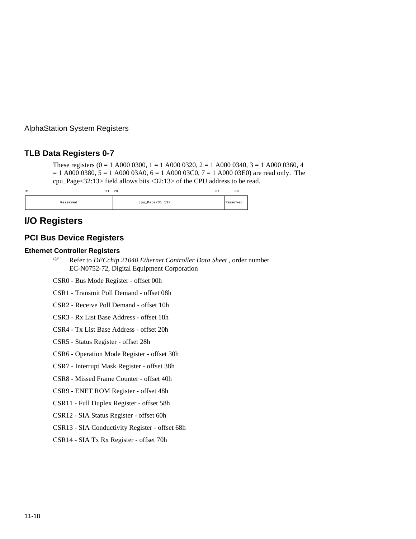### **TLB Data Registers 0-7**

These registers  $(0 = 1 \text{ A}000 \text{ 0}300, 1 = 1 \text{ A}000 \text{ 0}320, 2 = 1 \text{ A}000 \text{ 0}340, 3 = 1 \text{ A}000 \text{ 0}360, 4$  $= 1$  A000 0380,  $5 = 1$  A000 03A0,  $6 = 1$  A000 03C0,  $7 = 1$  A000 03E0) are read only. The cpu\_Page<32:13> field allows bits <32:13> of the CPU address to be read.

| 31       | 20<br>44        | 01 | 0 <sup>0</sup> |
|----------|-----------------|----|----------------|
| Reserved | cpu_Page<31:13> |    | Reserved       |

# **I/O Registers**

#### **PCI Bus Device Registers**

# **Ethernet Controller Registers** F

- Refer to *DECchip 21040 Ethernet Controller Data Sheet ,* order number EC-N0752-72, Digital Equipment Corporation
- CSR0 Bus Mode Register offset 00h
- CSR1 Transmit Poll Demand offset 08h
- CSR2 Receive Poll Demand offset 10h
- CSR3 Rx List Base Address offset 18h
- CSR4 Tx List Base Address offset 20h
- CSR5 Status Register offset 28h
- CSR6 Operation Mode Register offset 30h
- CSR7 Interrupt Mask Register offset 38h
- CSR8 Missed Frame Counter offset 40h
- CSR9 ENET ROM Register offset 48h
- CSR11 Full Duplex Register offset 58h
- CSR12 SIA Status Register offset 60h
- CSR13 SIA Conductivity Register offset 68h
- CSR14 SIA Tx Rx Register offset 70h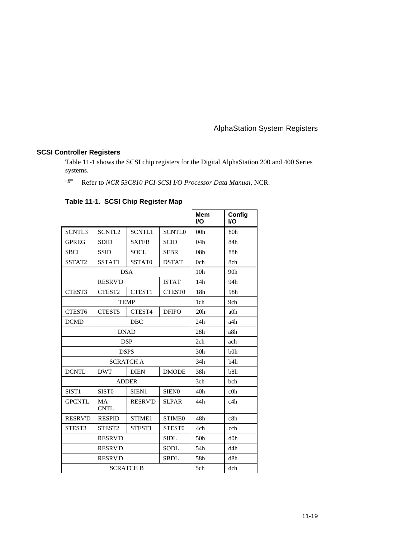# **SCSI Controller Registers**

Table 11-1 shows the SCSI chip registers for the Digital AlphaStation 200 and 400 Series systems. F

Refer to *NCR 53C810 PCI-SCSI I/O Processor Data Manual,* NCR.

### **Table 11-1. SCSI Chip Register Map**

|                    |                          |                  |                   | <b>Mem</b><br><b>I/O</b> | Config<br><b>I/O</b> |
|--------------------|--------------------------|------------------|-------------------|--------------------------|----------------------|
| <b>SCNTL3</b>      | SCNTL <sub>2</sub>       | <b>SCNTL1</b>    | <b>SCNTLO</b>     | 00 <sub>h</sub>          | 80 <sub>h</sub>      |
| <b>GPREG</b>       | <b>SDID</b>              | <b>SXFER</b>     | <b>SCID</b>       | 04h                      | 84h                  |
| <b>SBCL</b>        | <b>SSID</b>              | <b>SOCL</b>      | <b>SFBR</b>       | 08 <sub>h</sub>          | 88h                  |
| SSTAT2             | SSTAT1                   | SSTAT0           | <b>DSTAT</b>      | 0 <sub>ch</sub>          | 8ch                  |
|                    |                          | <b>DSA</b>       |                   | 10 <sub>h</sub>          | 90h                  |
|                    | <b>RESRV'D</b>           |                  | <b>ISTAT</b>      | 14h                      | 94h                  |
| CTEST3             | CTEST2                   | CTEST1           | <b>CTEST0</b>     | 18h                      | 98h                  |
|                    |                          | <b>TEMP</b>      |                   | 1ch                      | 9ch                  |
| CTEST <sub>6</sub> | CTEST <sub>5</sub>       | CTEST4           | <b>DFIFO</b>      | 20 <sub>h</sub>          | $a0$ h               |
| <b>DCMD</b>        |                          | <b>DBC</b>       |                   | 24h                      | a4h                  |
| <b>DNAD</b>        |                          |                  |                   | 28h                      | a8h                  |
| <b>DSP</b>         |                          |                  |                   | 2ch                      | ach                  |
| <b>DSPS</b>        |                          |                  |                   | 30 <sub>h</sub>          | b <sub>0h</sub>      |
|                    |                          | <b>SCRATCH A</b> |                   | 34h                      | h4h                  |
| <b>DCNTL</b>       | <b>DWT</b>               | <b>DIEN</b>      | <b>DMODE</b>      | 38h                      | b8h                  |
|                    |                          | <b>ADDER</b>     |                   | 3ch                      | <b>b</b> ch          |
| SIST1              | SIST <sub>0</sub>        | SIEN1            | SIEN <sub>0</sub> | 40 <sub>h</sub>          | $c0$ h               |
| <b>GPCNTL</b>      | <b>MA</b><br><b>CNTL</b> | <b>RESRV'D</b>   | <b>SLPAR</b>      | 44h                      | c4h                  |
| <b>RESRV'D</b>     | <b>RESPID</b>            | STIME1           | <b>STIME0</b>     | 48h                      | c8h                  |
| STEST3             | STEST <sub>2</sub>       | STEST1           | STEST0            | 4ch                      | cch                  |
|                    | <b>RESRV'D</b>           |                  |                   | 50 <sub>h</sub>          | $d0$ h               |
|                    | <b>RESRV'D</b>           |                  | <b>SODL</b>       | 54h                      | d4h                  |
|                    | <b>RESRV'D</b>           |                  | <b>SBDL</b>       | 58h                      | d8h                  |
|                    |                          | <b>SCRATCH B</b> |                   | 5ch                      | dch                  |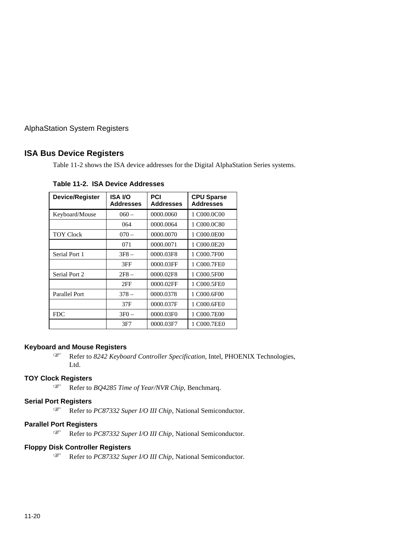### **ISA Bus Device Registers**

Table 11-2 shows the ISA device addresses for the Digital AlphaStation Series systems.

| Device/Register      | ISA I/O<br><b>Addresses</b> | PCI<br><b>Addresses</b> | <b>CPU Sparse</b><br><b>Addresses</b> |
|----------------------|-----------------------------|-------------------------|---------------------------------------|
| Keyboard/Mouse       | $060 -$                     | 0000.0060               | 1 C000.0C00                           |
|                      | 064                         | 0000.0064               | 1 C000.0C80                           |
| <b>TOY Clock</b>     | $070 -$                     | 0000.0070               | 1 C000.0E00                           |
|                      | 071                         | 0000.0071               | 1 C000.0E20                           |
| Serial Port 1        | $3F8 -$                     | 0000.03F8               | 1 C000.7F00                           |
|                      | 3FF                         | 0000.03FF               | 1 C000.7FE0                           |
| Serial Port 2        | $2F8 -$                     | 0000.02F8               | 1 C000.5F00                           |
|                      | 2FF                         | 0000.02FF               | 1 C000.5FE0                           |
| <b>Parallel Port</b> | $378 -$                     | 0000.0378               | 1 C000.6F00                           |
|                      | 37F                         | 0000.037F               | 1 C000.6FE0                           |
| <b>FDC</b>           | $3F0 -$                     | 0000.03F0               | 1 C000.7E00                           |
|                      | 3F7                         | 0000.03F7               | 1 C000.7EE0                           |

**Table 11-2. ISA Device Addresses**

# **Keyboard and Mouse Registers** F

 Refer to *8242 Keyboard Controller Specification,* Intel, PHOENIX Technologies, Ltd.

# **TOY Clock Registers** F

Refer to *BQ4285 Time of Year/NVR Chip*, Benchmarq.

# **Serial Port Registers** F

Refer to *PC87332 Super I/O III Chip*, National Semiconductor.

# **Parallel Port Registers** F

Refer to *PC87332 Super I/O III Chip*, National Semiconductor.

# **Floppy Disk Controller Registers** F

Refer to *PC87332 Super I/O III Chip*, National Semiconductor.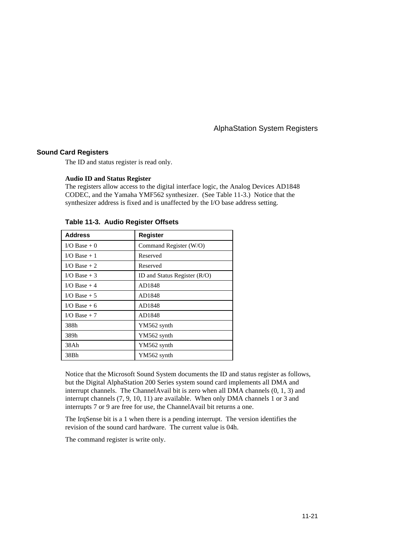#### **Sound Card Registers**

The ID and status register is read only.

#### **Audio ID and Status Register**

The registers allow access to the digital interface logic, the Analog Devices AD1848 CODEC, and the Yamaha YMF562 synthesizer. (See Table 11-3.) Notice that the synthesizer address is fixed and is unaffected by the I/O base address setting.

| <b>Address</b>  | <b>Register</b>                |
|-----------------|--------------------------------|
| I/O Base $+0$   | Command Register (W/O)         |
| $I/O$ Base + 1  | Reserved                       |
| $I/O$ Base $+2$ | Reserved                       |
| I/O Base $+3$   | ID and Status Register $(R/O)$ |
| $I/O$ Base $+4$ | AD1848                         |
| I/O Base $+5$   | AD1848                         |
| I/O Base $+6$   | AD1848                         |
| $I/O$ Base + 7  | AD1848                         |
| 388h            | YM562 synth                    |
| 389h            | YM562 synth                    |
| 38Ah            | YM562 synth                    |
| 38Bh            | YM562 synth                    |

**Table 11-3. Audio Register Offsets**

Notice that the Microsoft Sound System documents the ID and status register as follows, but the Digital AlphaStation 200 Series system sound card implements all DMA and interrupt channels. The ChannelAvail bit is zero when all DMA channels (0, 1, 3) and interrupt channels (7, 9, 10, 11) are available. When only DMA channels 1 or 3 and interrupts 7 or 9 are free for use, the ChannelAvail bit returns a one.

The IrqSense bit is a 1 when there is a pending interrupt. The version identifies the revision of the sound card hardware. The current value is 04h.

The command register is write only.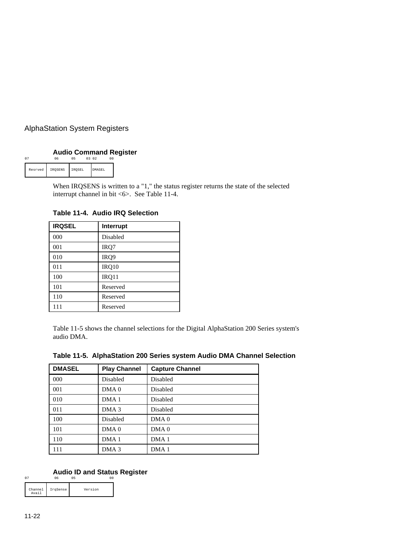#### **Audio Command Register**

|         |         |        | 03 02  |  |
|---------|---------|--------|--------|--|
| Resrved | IROSENS | IROSEL | DMASEL |  |

When IRQSENS is written to a "1," the status register returns the state of the selected interrupt channel in bit <6>. See Table 11-4.

**IRQSEL Interrupt** 000 Disabled 001 IRQ7 010 IRQ9 011 **IRQ10** 100 IRQ11 101 Reserved 110 Reserved 111 Reserved

**Table 11-4. Audio IRQ Selection**

Table 11-5 shows the channel selections for the Digital AlphaStation 200 Series system's audio DMA.

| <b>DMASEL</b> | <b>Play Channel</b> | <b>Capture Channel</b> |
|---------------|---------------------|------------------------|
| 000           | Disabled            | Disabled               |
| 001           | DMA <sub>0</sub>    | Disabled               |
| 010           | DMA <sub>1</sub>    | Disabled               |
| 011           | DMA <sub>3</sub>    | Disabled               |
| 100           | Disabled            | DMA <sub>0</sub>       |
| 101           | DMA <sub>0</sub>    | DMA <sub>0</sub>       |
| 110           | DMA <sub>1</sub>    | DMA <sub>1</sub>       |
| 111           | DMA <sub>3</sub>    | DMA <sub>1</sub>       |

#### **Table 11-5. AlphaStation 200 Series system Audio DMA Channel Selection**

#### **Audio ID and Status Register**

| Channel<br>Avai: | IrqSense | Version |  |
|------------------|----------|---------|--|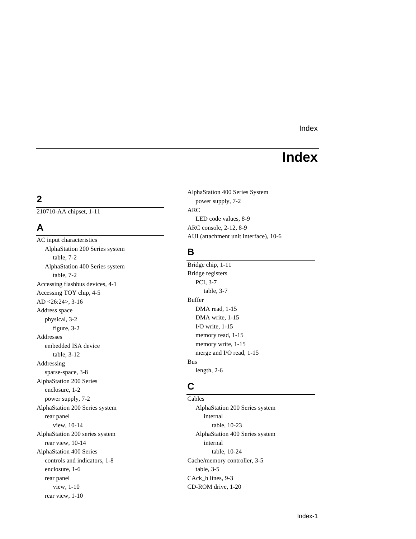# **Index**

# **2**

210710-AA chipset, 1-11 ARC

**B** AlphaStation 200 Series system table, 7-2 AlphaStation 400 Series system Bridge chip, 1-11 table, 7-2 Bridge registers and table, 7-2 Bridge registers expansion of the property of the property of the property of the property of the property of the property of the property of the property of the property of the p Accessing flashbus devices, 4-1 PCI, 3-7<br>Accessing TOV chin 4-5 table, 3-7 Accessing TOY chip, 4-5 AD <26:24>, 3-16 Buffer Address space DMA read, 1-15 physical, 3-2 DMA write, 1-15 I/O write, 1-15 figure, 3-2 Addresses memory read, 1-15<br>embedded ISA device memory write, 1-15 embedded ISA device table, 3-12 merge and I/O read, 1-15 Addressing Bus length, 2-6 sparse-space, 3-8 **C** AlphaStation 200 Series enclosure, 1-2 power supply, 7-2 Cables AlphaStation 200 Series system AlphaStation 200 Series system rear panel internal view, 10-14 table, 10-23 AlphaStation 200 series system AlphaStation 400 Series system rear view, 10-14 internal AlphaStation 400 Series table, 10-24 controls and indicators, 1-8 Cache/memory controller, 3-5 enclosure, 1-6 table, 3-5 rear panel CAck\_h lines, 9-3 view, 1-10 CD-ROM drive, 1-20 rear view, 1-10

AlphaStation 400 Series System power supply, 7-2 LED code values, 8-9 **A** ARC console, 2-12, 8-9 AUI (attachment unit interface), 10-6<br>AUI (attachment unit interface), 10-6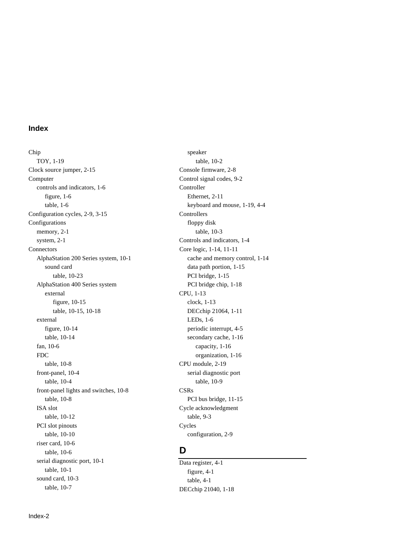Chip speaker TOY, 1-19 table, 10-2 Clock source jumper, 2-15 Console firmware, 2-8 Computer Control signal codes, 9-2 controls and indicators, 1-6 Controller figure, 1-6 Ethernet, 2-11 table, 1-6 keyboard and mouse, 1-19, 4-4 Configuration cycles, 2-9, 3-15 Controllers Configurations floppy disk memory, 2-1 table, 10-3 system, 2-1 Controls and indicators, 1-4 Connectors Core logic, 1-14, 11-11 AlphaStation 200 Series system, 10-1 cache and memory control, 1-14 sound card data path portion, 1-15 table, 10-23 PCI bridge, 1-15 AlphaStation 400 Series system PCI bridge chip, 1-18 external CPU, 1-13 figure, 10-15 clock, 1-13 table, 10-15, 10-18 DECchip 21064, 1-11 external LEDs, 1-6 figure, 10-14 periodic interrupt, 4-5 table, 10-14 secondary cache, 1-16 fan, 10-6 capacity, 1-16 FDC organization, 1-16 table, 10-8 CPU module, 2-19 front-panel, 10-4 serial diagnostic port table, 10-4 table, 10-9 front-panel lights and switches, 10-8 CSRs table, 10-8 PCI bus bridge, 11-15 ISA slot Cycle acknowledgment table, 10-12 table, 9-3 PCI slot pinouts Cycles table, 10-10 configuration, 2-9 riser card, 10-6 table, 10-6 **D** serial diagnostic port,  $10-1$  Data register,  $4-1$ <br>table.  $10-1$  figure  $4-1$ sound card, 10-3 table, 4-1<br>table, 10-7 table, 10-7 DFC chin 210

figure,  $4-1$ DECchip 21040, 1-18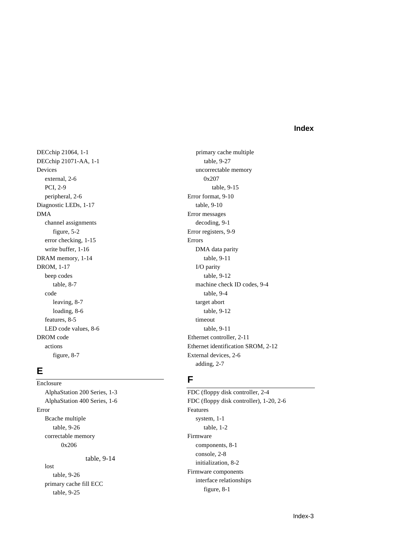DECchip 21064, 1-1 primary cache multiple DECchip 21071-AA, 1-1 table, 9-27 Devices uncorrectable memory external,  $2-6$  0x207 PCI, 2-9 table, 9-15 peripheral, 2-6 Error format, 9-10 Diagnostic LEDs, 1-17 table, 9-10 DMA Error messages channel assignments decoding, 9-1 figure, 5-2 Error registers, 9-9 error checking, 1-15 Errors write buffer, 1-16 DMA data parity DRAM memory, 1-14 table, 9-11 DROM, 1-17 I/O parity beep codes table, 9-12 code table, 9-4 leaving, 8-7 target abort loading, 8-6 table, 9-12 features, 8-5 timeout LED code values, 8-6 table, 9-11 DROM code Ethernet controller, 2-11 figure, 8-7 External devices, 2-6

Enclosure **F** AlphaStation 200 Series, 1-3 FDC (floppy disk controller, 2-4 Error Features Bcache multiple system, 1-1 table, 9-26 table, 1-2 correctable memory Firmware 0x206 components, 8-1 table, 9-14 console, 2-8 doct,  $\frac{1}{2}$  initialization, 8-2 Firmware components<br>table, 9-26 Firmware components<br>interface relationships primary cache fill ECC<br>table, 9-25 figure, 8-1

table, 8-7 machine check ID codes, 9-4 actions Ethernet identification SROM, 2-12 **E** adding, 2-7

AlphaStation 400 Series, 1-6 FDC (floppy disk controller), 1-20, 2-6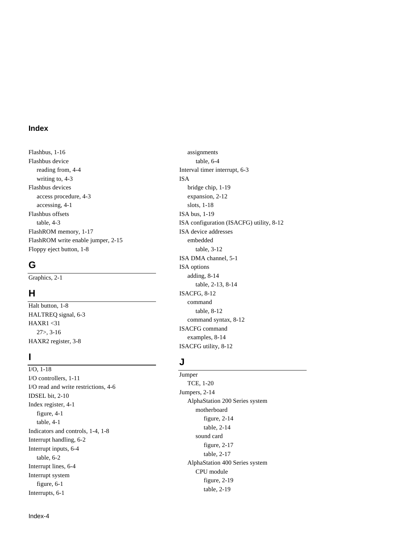Flashbus, 1-16 assignments Flashbus device table, 6-4 reading from, 4-4 Interval timer interrupt, 6-3 writing to, 4-3 ISA Flashbus devices bridge chip, 1-19 access procedure, 4-3 expansion, 2-12 accessing, 4-1 slots, 1-18 Flashbus offsets ISA bus, 1-19 FlashROM memory, 1-17 ISA device addresses FlashROM write enable jumper, 2-15 embedded Floppy eject button, 1-8 table, 3-12

### **G**

Final button, 1-8 command table, 8-12 HAXR1 <31<br>
27>, 3-16<br>
ISACFG command syntax<br>
EXRNP examples, 8-14

I/O, 1-18 Jumper<br>
I/O controllers, 1-11<br>
I/O read and units restrictions 4.6 TCE, 1-20  $I$ CE,  $I$ -20  $I$ CE,  $I$ -20  $I$ UE,  $I$ -20  $I$ IDSEL bit, 2-10<br>Independent 2.1<br>AlphaStation 200 Series system AlphaStation 200 Series system<br>
Index register, 4-1 **AlphaStation 200 Series system**<br>
Index register, 4-1 figure, 4-1 figure, 2-14<br>
figure, 2-14 table, 2-14<br>Indicators and controls, 1-4, 1-8<br>Sound card Sound card<br>
Interrupt handling, 6-2<br>
Interrupt inputs, 6-4 table, 6-2<br>
table, 6-2 AlphaStation 400 Series system<br>
Interrupt lines, 6-4 CPU module<br>
Interrupt system<br>
Interrupts, 6-1 table, 2-19<br>
Interrupts, 6-1

table, 4-3 ISA configuration (ISACFG) utility, 8-12 ISA DMA channel, 5-1 ISA options Graphics, 2-1 adding, 8-14 table, 2-13, 8-14 **H** ISACFG, 8-12 table, 8-12 HALTREQ signal, 6-3 command syntax, 8-12 HAXR1 <31 examples, 8-14 HAXR2 register, 3-8 ISACFG utility, 8-12

# **<sup>I</sup> <sup>J</sup>**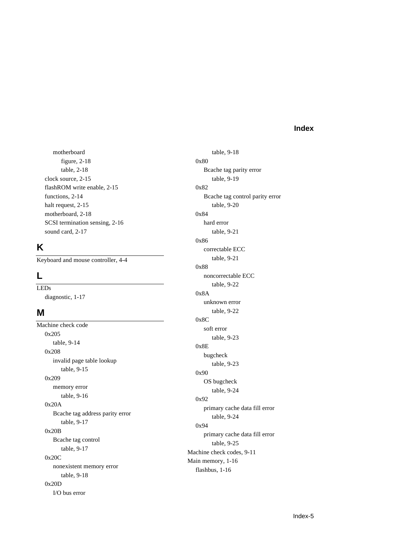motherboard table, 9-18 figure, 2-18 0x80 table, 2-18 Bcache tag parity error clock source, 2-15 table, 9-19 flashROM write enable, 2-15 0x82 functions, 2-14 Bcache tag control parity error halt request, 2-15 table, 9-20 motherboard,  $2-18$  0x84 SCSI termination sensing, 2-16 hard error sound card, 2-17 table, 9-21

# **K**

Keyboard and mouse controller, 4-4 table, 9-21

Machine check code soft error  $0x205$  $0x205$  table, 9-23  $\text{table}, 9-14$  0x8E done, 9-14<br>0x208 bugcheck hivalid page table lookup table, 9-23  $\text{table}, 9-15$  0x90 0x209 OS bugcheck memory error table, 9-24 table, 9-16 0x20A 0x20A primary cache data fill error Bcache tag address parity error table, 9-24 table, 9-17 0x20B Primary cache data fill error<br>Bcache tag control table, 9-17<br>table, 9-17<br>Machine sharp and a control table, 9-17  $\frac{1}{2}$  Machine check codes, 9-11 Machine check codes, 9-11 Machine check codes, 9-11 20C<br>
Main memory, 1-16<br>
flashbus, 1-16<br>
flashbus, 1-16 table, 9-18 0x20D I/O bus error

0x86 correctable ECC 0x88 **L** noncorrectable ECC LEDs table, 9-22 diagnostic, 1-17 0x8A<br>unknown error **M** table, 9-22 0x8C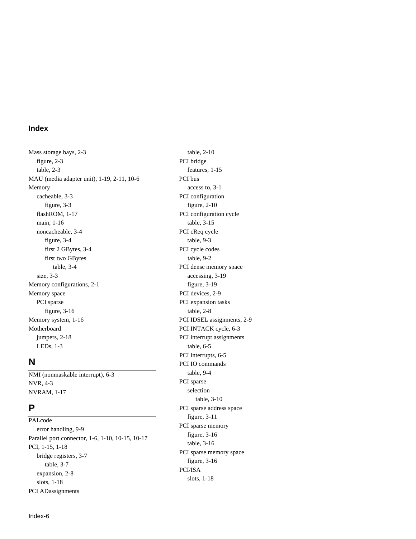Mass storage bays, 2-3 table, 2-10 figure, 2-3 PCI bridge table, 2-3 features, 1-15 MAU (media adapter unit), 1-19, 2-11, 10-6 PCI bus Memory access to, 3-1 cacheable, 3-3 PCI configuration figure, 3-3 figure, 2-10 flashROM, 1-17 PCI configuration cycle main, 1-16 table, 3-15 noncacheable, 3-4 PCI cReq cycle figure, 3-4 table, 9-3 first 2 GBytes, 3-4 PCI cycle codes first two GBytes table, 9-2 table, 3-4 PCI dense memory space size, 3-3 accessing, 3-19 Memory configurations, 2-1 figure, 3-19 Memory space PCI devices, 2-9 PCI sparse PCI expansion tasks figure, 3-16 table, 2-8 Memory system, 1-16 PCI IDSEL assignments, 2-9 Motherboard PCI INTACK cycle, 6-3 jumpers, 2-18 PCI interrupt assignments LEDs, 1-3 table, 6-5

NMI (nonmaskable interrupt), 6-3 table, 9-4 NVR, 4-3 PCI sparse NVRAM, 1-17 selection

PALcode figure, 3-11 PCI sparse memory<br>error handling, 9-9 **FCI** sparse memory<br>parallel port connector, 1-6, 1-10, 10-15, 10-17 **FCI**, 1-15, 1-18 table, 3-16 PCI sparse memory space<br>bridge registers, 3-7<br>table, 3-7<br>PCI/ISA<br>PCI/ISA expansion, 2-8 PCI/ISA slots, 1-18 slots, 1-18 PCI ADassignments

**N** PCI interrupts, 6-5<br>PCI IO commands table, 3-10 **P** PCI sparse address space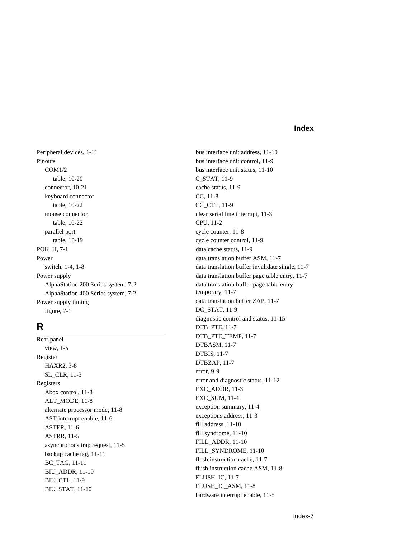Peripheral devices, 1-11 bus interface unit address, 11-10 Pinouts bus interface unit control, 11-9 COM1/2 bus interface unit status, 11-10 table, 10-20 C\_STAT, 11-9 connector, 10-21 cache status, 11-9 keyboard connector CC, 11-8 table, 10-22 CC\_CTL, 11-9 mouse connector clear serial line interrupt, 11-3 table, 10-22 CPU, 11-2 parallel port cycle counter, 11-8 table, 10-19 cycle counter control, 11-9 POK<sub>H</sub>, 7-1 data cache status, 11-9 Power data translation buffer ASM, 11-7 AlphaStation 400 Series system, 7-2 temporary, 11-7 Power supply timing data translation buffer ZAP, 11-7 figure, 7-1 DC\_STAT, 11-9

DTBASM, 11-7<br>DTBASM, 11-7<br>DTBIS, 11-7 DTBIS, 11-7 Register  $\text{DTBZAP}, 11-7$ <br>  $\text{HAXR2}, 3-8$ <br>  $\text{ST\_CL\_P}, 11.2$ <br>  $\text{error}, 9-9$ SL\_CLR, 11-3 Registers<br>
Abex central 11.8<br>
Abex central 11.8<br>
Abex central 11.8 Abox control, 11-8 BAC\_ADDR, 11-4<br>EXC\_SUM, 11-4 ALT\_MODE, 11-8<br>elemete precessor mede, 11.8<br>exception summary, 11-4 alternate processor mode, 11-8 alternate processor mode, 11-8 alternate processor mode, 11-8 alternative exception summary, 11-4 and  $\Delta$  ST intervalse 11.6 AST interrupt enable, 11-6 fill address, 11-10 ASTER, 11-6 fill syndrome, 11-10 ASTRR, 11-5 asynchronous trap request, 11-5<br>FILL\_SYNDROME, 11-10<br>FILL\_SYNDROME, 11-10 backup cache tag, 11-11 flush instruction cache, 11-7<br>BC\_TAG, 11-11 BIU\_CTL, 11-9 FLUSH\_IC\_ASM, 11-8<br>BIU\_STAT, 11-10 FLUSH\_IC\_ASM, 11-8

switch, 1-4, 1-8 data translation buffer invalidate single, 11-7 Power supply data translation buffer page table entry, 11-7 AlphaStation 200 Series system, 7-2 data translation buffer page table entry diagnostic control and status, 11-15 **R** DTB\_PTE, 11-7 Rear panel DTB\_PTE\_TEMP, 11-7 Flush instruction cache ASM, 11-8<br>FLUSH\_IC, 11-7<br>BIU\_CTL 11.0 hardware interrupt enable, 11-5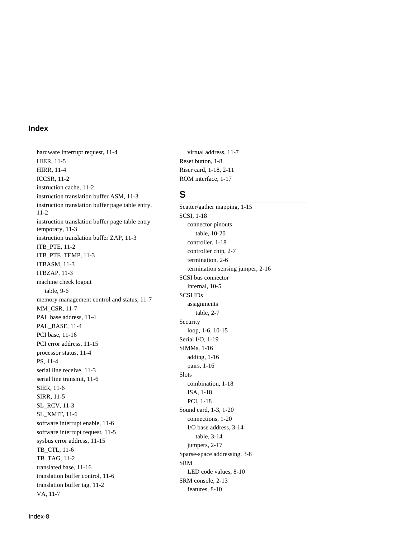hardware interrupt request, 11-4 virtual address, 11-7 HIER, 11-5 Reset button, 1-8 HIRR, 11-4 Riser card, 1-18, 2-11 ICCSR, 11-2 ROM interface, 1-17 instruction cache, 11-2 instruction translation buffer ASM, 11-3 **S** instruction translation buffer page table entry, 11-2 instruction translation buffer page table entry<br>temporary, 11-3 connector pinouts table, 10-20<br>
instruction translation buffer ZAP, 11-3<br>
ITB\_PTE\_TEMP, 11-3<br>
ITBASM, 11-3<br>
ITBZAP, 11-3<br>
ITBZAP, 11-3<br>
SCSI bus connector<br>
ITBZAP, 11-3<br>
SCSI bus connector machine check logout<br>table, 9-6 factor internal, 10-5<br>SCSI IDs memory management control and status, 11-7<br>
MM\_CSR, 11-7<br>
PAL base address, 11-4<br>
PAL\_BASE, 11-4<br>
PCI base, 11-16<br>
PCI error address, 11-15<br>
PCI error address, 11-15<br>
PCI error address, 11-15<br>
PCI error address, 11-15<br>
PCI serial line transmit, 11-6<br>
SIER, 11-6<br>
SIER, 11-5<br>
SL\_RCV, 11-3<br>
SL\_XMIT, 11-6<br>
SL\_XMIT, 11-6<br>
SCL\_XMIT, 11-6<br>
SCL\_XMIT, 11-6<br>
SCL\_XMIT, 11-6<br>
SCL\_XMIT, 11-6<br>
SCL\_XMIT, 11-6<br>
SCOM card, 1-3, 1-20<br>
Connections, 1-20<br>
conne translated base, 11-16 LED code values, 8-10<br>
translation buffer control, 11-6 LED code values, 8-10<br>
translation buffer tag, 11-2 features, 8-10<br>
VA, 11-7

Scatter/gather mapping, 1-15 SCSI, 1-18